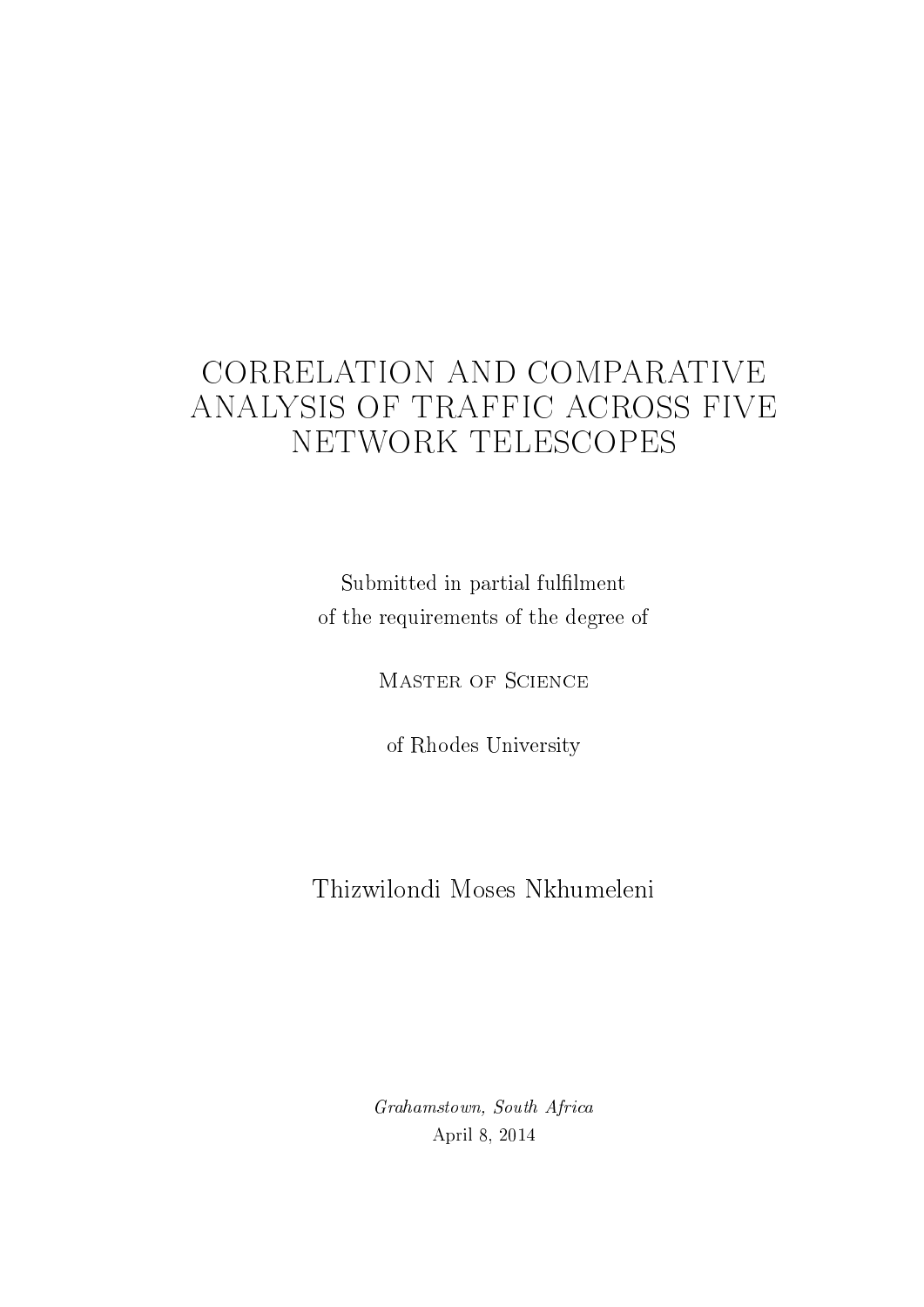# CORRELATION AND COMPARATIVE ANALYSIS OF TRAFFIC ACROSS FIVE NETWORK TELESCOPES

Submitted in partial fulfilment of the requirements of the degree of

Master of Science

of Rhodes University

# Thizwilondi Moses Nkhumeleni

Grahamstown, South Africa April 8, 2014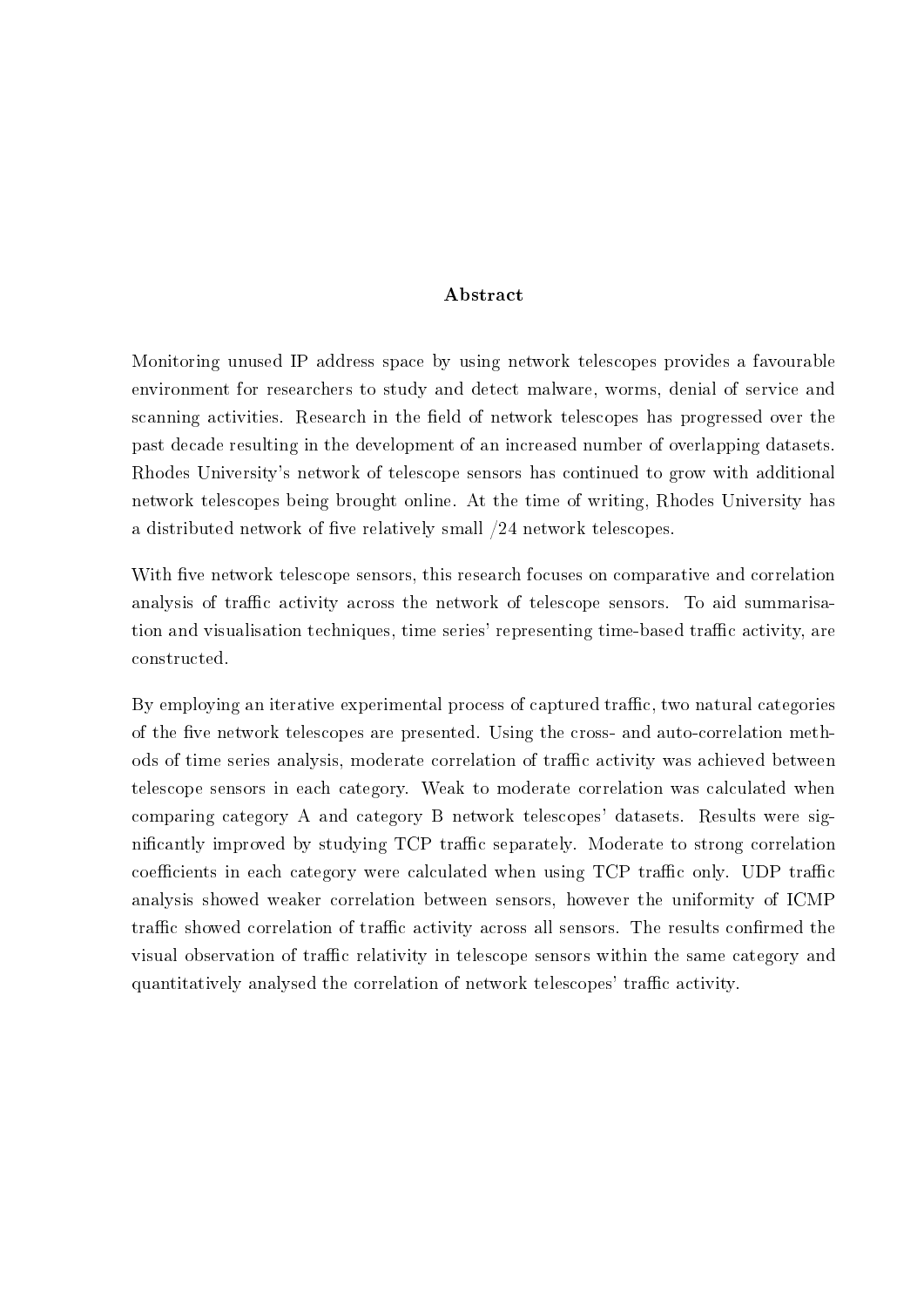#### Abstract

Monitoring unused IP address space by using network telescopes provides a favourable environment for researchers to study and detect malware, worms, denial of service and scanning activities. Research in the field of network telescopes has progressed over the past decade resulting in the development of an increased number of overlapping datasets. Rhodes University's network of telescope sensors has continued to grow with additional network telescopes being brought online. At the time of writing, Rhodes University has a distributed network of five relatively small  $/24$  network telescopes.

With five network telescope sensors, this research focuses on comparative and correlation analysis of traffic activity across the network of telescope sensors. To aid summarisation and visualisation techniques, time series' representing time-based traffic activity, are constructed.

By employing an iterative experimental process of captured traffic, two natural categories of the five network telescopes are presented. Using the cross- and auto-correlation methods of time series analysis, moderate correlation of traffic activity was achieved between telescope sensors in each category. Weak to moderate correlation was calculated when comparing category A and category B network telescopes' datasets. Results were significantly improved by studying TCP traffic separately. Moderate to strong correlation coefficients in each category were calculated when using TCP traffic only. UDP traffic analysis showed weaker correlation between sensors, however the uniformity of ICMP traffic showed correlation of traffic activity across all sensors. The results confirmed the visual observation of traffic relativity in telescope sensors within the same category and quantitatively analysed the correlation of network telescopes' traffic activity.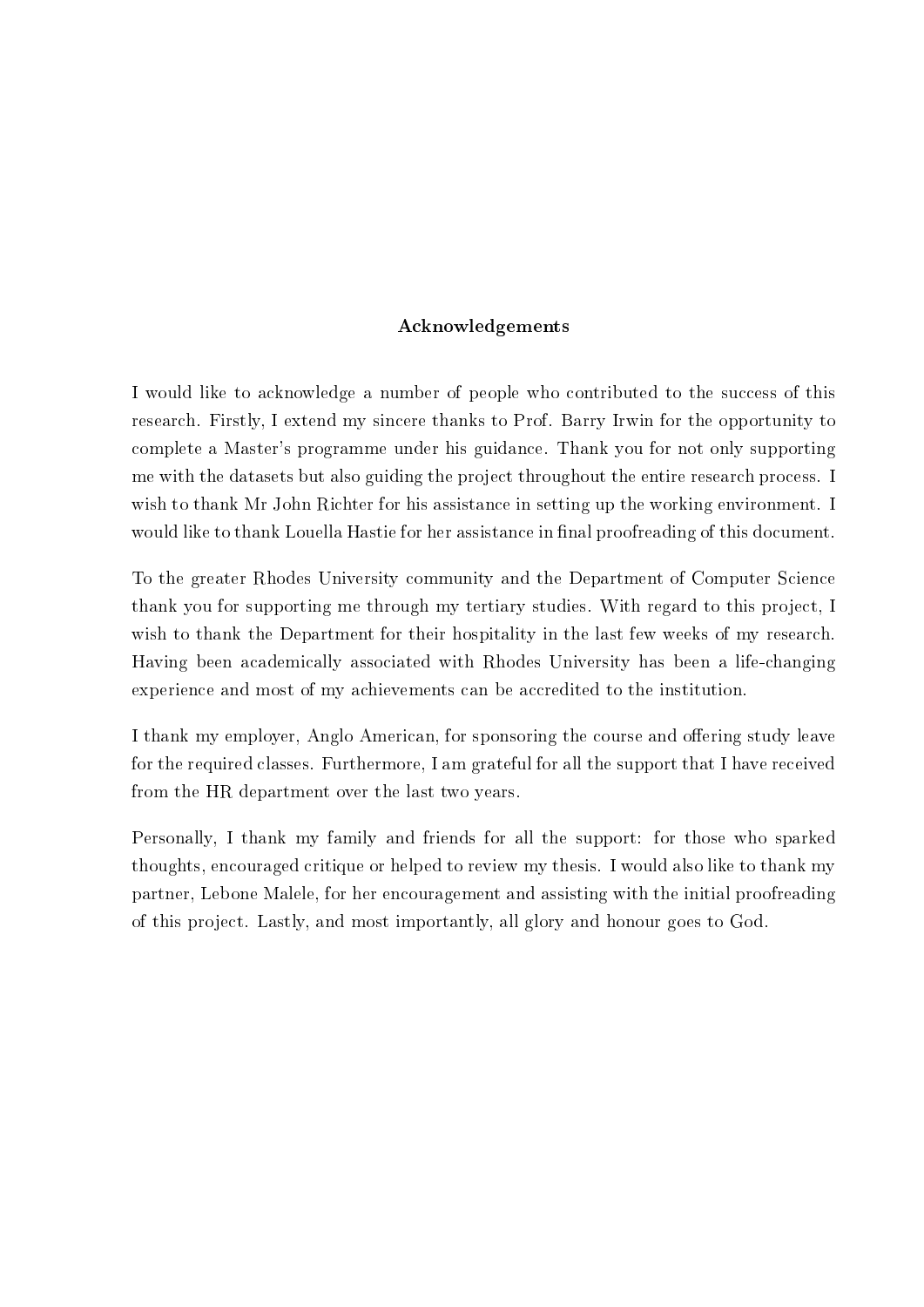#### Acknowledgements

I would like to acknowledge a number of people who contributed to the success of this research. Firstly, I extend my sincere thanks to Prof. Barry Irwin for the opportunity to complete a Master's programme under his guidance. Thank you for not only supporting me with the datasets but also guiding the project throughout the entire research process. I wish to thank Mr John Richter for his assistance in setting up the working environment. I would like to thank Louella Hastie for her assistance in final proofreading of this document.

To the greater Rhodes University community and the Department of Computer Science thank you for supporting me through my tertiary studies. With regard to this project, I wish to thank the Department for their hospitality in the last few weeks of my research. Having been academically associated with Rhodes University has been a life-changing experience and most of my achievements can be accredited to the institution.

I thank my employer, Anglo American, for sponsoring the course and offering study leave for the required classes. Furthermore, I am grateful for all the support that I have received from the HR department over the last two years.

Personally, I thank my family and friends for all the support: for those who sparked thoughts, encouraged critique or helped to review my thesis. I would also like to thank my partner, Lebone Malele, for her encouragement and assisting with the initial proofreading of this project. Lastly, and most importantly, all glory and honour goes to God.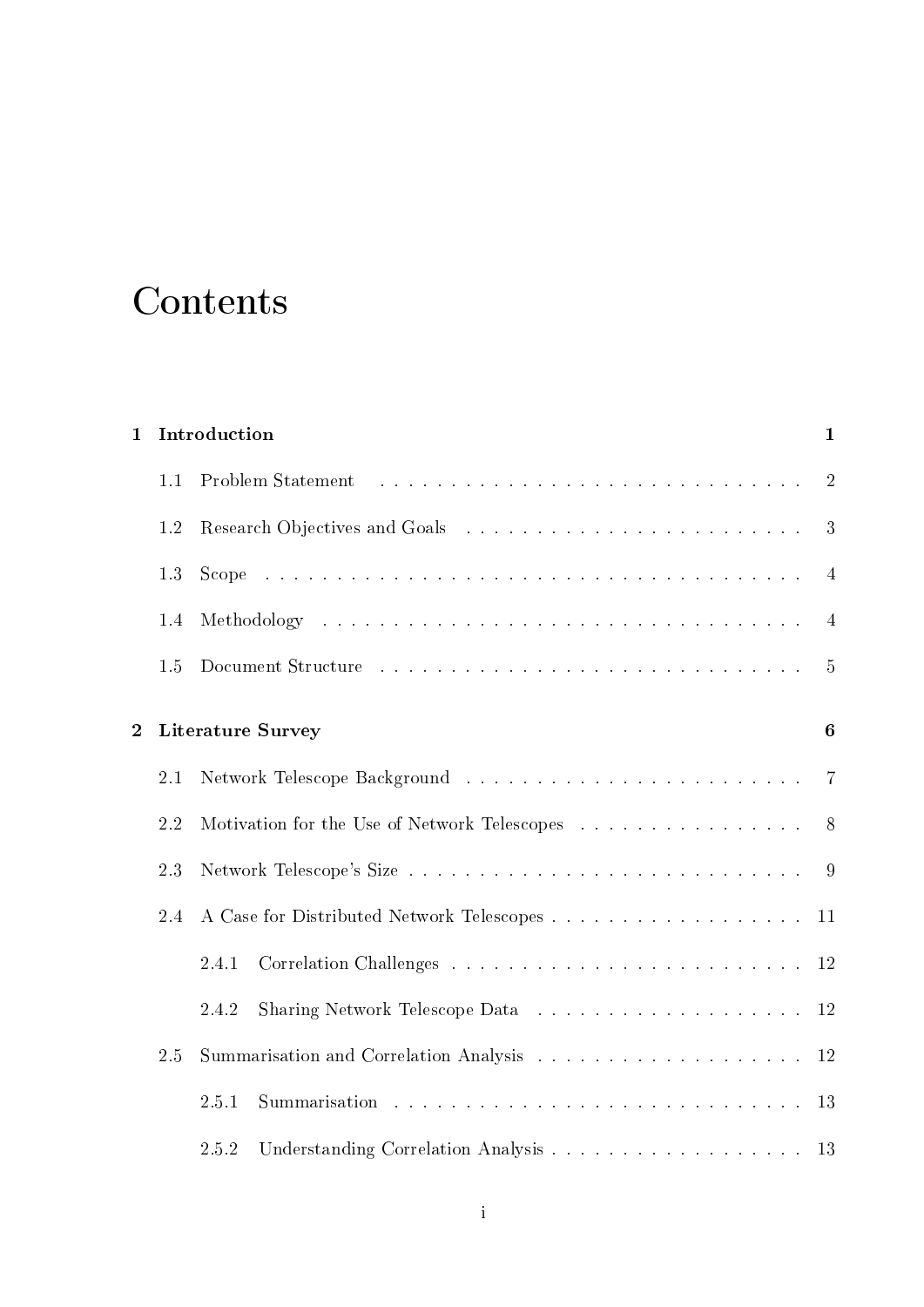# Contents

| $\mathbf{1}$   |         | Introduction                                 | $\mathbf{1}$   |
|----------------|---------|----------------------------------------------|----------------|
|                | 1.1     | Problem Statement                            | $\overline{2}$ |
|                | 1.2     |                                              | 3              |
|                | 1.3     |                                              | $\overline{4}$ |
|                | 1.4     |                                              | $\overline{4}$ |
|                | 1.5     |                                              | $\overline{5}$ |
| $\overline{2}$ |         | <b>Literature Survey</b>                     | 6              |
|                | $2.1\,$ |                                              | $\overline{7}$ |
|                | 2.2     | Motivation for the Use of Network Telescopes | 8              |
|                | 2.3     |                                              | -9             |
|                | 2.4     |                                              | 11             |
|                |         | 2.4.1                                        | 12             |
|                |         | 2.4.2                                        | <b>12</b>      |
|                | 2.5     |                                              | 12             |
|                |         | 2.5.1                                        | 13             |
|                |         | 2.5.2                                        | 13             |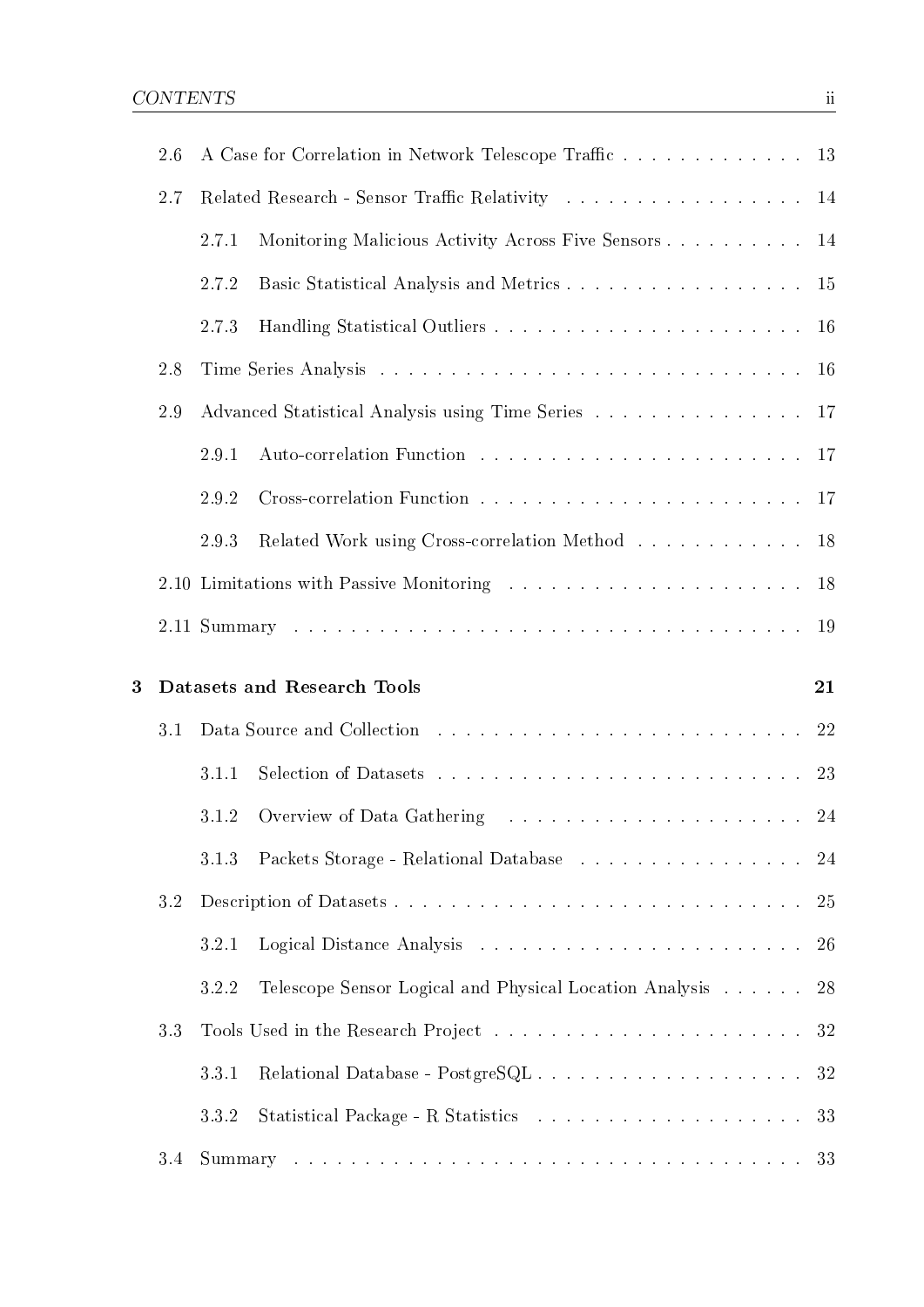|   | 2.6 |       | A Case for Correlation in Network Telescope Traffic                               | 13        |
|---|-----|-------|-----------------------------------------------------------------------------------|-----------|
|   | 2.7 |       | Related Research - Sensor Traffic Relativity                                      | 14        |
|   |     | 2.7.1 | Monitoring Malicious Activity Across Five Sensors                                 | 14        |
|   |     | 2.7.2 |                                                                                   | 15        |
|   |     | 2.7.3 |                                                                                   | <b>16</b> |
|   | 2.8 |       |                                                                                   | 16        |
|   | 2.9 |       | Advanced Statistical Analysis using Time Series                                   | 17        |
|   |     | 2.9.1 |                                                                                   | <b>17</b> |
|   |     | 2.9.2 |                                                                                   | <b>17</b> |
|   |     | 2.9.3 | Related Work using Cross-correlation Method                                       | 18        |
|   |     |       | 2.10 Limitations with Passive Monitoring                                          | 18        |
|   |     |       |                                                                                   | 19        |
|   |     |       |                                                                                   |           |
| 3 |     |       | Datasets and Research Tools                                                       | 21        |
|   | 3.1 |       |                                                                                   | 22        |
|   |     | 3.1.1 |                                                                                   | 23        |
|   |     | 3.1.2 |                                                                                   | 24        |
|   |     | 3.1.3 | Packets Storage - Relational Database $\ldots \ldots \ldots \ldots \ldots \ldots$ | 24        |
|   | 3.2 |       |                                                                                   | 25        |
|   |     | 3.2.1 |                                                                                   | 26        |
|   |     | 3.2.2 | Telescope Sensor Logical and Physical Location Analysis                           | 28        |
|   | 3.3 |       |                                                                                   | 32        |
|   |     | 3.3.1 |                                                                                   | 32        |
|   |     | 3.3.2 |                                                                                   | 33        |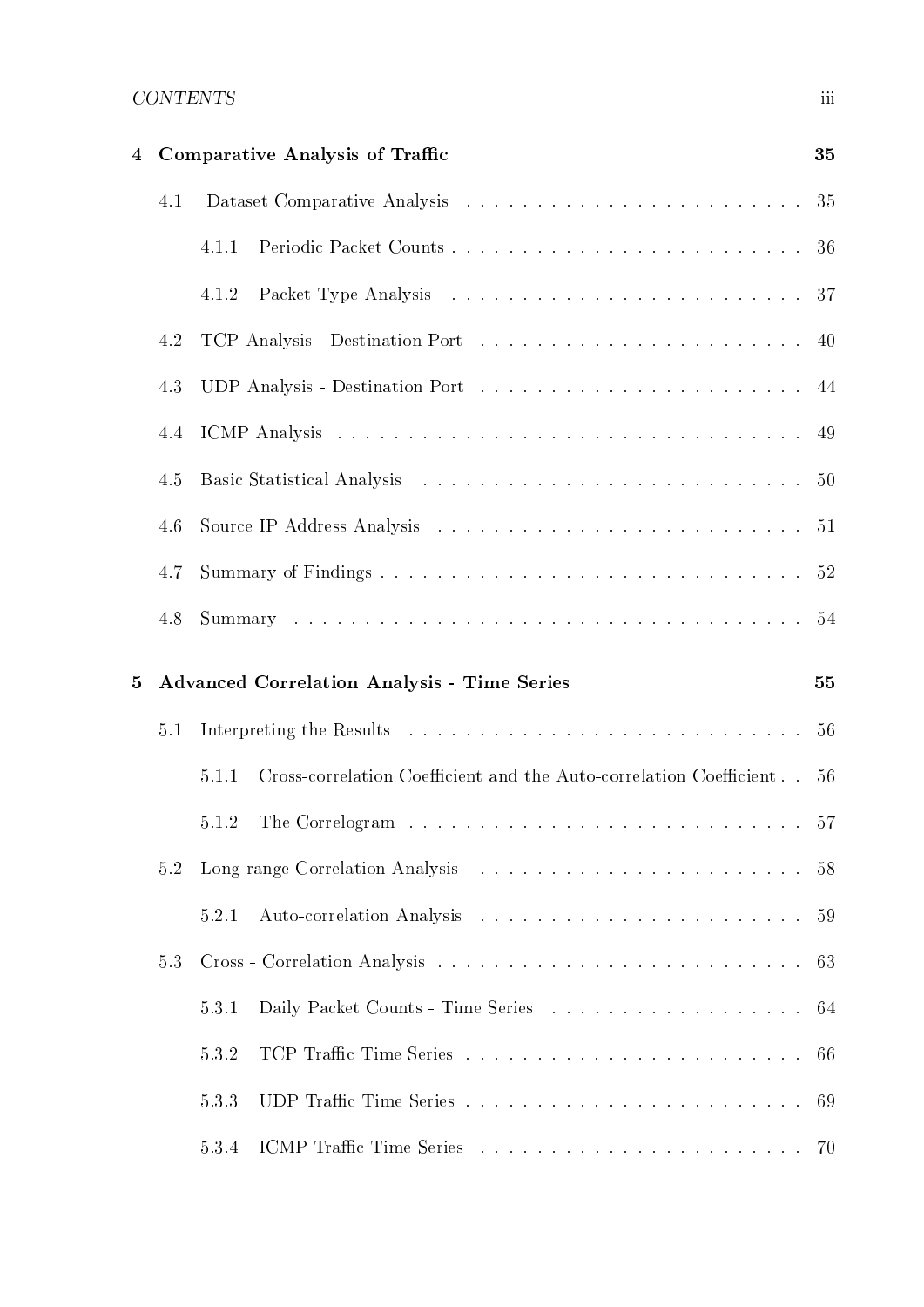| 4 |     | <b>Comparative Analysis of Traffic</b>                                      | 35  |
|---|-----|-----------------------------------------------------------------------------|-----|
|   | 4.1 |                                                                             |     |
|   |     | 4.1.1                                                                       |     |
|   |     | 4.1.2                                                                       |     |
|   | 4.2 |                                                                             |     |
|   | 4.3 |                                                                             |     |
|   | 4.4 |                                                                             |     |
|   | 4.5 |                                                                             |     |
|   | 4.6 |                                                                             |     |
|   | 4.7 |                                                                             |     |
|   | 4.8 |                                                                             |     |
| 5 |     | <b>Advanced Correlation Analysis - Time Series</b>                          | 55  |
|   |     |                                                                             |     |
|   | 5.1 |                                                                             |     |
|   |     | Cross-correlation Coefficient and the Auto-correlation Coefficient<br>5.1.1 | -56 |
|   |     | 5.1.2                                                                       |     |
|   | 5.2 |                                                                             |     |
|   |     | 5.2.1                                                                       | 59  |
|   | 5.3 |                                                                             | 63  |
|   |     | Daily Packet Counts - Time Series 64<br>5.3.1                               |     |
|   |     | 5.3.2                                                                       | 66  |
|   |     | 5.3.3                                                                       | 69  |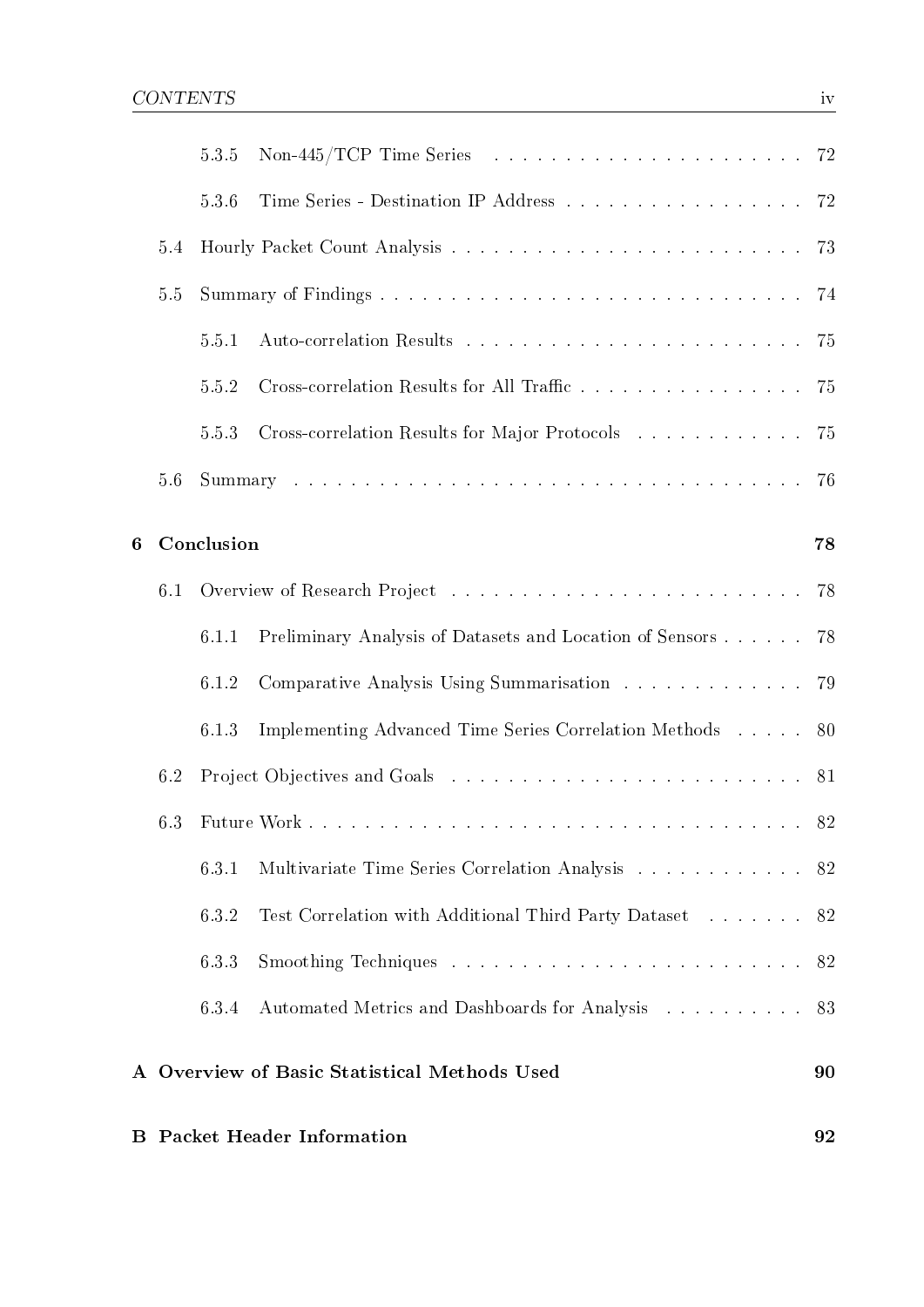|         |     | 5.3.5      | Non-445/TCP Time Series $\ldots \ldots \ldots \ldots \ldots \ldots \ldots \ldots \ldots$ 72                                                    |     |
|---------|-----|------------|------------------------------------------------------------------------------------------------------------------------------------------------|-----|
|         |     | 5.3.6      |                                                                                                                                                |     |
|         | 5.4 |            |                                                                                                                                                | 73  |
|         | 5.5 |            |                                                                                                                                                | -74 |
|         |     | 5.5.1      |                                                                                                                                                | -75 |
|         |     | 5.5.2      | Cross-correlation Results for All Traffic                                                                                                      | 75  |
|         |     | 5.5.3      | Cross-correlation Results for Major Protocols                                                                                                  | 75  |
|         | 5.6 |            |                                                                                                                                                | 76  |
| 6       |     | Conclusion |                                                                                                                                                | 78  |
|         | 6.1 |            |                                                                                                                                                | 78  |
|         |     | 6.1.1      | Preliminary Analysis of Datasets and Location of Sensors                                                                                       | 78  |
|         |     | 6.1.2      | $\label{eq:complexity} {\rm Comparative\ Analysis\ Using\ Summarisation}\quad.\quad.\quad.\quad.\quad.\quad.\quad.\quad.\quad. \quad. \quad79$ |     |
|         |     | 6.1.3      | Implementing Advanced Time Series Correlation Methods 80                                                                                       |     |
|         | 6.2 |            |                                                                                                                                                |     |
|         | 6.3 |            |                                                                                                                                                |     |
|         |     | 6.3.1      | Multivariate Time Series Correlation Analysis                                                                                                  | 82  |
|         |     | 6.3.2      | Test Correlation with Additional Third Party Dataset                                                                                           | 82  |
|         |     | 6.3.3      |                                                                                                                                                | 82  |
|         |     | 6.3.4      | Automated Metrics and Dashboards for Analysis                                                                                                  | 83  |
|         |     |            | A Overview of Basic Statistical Methods Used                                                                                                   | 90  |
| $\bf B$ |     |            | <b>Packet Header Information</b>                                                                                                               | 92  |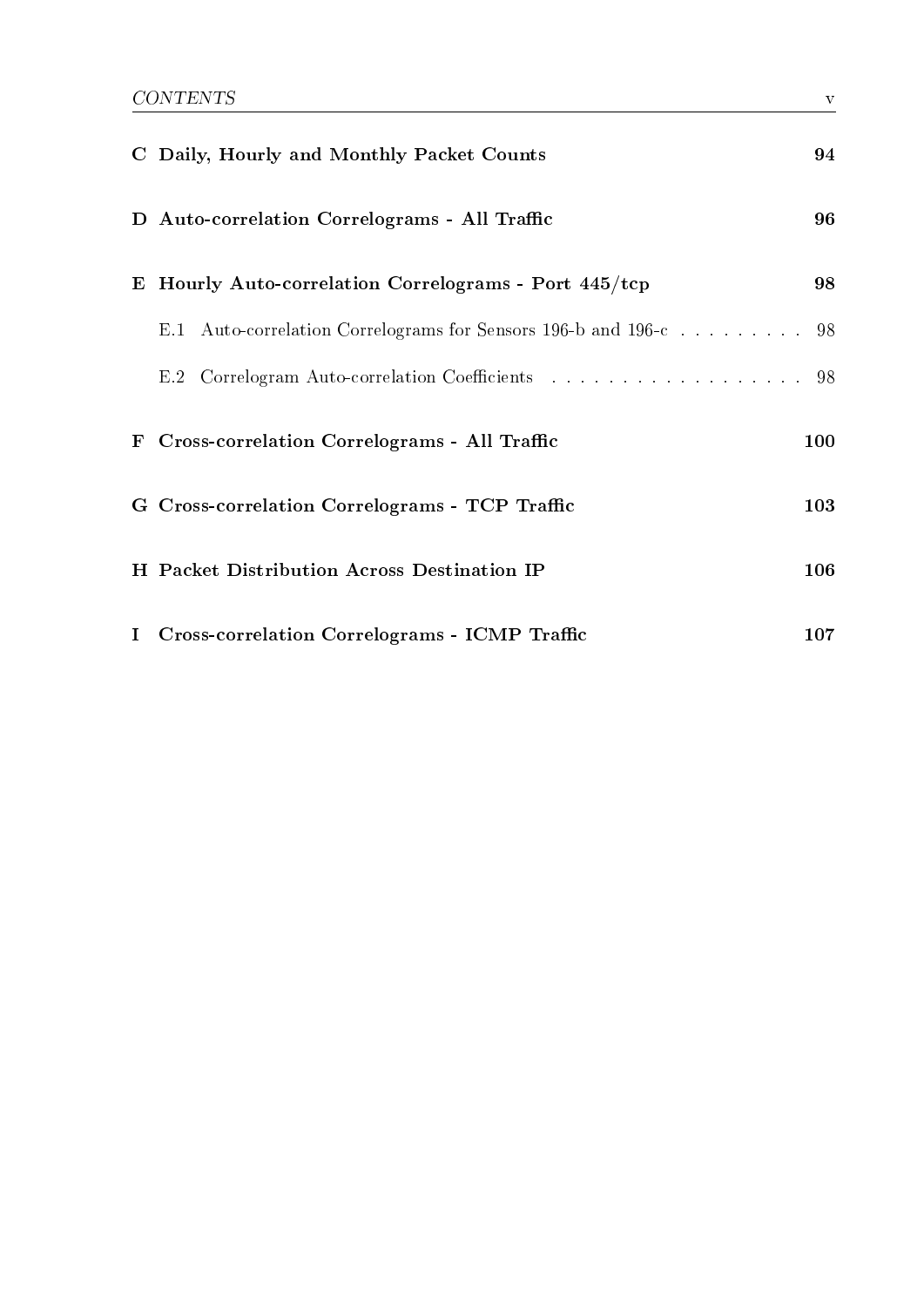|           | C Daily, Hourly and Monthly Packet Counts                     | 94  |
|-----------|---------------------------------------------------------------|-----|
|           | D Auto-correlation Correlograms - All Traffic                 | 96  |
| E         | Hourly Auto-correlation Correlograms - Port 445/tcp           | 98  |
|           | E.1 Auto-correlation Correlograms for Sensors 196-b and 196-c | 98  |
|           | E.2 Correlogram Auto-correlation Coefficients 98              |     |
| ${\bf F}$ | Cross-correlation Correlograms - All Traffic                  | 100 |
|           | G Cross-correlation Correlograms - TCP Traffic                | 103 |
|           | H Packet Distribution Across Destination IP                   | 106 |
|           | I Cross-correlation Correlograms - ICMP Traffic               | 107 |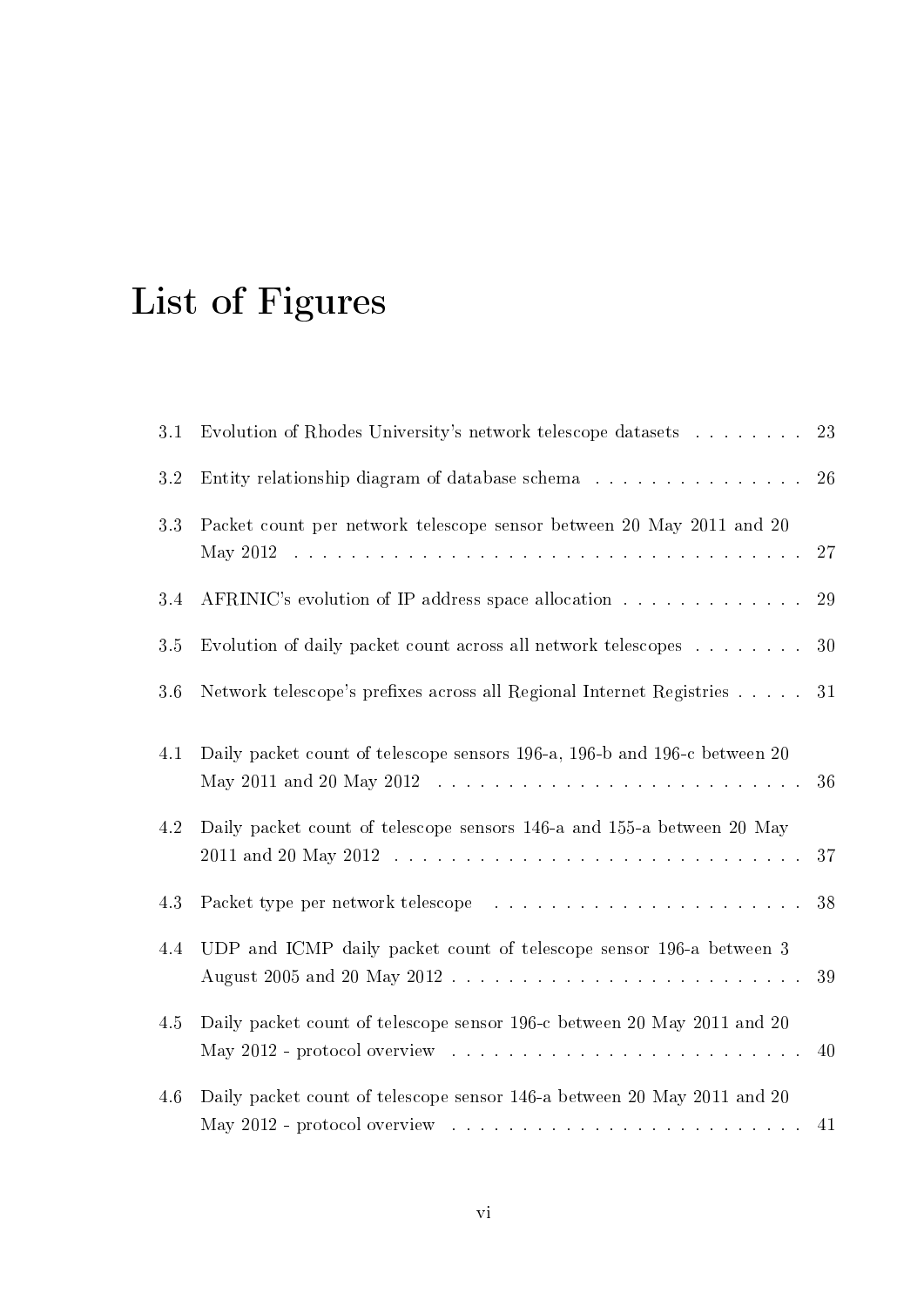# List of Figures

| 3.1     | Evolution of Rhodes University's network telescope datasets                                                                                                       | 23 |
|---------|-------------------------------------------------------------------------------------------------------------------------------------------------------------------|----|
| 3.2     | Entity relationship diagram of database schema                                                                                                                    | 26 |
| 3.3     | Packet count per network telescope sensor between 20 May 2011 and 20                                                                                              | 27 |
| 3.4     | AFRINIC's evolution of IP address space allocation                                                                                                                | 29 |
| 3.5     | Evolution of daily packet count across all network telescopes $\dots \dots$                                                                                       | 30 |
| 3.6     | Network telescope's prefixes across all Regional Internet Registries                                                                                              | 31 |
| 4.1     | Daily packet count of telescope sensors 196-a, 196-b and 196-c between 20                                                                                         | 36 |
| $4.2\,$ | Daily packet count of telescope sensors 146-a and 155-a between 20 May                                                                                            | 37 |
| 4.3     |                                                                                                                                                                   | 38 |
| 4.4     | UDP and ICMP daily packet count of telescope sensor 196-a between 3                                                                                               | 39 |
| 4.5     | Daily packet count of telescope sensor 196-c between 20 May 2011 and 20<br>May 2012 - protocol overview $\ldots \ldots \ldots \ldots \ldots \ldots \ldots \ldots$ | 40 |
| 4.6     | Daily packet count of telescope sensor 146-a between 20 May 2011 and 20                                                                                           | 41 |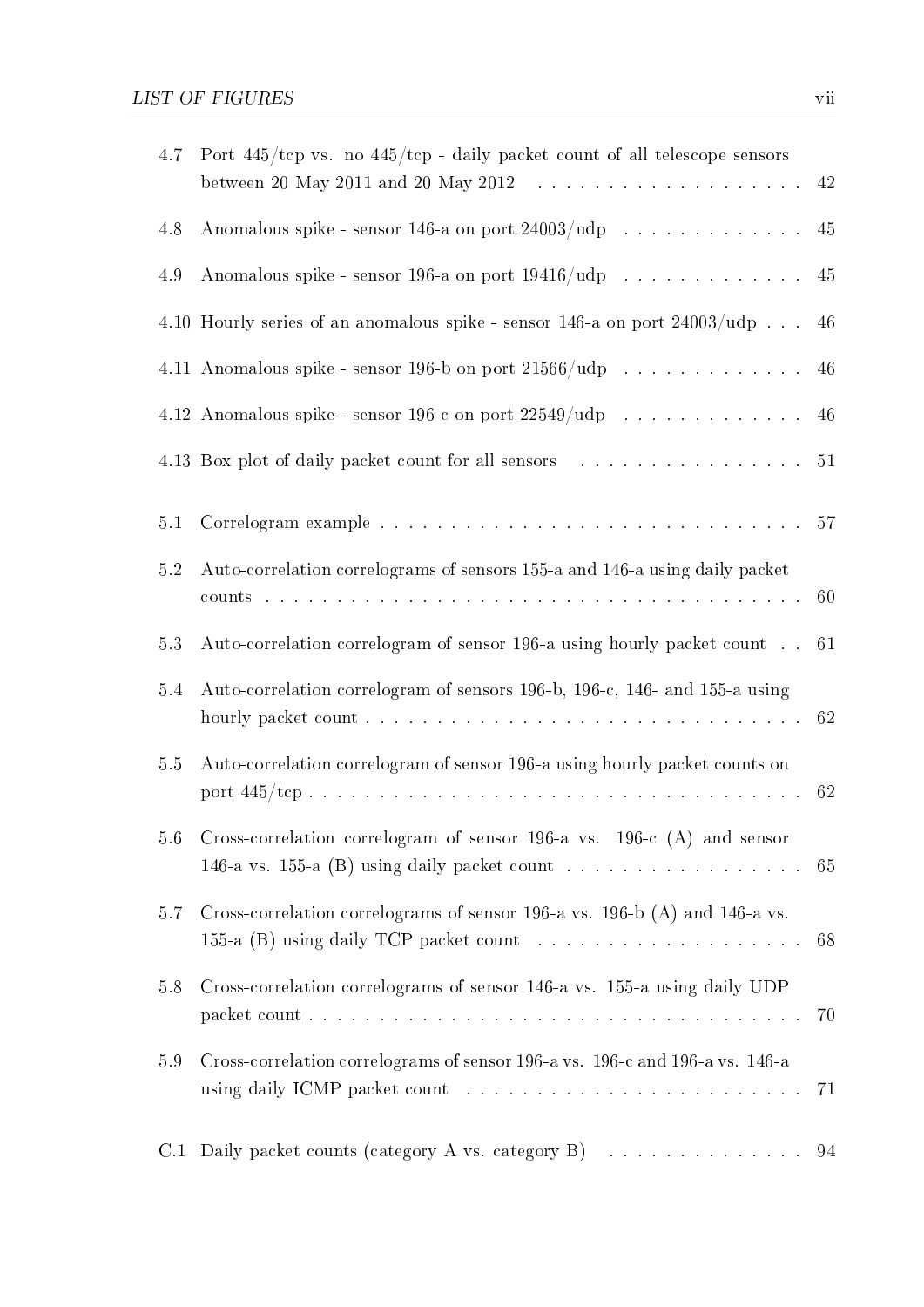| 4.7 | Port $445/\text{top}$ vs. no $445/\text{top}$ - daily packet count of all telescope sensors<br>between 20 May 2011 and 20 May 2012 $\ldots \ldots \ldots \ldots \ldots \ldots \ldots$ |    |
|-----|---------------------------------------------------------------------------------------------------------------------------------------------------------------------------------------|----|
| 4.8 | Anomalous spike - sensor 146-a on port $24003/\text{udp}$ 45                                                                                                                          |    |
| 4.9 | Anomalous spike - sensor 196-a on port $19416/\text{udp}$ 45                                                                                                                          |    |
|     | 4.10 Hourly series of an anomalous spike - sensor 146-a on port $24003/\text{udp}$                                                                                                    | 46 |
|     | 4.11 Anomalous spike - sensor 196-b on port $21566/udp$ 46                                                                                                                            |    |
|     | 4.12 Anomalous spike - sensor 196-c on port $22549/udp$ 46                                                                                                                            |    |
|     |                                                                                                                                                                                       |    |
| 5.1 |                                                                                                                                                                                       |    |
| 5.2 | Auto-correlation correlograms of sensors 155-a and 146-a using daily packet                                                                                                           |    |
| 5.3 | Auto-correlation correlogram of sensor 196-a using hourly packet count 61                                                                                                             |    |
| 5.4 | Auto-correlation correlogram of sensors 196-b, 196-c, 146- and 155-a using                                                                                                            |    |
| 5.5 | Auto-correlation correlogram of sensor 196-a using hourly packet counts on                                                                                                            |    |
|     | 5.6 Cross-correlation correlogram of sensor 196-a vs. 196-c (A) and sensor<br>146-a vs. 155-a (B) using daily packet count $\ldots \ldots \ldots \ldots \ldots$                       | 65 |
| 5.7 | Cross-correlation correlograms of sensor 196-a vs. 196-b (A) and 146-a vs.                                                                                                            | 68 |
| 5.8 | Cross-correlation correlograms of sensor 146-a vs. 155-a using daily UDP                                                                                                              | 70 |
| 5.9 | Cross-correlation correlograms of sensor 196-a vs. 196-c and 196-a vs. 146-a                                                                                                          | 71 |
| C.1 | Daily packet counts (category A vs. category B) $\ldots \ldots \ldots \ldots$ 94                                                                                                      |    |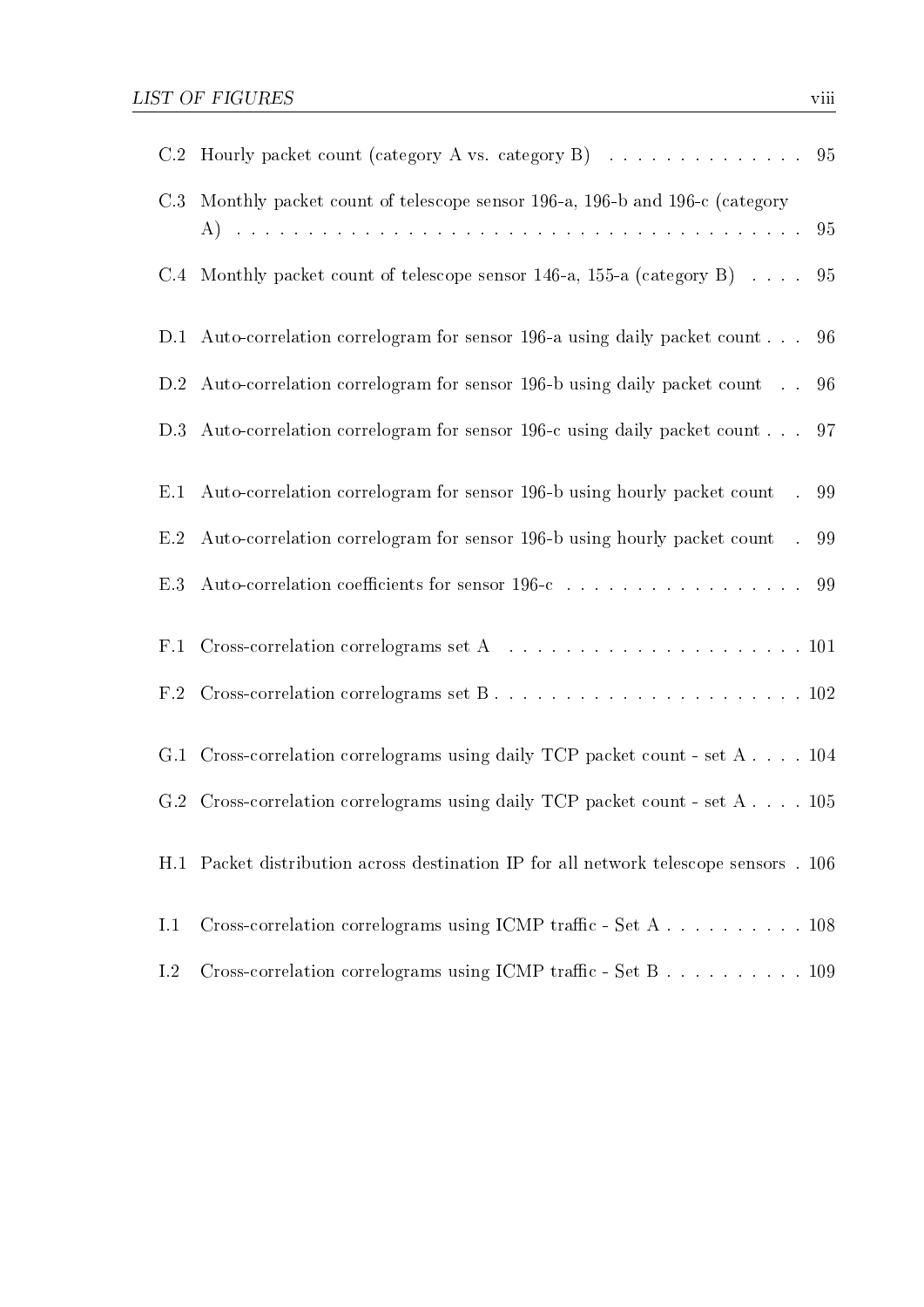|     | C.2 Hourly packet count (category A vs. category B) 95                                        |     |
|-----|-----------------------------------------------------------------------------------------------|-----|
| C.3 | Monthly packet count of telescope sensor 196-a, 196-b and 196-c (category                     |     |
|     | C.4 Monthly packet count of telescope sensor 146-a, 155-a (category B) $\ldots$ . 95          |     |
|     | D.1 Auto-correlation correlogram for sensor 196-a using daily packet count                    | 96  |
|     | D.2 Auto-correlation correlogram for sensor 196-b using daily packet count                    | 96  |
| D.3 | Auto-correlation correlogram for sensor 196-c using daily packet count 97                     |     |
| E.1 | Auto-correlation correlogram for sensor 196-b using hourly packet count                       | .99 |
| E.2 | Auto-correlation correlogram for sensor 196-b using hourly packet count                       | .99 |
| E.3 | Auto-correlation coefficients for sensor 196-c $\ldots \ldots \ldots \ldots \ldots \ldots$ 99 |     |
| F.1 | Cross-correlation correlograms set A $\ldots \ldots \ldots \ldots \ldots \ldots \ldots 101$   |     |
|     |                                                                                               |     |
|     | G.1 Cross-correlation correlograms using daily TCP packet count - set A 104                   |     |
|     | G.2 Cross-correlation correlograms using daily TCP packet count - set A 105                   |     |
|     | H.1 Packet distribution across destination IP for all network telescope sensors . 106         |     |
| 1.1 |                                                                                               |     |
| 1.2 | Cross-correlation correlograms using ICMP traffic - Set B 109                                 |     |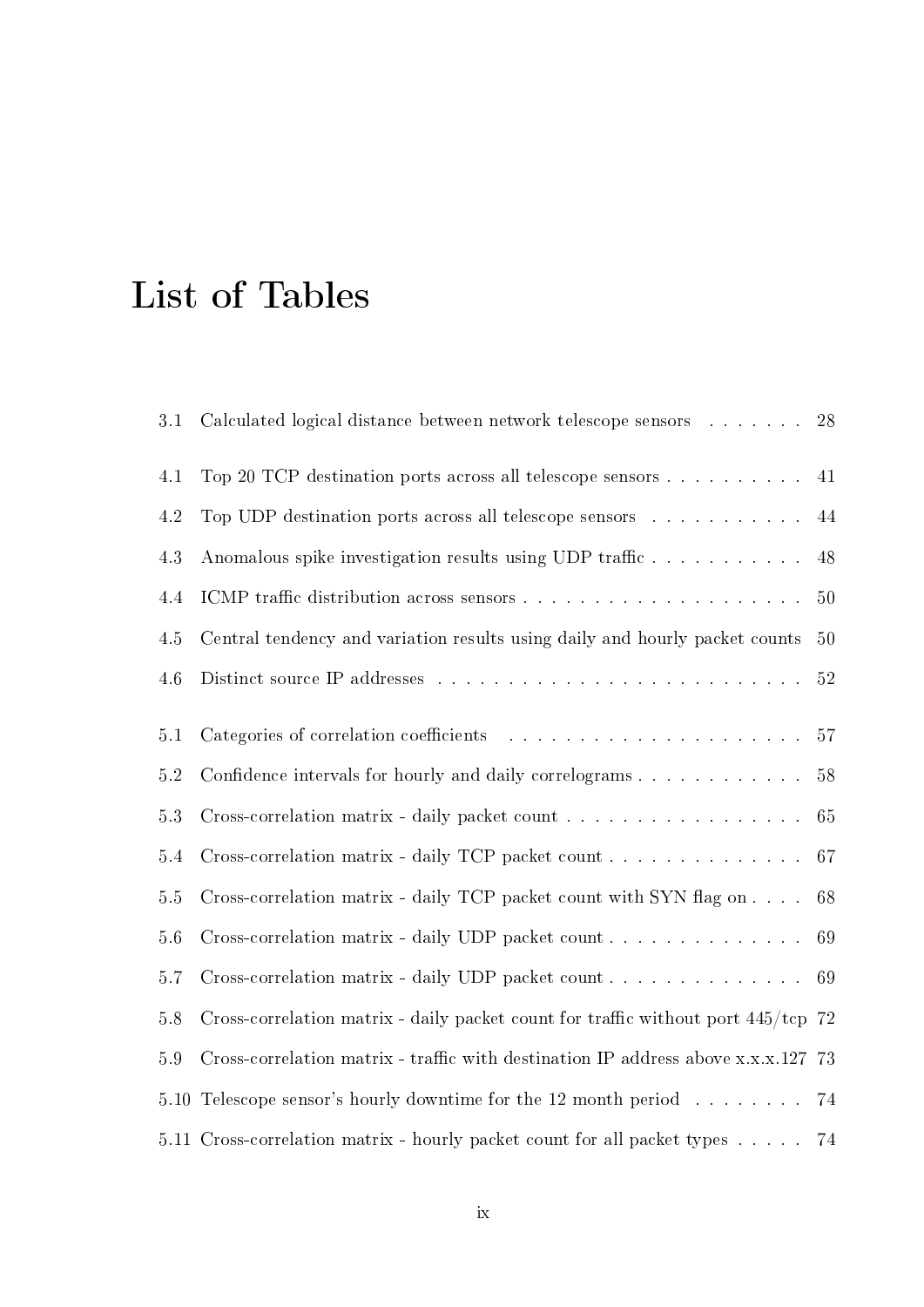# List of Tables

|                                                                              | 28                                                                                                                                                                                                                                                                                                         |
|------------------------------------------------------------------------------|------------------------------------------------------------------------------------------------------------------------------------------------------------------------------------------------------------------------------------------------------------------------------------------------------------|
| Top 20 TCP destination ports across all telescope sensors                    | 41                                                                                                                                                                                                                                                                                                         |
| Top UDP destination ports across all telescope sensors                       | 44                                                                                                                                                                                                                                                                                                         |
| Anomalous spike investigation results using UDP traffic                      | 48                                                                                                                                                                                                                                                                                                         |
|                                                                              | $50\,$                                                                                                                                                                                                                                                                                                     |
| Central tendency and variation results using daily and hourly packet counts  | 50                                                                                                                                                                                                                                                                                                         |
|                                                                              | 52                                                                                                                                                                                                                                                                                                         |
|                                                                              | 57                                                                                                                                                                                                                                                                                                         |
|                                                                              |                                                                                                                                                                                                                                                                                                            |
|                                                                              | $58\,$                                                                                                                                                                                                                                                                                                     |
| Cross-correlation matrix - daily packet count                                | $65\,$                                                                                                                                                                                                                                                                                                     |
| Cross-correlation matrix - daily TCP packet count                            | 67                                                                                                                                                                                                                                                                                                         |
| Cross-correlation matrix - daily TCP packet count with SYN flag on $\dots$ . | 68                                                                                                                                                                                                                                                                                                         |
|                                                                              | 69                                                                                                                                                                                                                                                                                                         |
| Cross-correlation matrix - daily UDP packet count                            | 69                                                                                                                                                                                                                                                                                                         |
|                                                                              |                                                                                                                                                                                                                                                                                                            |
|                                                                              |                                                                                                                                                                                                                                                                                                            |
| Telescope sensor's hourly downtime for the 12 month period                   | 74                                                                                                                                                                                                                                                                                                         |
| 5.11 Cross-correlation matrix - hourly packet count for all packet types     | 74                                                                                                                                                                                                                                                                                                         |
|                                                                              | Calculated logical distance between network telescope sensors<br>Confidence intervals for hourly and daily correlograms<br>Cross-correlation matrix - daily packet count for traffic without port $445/\text{top}$ 72<br>Cross-correlation matrix - traffic with destination IP address above x.x.x.127 73 |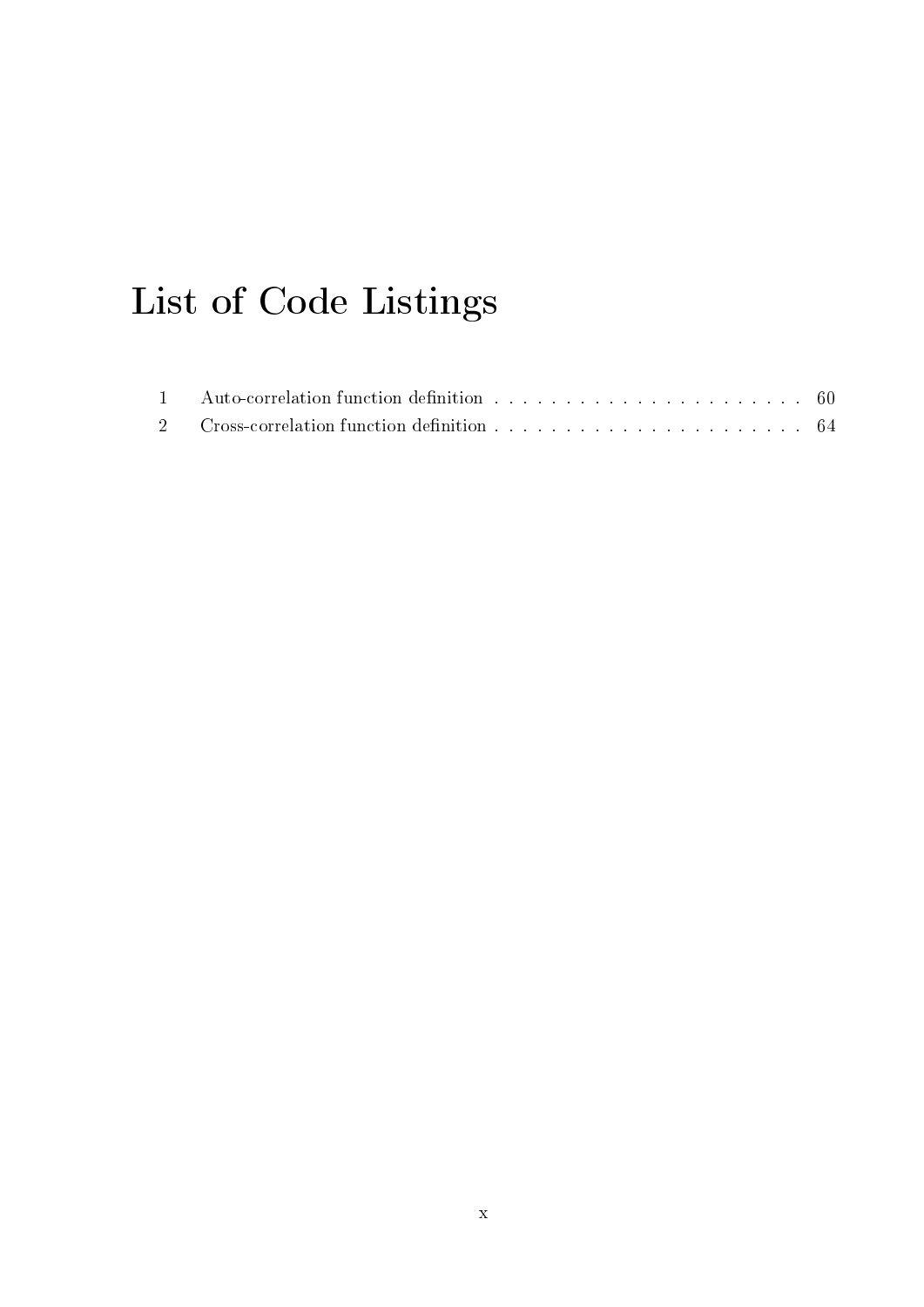# List of Code Listings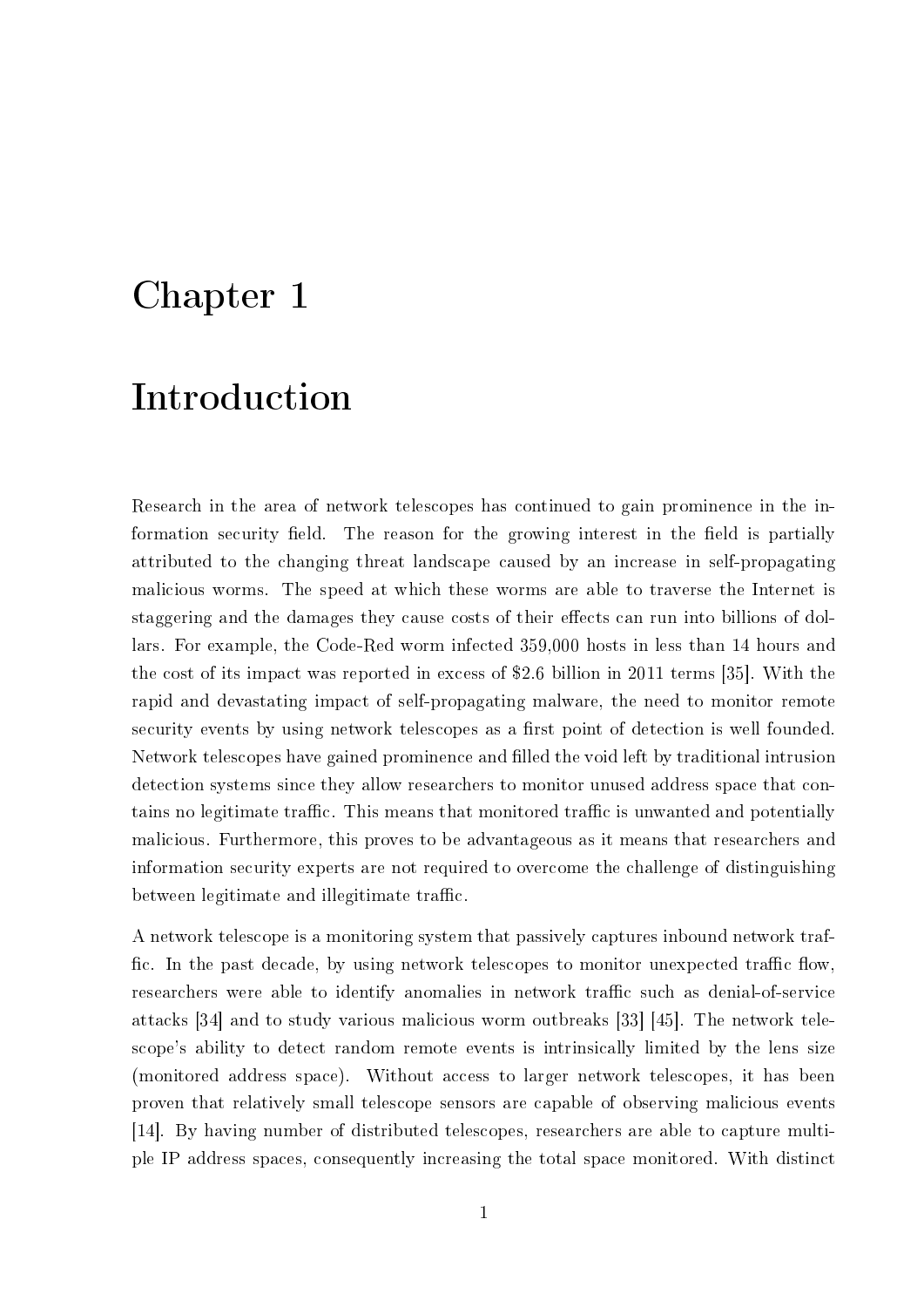# Chapter 1

# Introduction

Research in the area of network telescopes has continued to gain prominence in the information security field. The reason for the growing interest in the field is partially attributed to the changing threat landscape caused by an increase in self-propagating malicious worms. The speed at which these worms are able to traverse the Internet is staggering and the damages they cause costs of their effects can run into billions of dollars. For example, the Code-Red worm infected 359,000 hosts in less than 14 hours and the cost of its impact was reported in excess of \$2.6 billion in 2011 terms [35]. With the rapid and devastating impact of self-propagating malware, the need to monitor remote security events by using network telescopes as a first point of detection is well founded. Network telescopes have gained prominence and filled the void left by traditional intrusion detection systems since they allow researchers to monitor unused address space that contains no legitimate traffic. This means that monitored traffic is unwanted and potentially malicious. Furthermore, this proves to be advantageous as it means that researchers and information security experts are not required to overcome the challenge of distinguishing between legitimate and illegitimate traffic.

A network telescope is a monitoring system that passively captures inbound network traf fic. In the past decade, by using network telescopes to monitor unexpected traffic flow, researchers were able to identify anomalies in network traffic such as denial-of-service attacks [34] and to study various malicious worm outbreaks [33] [45]. The network telescope's ability to detect random remote events is intrinsically limited by the lens size (monitored address space). Without access to larger network telescopes, it has been proven that relatively small telescope sensors are capable of observing malicious events [14]. By having number of distributed telescopes, researchers are able to capture multiple IP address spaces, consequently increasing the total space monitored. With distinct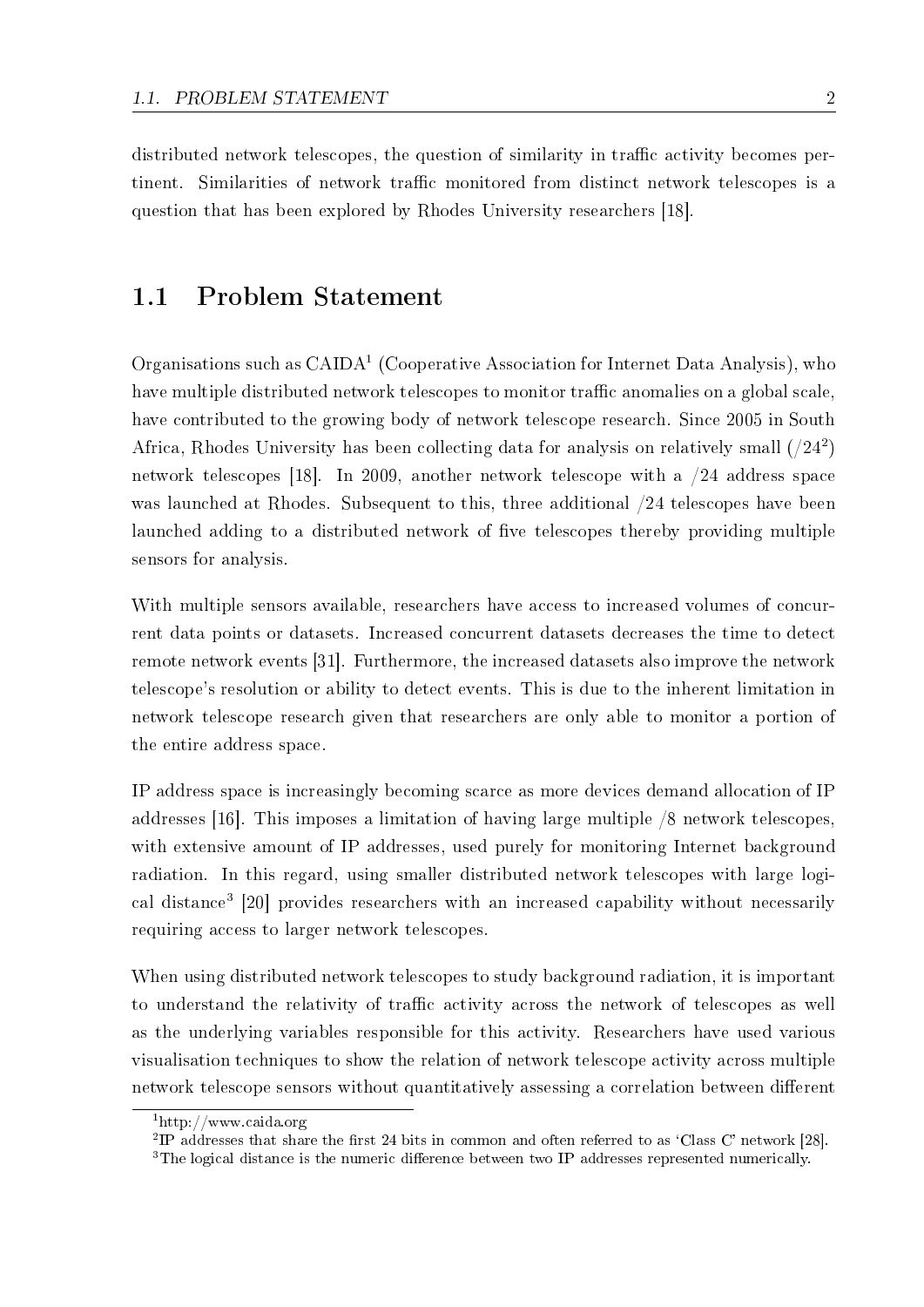distributed network telescopes, the question of similarity in traffic activity becomes pertinent. Similarities of network traffic monitored from distinct network telescopes is a question that has been explored by Rhodes University researchers [18].

#### 1.1 Problem Statement

Organisations such as  $\text{CAIDA}^1$  (Cooperative Association for Internet Data Analysis), who have multiple distributed network telescopes to monitor traffic anomalies on a global scale, have contributed to the growing body of network telescope research. Since 2005 in South Africa, Rhodes University has been collecting data for analysis on relatively small  $(24^2)$ network telescopes [18]. In 2009, another network telescope with a /24 address space was launched at Rhodes. Subsequent to this, three additional  $/24$  telescopes have been launched adding to a distributed network of five telescopes thereby providing multiple sensors for analysis.

With multiple sensors available, researchers have access to increased volumes of concurrent data points or datasets. Increased concurrent datasets decreases the time to detect remote network events [31]. Furthermore, the increased datasets also improve the network telescope's resolution or ability to detect events. This is due to the inherent limitation in network telescope research given that researchers are only able to monitor a portion of the entire address space.

IP address space is increasingly becoming scarce as more devices demand allocation of IP addresses [16]. This imposes a limitation of having large multiple /8 network telescopes, with extensive amount of IP addresses, used purely for monitoring Internet background radiation. In this regard, using smaller distributed network telescopes with large logical distance<sup>3</sup> [20] provides researchers with an increased capability without necessarily requiring access to larger network telescopes.

When using distributed network telescopes to study background radiation, it is important to understand the relativity of traffic activity across the network of telescopes as well as the underlying variables responsible for this activity. Researchers have used various visualisation techniques to show the relation of network telescope activity across multiple network telescope sensors without quantitatively assessing a correlation between different

<sup>1</sup>http://www.caida.org

<sup>&</sup>lt;sup>2</sup>IP addresses that share the first 24 bits in common and often referred to as 'Class C' network [28].

<sup>&</sup>lt;sup>3</sup>The logical distance is the numeric difference between two IP addresses represented numerically.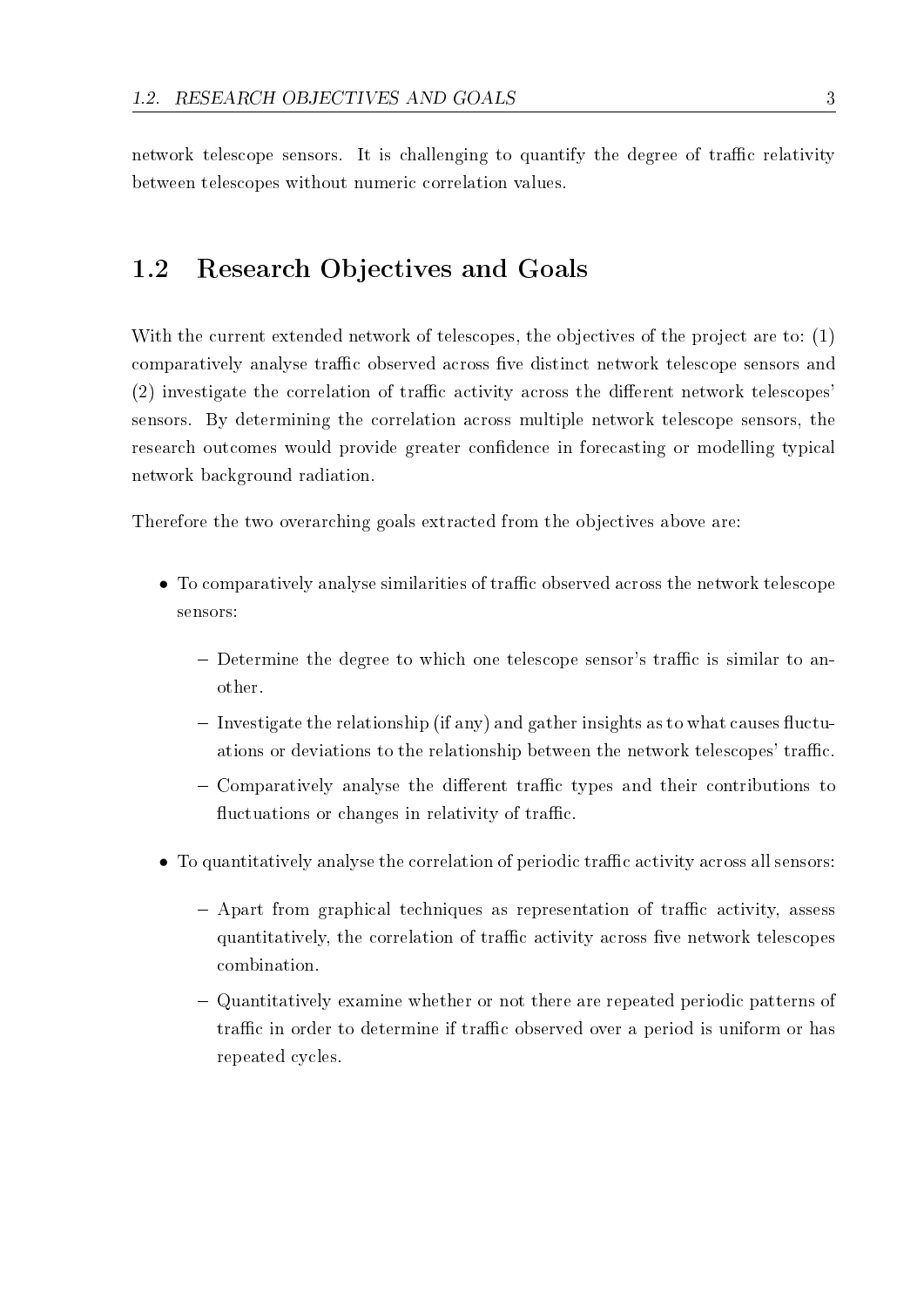network telescope sensors. It is challenging to quantify the degree of traffic relativity between telescopes without numeric correlation values.

## 1.2 Research Objectives and Goals

With the current extended network of telescopes, the objectives of the project are to: (1) comparatively analyse traffic observed across five distinct network telescope sensors and  $(2)$  investigate the correlation of traffic activity across the different network telescopes' sensors. By determining the correlation across multiple network telescope sensors, the research outcomes would provide greater confidence in forecasting or modelling typical network background radiation.

Therefore the two overarching goals extracted from the objectives above are:

- To comparatively analyse similarities of traffic observed across the network telescope sensors:
	- Determine the degree to which one telescope sensor's traffic is similar to another.
	- $-$  Investigate the relationship (if any) and gather insights as to what causes fluctuations or deviations to the relationship between the network telescopes' traffic.
	- $\sim$  Comparatively analyse the different traffic types and their contributions to fluctuations or changes in relativity of traffic.
- To quantitatively analyse the correlation of periodic traffic activity across all sensors:
	- $-$  Apart from graphical techniques as representation of traffic activity, assess quantitatively, the correlation of traffic activity across five network telescopes combination.
	- Quantitatively examine whether or not there are repeated periodic patterns of traffic in order to determine if traffic observed over a period is uniform or has repeated cycles.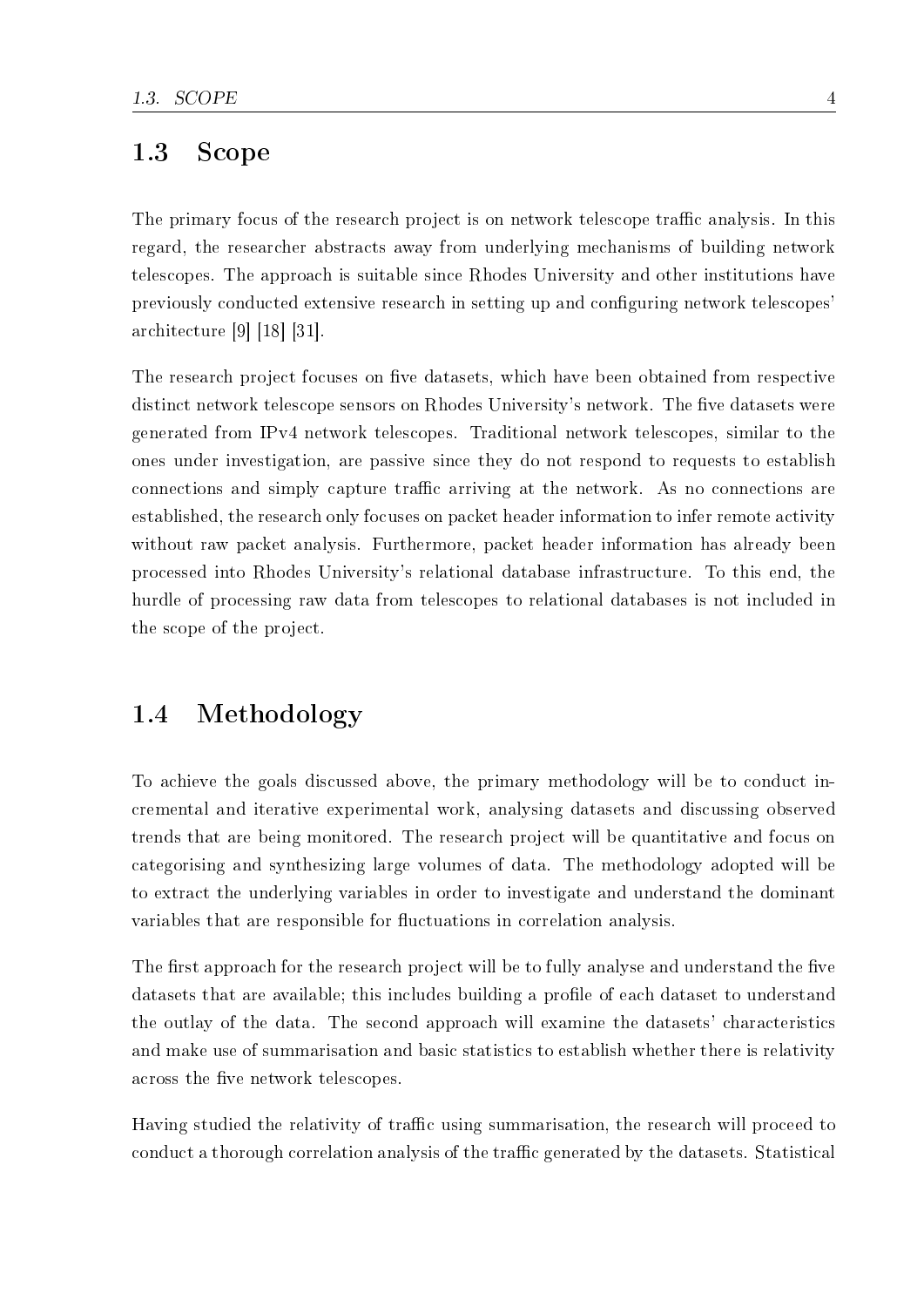## 1.3 Scope

The primary focus of the research project is on network telescope traffic analysis. In this regard, the researcher abstracts away from underlying mechanisms of building network telescopes. The approach is suitable since Rhodes University and other institutions have previously conducted extensive research in setting up and configuring network telescopes' architecture [9] [18] [31].

The research project focuses on five datasets, which have been obtained from respective distinct network telescope sensors on Rhodes University's network. The five datasets were generated from IPv4 network telescopes. Traditional network telescopes, similar to the ones under investigation, are passive since they do not respond to requests to establish connections and simply capture traffic arriving at the network. As no connections are established, the research only focuses on packet header information to infer remote activity without raw packet analysis. Furthermore, packet header information has already been processed into Rhodes University's relational database infrastructure. To this end, the hurdle of processing raw data from telescopes to relational databases is not included in the scope of the project.

## 1.4 Methodology

To achieve the goals discussed above, the primary methodology will be to conduct incremental and iterative experimental work, analysing datasets and discussing observed trends that are being monitored. The research project will be quantitative and focus on categorising and synthesizing large volumes of data. The methodology adopted will be to extract the underlying variables in order to investigate and understand the dominant variables that are responsible for fluctuations in correlation analysis.

The first approach for the research project will be to fully analyse and understand the five datasets that are available; this includes building a profile of each dataset to understand the outlay of the data. The second approach will examine the datasets' characteristics and make use of summarisation and basic statistics to establish whether there is relativity across the five network telescopes.

Having studied the relativity of traffic using summarisation, the research will proceed to conduct a thorough correlation analysis of the traffic generated by the datasets. Statistical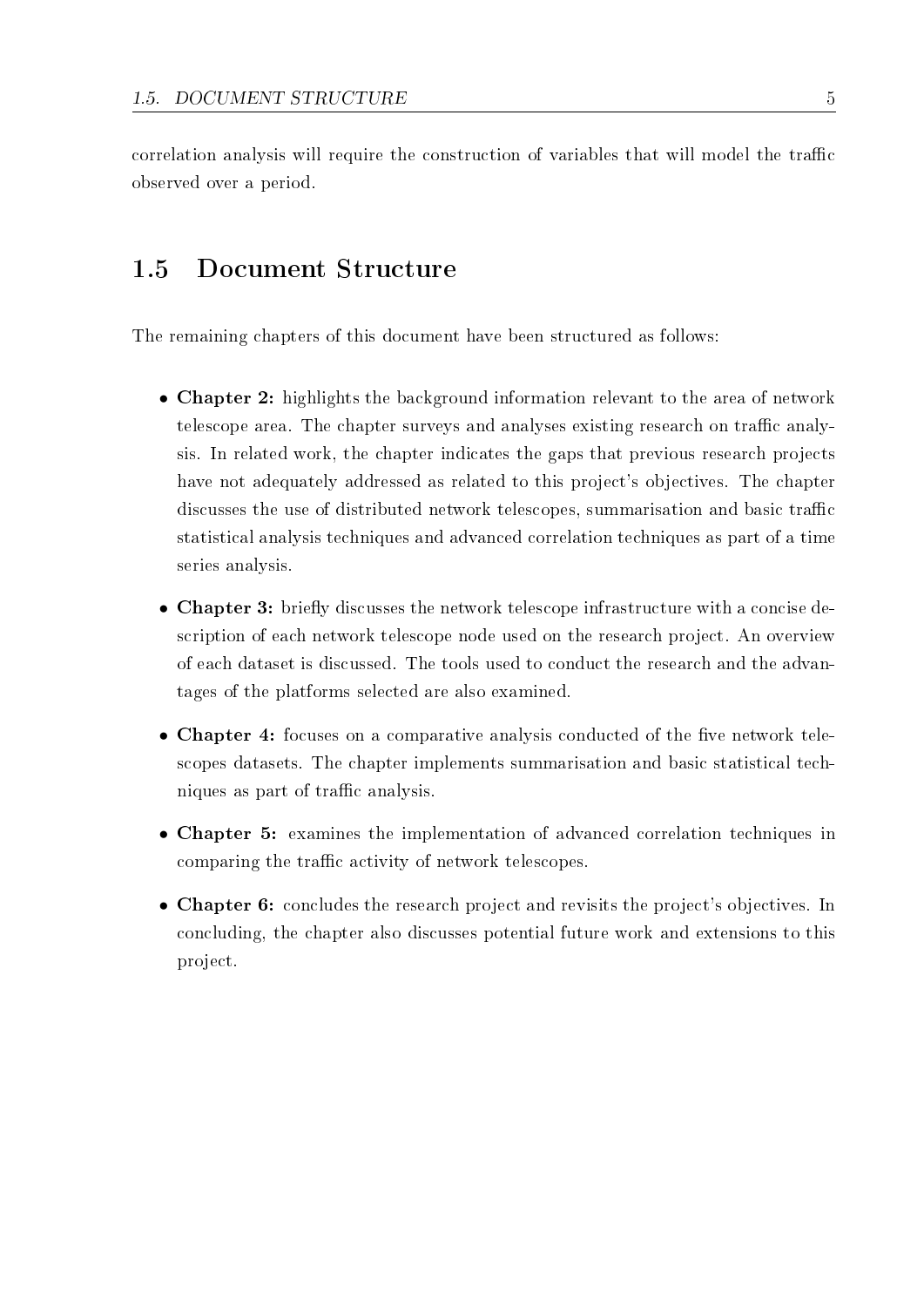correlation analysis will require the construction of variables that will model the traffic observed over a period.

#### 1.5 Document Structure

The remaining chapters of this document have been structured as follows:

- Chapter 2: highlights the background information relevant to the area of network telescope area. The chapter surveys and analyses existing research on traffic analysis. In related work, the chapter indicates the gaps that previous research projects have not adequately addressed as related to this project's objectives. The chapter discusses the use of distributed network telescopes, summarisation and basic traffic statistical analysis techniques and advanced correlation techniques as part of a time series analysis.
- Chapter 3: briefly discusses the network telescope infrastructure with a concise description of each network telescope node used on the research project. An overview of each dataset is discussed. The tools used to conduct the research and the advantages of the platforms selected are also examined.
- Chapter 4: focuses on a comparative analysis conducted of the five network telescopes datasets. The chapter implements summarisation and basic statistical techniques as part of traffic analysis.
- Chapter 5: examines the implementation of advanced correlation techniques in comparing the traffic activity of network telescopes.
- Chapter 6: concludes the research project and revisits the project's objectives. In concluding, the chapter also discusses potential future work and extensions to this project.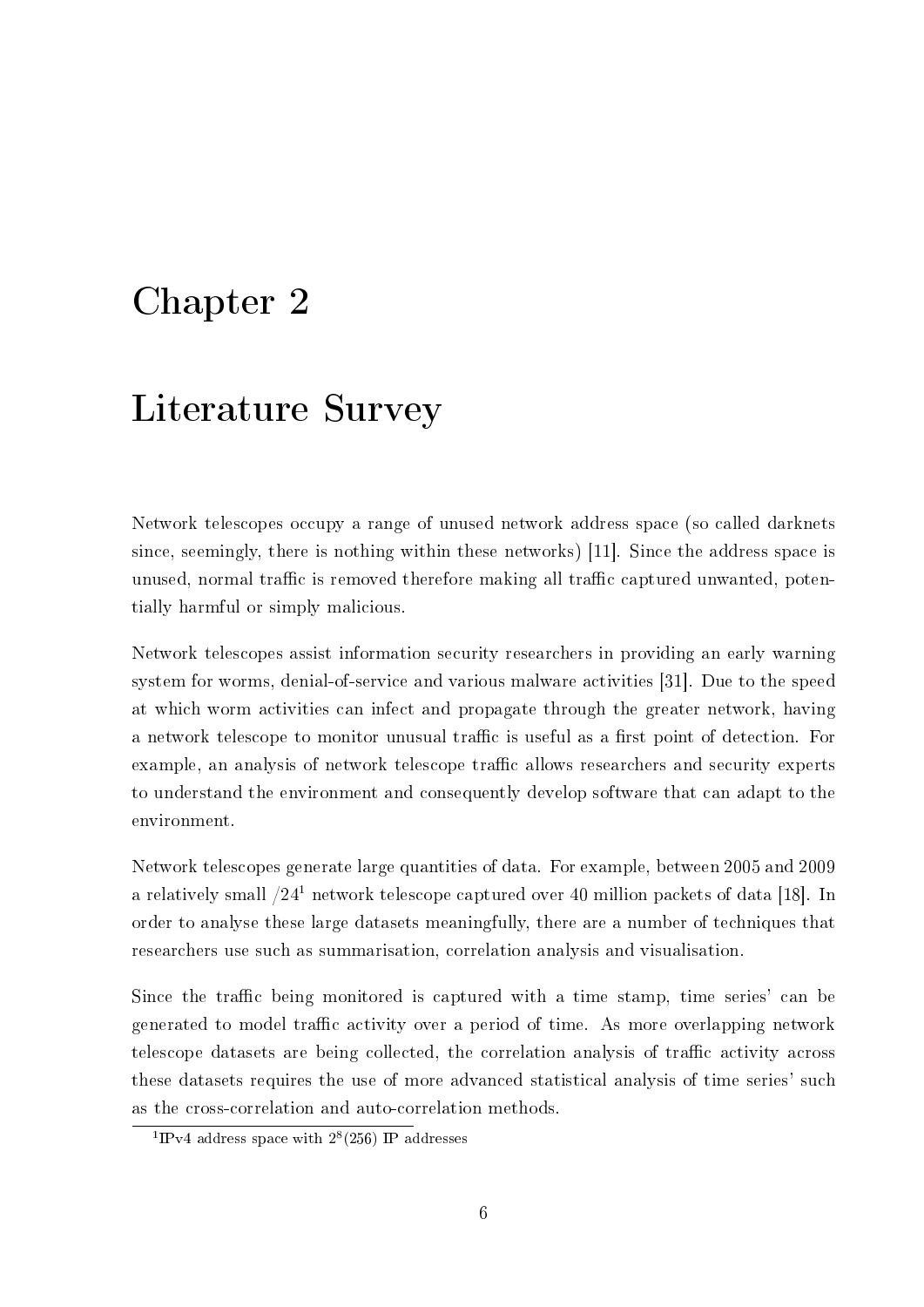# Chapter 2

# Literature Survey

Network telescopes occupy a range of unused network address space (so called darknets since, seemingly, there is nothing within these networks) [11]. Since the address space is unused, normal traffic is removed therefore making all traffic captured unwanted, potentially harmful or simply malicious.

Network telescopes assist information security researchers in providing an early warning system for worms, denial-of-service and various malware activities [31]. Due to the speed at which worm activities can infect and propagate through the greater network, having a network telescope to monitor unusual traffic is useful as a first point of detection. For example, an analysis of network telescope traffic allows researchers and security experts to understand the environment and consequently develop software that can adapt to the environment.

Network telescopes generate large quantities of data. For example, between 2005 and 2009 a relatively small  $/24<sup>1</sup>$  network telescope captured over 40 million packets of data [18]. In order to analyse these large datasets meaningfully, there are a number of techniques that researchers use such as summarisation, correlation analysis and visualisation.

Since the traffic being monitored is captured with a time stamp, time series' can be generated to model traffic activity over a period of time. As more overlapping network telescope datasets are being collected, the correlation analysis of traffic activity across these datasets requires the use of more advanced statistical analysis of time series' such as the cross-correlation and auto-correlation methods.

<sup>&</sup>lt;sup>1</sup>IPv4 address space with  $2^{8}(256)$  IP addresses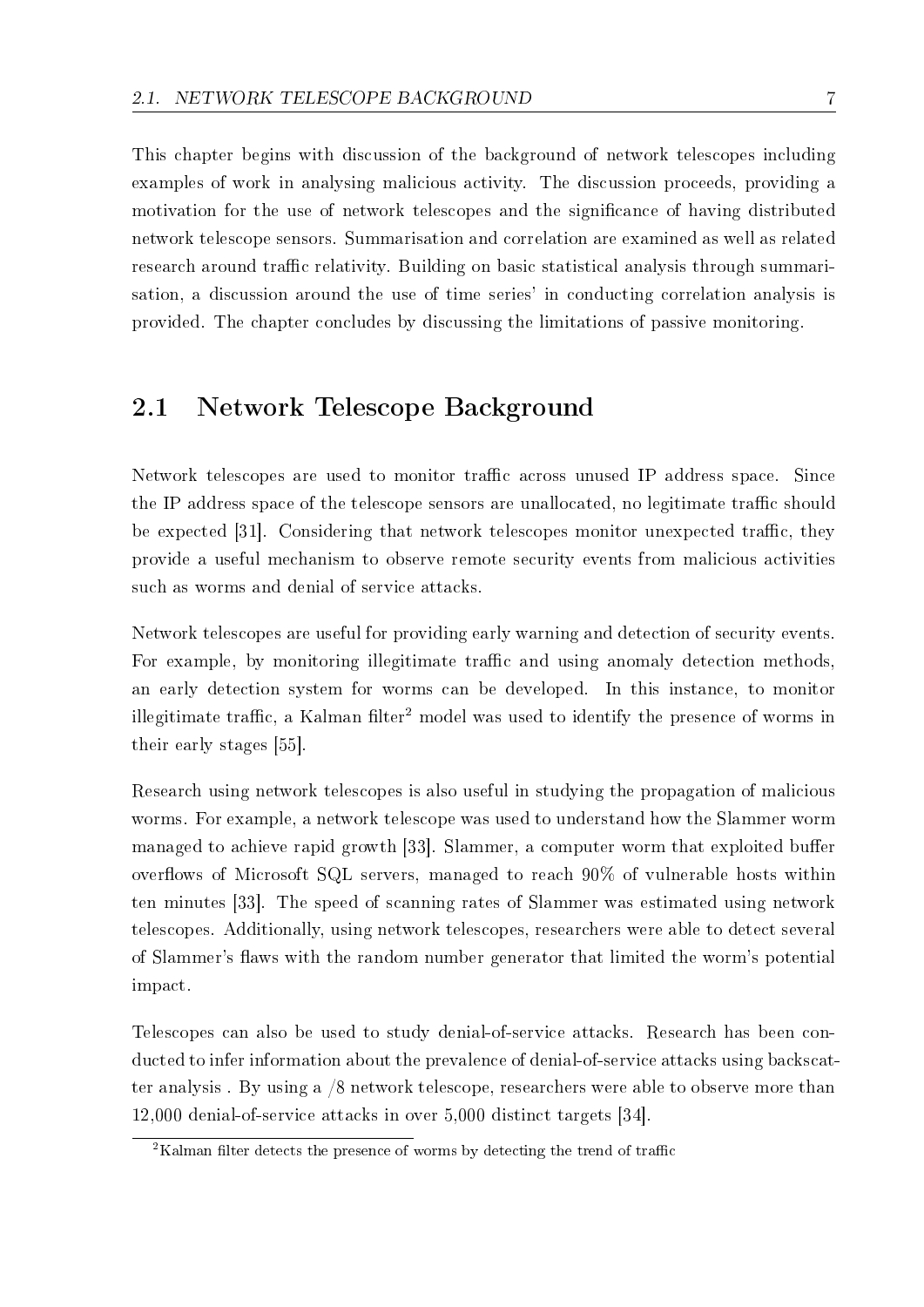This chapter begins with discussion of the background of network telescopes including examples of work in analysing malicious activity. The discussion proceeds, providing a motivation for the use of network telescopes and the significance of having distributed network telescope sensors. Summarisation and correlation are examined as well as related research around traffic relativity. Building on basic statistical analysis through summarisation, a discussion around the use of time series' in conducting correlation analysis is provided. The chapter concludes by discussing the limitations of passive monitoring.

### 2.1 Network Telescope Background

Network telescopes are used to monitor traffic across unused IP address space. Since the IP address space of the telescope sensors are unallocated, no legitimate traffic should be expected [31]. Considering that network telescopes monitor unexpected traffic, they provide a useful mechanism to observe remote security events from malicious activities such as worms and denial of service attacks.

Network telescopes are useful for providing early warning and detection of security events. For example, by monitoring illegitimate traffic and using anomaly detection methods. an early detection system for worms can be developed. In this instance, to monitor illegitimate traffic, a Kalman filter<sup>2</sup> model was used to identify the presence of worms in their early stages [55].

Research using network telescopes is also useful in studying the propagation of malicious worms. For example, a network telescope was used to understand how the Slammer worm managed to achieve rapid growth [33]. Slammer, a computer worm that exploited buffer overflows of Microsoft SQL servers, managed to reach  $90\%$  of vulnerable hosts within ten minutes [33]. The speed of scanning rates of Slammer was estimated using network telescopes. Additionally, using network telescopes, researchers were able to detect several of Slammer's flaws with the random number generator that limited the worm's potential impact.

Telescopes can also be used to study denial-of-service attacks. Research has been conducted to infer information about the prevalence of denial-of-service attacks using backscatter analysis . By using a /8 network telescope, researchers were able to observe more than 12,000 denial-of-service attacks in over 5,000 distinct targets [34].

 $\overline{a}$ <sup>2</sup>Kalman filter detects the presence of worms by detecting the trend of traffic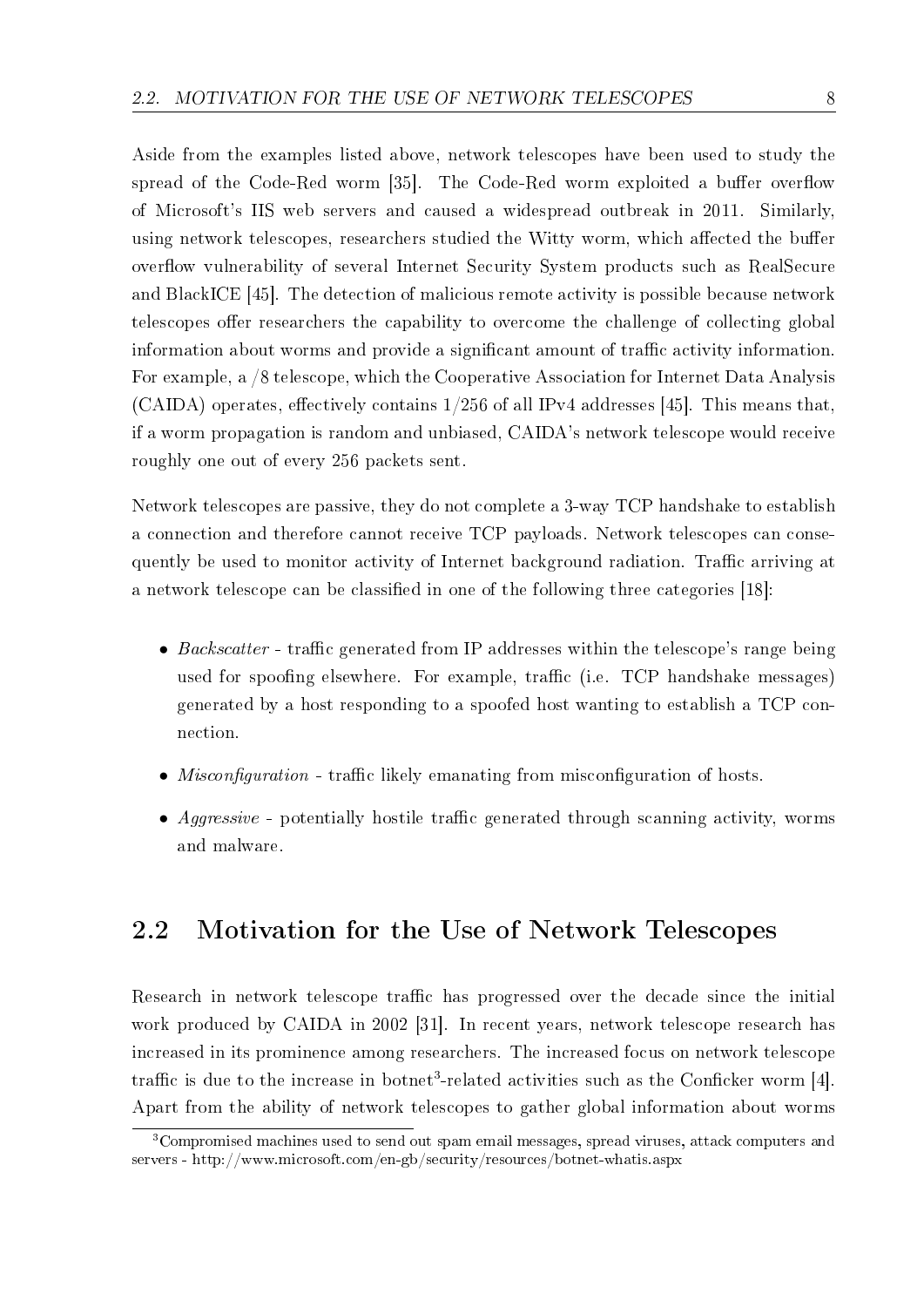Aside from the examples listed above, network telescopes have been used to study the spread of the Code-Red worm [35]. The Code-Red worm exploited a buffer overflow of Microsoft's IIS web servers and caused a widespread outbreak in 2011. Similarly, using network telescopes, researchers studied the Witty worm, which affected the buffer overflow vulnerability of several Internet Security System products such as RealSecure and BlackICE [45]. The detection of malicious remote activity is possible because network telescopes offer researchers the capability to overcome the challenge of collecting global information about worms and provide a significant amount of traffic activity information. For example, a /8 telescope, which the Cooperative Association for Internet Data Analysis  $(CAIDA)$  operates, effectively contains  $1/256$  of all IPv4 addresses [45]. This means that, if a worm propagation is random and unbiased, CAIDA's network telescope would receive roughly one out of every 256 packets sent.

Network telescopes are passive, they do not complete a 3-way TCP handshake to establish a connection and therefore cannot receive TCP payloads. Network telescopes can consequently be used to monitor activity of Internet background radiation. Traffic arriving at a network telescope can be classified in one of the following three categories [18]:

- Backscatter traffic generated from IP addresses within the telescope's range being used for spoofing elsewhere. For example, traffic (i.e. TCP handshake messages) generated by a host responding to a spoofed host wanting to establish a TCP connection.
- *Misconfiguration* traffic likely emanating from misconfiguration of hosts.
- *Aggressive* potentially hostile traffic generated through scanning activity, worms and malware.

### 2.2 Motivation for the Use of Network Telescopes

Research in network telescope traffic has progressed over the decade since the initial work produced by CAIDA in 2002 [31]. In recent years, network telescope research has increased in its prominence among researchers. The increased focus on network telescope traffic is due to the increase in botnet<sup>3</sup>-related activities such as the Conficker worm [4]. Apart from the ability of network telescopes to gather global information about worms

<sup>3</sup>Compromised machines used to send out spam email messages, spread viruses, attack computers and servers - http://www.microsoft.com/en-gb/security/resources/botnet-whatis.aspx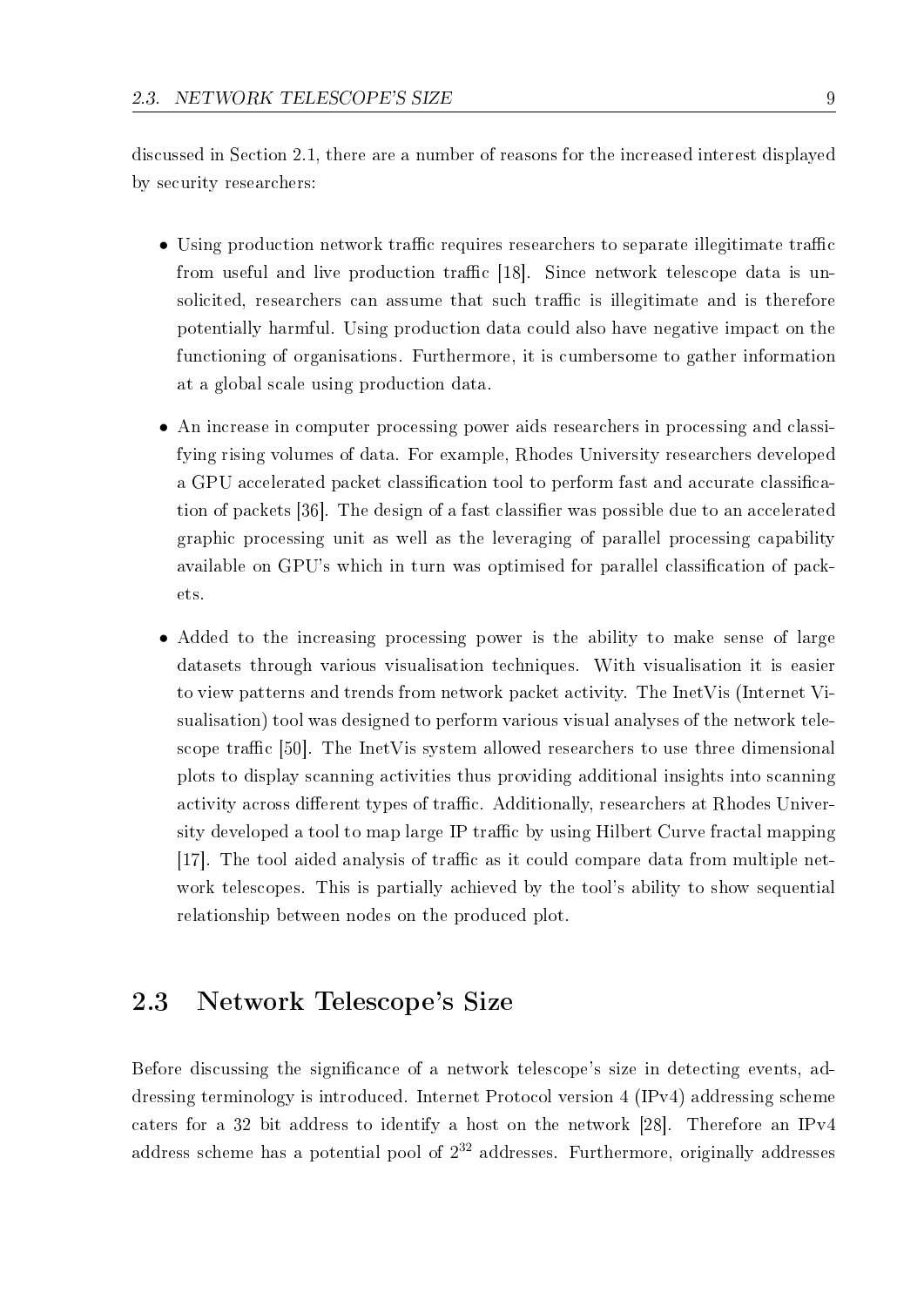discussed in Section 2.1, there are a number of reasons for the increased interest displayed by security researchers:

- Using production network traffic requires researchers to separate illegitimate traffic from useful and live production traffic [18]. Since network telescope data is unsolicited, researchers can assume that such traffic is illegitimate and is therefore potentially harmful. Using production data could also have negative impact on the functioning of organisations. Furthermore, it is cumbersome to gather information at a global scale using production data.
- An increase in computer processing power aids researchers in processing and classifying rising volumes of data. For example, Rhodes University researchers developed a GPU accelerated packet classification tool to perform fast and accurate classification of packets [36]. The design of a fast classifier was possible due to an accelerated graphic processing unit as well as the leveraging of parallel processing capability available on GPU's which in turn was optimised for parallel classification of packets.
- Added to the increasing processing power is the ability to make sense of large datasets through various visualisation techniques. With visualisation it is easier to view patterns and trends from network packet activity. The InetVis (Internet Visualisation) tool was designed to perform various visual analyses of the network telescope traffic [50]. The InetV is system allowed researchers to use three dimensional plots to display scanning activities thus providing additional insights into scanning activity across different types of traffic. Additionally, researchers at Rhodes University developed a tool to map large IP traffic by using Hilbert Curve fractal mapping [17]. The tool aided analysis of traffic as it could compare data from multiple network telescopes. This is partially achieved by the tool's ability to show sequential relationship between nodes on the produced plot.

## 2.3 Network Telescope's Size

Before discussing the significance of a network telescope's size in detecting events, addressing terminology is introduced. Internet Protocol version 4 (IPv4) addressing scheme caters for a 32 bit address to identify a host on the network [28]. Therefore an IPv4 address scheme has a potential pool of  $2^{32}$  addresses. Furthermore, originally addresses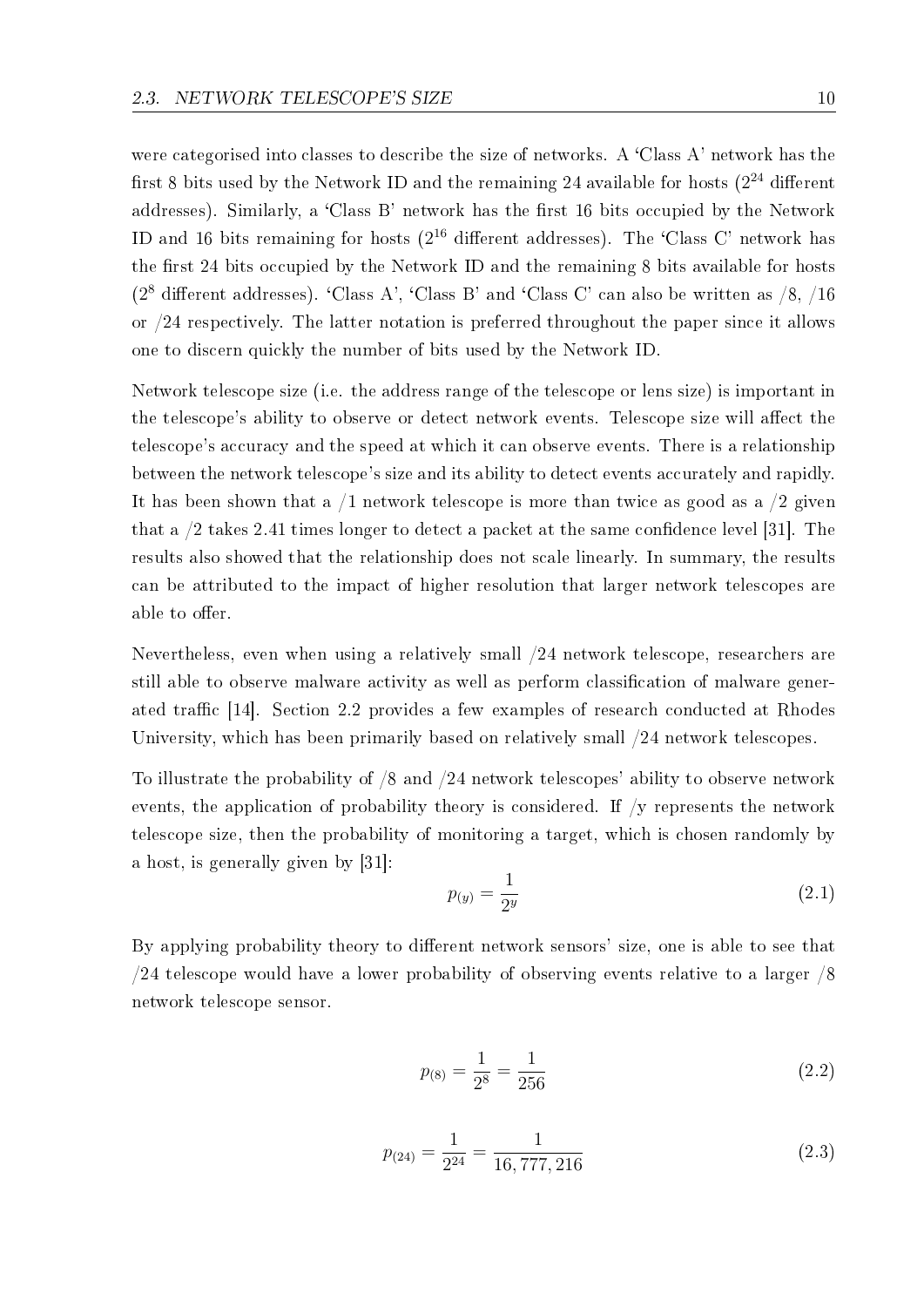were categorised into classes to describe the size of networks. A 'Class A' network has the first 8 bits used by the Network ID and the remaining 24 available for hosts  $(2^{24}$  different addresses). Similarly, a 'Class B' network has the first 16 bits occupied by the Network ID and 16 bits remaining for hosts  $(2^{16}$  different addresses). The 'Class C' network has the first 24 bits occupied by the Network ID and the remaining 8 bits available for hosts ( $2^8$  different addresses). 'Class A', 'Class B' and 'Class C' can also be written as  $/8$ ,  $/16$ or /24 respectively. The latter notation is preferred throughout the paper since it allows one to discern quickly the number of bits used by the Network ID.

Network telescope size (i.e. the address range of the telescope or lens size) is important in the telescope's ability to observe or detect network events. Telescope size will affect the telescope's accuracy and the speed at which it can observe events. There is a relationship between the network telescope's size and its ability to detect events accurately and rapidly. It has been shown that a  $/1$  network telescope is more than twice as good as a  $/2$  given that a  $/2$  takes 2.41 times longer to detect a packet at the same confidence level [31]. The results also showed that the relationship does not scale linearly. In summary, the results can be attributed to the impact of higher resolution that larger network telescopes are able to offer.

Nevertheless, even when using a relatively small /24 network telescope, researchers are still able to observe malware activity as well as perform classification of malware generated traffic  $[14]$ . Section 2.2 provides a few examples of research conducted at Rhodes University, which has been primarily based on relatively small /24 network telescopes.

To illustrate the probability of /8 and /24 network telescopes' ability to observe network events, the application of probability theory is considered. If /y represents the network telescope size, then the probability of monitoring a target, which is chosen randomly by a host, is generally given by [31]:

$$
p_{(y)} = \frac{1}{2^y} \tag{2.1}
$$

By applying probability theory to different network sensors' size, one is able to see that /24 telescope would have a lower probability of observing events relative to a larger /8 network telescope sensor.

$$
p_{(8)} = \frac{1}{2^8} = \frac{1}{256}
$$
 (2.2)

$$
p_{(24)} = \frac{1}{2^{24}} = \frac{1}{16,777,216}
$$
\n
$$
(2.3)
$$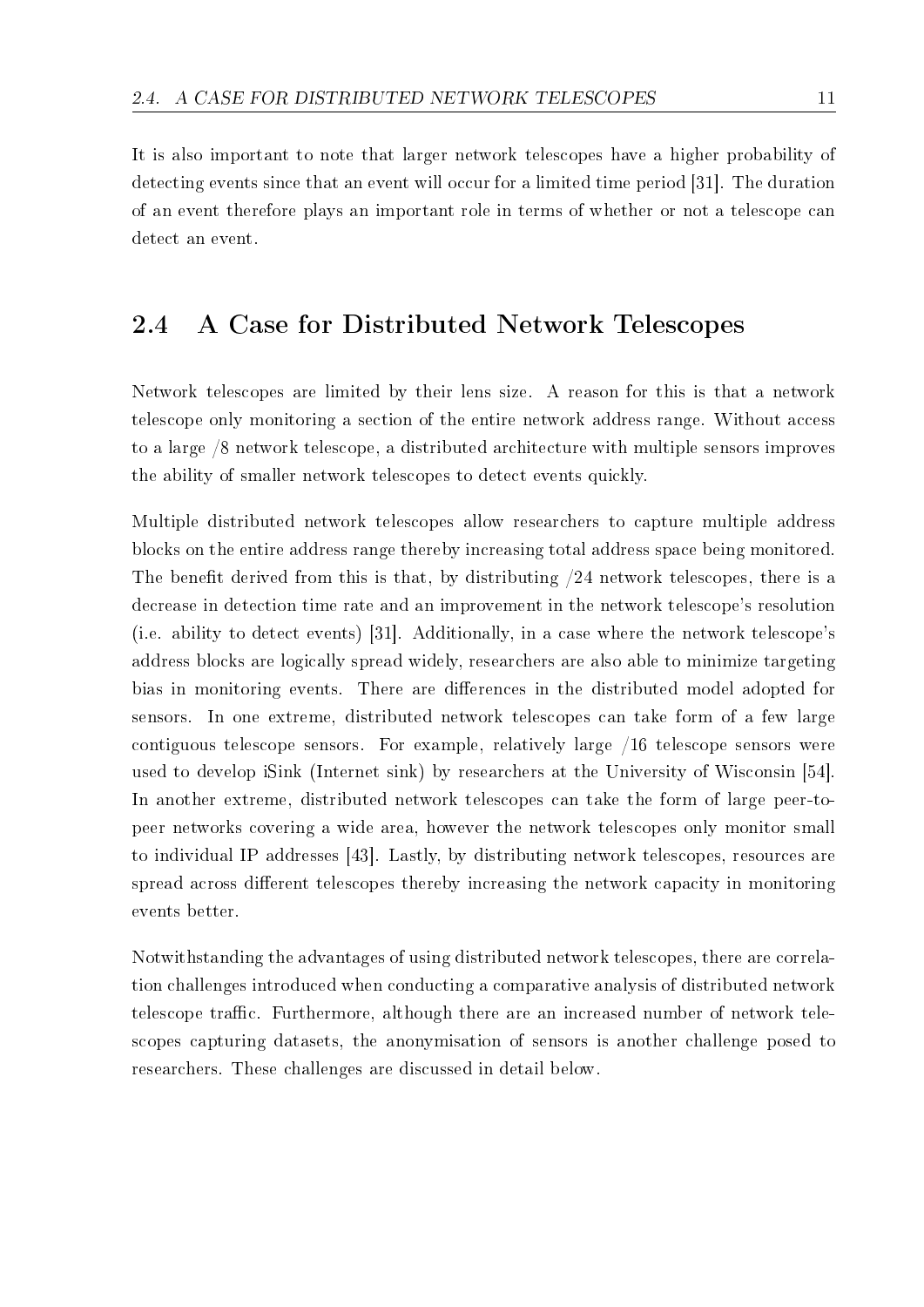It is also important to note that larger network telescopes have a higher probability of detecting events since that an event will occur for a limited time period [31]. The duration of an event therefore plays an important role in terms of whether or not a telescope can detect an event.

### 2.4 A Case for Distributed Network Telescopes

Network telescopes are limited by their lens size. A reason for this is that a network telescope only monitoring a section of the entire network address range. Without access to a large /8 network telescope, a distributed architecture with multiple sensors improves the ability of smaller network telescopes to detect events quickly.

Multiple distributed network telescopes allow researchers to capture multiple address blocks on the entire address range thereby increasing total address space being monitored. The benefit derived from this is that, by distributing  $/24$  network telescopes, there is a decrease in detection time rate and an improvement in the network telescope's resolution (i.e. ability to detect events) [31]. Additionally, in a case where the network telescope's address blocks are logically spread widely, researchers are also able to minimize targeting bias in monitoring events. There are differences in the distributed model adopted for sensors. In one extreme, distributed network telescopes can take form of a few large contiguous telescope sensors. For example, relatively large /16 telescope sensors were used to develop iSink (Internet sink) by researchers at the University of Wisconsin [54]. In another extreme, distributed network telescopes can take the form of large peer-topeer networks covering a wide area, however the network telescopes only monitor small to individual IP addresses [43]. Lastly, by distributing network telescopes, resources are spread across different telescopes thereby increasing the network capacity in monitoring events better.

Notwithstanding the advantages of using distributed network telescopes, there are correlation challenges introduced when conducting a comparative analysis of distributed network telescope traffic. Furthermore, although there are an increased number of network telescopes capturing datasets, the anonymisation of sensors is another challenge posed to researchers. These challenges are discussed in detail below.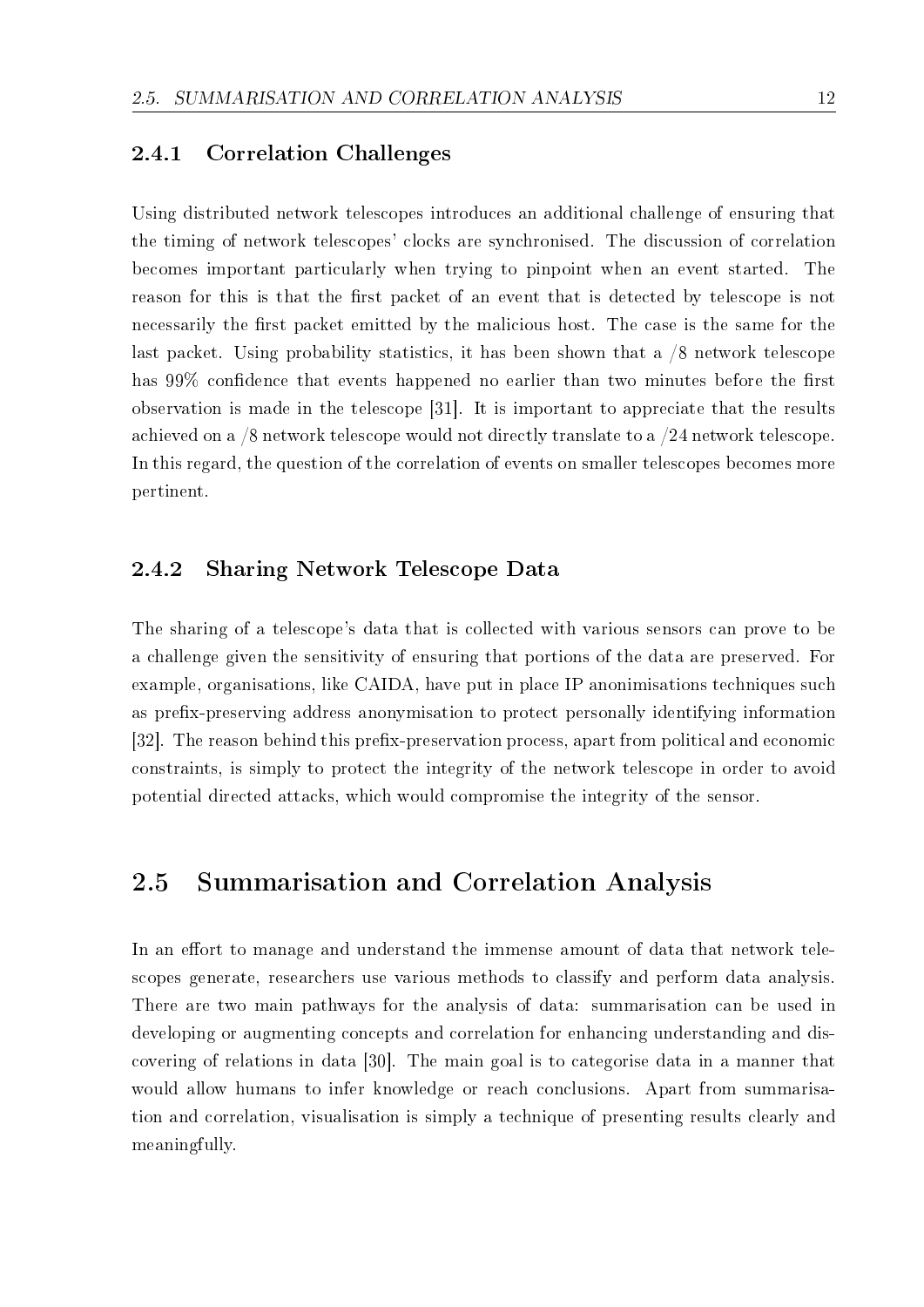#### 2.4.1 Correlation Challenges

Using distributed network telescopes introduces an additional challenge of ensuring that the timing of network telescopes' clocks are synchronised. The discussion of correlation becomes important particularly when trying to pinpoint when an event started. The reason for this is that the first packet of an event that is detected by telescope is not necessarily the first packet emitted by the malicious host. The case is the same for the last packet. Using probability statistics, it has been shown that a /8 network telescope has 99% confidence that events happened no earlier than two minutes before the first observation is made in the telescope [31]. It is important to appreciate that the results achieved on a /8 network telescope would not directly translate to a /24 network telescope. In this regard, the question of the correlation of events on smaller telescopes becomes more pertinent.

#### 2.4.2 Sharing Network Telescope Data

The sharing of a telescope's data that is collected with various sensors can prove to be a challenge given the sensitivity of ensuring that portions of the data are preserved. For example, organisations, like CAIDA, have put in place IP anonimisations techniques such as prefix-preserving address anonymisation to protect personally identifying information [32]. The reason behind this prefix-preservation process, apart from political and economic constraints, is simply to protect the integrity of the network telescope in order to avoid potential directed attacks, which would compromise the integrity of the sensor.

### 2.5 Summarisation and Correlation Analysis

In an effort to manage and understand the immense amount of data that network telescopes generate, researchers use various methods to classify and perform data analysis. There are two main pathways for the analysis of data: summarisation can be used in developing or augmenting concepts and correlation for enhancing understanding and discovering of relations in data [30]. The main goal is to categorise data in a manner that would allow humans to infer knowledge or reach conclusions. Apart from summarisation and correlation, visualisation is simply a technique of presenting results clearly and meaningfully.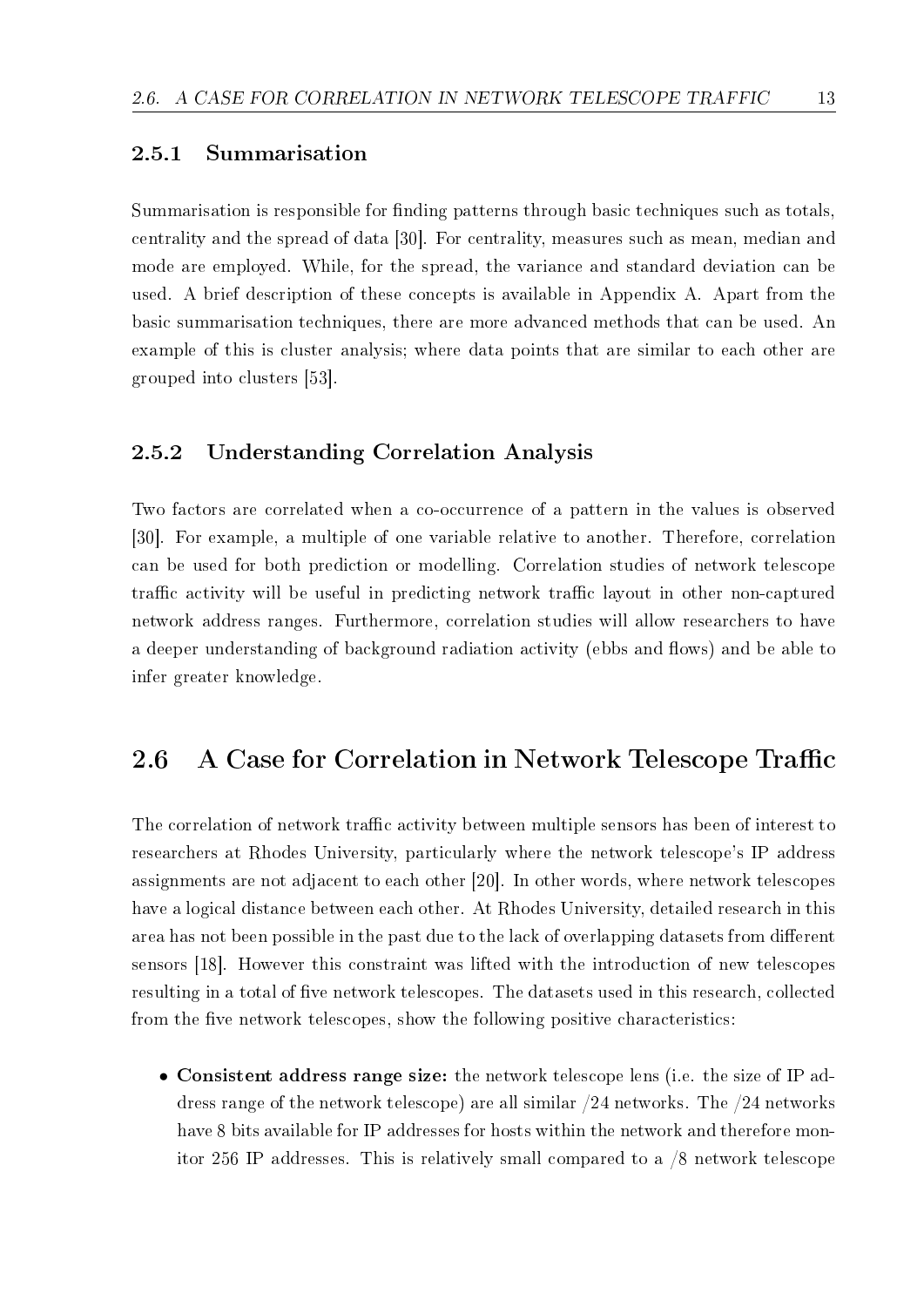#### 2.5.1 Summarisation

Summarisation is responsible for finding patterns through basic techniques such as totals. centrality and the spread of data [30]. For centrality, measures such as mean, median and mode are employed. While, for the spread, the variance and standard deviation can be used. A brief description of these concepts is available in Appendix A. Apart from the basic summarisation techniques, there are more advanced methods that can be used. An example of this is cluster analysis; where data points that are similar to each other are grouped into clusters [53].

#### 2.5.2 Understanding Correlation Analysis

Two factors are correlated when a co-occurrence of a pattern in the values is observed [30]. For example, a multiple of one variable relative to another. Therefore, correlation can be used for both prediction or modelling. Correlation studies of network telescope traffic activity will be useful in predicting network traffic layout in other non-captured network address ranges. Furthermore, correlation studies will allow researchers to have a deeper understanding of background radiation activity (ebbs and flows) and be able to infer greater knowledge.

#### 2.6 A Case for Correlation in Network Telescope Traffic

The correlation of network traffic activity between multiple sensors has been of interest to researchers at Rhodes University, particularly where the network telescope's IP address assignments are not adjacent to each other [20]. In other words, where network telescopes have a logical distance between each other. At Rhodes University, detailed research in this area has not been possible in the past due to the lack of overlapping datasets from different sensors [18]. However this constraint was lifted with the introduction of new telescopes resulting in a total of five network telescopes. The datasets used in this research, collected from the five network telescopes, show the following positive characteristics:

• Consistent address range size: the network telescope lens (i.e. the size of IP address range of the network telescope) are all similar /24 networks. The /24 networks have 8 bits available for IP addresses for hosts within the network and therefore monitor 256 IP addresses. This is relatively small compared to a /8 network telescope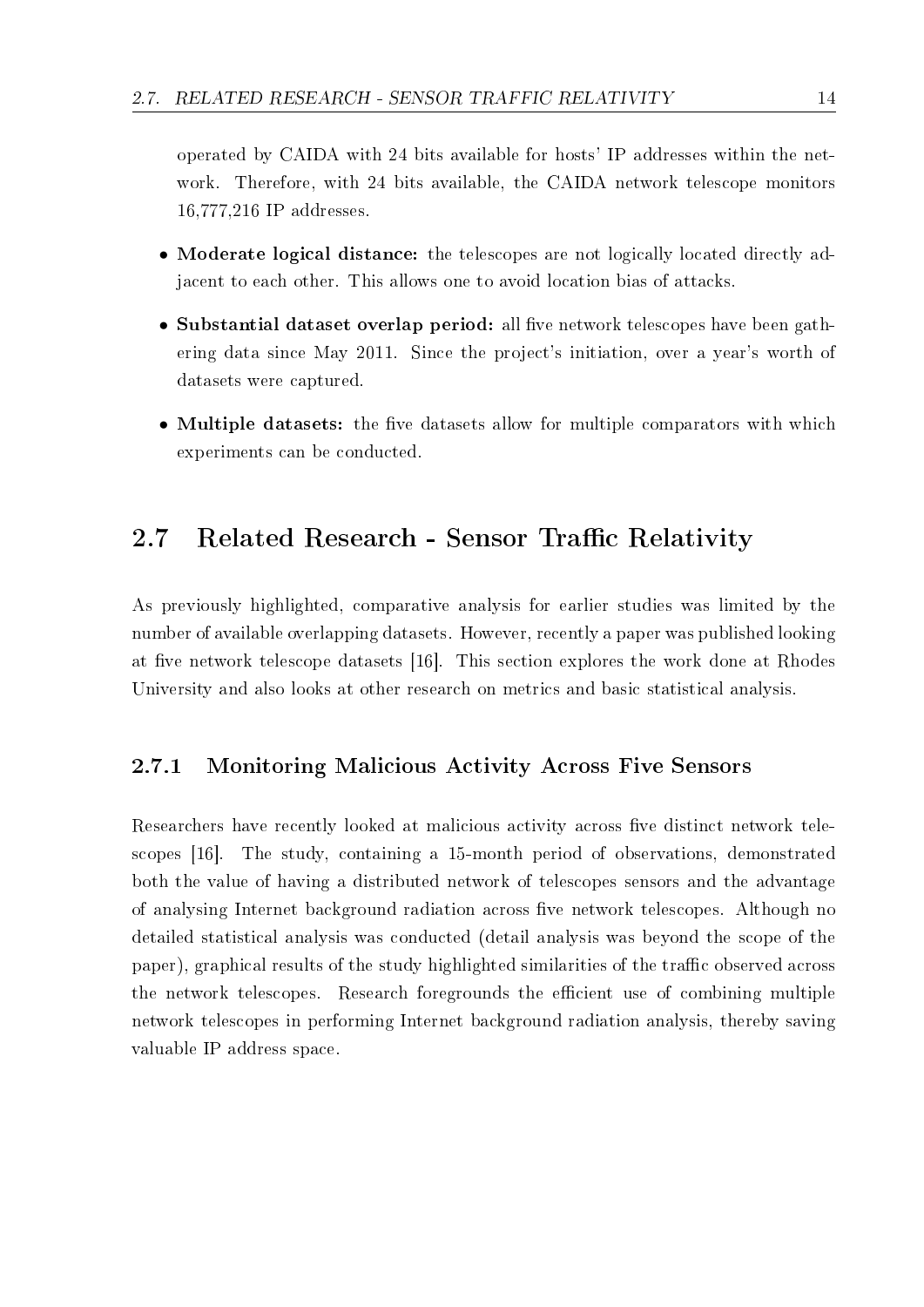operated by CAIDA with 24 bits available for hosts' IP addresses within the network. Therefore, with 24 bits available, the CAIDA network telescope monitors 16,777,216 IP addresses.

- Moderate logical distance: the telescopes are not logically located directly adjacent to each other. This allows one to avoid location bias of attacks.
- Substantial dataset overlap period: all five network telescopes have been gathering data since May 2011. Since the project's initiation, over a year's worth of datasets were captured.
- Multiple datasets: the five datasets allow for multiple comparators with which experiments can be conducted.

## 2.7 Related Research - Sensor Traffic Relativity

As previously highlighted, comparative analysis for earlier studies was limited by the number of available overlapping datasets. However, recently a paper was published looking at five network telescope datasets [16]. This section explores the work done at Rhodes University and also looks at other research on metrics and basic statistical analysis.

#### 2.7.1 Monitoring Malicious Activity Across Five Sensors

Researchers have recently looked at malicious activity across five distinct network telescopes [16]. The study, containing a 15-month period of observations, demonstrated both the value of having a distributed network of telescopes sensors and the advantage of analysing Internet background radiation across five network telescopes. Although no detailed statistical analysis was conducted (detail analysis was beyond the scope of the paper), graphical results of the study highlighted similarities of the traffic observed across the network telescopes. Research foregrounds the efficient use of combining multiple network telescopes in performing Internet background radiation analysis, thereby saving valuable IP address space.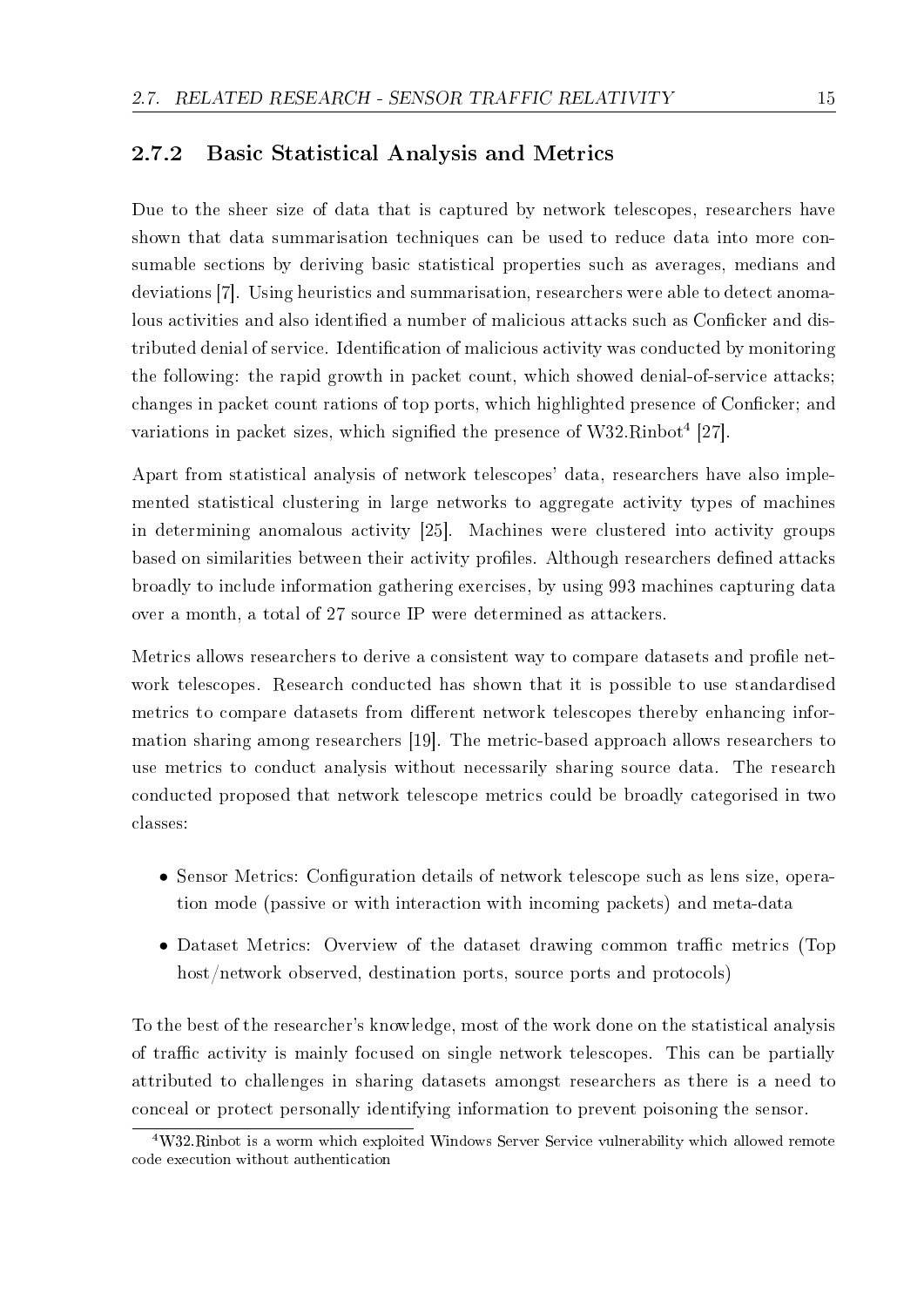#### 2.7.2 Basic Statistical Analysis and Metrics

Due to the sheer size of data that is captured by network telescopes, researchers have shown that data summarisation techniques can be used to reduce data into more consumable sections by deriving basic statistical properties such as averages, medians and deviations [7]. Using heuristics and summarisation, researchers were able to detect anomalous activities and also identified a number of malicious attacks such as Conficker and distributed denial of service. Identification of malicious activity was conducted by monitoring the following: the rapid growth in packet count, which showed denial-of-service attacks; changes in packet count rations of top ports, which highlighted presence of Conficker; and variations in packet sizes, which signified the presence of  $W32.Rinbot<sup>4</sup> [27]$ .

Apart from statistical analysis of network telescopes' data, researchers have also implemented statistical clustering in large networks to aggregate activity types of machines in determining anomalous activity [25]. Machines were clustered into activity groups based on similarities between their activity profiles. Although researchers defined attacks broadly to include information gathering exercises, by using 993 machines capturing data over a month, a total of 27 source IP were determined as attackers.

Metrics allows researchers to derive a consistent way to compare datasets and profile network telescopes. Research conducted has shown that it is possible to use standardised metrics to compare datasets from different network telescopes thereby enhancing information sharing among researchers [19]. The metric-based approach allows researchers to use metrics to conduct analysis without necessarily sharing source data. The research conducted proposed that network telescope metrics could be broadly categorised in two classes:

- Sensor Metrics: Configuration details of network telescope such as lens size, operation mode (passive or with interaction with incoming packets) and meta-data
- Dataset Metrics: Overview of the dataset drawing common traffic metrics (Top host/network observed, destination ports, source ports and protocols)

To the best of the researcher's knowledge, most of the work done on the statistical analysis of traffic activity is mainly focused on single network telescopes. This can be partially attributed to challenges in sharing datasets amongst researchers as there is a need to conceal or protect personally identifying information to prevent poisoning the sensor.

<sup>4</sup>W32.Rinbot is a worm which exploited Windows Server Service vulnerability which allowed remote code execution without authentication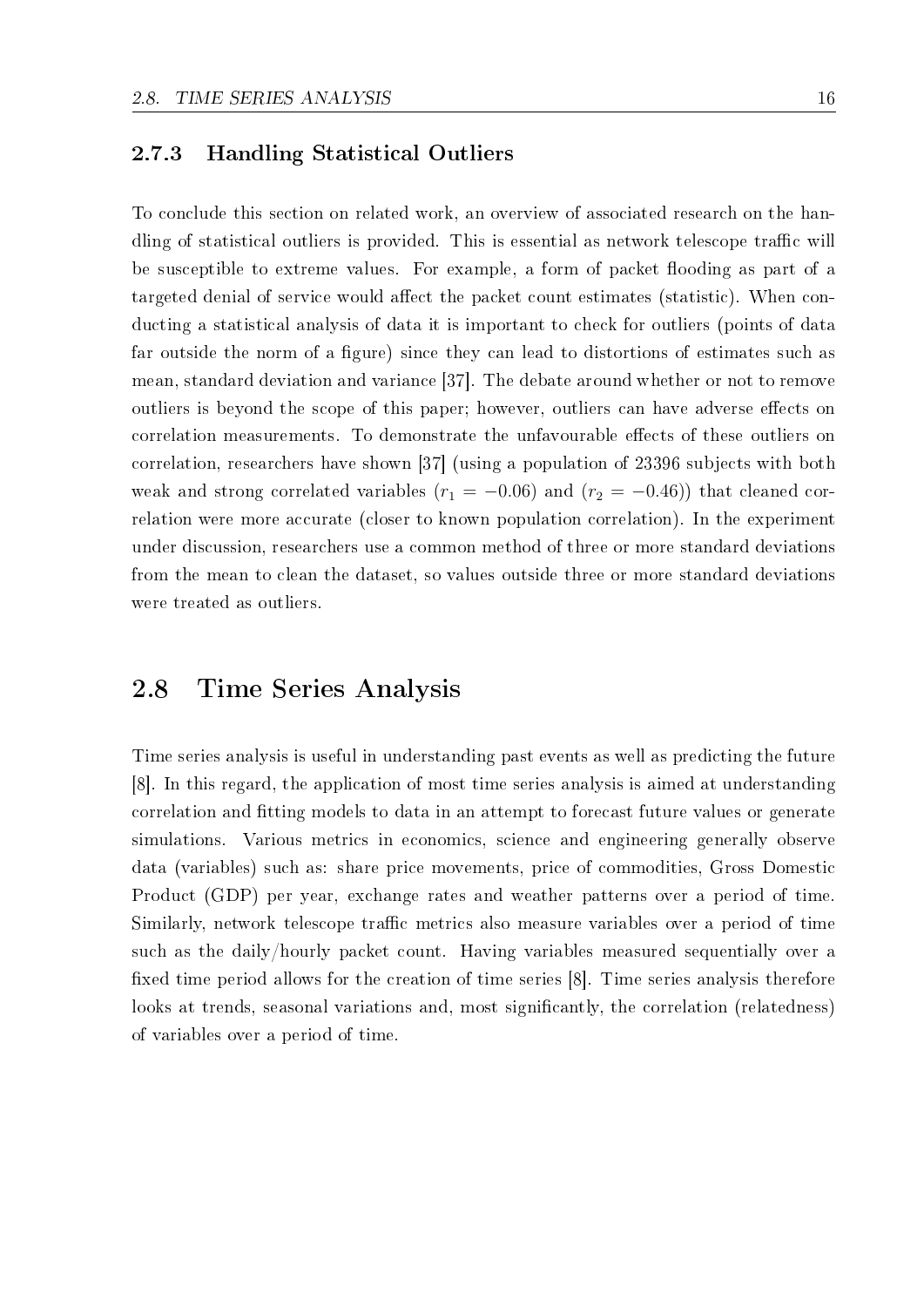#### 2.7.3 Handling Statistical Outliers

To conclude this section on related work, an overview of associated research on the handling of statistical outliers is provided. This is essential as network telescope traffic will be susceptible to extreme values. For example, a form of packet flooding as part of a targeted denial of service would affect the packet count estimates (statistic). When conducting a statistical analysis of data it is important to check for outliers (points of data far outside the norm of a figure) since they can lead to distortions of estimates such as mean, standard deviation and variance [37]. The debate around whether or not to remove outliers is beyond the scope of this paper; however, outliers can have adverse effects on correlation measurements. To demonstrate the unfavourable effects of these outliers on correlation, researchers have shown [37] (using a population of 23396 subjects with both weak and strong correlated variables  $(r_1 = -0.06)$  and  $(r_2 = -0.46)$ ) that cleaned correlation were more accurate (closer to known population correlation). In the experiment under discussion, researchers use a common method of three or more standard deviations from the mean to clean the dataset, so values outside three or more standard deviations were treated as outliers.

#### 2.8 Time Series Analysis

Time series analysis is useful in understanding past events as well as predicting the future [8]. In this regard, the application of most time series analysis is aimed at understanding correlation and fitting models to data in an attempt to forecast future values or generate simulations. Various metrics in economics, science and engineering generally observe data (variables) such as: share price movements, price of commodities, Gross Domestic Product (GDP) per year, exchange rates and weather patterns over a period of time. Similarly, network telescope traffic metrics also measure variables over a period of time such as the daily/hourly packet count. Having variables measured sequentially over a fixed time period allows for the creation of time series [8]. Time series analysis therefore looks at trends, seasonal variations and, most significantly, the correlation (relatedness) of variables over a period of time.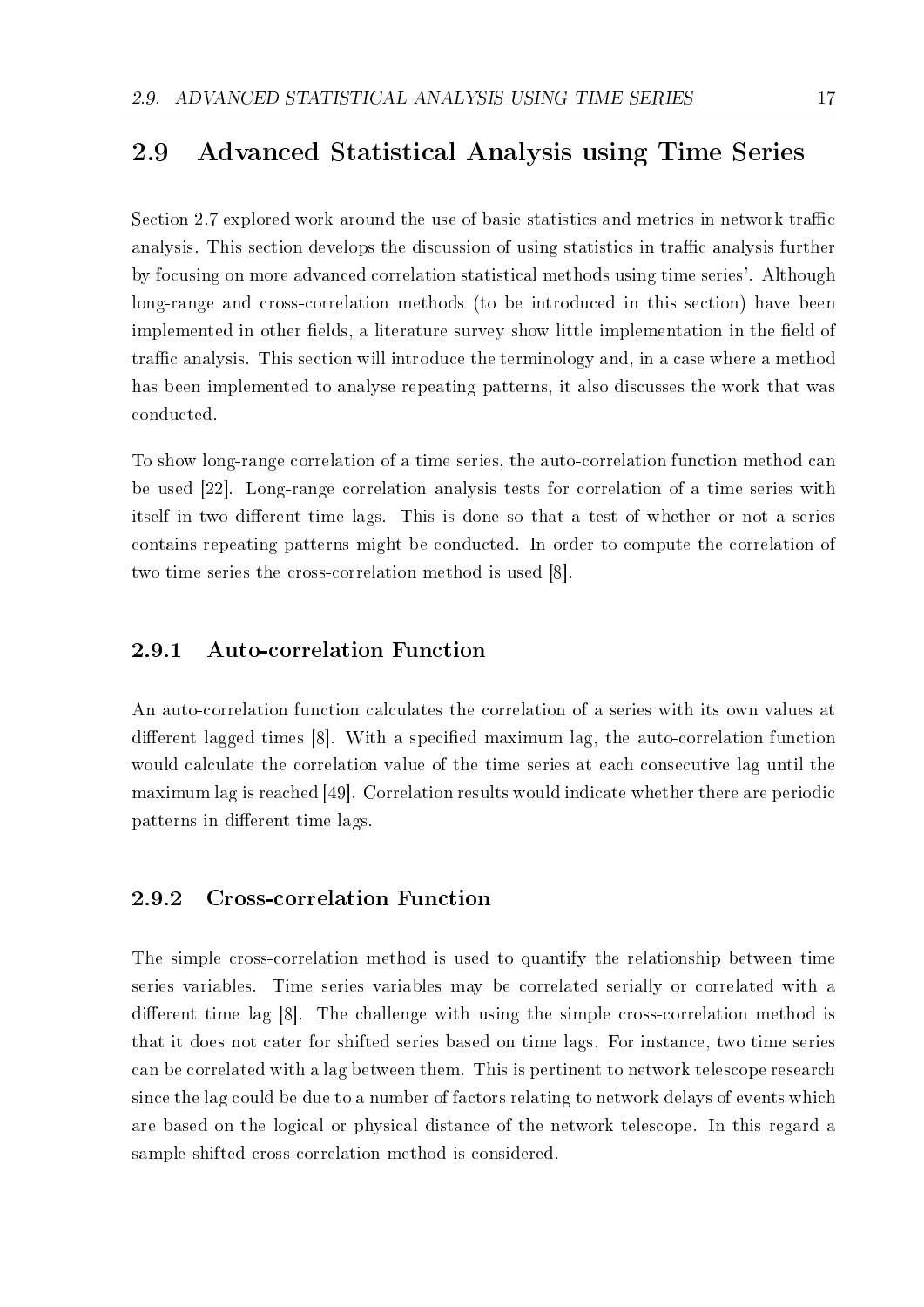### 2.9 Advanced Statistical Analysis using Time Series

Section 2.7 explored work around the use of basic statistics and metrics in network traffic analysis. This section develops the discussion of using statistics in traffic analysis further by focusing on more advanced correlation statistical methods using time series'. Although long-range and cross-correlation methods (to be introduced in this section) have been implemented in other fields, a literature survey show little implementation in the field of traffic analysis. This section will introduce the terminology and, in a case where a method has been implemented to analyse repeating patterns, it also discusses the work that was conducted.

To show long-range correlation of a time series, the auto-correlation function method can be used [22]. Long-range correlation analysis tests for correlation of a time series with itself in two different time lags. This is done so that a test of whether or not a series contains repeating patterns might be conducted. In order to compute the correlation of two time series the cross-correlation method is used [8].

#### 2.9.1 Auto-correlation Function

An auto-correlation function calculates the correlation of a series with its own values at different lagged times [8]. With a specified maximum lag, the auto-correlation function would calculate the correlation value of the time series at each consecutive lag until the maximum lag is reached [49]. Correlation results would indicate whether there are periodic patterns in different time lags.

#### 2.9.2 Cross-correlation Function

The simple cross-correlation method is used to quantify the relationship between time series variables. Time series variables may be correlated serially or correlated with a different time lag [8]. The challenge with using the simple cross-correlation method is that it does not cater for shifted series based on time lags. For instance, two time series can be correlated with a lag between them. This is pertinent to network telescope research since the lag could be due to a number of factors relating to network delays of events which are based on the logical or physical distance of the network telescope. In this regard a sample-shifted cross-correlation method is considered.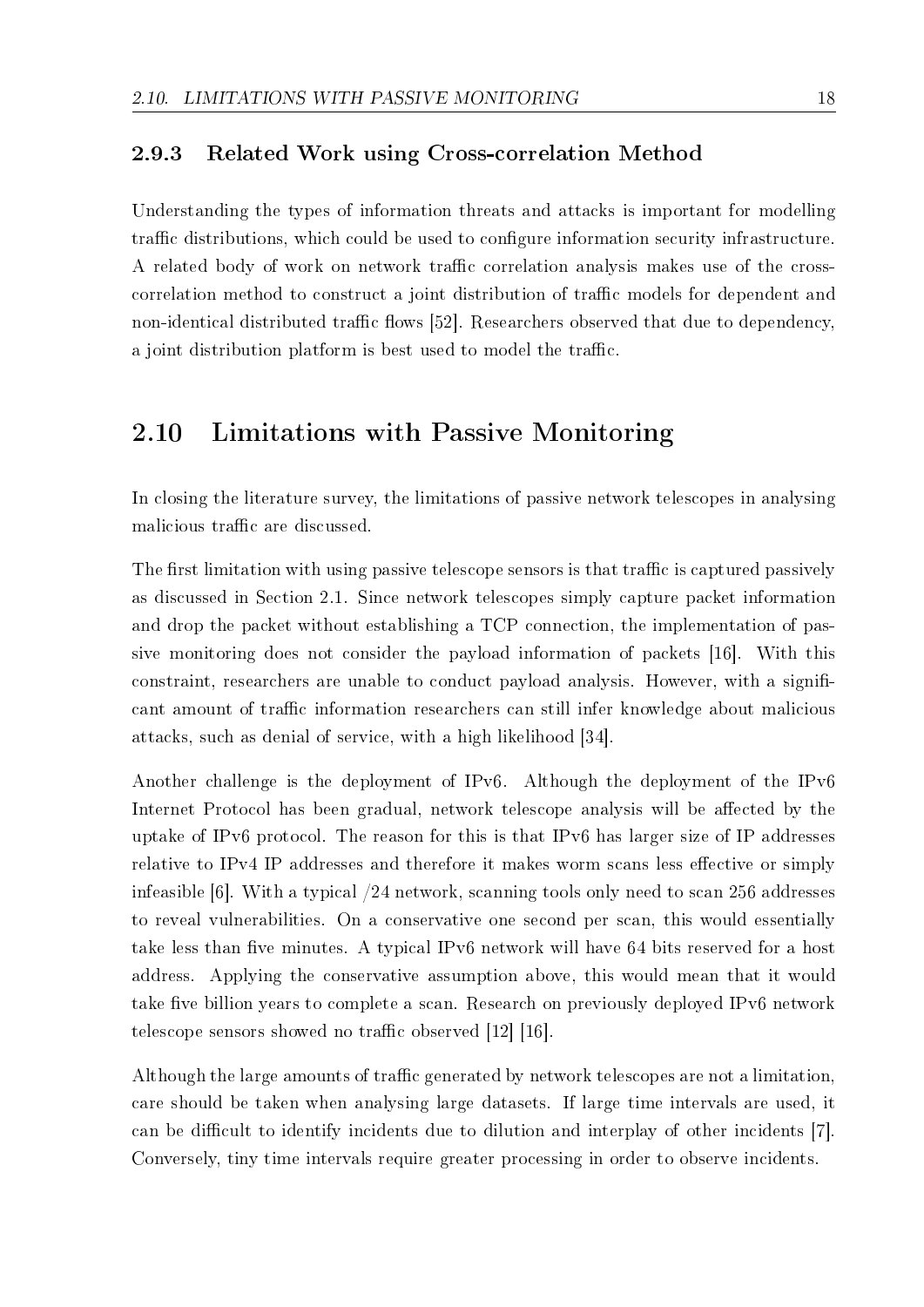#### 2.9.3 Related Work using Cross-correlation Method

Understanding the types of information threats and attacks is important for modelling traffic distributions, which could be used to configure information security infrastructure. A related body of work on network traffic correlation analysis makes use of the crosscorrelation method to construct a joint distribution of traffic models for dependent and non-identical distributed traffic flows [52]. Researchers observed that due to dependency, a joint distribution platform is best used to model the traffic.

#### 2.10 Limitations with Passive Monitoring

In closing the literature survey, the limitations of passive network telescopes in analysing malicious traffic are discussed.

The first limitation with using passive telescope sensors is that traffic is captured passively as discussed in Section 2.1. Since network telescopes simply capture packet information and drop the packet without establishing a TCP connection, the implementation of passive monitoring does not consider the payload information of packets [16]. With this constraint, researchers are unable to conduct payload analysis. However, with a significant amount of traffic information researchers can still infer knowledge about malicious attacks, such as denial of service, with a high likelihood [34].

Another challenge is the deployment of IPv6. Although the deployment of the IPv6 Internet Protocol has been gradual, network telescope analysis will be affected by the uptake of IPv6 protocol. The reason for this is that IPv6 has larger size of IP addresses relative to IPv4 IP addresses and therefore it makes worm scans less effective or simply infeasible [6]. With a typical /24 network, scanning tools only need to scan 256 addresses to reveal vulnerabilities. On a conservative one second per scan, this would essentially take less than five minutes. A typical IPv6 network will have 64 bits reserved for a host address. Applying the conservative assumption above, this would mean that it would take five billion years to complete a scan. Research on previously deployed IPv6 network telescope sensors showed no traffic observed  $[12]$  [16].

Although the large amounts of traffic generated by network telescopes are not a limitation. care should be taken when analysing large datasets. If large time intervals are used, it can be difficult to identify incidents due to dilution and interplay of other incidents [7]. Conversely, tiny time intervals require greater processing in order to observe incidents.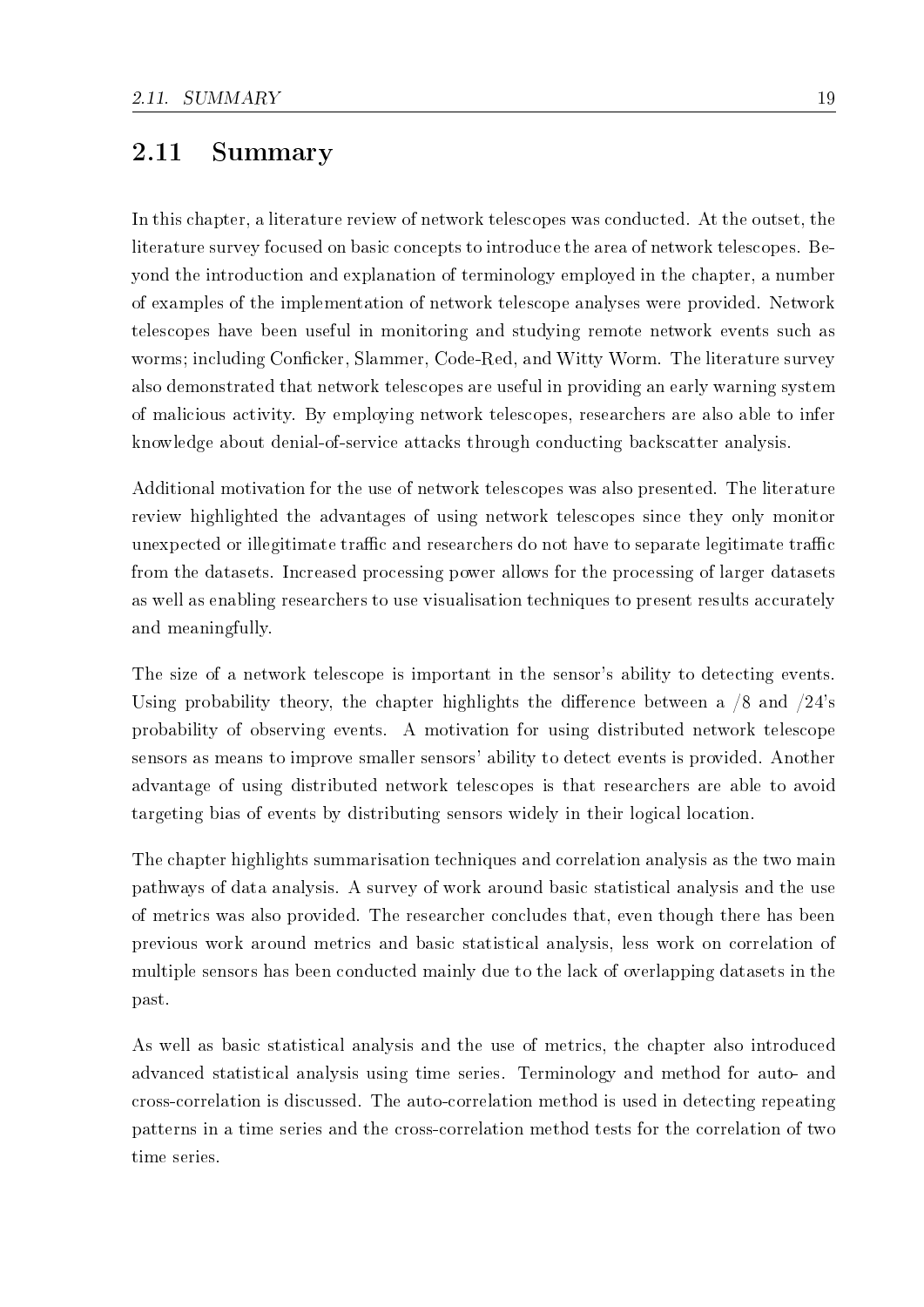# 2.11 Summary

In this chapter, a literature review of network telescopes was conducted. At the outset, the literature survey focused on basic concepts to introduce the area of network telescopes. Beyond the introduction and explanation of terminology employed in the chapter, a number of examples of the implementation of network telescope analyses were provided. Network telescopes have been useful in monitoring and studying remote network events such as worms; including Conficker, Slammer, Code-Red, and Witty Worm. The literature survey also demonstrated that network telescopes are useful in providing an early warning system of malicious activity. By employing network telescopes, researchers are also able to infer knowledge about denial-of-service attacks through conducting backscatter analysis.

Additional motivation for the use of network telescopes was also presented. The literature review highlighted the advantages of using network telescopes since they only monitor unexpected or illegitimate traffic and researchers do not have to separate legitimate traffic from the datasets. Increased processing power allows for the processing of larger datasets as well as enabling researchers to use visualisation techniques to present results accurately and meaningfully.

The size of a network telescope is important in the sensor's ability to detecting events. Using probability theory, the chapter highlights the difference between a  $/8$  and  $/24$ 's probability of observing events. A motivation for using distributed network telescope sensors as means to improve smaller sensors' ability to detect events is provided. Another advantage of using distributed network telescopes is that researchers are able to avoid targeting bias of events by distributing sensors widely in their logical location.

The chapter highlights summarisation techniques and correlation analysis as the two main pathways of data analysis. A survey of work around basic statistical analysis and the use of metrics was also provided. The researcher concludes that, even though there has been previous work around metrics and basic statistical analysis, less work on correlation of multiple sensors has been conducted mainly due to the lack of overlapping datasets in the past.

As well as basic statistical analysis and the use of metrics, the chapter also introduced advanced statistical analysis using time series. Terminology and method for auto- and cross-correlation is discussed. The auto-correlation method is used in detecting repeating patterns in a time series and the cross-correlation method tests for the correlation of two time series.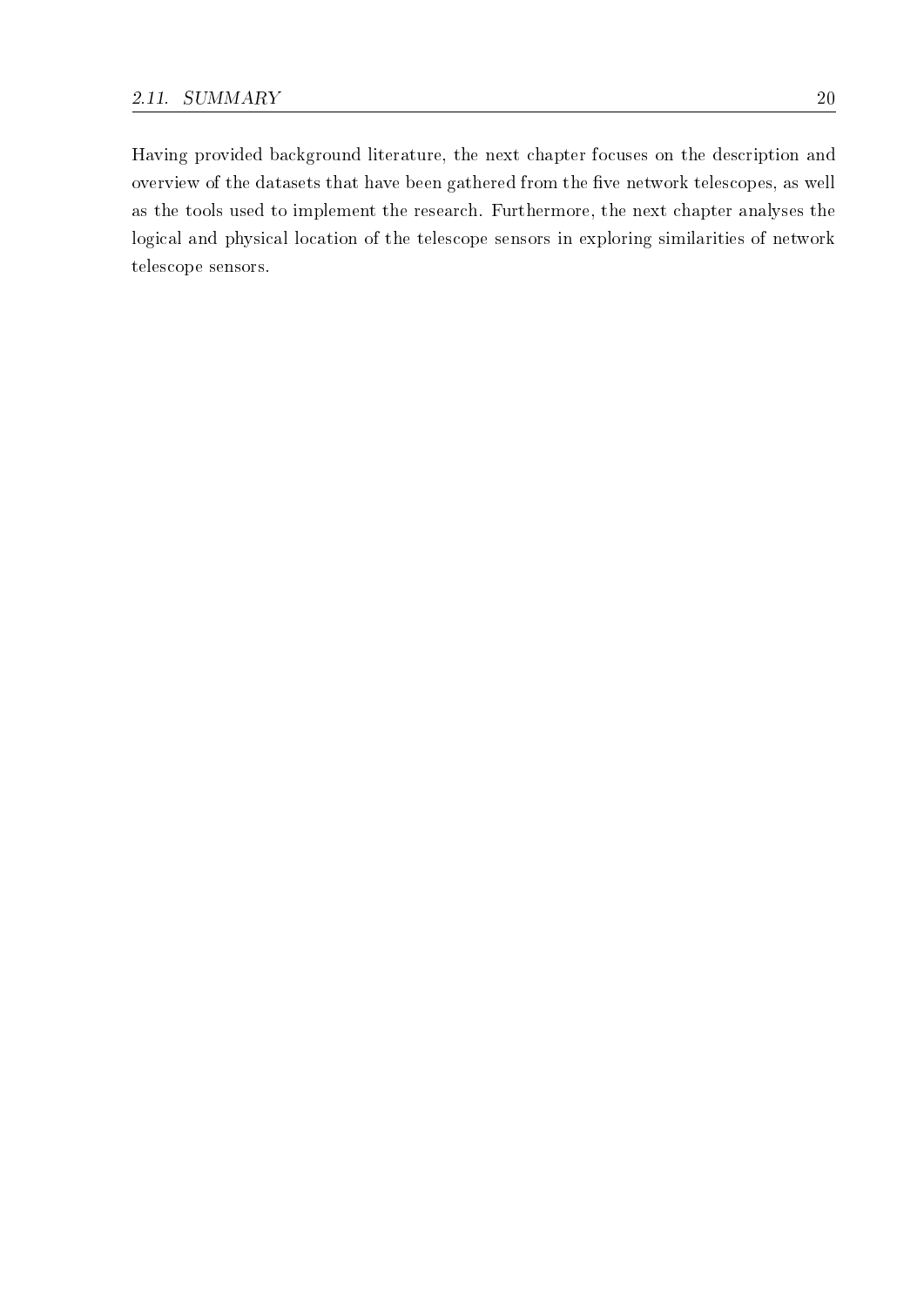Having provided background literature, the next chapter focuses on the description and overview of the datasets that have been gathered from the five network telescopes, as well as the tools used to implement the research. Furthermore, the next chapter analyses the logical and physical location of the telescope sensors in exploring similarities of network telescope sensors.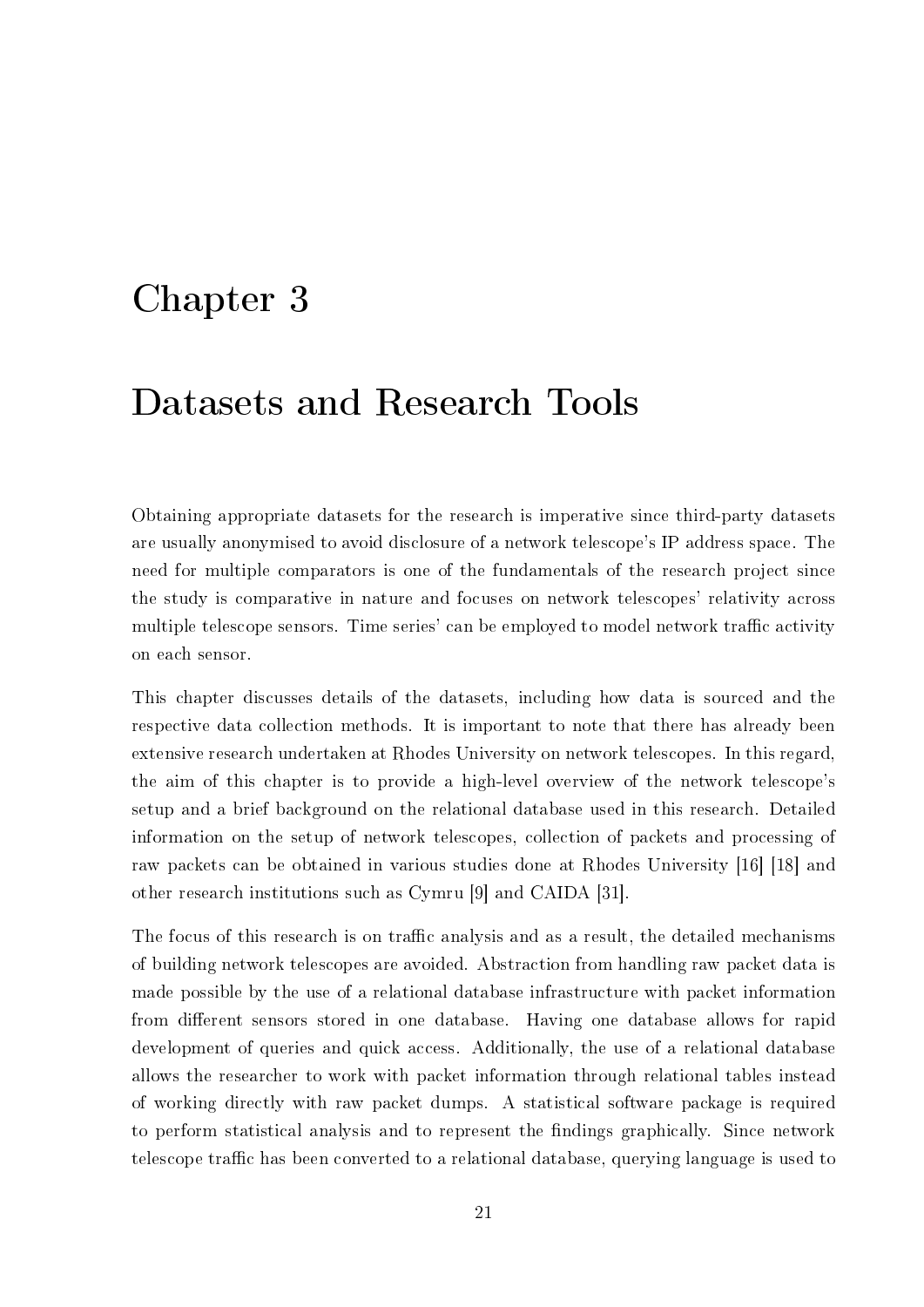# Chapter 3

# Datasets and Research Tools

Obtaining appropriate datasets for the research is imperative since third-party datasets are usually anonymised to avoid disclosure of a network telescope's IP address space. The need for multiple comparators is one of the fundamentals of the research project since the study is comparative in nature and focuses on network telescopes' relativity across multiple telescope sensors. Time series' can be employed to model network traffic activity on each sensor.

This chapter discusses details of the datasets, including how data is sourced and the respective data collection methods. It is important to note that there has already been extensive research undertaken at Rhodes University on network telescopes. In this regard, the aim of this chapter is to provide a high-level overview of the network telescope's setup and a brief background on the relational database used in this research. Detailed information on the setup of network telescopes, collection of packets and processing of raw packets can be obtained in various studies done at Rhodes University [16] [18] and other research institutions such as Cymru [9] and CAIDA [31].

The focus of this research is on traffic analysis and as a result, the detailed mechanisms of building network telescopes are avoided. Abstraction from handling raw packet data is made possible by the use of a relational database infrastructure with packet information from different sensors stored in one database. Having one database allows for rapid development of queries and quick access. Additionally, the use of a relational database allows the researcher to work with packet information through relational tables instead of working directly with raw packet dumps. A statistical software package is required to perform statistical analysis and to represent the findings graphically. Since network telescope traffic has been converted to a relational database, querying language is used to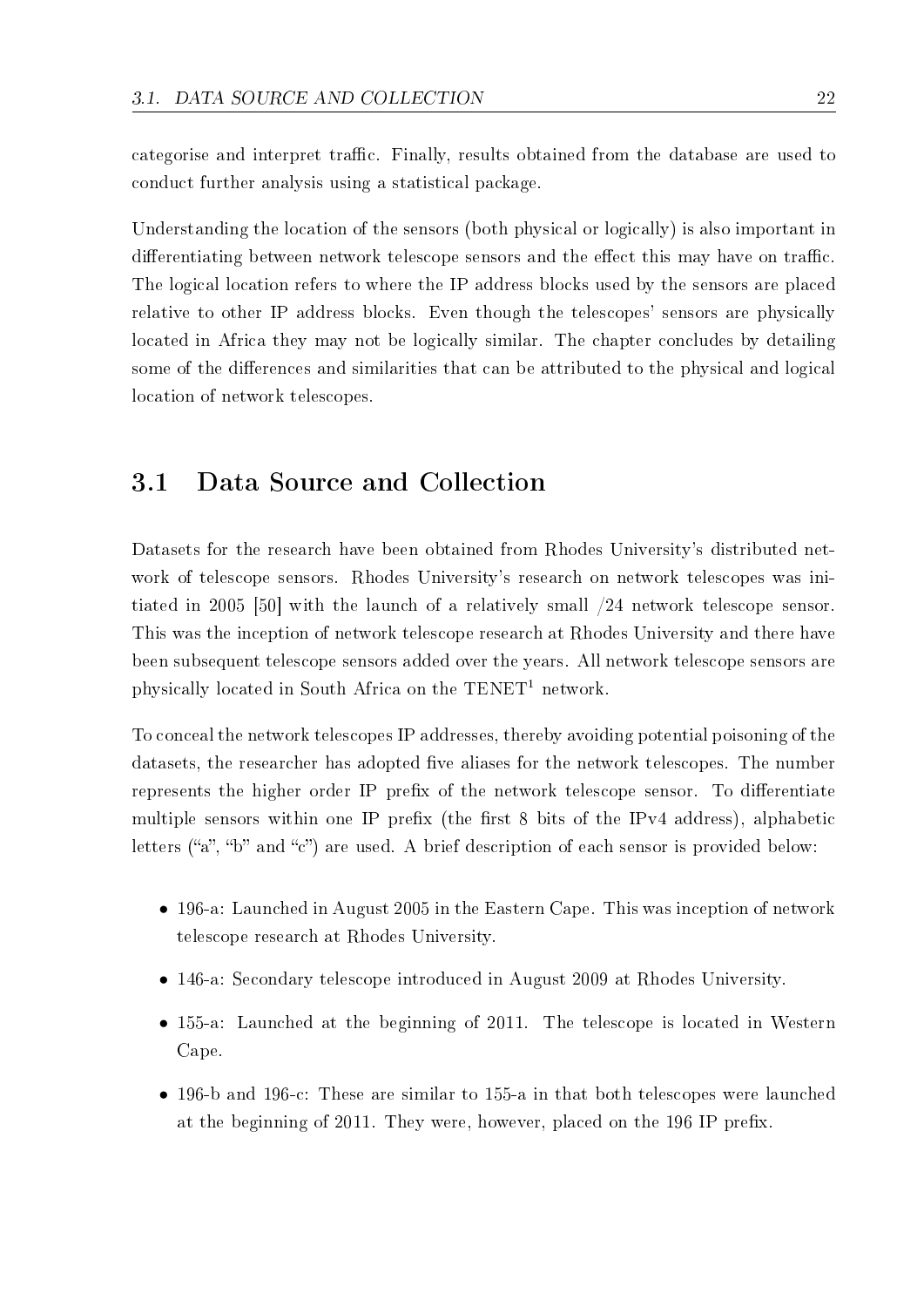categorise and interpret traffic. Finally, results obtained from the database are used to conduct further analysis using a statistical package.

Understanding the location of the sensors (both physical or logically) is also important in differentiating between network telescope sensors and the effect this may have on traffic. The logical location refers to where the IP address blocks used by the sensors are placed relative to other IP address blocks. Even though the telescopes' sensors are physically located in Africa they may not be logically similar. The chapter concludes by detailing some of the differences and similarities that can be attributed to the physical and logical location of network telescopes.

## 3.1 Data Source and Collection

Datasets for the research have been obtained from Rhodes University's distributed network of telescope sensors. Rhodes University's research on network telescopes was initiated in 2005 [50] with the launch of a relatively small /24 network telescope sensor. This was the inception of network telescope research at Rhodes University and there have been subsequent telescope sensors added over the years. All network telescope sensors are physically located in South Africa on the  $TENET<sup>1</sup>$  network.

To conceal the network telescopes IP addresses, thereby avoiding potential poisoning of the datasets, the researcher has adopted five aliases for the network telescopes. The number represents the higher order IP prefix of the network telescope sensor. To differentiate multiple sensors within one IP prefix (the first 8 bits of the IPv4 address), alphabetic letters ("a", "b" and "c") are used. A brief description of each sensor is provided below:

- *•* 196-a: Launched in August 2005 in the Eastern Cape. This was inception of network telescope research at Rhodes University.
- *•* 146-a: Secondary telescope introduced in August 2009 at Rhodes University.
- 155-a: Launched at the beginning of 2011. The telescope is located in Western Cape.
- 196-b and 196-c: These are similar to 155-a in that both telescopes were launched at the beginning of 2011. They were, however, placed on the 196 IP prefix.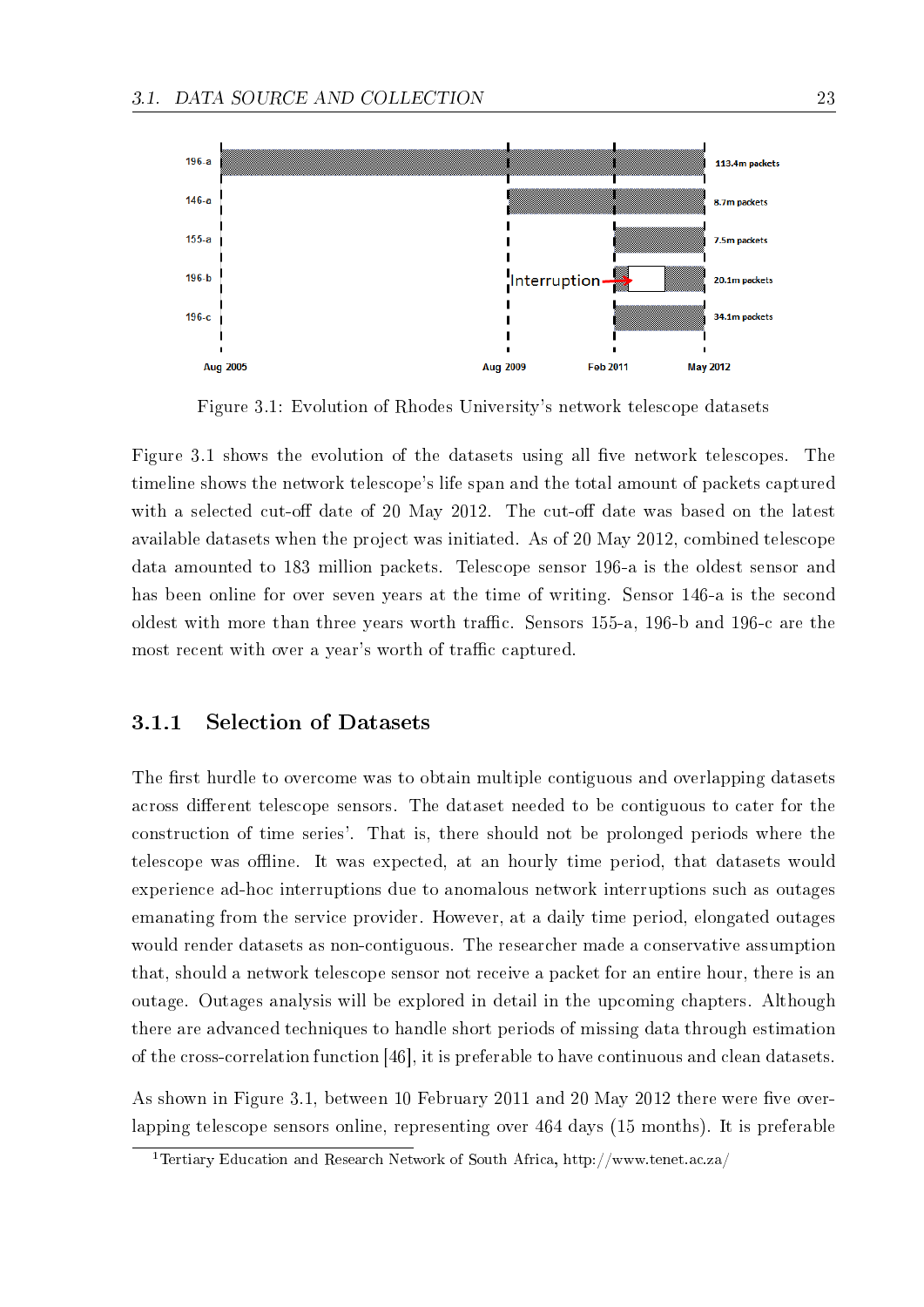

Figure 3.1: Evolution of Rhodes University's network telescope datasets

Figure 3.1 shows the evolution of the datasets using all five network telescopes. The timeline shows the network telescope's life span and the total amount of packets captured with a selected cut-off date of 20 May 2012. The cut-off date was based on the latest available datasets when the project was initiated. As of 20 May 2012, combined telescope data amounted to 183 million packets. Telescope sensor 196-a is the oldest sensor and has been online for over seven years at the time of writing. Sensor 146-a is the second oldest with more than three years worth traffic. Sensors 155-a, 196-b and 196-c are the most recent with over a year's worth of traffic captured.

#### 3.1.1 Selection of Datasets

The first hurdle to overcome was to obtain multiple contiguous and overlapping datasets across different telescope sensors. The dataset needed to be contiguous to cater for the construction of time series'. That is, there should not be prolonged periods where the telescope was offline. It was expected, at an hourly time period, that datasets would experience ad-hoc interruptions due to anomalous network interruptions such as outages emanating from the service provider. However, at a daily time period, elongated outages would render datasets as non-contiguous. The researcher made a conservative assumption that, should a network telescope sensor not receive a packet for an entire hour, there is an outage. Outages analysis will be explored in detail in the upcoming chapters. Although there are advanced techniques to handle short periods of missing data through estimation of the cross-correlation function [46], it is preferable to have continuous and clean datasets.

As shown in Figure 3.1, between 10 February 2011 and 20 May 2012 there were five overlapping telescope sensors online, representing over 464 days (15 months). It is preferable

<sup>1</sup>Tertiary Education and Research Network of South Africa, http://www.tenet.ac.za/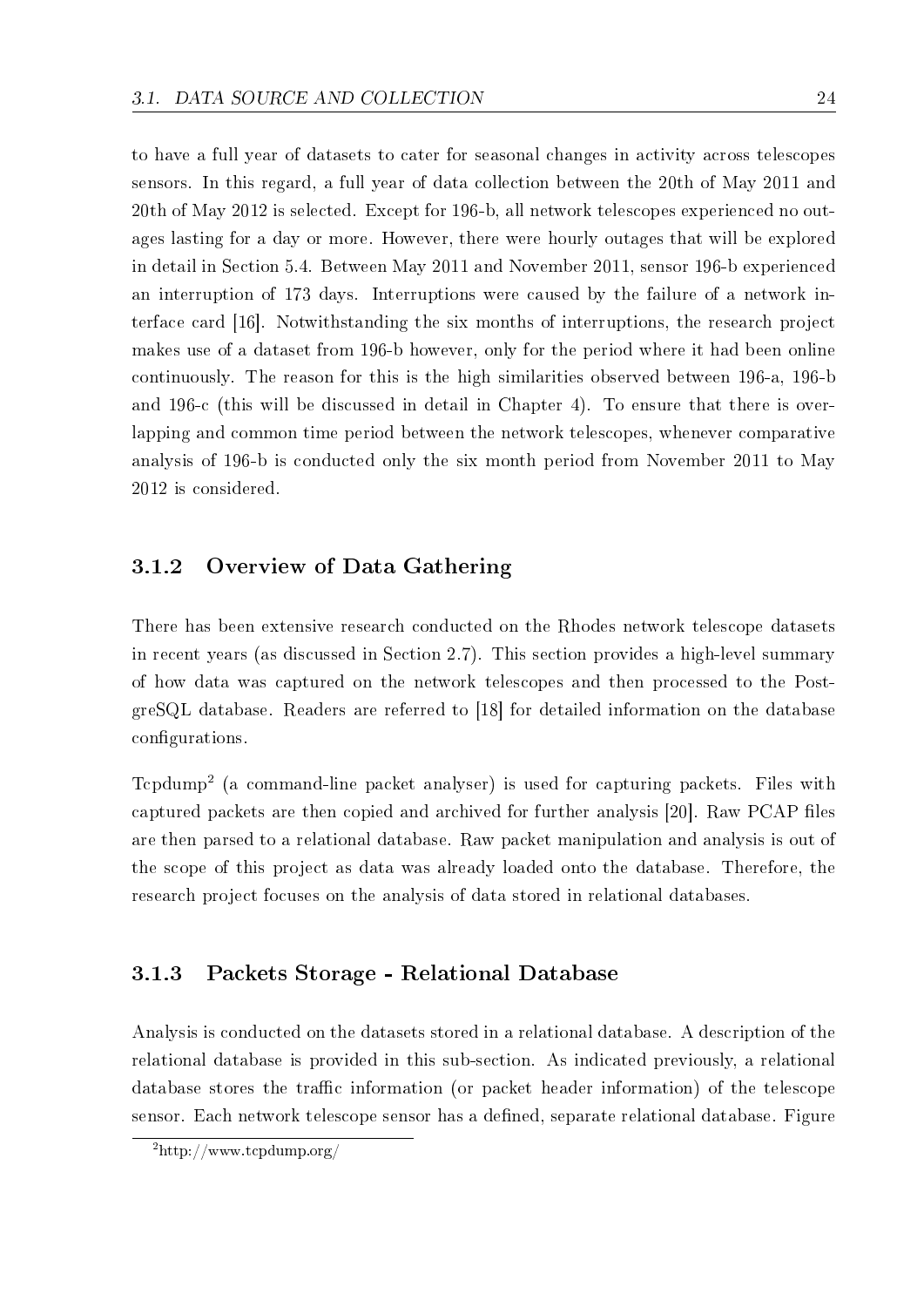to have a full year of datasets to cater for seasonal changes in activity across telescopes sensors. In this regard, a full year of data collection between the 20th of May 2011 and 20th of May 2012 is selected. Except for 196-b, all network telescopes experienced no outages lasting for a day or more. However, there were hourly outages that will be explored in detail in Section 5.4. Between May 2011 and November 2011, sensor 196-b experienced an interruption of 173 days. Interruptions were caused by the failure of a network interface card [16]. Notwithstanding the six months of interruptions, the research project makes use of a dataset from 196-b however, only for the period where it had been online continuously. The reason for this is the high similarities observed between 196-a, 196-b and 196-c (this will be discussed in detail in Chapter 4). To ensure that there is overlapping and common time period between the network telescopes, whenever comparative analysis of 196-b is conducted only the six month period from November 2011 to May 2012 is considered.

### 3.1.2 Overview of Data Gathering

There has been extensive research conducted on the Rhodes network telescope datasets in recent years (as discussed in Section 2.7). This section provides a high-level summary of how data was captured on the network telescopes and then processed to the PostgreSQL database. Readers are referred to [18] for detailed information on the database configurations.

Tcpdump<sup>2</sup> (a command-line packet analyser) is used for capturing packets. Files with captured packets are then copied and archived for further analysis [20]. Raw PCAP files are then parsed to a relational database. Raw packet manipulation and analysis is out of the scope of this project as data was already loaded onto the database. Therefore, the research project focuses on the analysis of data stored in relational databases.

### 3.1.3 Packets Storage - Relational Database

Analysis is conducted on the datasets stored in a relational database. A description of the relational database is provided in this sub-section. As indicated previously, a relational database stores the traffic information (or packet header information) of the telescope sensor. Each network telescope sensor has a defined, separate relational database. Figure

<sup>2</sup>http://www.tcpdump.org/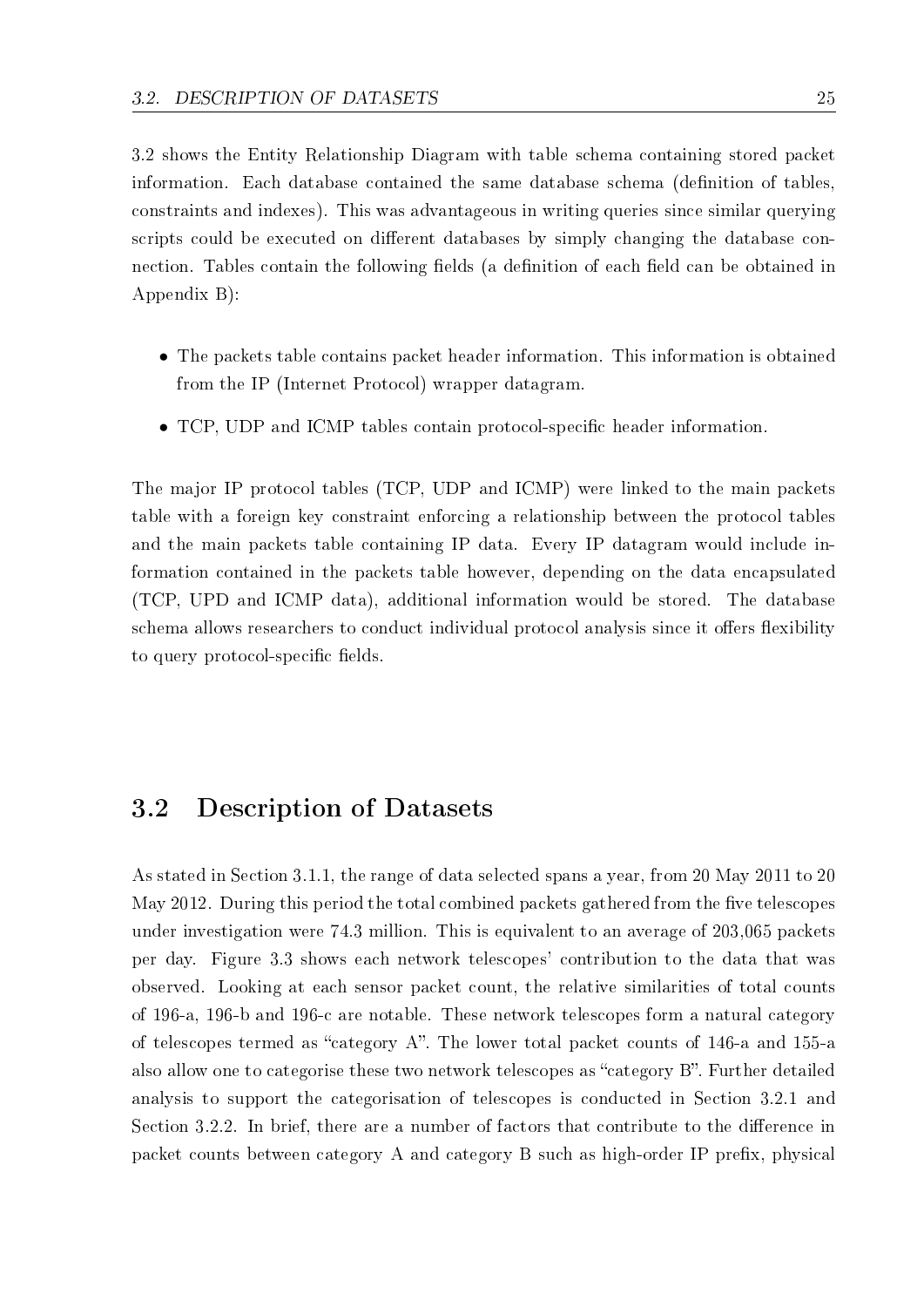3.2 shows the Entity Relationship Diagram with table schema containing stored packet information. Each database contained the same database schema (definition of tables, constraints and indexes). This was advantageous in writing queries since similar querying scripts could be executed on different databases by simply changing the database connection. Tables contain the following fields (a definition of each field can be obtained in Appendix B):

- *•* The packets table contains packet header information. This information is obtained from the IP (Internet Protocol) wrapper datagram.
- TCP, UDP and ICMP tables contain protocol-specific header information.

The major IP protocol tables (TCP, UDP and ICMP) were linked to the main packets table with a foreign key constraint enforcing a relationship between the protocol tables and the main packets table containing IP data. Every IP datagram would include information contained in the packets table however, depending on the data encapsulated (TCP, UPD and ICMP data), additional information would be stored. The database schema allows researchers to conduct individual protocol analysis since it offers flexibility to query protocol-specific fields.

### 3.2 Description of Datasets

As stated in Section 3.1.1, the range of data selected spans a year, from 20 May 2011 to 20 May 2012. During this period the total combined packets gathered from the five telescopes under investigation were 74.3 million. This is equivalent to an average of 203,065 packets per day. Figure 3.3 shows each network telescopes' contribution to the data that was observed. Looking at each sensor packet count, the relative similarities of total counts of 196-a, 196-b and 196-c are notable. These network telescopes form a natural category of telescopes termed as "category A". The lower total packet counts of 146-a and 155-a also allow one to categorise these two network telescopes as "category B". Further detailed analysis to support the categorisation of telescopes is conducted in Section 3.2.1 and Section 3.2.2. In brief, there are a number of factors that contribute to the difference in packet counts between category A and category B such as high-order IP prefix, physical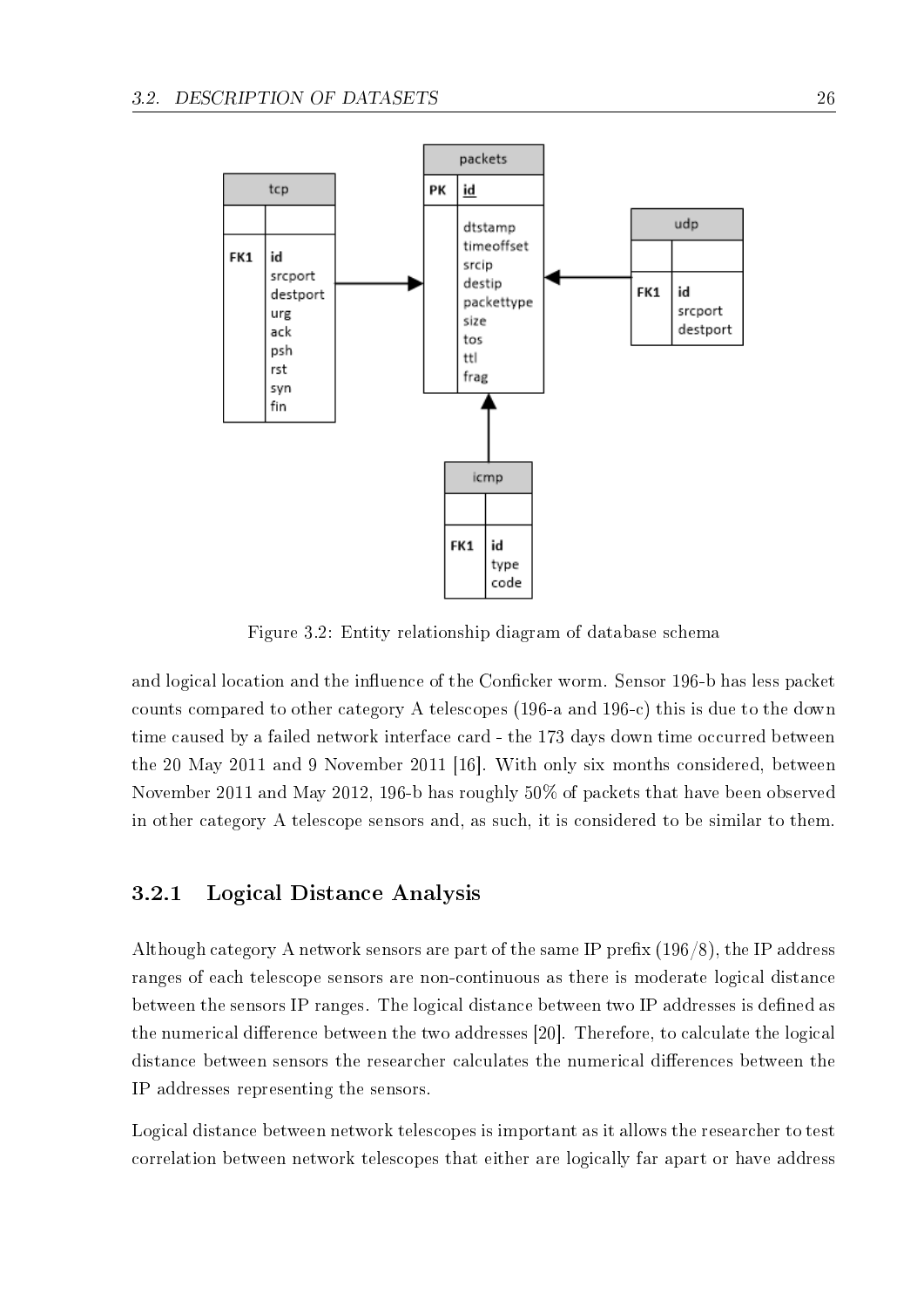

Figure 3.2: Entity relationship diagram of database schema

and logical location and the influence of the Conficker worm. Sensor 196-b has less packet counts compared to other category A telescopes (196-a and 196-c) this is due to the down time caused by a failed network interface card - the 173 days down time occurred between the 20 May 2011 and 9 November 2011 [16]. With only six months considered, between November 2011 and May 2012, 196-b has roughly 50% of packets that have been observed in other category A telescope sensors and, as such, it is considered to be similar to them.

### 3.2.1 Logical Distance Analysis

Although category A network sensors are part of the same IP prefix  $(196/8)$ , the IP address ranges of each telescope sensors are non-continuous as there is moderate logical distance between the sensors IP ranges. The logical distance between two IP addresses is defined as the numerical difference between the two addresses [20]. Therefore, to calculate the logical distance between sensors the researcher calculates the numerical differences between the IP addresses representing the sensors.

Logical distance between network telescopes is important as it allows the researcher to test correlation between network telescopes that either are logically far apart or have address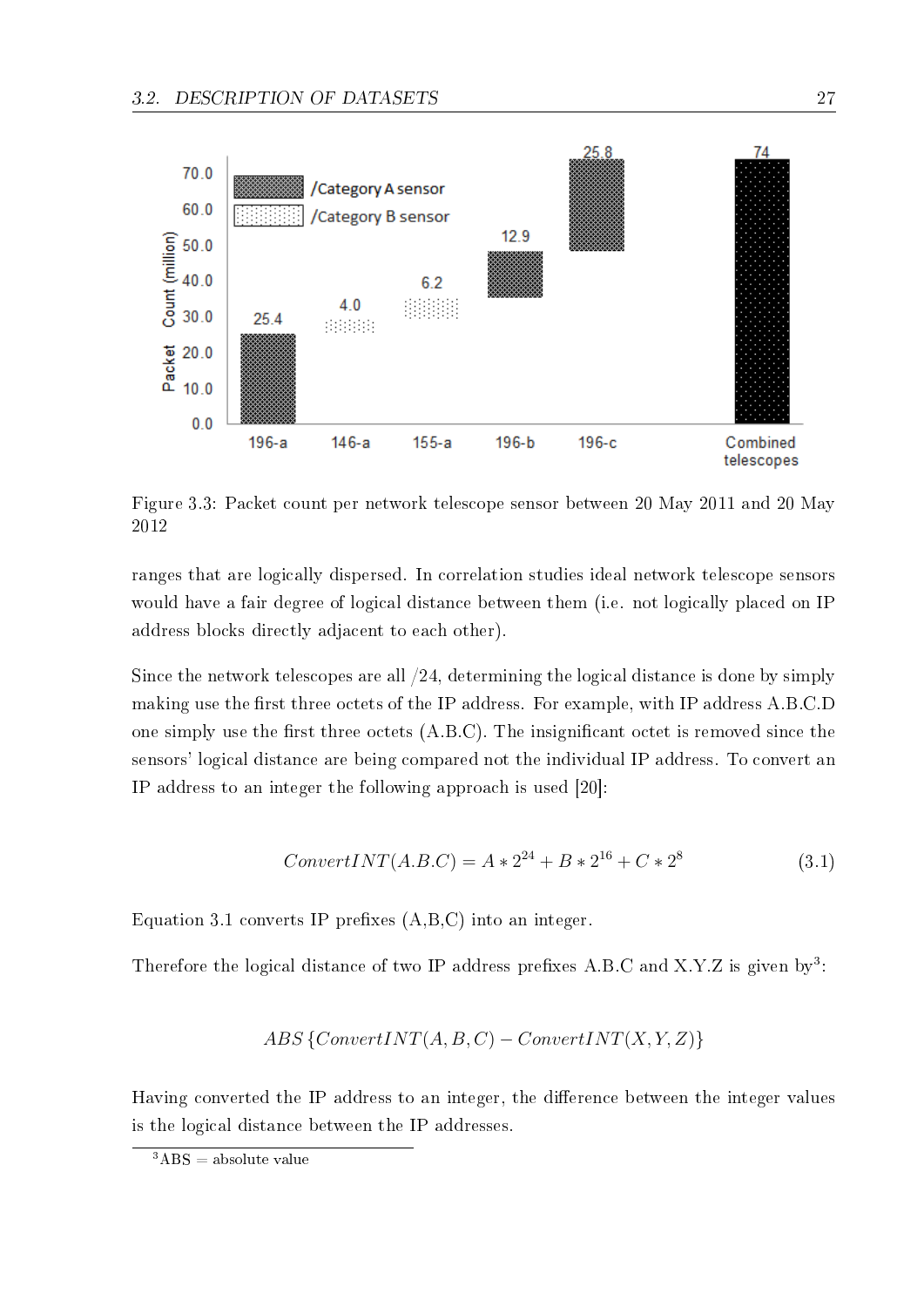

Figure 3.3: Packet count per network telescope sensor between 20 May 2011 and 20 May 2012

ranges that are logically dispersed. In correlation studies ideal network telescope sensors would have a fair degree of logical distance between them (i.e. not logically placed on IP address blocks directly adjacent to each other).

Since the network telescopes are all /24, determining the logical distance is done by simply making use the first three octets of the IP address. For example, with IP address A.B.C.D one simply use the first three octets  $(A.B.C)$ . The insignificant octet is removed since the sensors' logical distance are being compared not the individual IP address. To convert an IP address to an integer the following approach is used [20]:

$$
ConvertINT(A.B.C) = A * 224 + B * 216 + C * 28
$$
\n(3.1)

Equation 3.1 converts IP prefixes  $(A,B,C)$  into an integer.

Therefore the logical distance of two IP address prefixes A.B.C and X.Y.Z is given by<sup>3</sup>:

$$
ABS\{ConvertINT(A,B,C)-ConvertINT(X,Y,Z)\}
$$

Having converted the IP address to an integer, the difference between the integer values is the logical distance between the IP addresses.

 ${}^{3}ABS =$  absolute value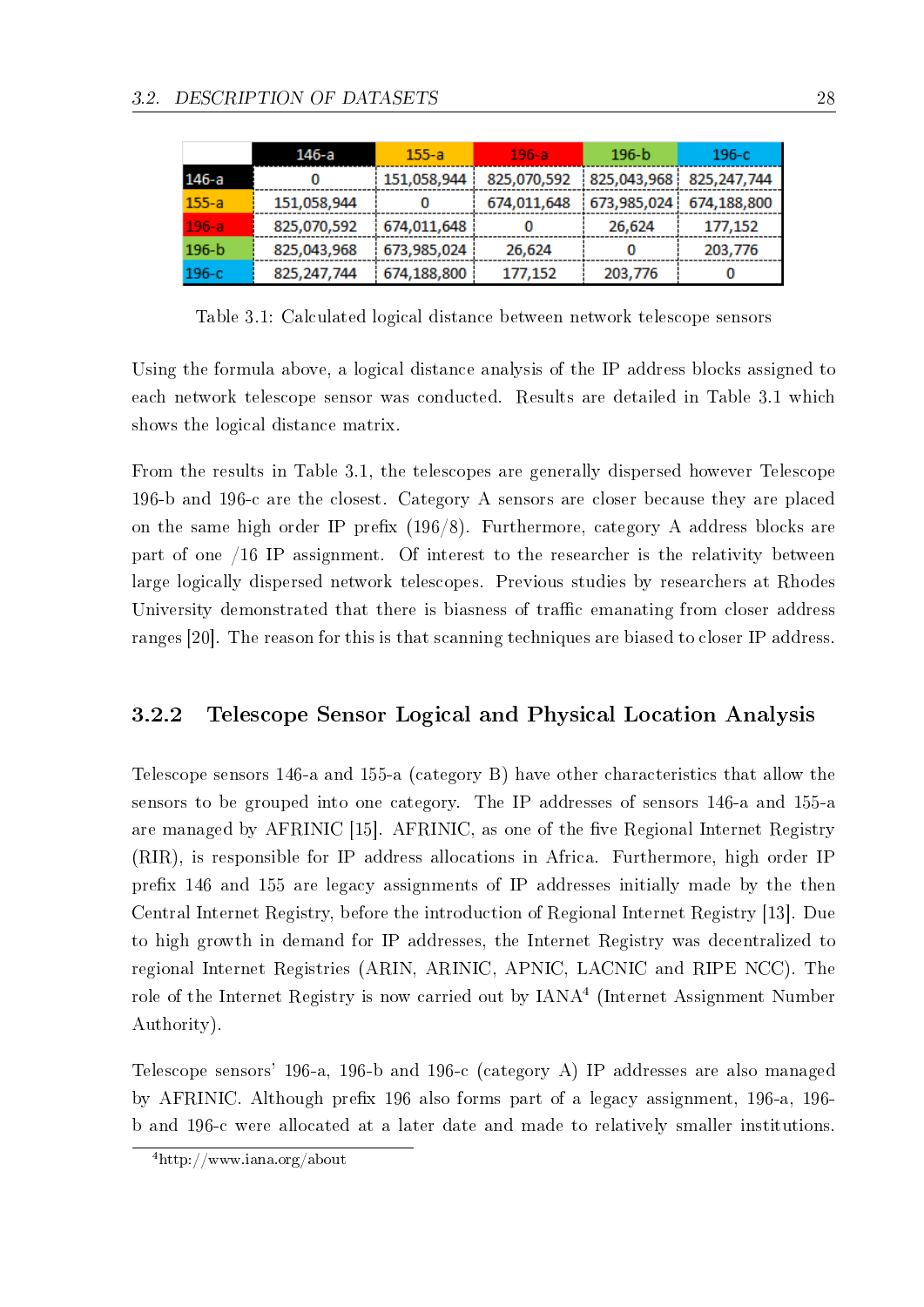|           | 146-a         | $155 - a$   | $196 - a$   | $196 - b$   | $196-c$     |
|-----------|---------------|-------------|-------------|-------------|-------------|
| 146-a     | 0             | 151,058,944 | 825,070,592 | 825,043,968 | 825,247,744 |
| $155 - a$ | 151,058,944   | 0           | 674,011,648 | 673,985,024 | 674,188,800 |
| $196 - a$ | 825,070,592   | 674,011,648 |             | 26,624      | 177,152     |
| $196 - b$ | 825,043,968   | 673,985,024 | 26,624      | 0           | 203,776     |
| $196-c$   | 825, 247, 744 | 674,188,800 | 177,152     | 203,776     |             |

Table 3.1: Calculated logical distance between network telescope sensors

Using the formula above, a logical distance analysis of the IP address blocks assigned to each network telescope sensor was conducted. Results are detailed in Table 3.1 which shows the logical distance matrix.

From the results in Table 3.1, the telescopes are generally dispersed however Telescope 196-b and 196-c are the closest. Category A sensors are closer because they are placed on the same high order IP prefix  $(196/8)$ . Furthermore, category A address blocks are part of one /16 IP assignment. Of interest to the researcher is the relativity between large logically dispersed network telescopes. Previous studies by researchers at Rhodes University demonstrated that there is biasness of traffic emanating from closer address ranges [20]. The reason for this is that scanning techniques are biased to closer IP address.

### 3.2.2 Telescope Sensor Logical and Physical Location Analysis

Telescope sensors 146-a and 155-a (category B) have other characteristics that allow the sensors to be grouped into one category. The IP addresses of sensors 146-a and 155-a are managed by AFRINIC [15]. AFRINIC, as one of the five Regional Internet Registry (RIR), is responsible for IP address allocations in Africa. Furthermore, high order IP prex 146 and 155 are legacy assignments of IP addresses initially made by the then Central Internet Registry, before the introduction of Regional Internet Registry [13]. Due to high growth in demand for IP addresses, the Internet Registry was decentralized to regional Internet Registries (ARIN, ARINIC, APNIC, LACNIC and RIPE NCC). The role of the Internet Registry is now carried out by  $\text{IANA}^4$  (Internet Assignment Number Authority).

Telescope sensors' 196-a, 196-b and 196-c (category A) IP addresses are also managed by AFRINIC. Although prefix 196 also forms part of a legacy assignment, 196-a, 196b and 196-c were allocated at a later date and made to relatively smaller institutions.

<sup>4</sup>http://www.iana.org/about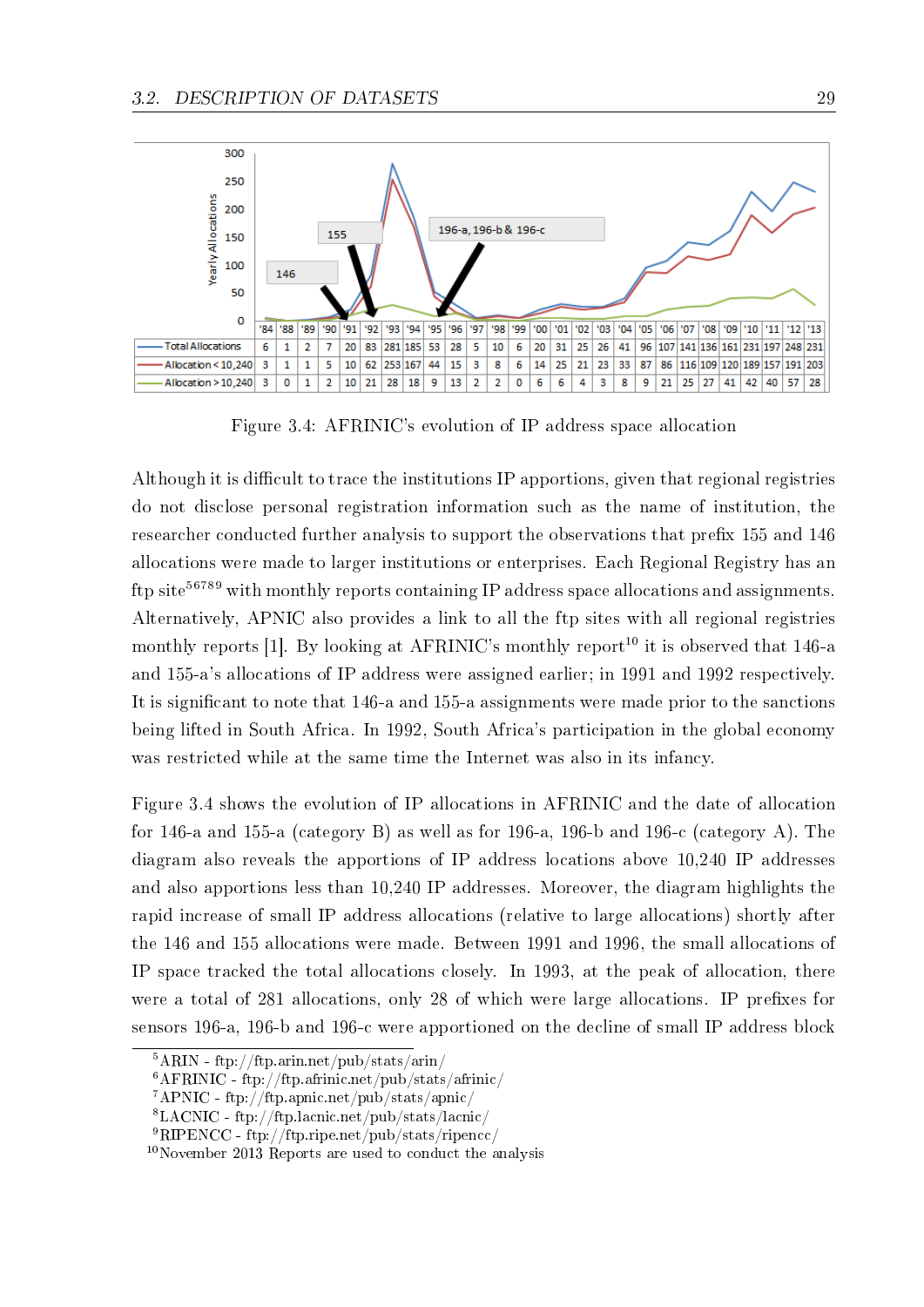

Figure 3.4: AFRINIC's evolution of IP address space allocation

Although it is difficult to trace the institutions IP apportions, given that regional registries do not disclose personal registration information such as the name of institution, the researcher conducted further analysis to support the observations that prefix 155 and 146 allocations were made to larger institutions or enterprises. Each Regional Registry has an ftp site<sup>56789</sup> with monthly reports containing IP address space allocations and assignments. Alternatively, APNIC also provides a link to all the ftp sites with all regional registries monthly reports [1]. By looking at AFRINIC's monthly report<sup>10</sup> it is observed that 146-a and 155-a's allocations of IP address were assigned earlier; in 1991 and 1992 respectively. It is significant to note that 146-a and 155-a assignments were made prior to the sanctions being lifted in South Africa. In 1992, South Africa's participation in the global economy was restricted while at the same time the Internet was also in its infancy.

Figure 3.4 shows the evolution of IP allocations in AFRINIC and the date of allocation for 146-a and 155-a (category B) as well as for 196-a, 196-b and 196-c (category A). The diagram also reveals the apportions of IP address locations above 10,240 IP addresses and also apportions less than 10,240 IP addresses. Moreover, the diagram highlights the rapid increase of small IP address allocations (relative to large allocations) shortly after the 146 and 155 allocations were made. Between 1991 and 1996, the small allocations of IP space tracked the total allocations closely. In 1993, at the peak of allocation, there were a total of 281 allocations, only 28 of which were large allocations. IP prefixes for sensors 196-a, 196-b and 196-c were apportioned on the decline of small IP address block

 $5ARIN - ftp://ftp.arin.net/pub/stats/arin/$ 

 $6AFRINIC - ftp://ftp.afrinic.net/pub/stats/afrinic/$ 

<sup>7</sup>APNIC - ftp://ftp.apnic.net/pub/stats/apnic/

<sup>8</sup>LACNIC - ftp://ftp.lacnic.net/pub/stats/lacnic/

<sup>9</sup>RIPENCC - ftp://ftp.ripe.net/pub/stats/ripencc/

<sup>10</sup>November 2013 Reports are used to conduct the analysis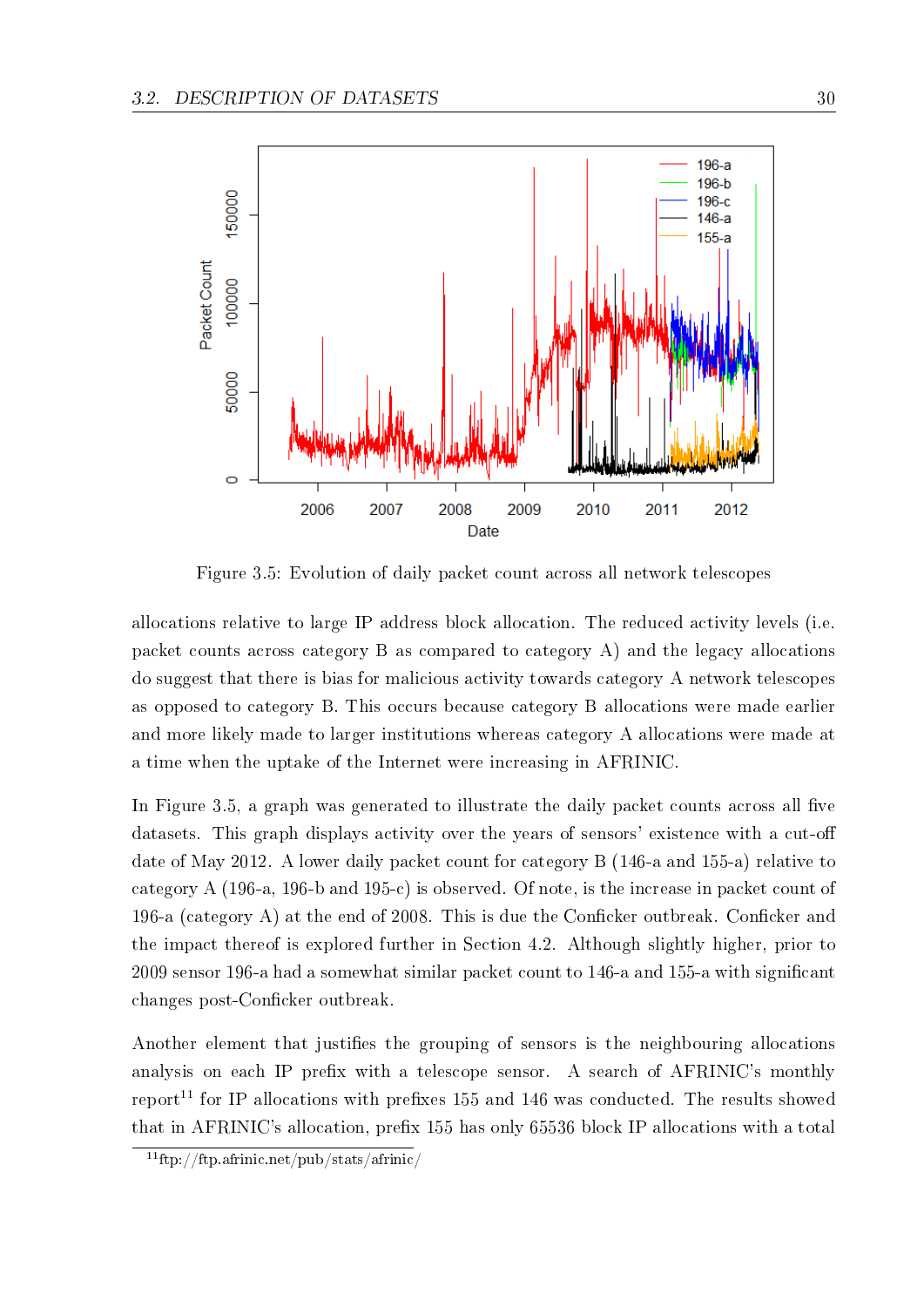

Figure 3.5: Evolution of daily packet count across all network telescopes

allocations relative to large IP address block allocation. The reduced activity levels (i.e. packet counts across category B as compared to category A) and the legacy allocations do suggest that there is bias for malicious activity towards category A network telescopes as opposed to category B. This occurs because category B allocations were made earlier and more likely made to larger institutions whereas category A allocations were made at a time when the uptake of the Internet were increasing in AFRINIC.

In Figure 3.5, a graph was generated to illustrate the daily packet counts across all five datasets. This graph displays activity over the years of sensors' existence with a cut-off date of May 2012. A lower daily packet count for category B (146-a and 155-a) relative to category A (196-a, 196-b and 195-c) is observed. Of note, is the increase in packet count of 196-a (category A) at the end of 2008. This is due the Conficker outbreak. Conficker and the impact thereof is explored further in Section 4.2. Although slightly higher, prior to 2009 sensor 196-a had a somewhat similar packet count to 146-a and 155-a with signicant changes post-Conficker outbreak.

Another element that justifies the grouping of sensors is the neighbouring allocations analysis on each IP prefix with a telescope sensor. A search of AFRINIC's monthly report<sup>11</sup> for IP allocations with prefixes 155 and 146 was conducted. The results showed that in AFRINIC's allocation, prefix 155 has only 65536 block IP allocations with a total

 $11$ ftp://ftp.afrinic.net/pub/stats/afrinic/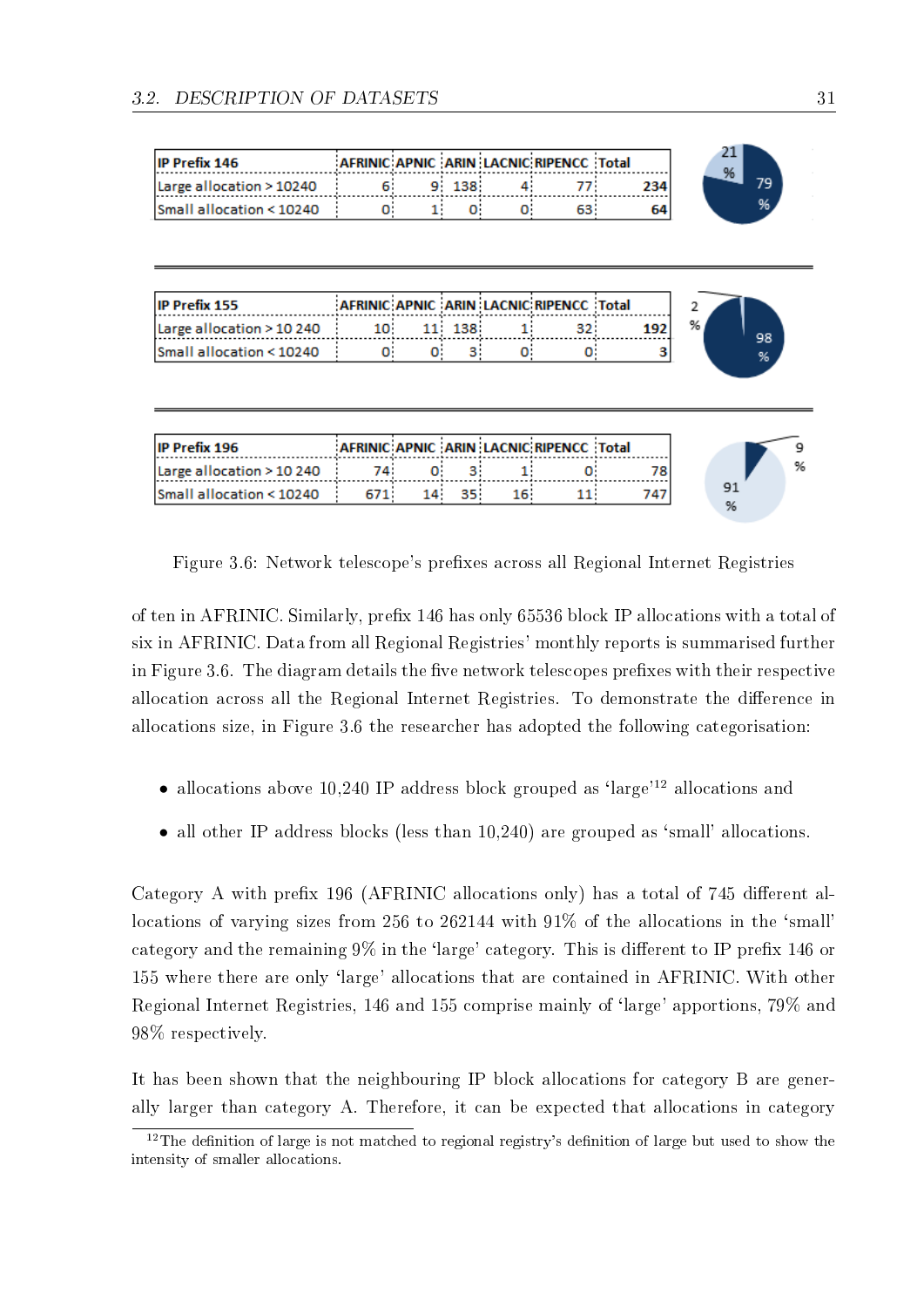| <b>IP Prefix 146</b>     |  |       | AFRINIC APNIC ARIN LACNIC RIPENCC Total |     |
|--------------------------|--|-------|-----------------------------------------|-----|
| Large allocation > 10240 |  | 9 138 |                                         | 234 |
| Small allocation < 10240 |  |       |                                         |     |

| <b>IP Prefix 155</b>               |     |        | AFRINIC APNIC ARIN LACNIC RIPENCC Total |  |
|------------------------------------|-----|--------|-----------------------------------------|--|
| Large allocation > 10 240          | וחו | 11 138 |                                         |  |
| <b>Small allocation &lt; 10240</b> |     |        |                                         |  |

| IIP Prefix 196            |  |  | AFRINIC APNIC ARIN LACNIC RIPENCC Total |  |  |
|---------------------------|--|--|-----------------------------------------|--|--|
| Large allocation > 10 240 |  |  |                                         |  |  |
| lSmall allocation < 10240 |  |  |                                         |  |  |

Figure 3.6: Network telescope's prefixes across all Regional Internet Registries

of ten in AFRINIC. Similarly, prefix 146 has only 65536 block IP allocations with a total of six in AFRINIC. Data from all Regional Registries' monthly reports is summarised further in Figure 3.6. The diagram details the five network telescopes prefixes with their respective allocation across all the Regional Internet Registries. To demonstrate the difference in allocations size, in Figure 3.6 the researcher has adopted the following categorisation:

- allocations above 10,240 IP address block grouped as 'large'<sup>12</sup> allocations and
- all other IP address blocks (less than 10,240) are grouped as 'small' allocations.

Category A with prefix 196 (AFRINIC allocations only) has a total of 745 different allocations of varying sizes from 256 to 262144 with 91% of the allocations in the 'small' category and the remaining  $9\%$  in the 'large' category. This is different to IP prefix 146 or 155 where there are only `large' allocations that are contained in AFRINIC. With other Regional Internet Registries, 146 and 155 comprise mainly of 'large' apportions, 79% and 98% respectively.

It has been shown that the neighbouring IP block allocations for category B are generally larger than category A. Therefore, it can be expected that allocations in category

 $12$ The definition of large is not matched to regional registry's definition of large but used to show the intensity of smaller allocations.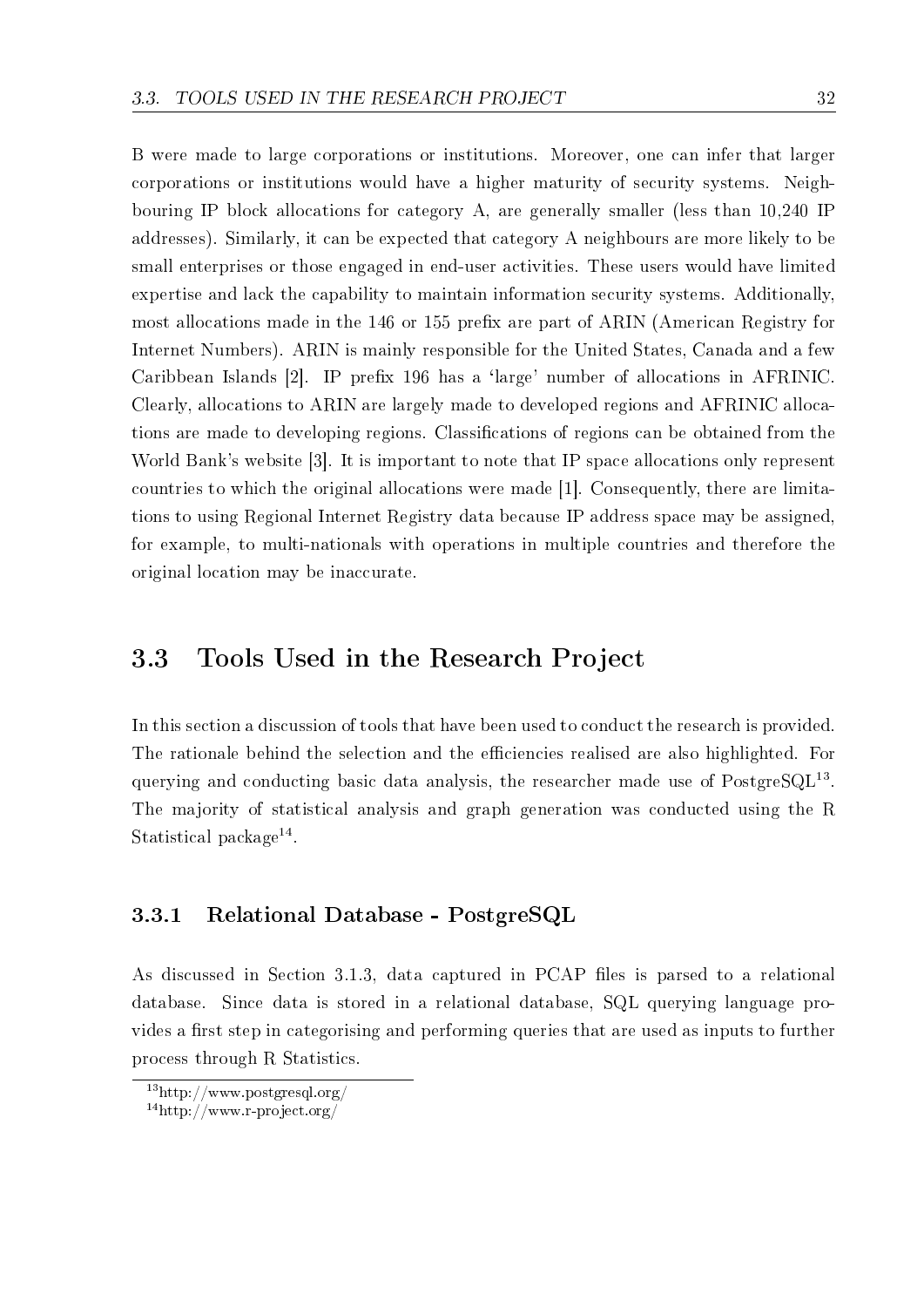B were made to large corporations or institutions. Moreover, one can infer that larger corporations or institutions would have a higher maturity of security systems. Neighbouring IP block allocations for category A, are generally smaller (less than 10,240 IP addresses). Similarly, it can be expected that category A neighbours are more likely to be small enterprises or those engaged in end-user activities. These users would have limited expertise and lack the capability to maintain information security systems. Additionally, most allocations made in the 146 or 155 prefix are part of ARIN (American Registry for Internet Numbers). ARIN is mainly responsible for the United States, Canada and a few Caribbean Islands [2]. IP prefix 196 has a 'large' number of allocations in AFRINIC. Clearly, allocations to ARIN are largely made to developed regions and AFRINIC allocations are made to developing regions. Classifications of regions can be obtained from the World Bank's website [3]. It is important to note that IP space allocations only represent countries to which the original allocations were made [1]. Consequently, there are limitations to using Regional Internet Registry data because IP address space may be assigned, for example, to multi-nationals with operations in multiple countries and therefore the original location may be inaccurate.

### 3.3 Tools Used in the Research Project

In this section a discussion of tools that have been used to conduct the research is provided. The rationale behind the selection and the efficiencies realised are also highlighted. For querying and conducting basic data analysis, the researcher made use of  $PostgreSQL^{13}$ . The majority of statistical analysis and graph generation was conducted using the R Statistical package<sup>14</sup>.

### 3.3.1 Relational Database - PostgreSQL

As discussed in Section 3.1.3, data captured in PCAP files is parsed to a relational database. Since data is stored in a relational database, SQL querying language provides a first step in categorising and performing queries that are used as inputs to further process through R Statistics.

<sup>13</sup>http://www.postgresql.org/

<sup>14</sup>http://www.r-project.org/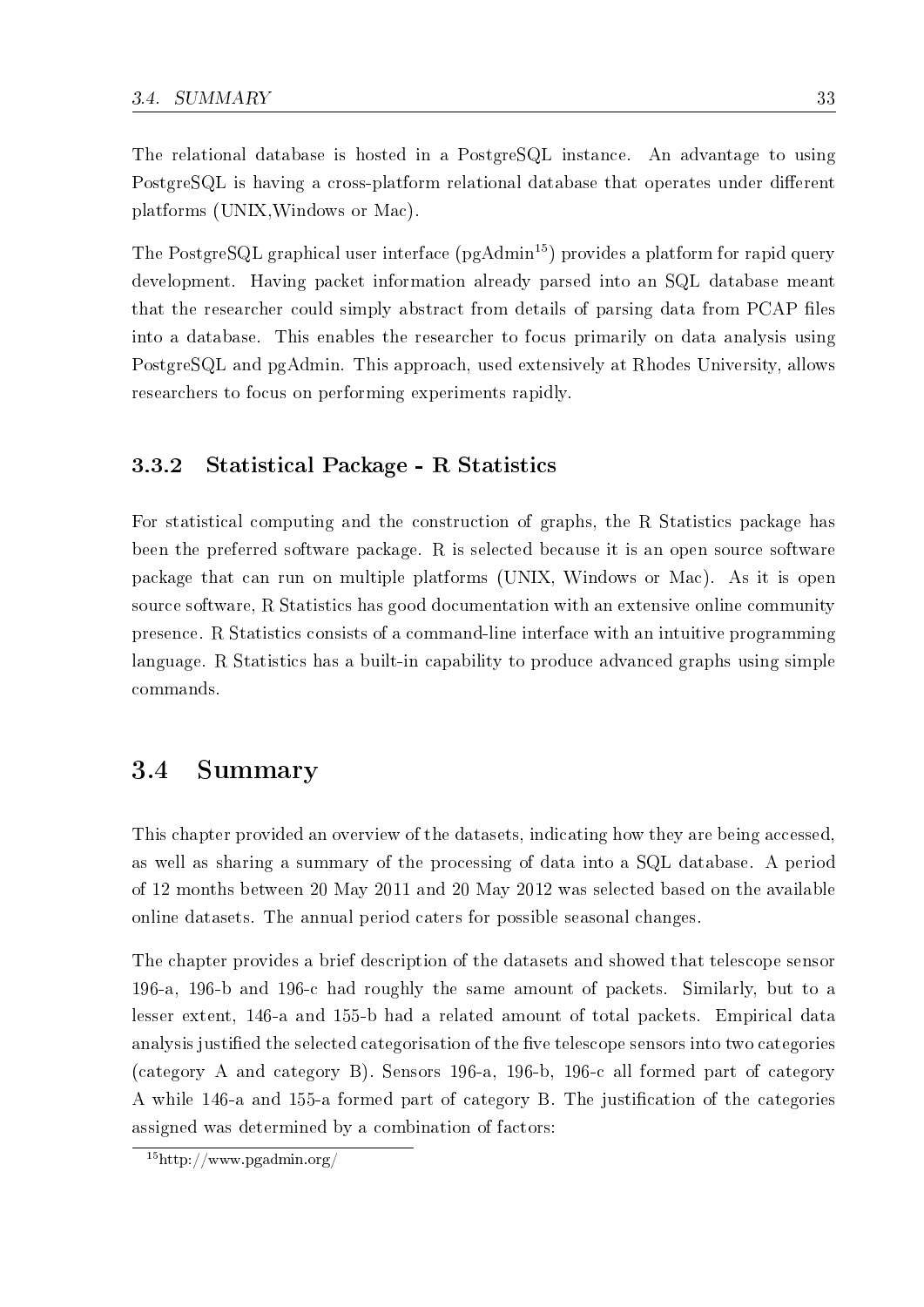The relational database is hosted in a PostgreSQL instance. An advantage to using PostgreSQL is having a cross-platform relational database that operates under different platforms (UNIX,Windows or Mac).

The PostgreSQL graphical user interface  $(pgAdmin<sup>15</sup>)$  provides a platform for rapid query development. Having packet information already parsed into an SQL database meant that the researcher could simply abstract from details of parsing data from PCAP files into a database. This enables the researcher to focus primarily on data analysis using PostgreSQL and pgAdmin. This approach, used extensively at Rhodes University, allows researchers to focus on performing experiments rapidly.

### 3.3.2 Statistical Package - R Statistics

For statistical computing and the construction of graphs, the R Statistics package has been the preferred software package. R is selected because it is an open source software package that can run on multiple platforms (UNIX, Windows or Mac). As it is open source software, R Statistics has good documentation with an extensive online community presence. R Statistics consists of a command-line interface with an intuitive programming language. R Statistics has a built-in capability to produce advanced graphs using simple commands.

# 3.4 Summary

This chapter provided an overview of the datasets, indicating how they are being accessed, as well as sharing a summary of the processing of data into a SQL database. A period of 12 months between 20 May 2011 and 20 May 2012 was selected based on the available online datasets. The annual period caters for possible seasonal changes.

The chapter provides a brief description of the datasets and showed that telescope sensor 196-a, 196-b and 196-c had roughly the same amount of packets. Similarly, but to a lesser extent, 146-a and 155-b had a related amount of total packets. Empirical data analysis justified the selected categorisation of the five telescope sensors into two categories (category A and category B). Sensors 196-a, 196-b, 196-c all formed part of category A while 146-a and 155-a formed part of category B. The justification of the categories assigned was determined by a combination of factors:

 $15$ http://www.pgadmin.org/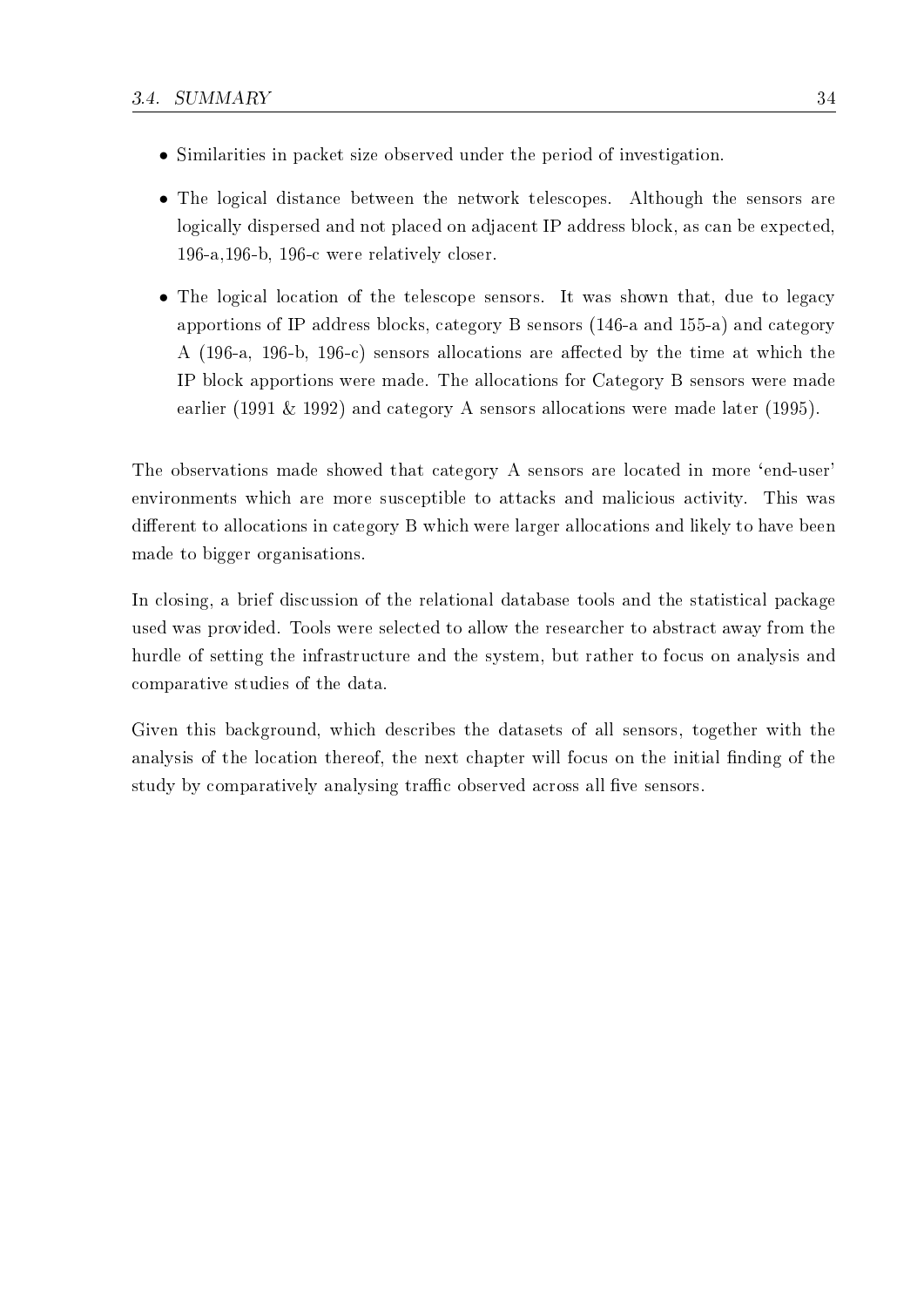- Similarities in packet size observed under the period of investigation.
- The logical distance between the network telescopes. Although the sensors are logically dispersed and not placed on adjacent IP address block, as can be expected, 196-a,196-b, 196-c were relatively closer.
- The logical location of the telescope sensors. It was shown that, due to legacy apportions of IP address blocks, category B sensors (146-a and 155-a) and category A (196-a, 196-b, 196-c) sensors allocations are affected by the time at which the IP block apportions were made. The allocations for Category B sensors were made earlier (1991 & 1992) and category A sensors allocations were made later (1995).

The observations made showed that category A sensors are located in more 'end-user' environments which are more susceptible to attacks and malicious activity. This was different to allocations in category B which were larger allocations and likely to have been made to bigger organisations.

In closing, a brief discussion of the relational database tools and the statistical package used was provided. Tools were selected to allow the researcher to abstract away from the hurdle of setting the infrastructure and the system, but rather to focus on analysis and comparative studies of the data.

Given this background, which describes the datasets of all sensors, together with the analysis of the location thereof, the next chapter will focus on the initial finding of the study by comparatively analysing traffic observed across all five sensors.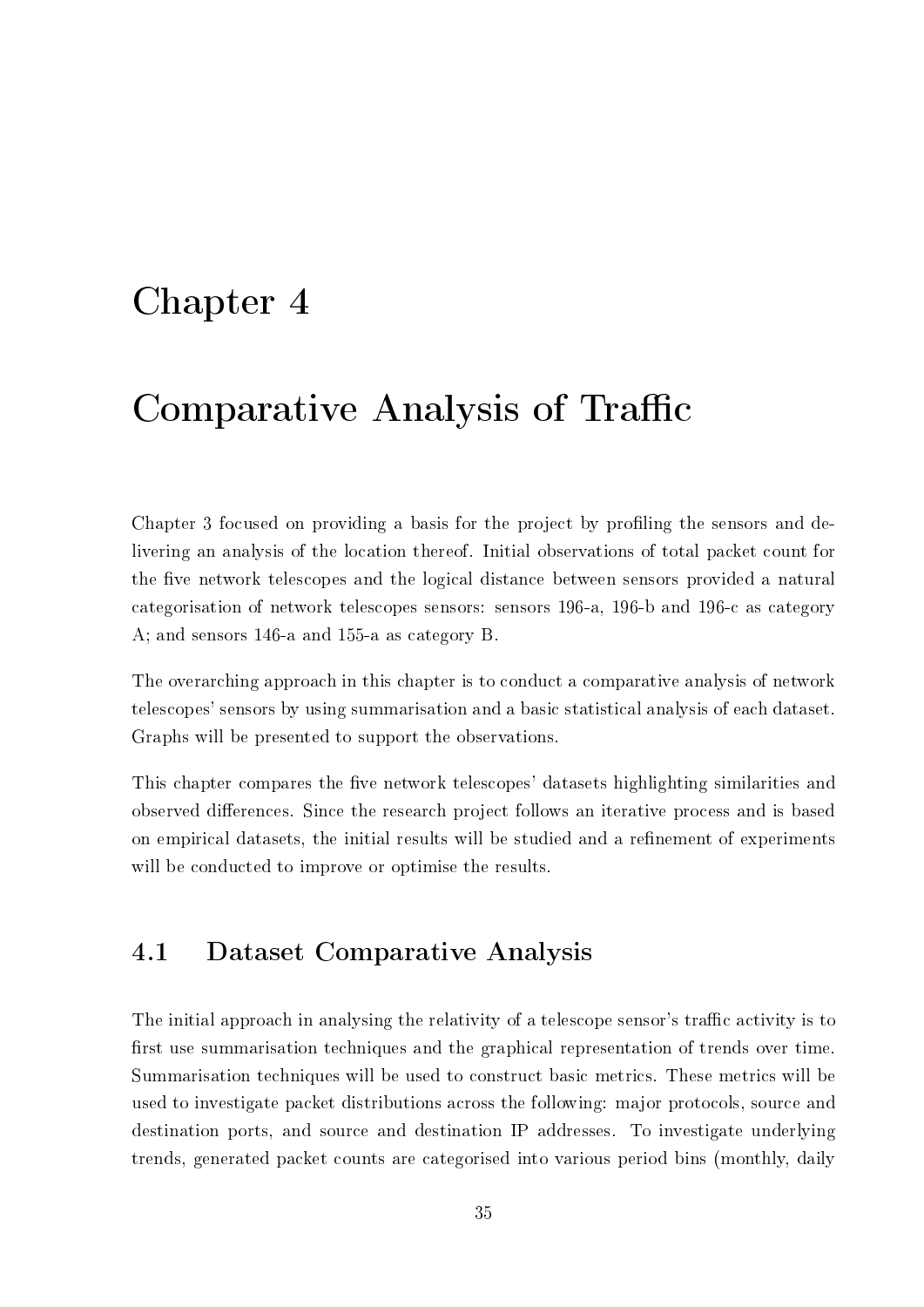# Chapter 4

# Comparative Analysis of Traffic

Chapter 3 focused on providing a basis for the project by profiling the sensors and delivering an analysis of the location thereof. Initial observations of total packet count for the five network telescopes and the logical distance between sensors provided a natural categorisation of network telescopes sensors: sensors 196-a, 196-b and 196-c as category A; and sensors 146-a and 155-a as category B.

The overarching approach in this chapter is to conduct a comparative analysis of network telescopes' sensors by using summarisation and a basic statistical analysis of each dataset. Graphs will be presented to support the observations.

This chapter compares the five network telescopes' datasets highlighting similarities and observed differences. Since the research project follows an iterative process and is based on empirical datasets, the initial results will be studied and a refinement of experiments will be conducted to improve or optimise the results.

# 4.1 Dataset Comparative Analysis

The initial approach in analysing the relativity of a telescope sensor's traffic activity is to first use summarisation techniques and the graphical representation of trends over time. Summarisation techniques will be used to construct basic metrics. These metrics will be used to investigate packet distributions across the following: major protocols, source and destination ports, and source and destination IP addresses. To investigate underlying trends, generated packet counts are categorised into various period bins (monthly, daily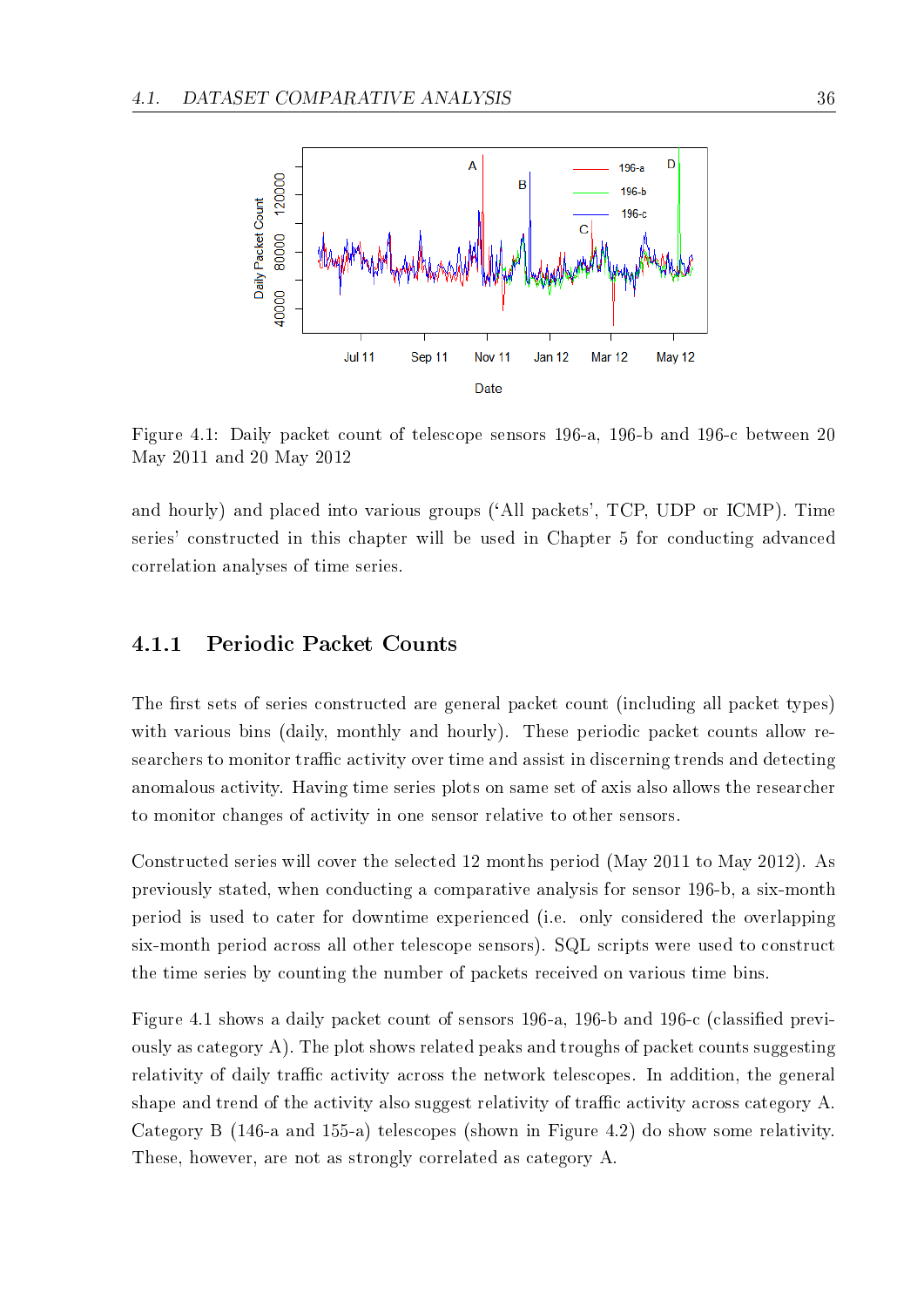

Figure 4.1: Daily packet count of telescope sensors 196-a, 196-b and 196-c between 20 May 2011 and 20 May 2012

and hourly) and placed into various groups (`All packets', TCP, UDP or ICMP). Time series' constructed in this chapter will be used in Chapter 5 for conducting advanced correlation analyses of time series.

### 4.1.1 Periodic Packet Counts

The first sets of series constructed are general packet count (including all packet types) with various bins (daily, monthly and hourly). These periodic packet counts allow researchers to monitor traffic activity over time and assist in discerning trends and detecting anomalous activity. Having time series plots on same set of axis also allows the researcher to monitor changes of activity in one sensor relative to other sensors.

Constructed series will cover the selected 12 months period (May 2011 to May 2012). As previously stated, when conducting a comparative analysis for sensor 196-b, a six-month period is used to cater for downtime experienced (i.e. only considered the overlapping six-month period across all other telescope sensors). SQL scripts were used to construct the time series by counting the number of packets received on various time bins.

Figure 4.1 shows a daily packet count of sensors 196-a, 196-b and 196-c (classied previously as category A). The plot shows related peaks and troughs of packet counts suggesting relativity of daily traffic activity across the network telescopes. In addition, the general shape and trend of the activity also suggest relativity of traffic activity across category A. Category B (146-a and 155-a) telescopes (shown in Figure 4.2) do show some relativity. These, however, are not as strongly correlated as category A.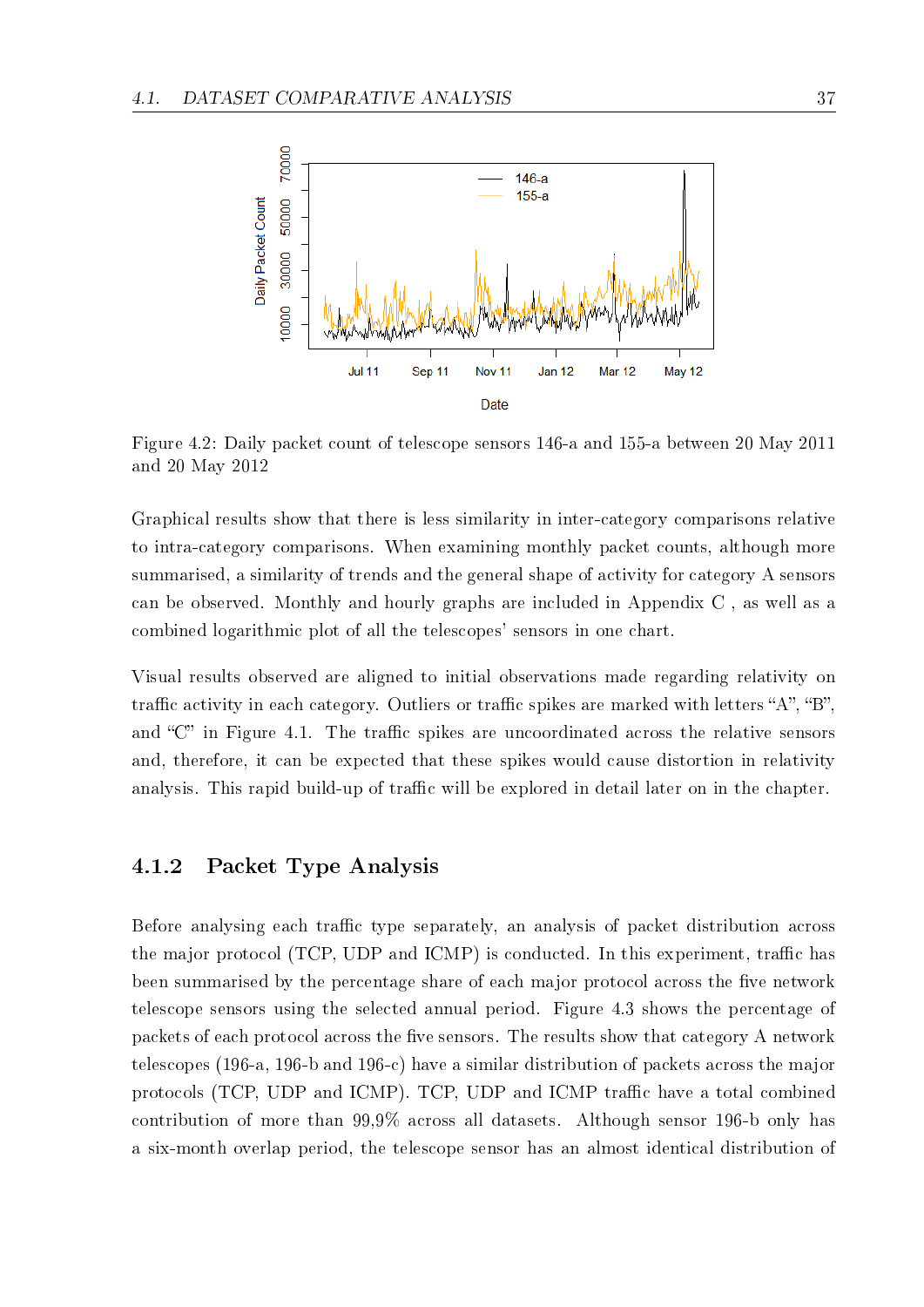

Figure 4.2: Daily packet count of telescope sensors 146-a and 155-a between 20 May 2011 and 20 May 2012

Graphical results show that there is less similarity in inter-category comparisons relative to intra-category comparisons. When examining monthly packet counts, although more summarised, a similarity of trends and the general shape of activity for category A sensors can be observed. Monthly and hourly graphs are included in Appendix C , as well as a combined logarithmic plot of all the telescopes' sensors in one chart.

Visual results observed are aligned to initial observations made regarding relativity on traffic activity in each category. Outliers or traffic spikes are marked with letters "A", "B". and "C" in Figure 4.1. The traffic spikes are uncoordinated across the relative sensors and, therefore, it can be expected that these spikes would cause distortion in relativity analysis. This rapid build-up of traffic will be explored in detail later on in the chapter.

#### 4.1.2 Packet Type Analysis

Before analysing each traffic type separately, an analysis of packet distribution across the major protocol (TCP, UDP and ICMP) is conducted. In this experiment, traffic has been summarised by the percentage share of each major protocol across the five network telescope sensors using the selected annual period. Figure 4.3 shows the percentage of packets of each protocol across the five sensors. The results show that category A network telescopes (196-a, 196-b and 196-c) have a similar distribution of packets across the major protocols (TCP, UDP and ICMP). TCP, UDP and ICMP traffic have a total combined contribution of more than 99,9% across all datasets. Although sensor 196-b only has a six-month overlap period, the telescope sensor has an almost identical distribution of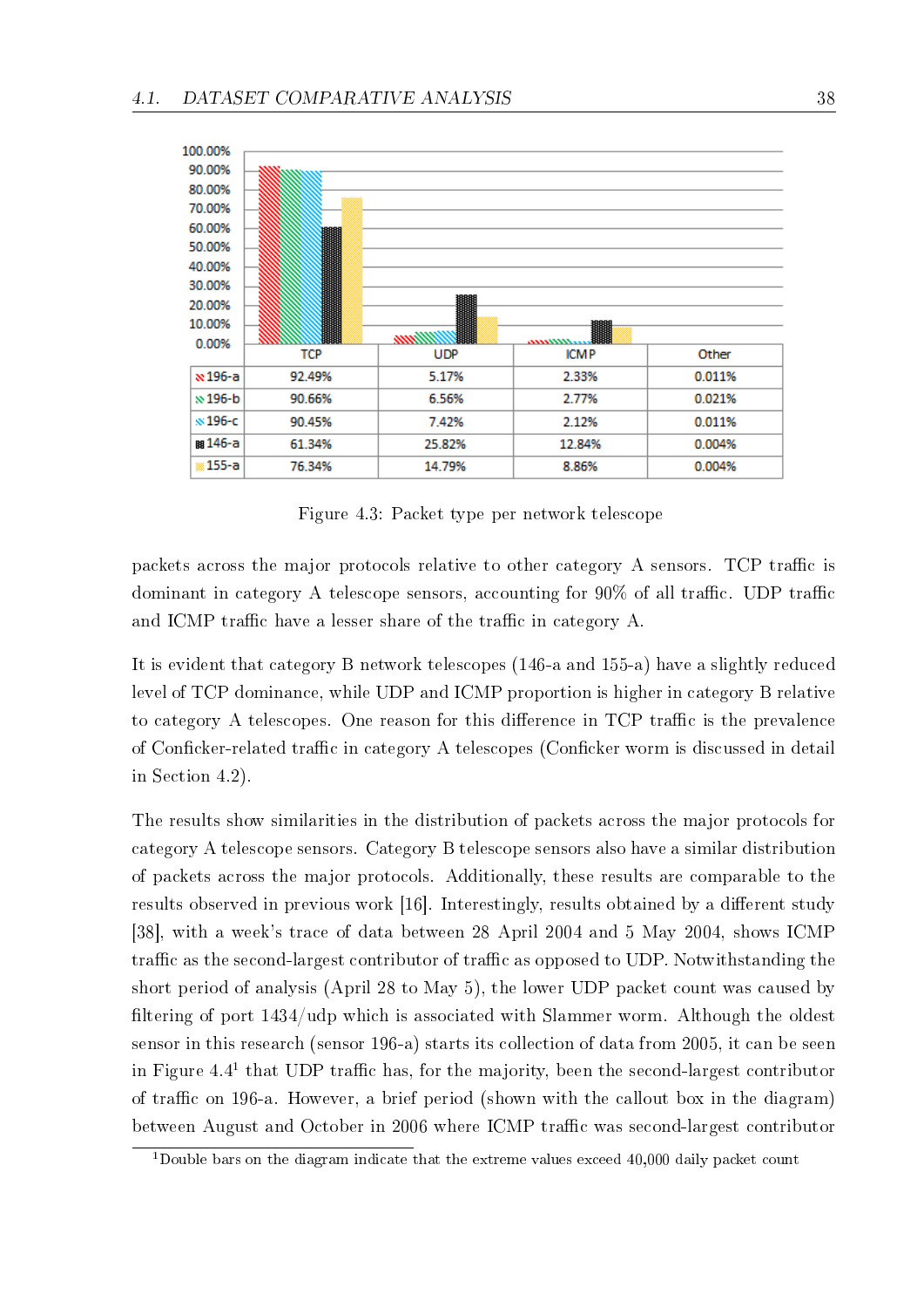

Figure 4.3: Packet type per network telescope

packets across the major protocols relative to other category A sensors. TCP traffic is dominant in category A telescope sensors, accounting for  $90\%$  of all traffic. UDP traffic and ICMP traffic have a lesser share of the traffic in category A.

It is evident that category B network telescopes (146-a and 155-a) have a slightly reduced level of TCP dominance, while UDP and ICMP proportion is higher in category B relative to category A telescopes. One reason for this difference in TCP traffic is the prevalence of Conficker-related traffic in category A telescopes (Conficker worm is discussed in detail in Section 4.2).

The results show similarities in the distribution of packets across the major protocols for category A telescope sensors. Category B telescope sensors also have a similar distribution of packets across the major protocols. Additionally, these results are comparable to the results observed in previous work [16]. Interestingly, results obtained by a different study [38], with a week's trace of data between 28 April 2004 and 5 May 2004, shows ICMP traffic as the second-largest contributor of traffic as opposed to UDP. Notwithstanding the short period of analysis (April 28 to May 5), the lower UDP packet count was caused by filtering of port  $1434/\text{udp}$  which is associated with Slammer worm. Although the oldest sensor in this research (sensor 196-a) starts its collection of data from 2005, it can be seen in Figure 4.4<sup>1</sup> that UDP traffic has, for the majority, been the second-largest contributor of traffic on 196-a. However, a brief period (shown with the callout box in the diagram) between August and October in 2006 where ICMP traffic was second-largest contributor

<sup>&</sup>lt;sup>1</sup>Double bars on the diagram indicate that the extreme values exceed  $40,000$  daily packet count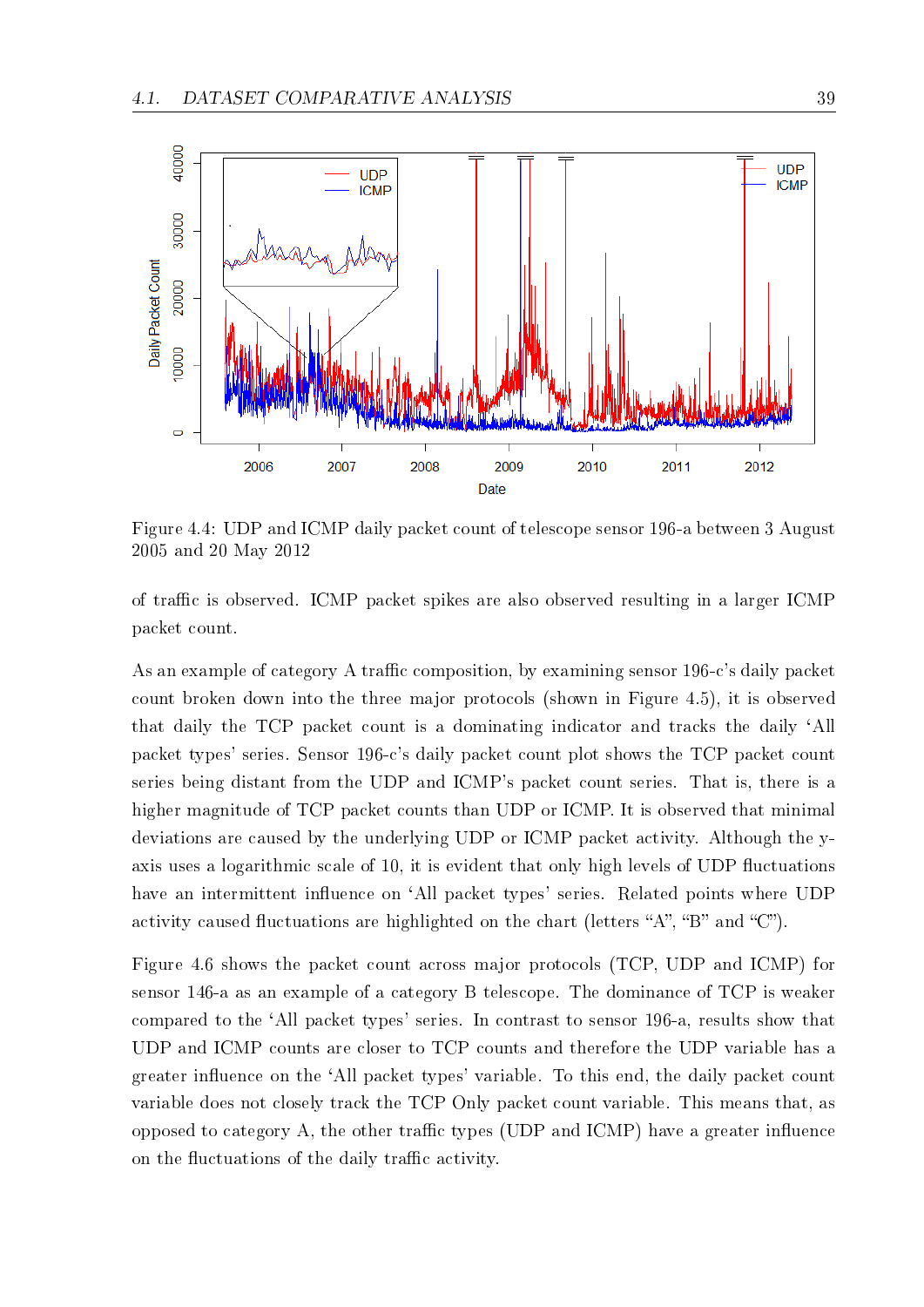

Figure 4.4: UDP and ICMP daily packet count of telescope sensor 196-a between 3 August 2005 and 20 May 2012

of traffic is observed. ICMP packet spikes are also observed resulting in a larger ICMP packet count.

As an example of category A traffic composition, by examining sensor  $196-c$ 's daily packet count broken down into the three major protocols (shown in Figure 4.5), it is observed that daily the TCP packet count is a dominating indicator and tracks the daily `All packet types' series. Sensor 196-c's daily packet count plot shows the TCP packet count series being distant from the UDP and ICMP's packet count series. That is, there is a higher magnitude of TCP packet counts than UDP or ICMP. It is observed that minimal deviations are caused by the underlying UDP or ICMP packet activity. Although the yaxis uses a logarithmic scale of 10, it is evident that only high levels of UDP fluctuations have an intermittent influence on 'All packet types' series. Related points where UDP activity caused fluctuations are highlighted on the chart (letters "A", "B" and "C").

Figure 4.6 shows the packet count across major protocols (TCP, UDP and ICMP) for sensor 146-a as an example of a category B telescope. The dominance of TCP is weaker compared to the `All packet types' series. In contrast to sensor 196-a, results show that UDP and ICMP counts are closer to TCP counts and therefore the UDP variable has a greater influence on the 'All packet types' variable. To this end, the daily packet count variable does not closely track the TCP Only packet count variable. This means that, as opposed to category A, the other traffic types (UDP and  $\text{ICMP}$ ) have a greater influence on the fluctuations of the daily traffic activity.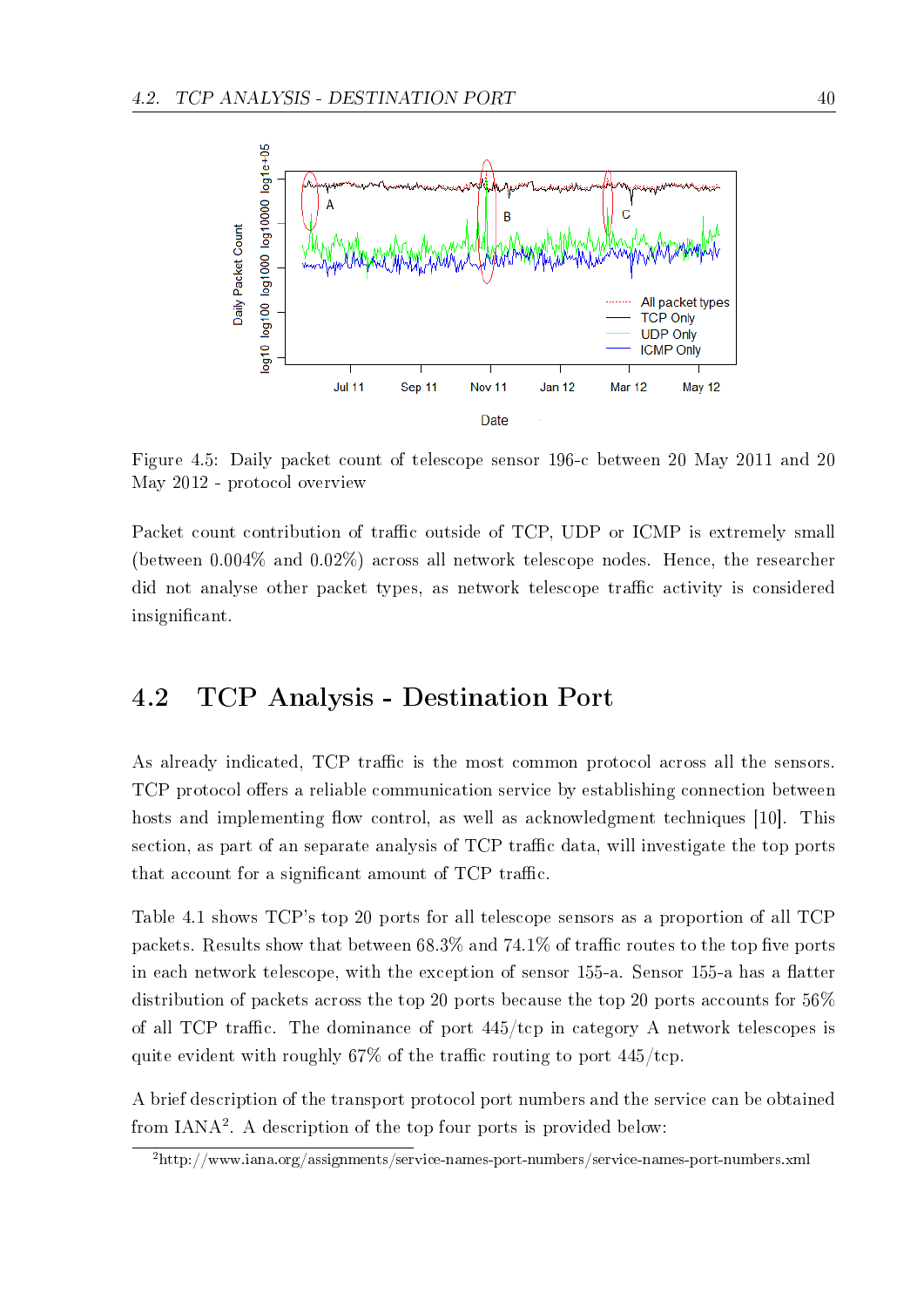

Figure 4.5: Daily packet count of telescope sensor 196-c between 20 May 2011 and 20 May 2012 - protocol overview

Packet count contribution of traffic outside of TCP, UDP or ICMP is extremely small (between 0.004% and 0.02%) across all network telescope nodes. Hence, the researcher did not analyse other packet types, as network telescope traffic activity is considered insignificant.

# 4.2 TCP Analysis - Destination Port

As already indicated, TCP traffic is the most common protocol across all the sensors. TCP protocol offers a reliable communication service by establishing connection between hosts and implementing flow control, as well as acknowledgment techniques  $[10]$ . This section, as part of an separate analysis of TCP traffic data, will investigate the top ports that account for a significant amount of TCP traffic.

Table 4.1 shows TCP's top 20 ports for all telescope sensors as a proportion of all TCP packets. Results show that between  $68.3\%$  and  $74.1\%$  of traffic routes to the top five ports in each network telescope, with the exception of sensor 155-a. Sensor 155-a has a flatter distribution of packets across the top 20 ports because the top 20 ports accounts for 56% of all TCP traffic. The dominance of port  $445/\text{top}$  in category A network telescopes is quite evident with roughly 67% of the traffic routing to port  $445/\text{tcp}$ .

A brief description of the transport protocol port numbers and the service can be obtained from IANA<sup>2</sup> . A description of the top four ports is provided below:

<sup>2</sup>http://www.iana.org/assignments/service-names-port-numbers/service-names-port-numbers.xml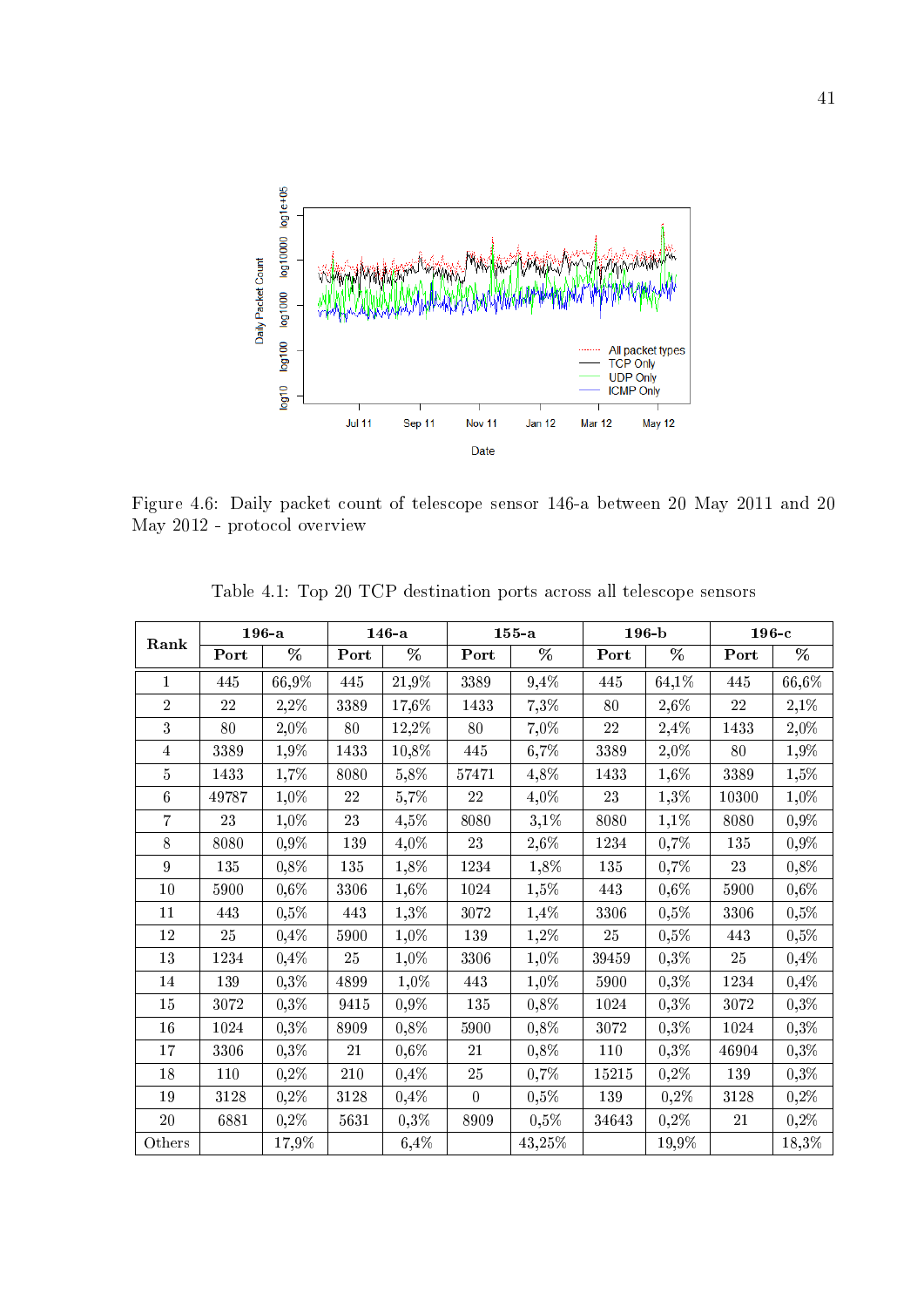

Figure 4.6: Daily packet count of telescope sensor 146-a between 20 May 2011 and 20 May 2012 - protocol overview

|                |          | $196 - a$ |         | $146-a$ |          | $155 - a$ |          | $196 - b$ | $196-c$ |           |
|----------------|----------|-----------|---------|---------|----------|-----------|----------|-----------|---------|-----------|
| Rank           | Port     | %         | Port    | %       | Port     | %         | Port     | %         | Port    | %         |
| $\mathbf{1}$   | 445      | 66,9%     | 445     | 21,9%   | 3389     | 9,4%      | 445      | 64,1%     | 445     | 66,6%     |
| $\overline{2}$ | 22       | $2,2\%$   | 3389    | 17,6%   | 1433     | 7,3%      | 80       | 2,6%      | 22      | 2,1%      |
| 3              | 80       | 2,0%      | 80      | 12,2%   | 80       | 7,0%      | 22       | 2,4%      | 1433    | $2,\!0\%$ |
| $\overline{4}$ | 3389     | 1,9%      | 1433    | 10,8%   | 445      | $6,7\%$   | 3389     | 2,0%      | 80      | 1,9%      |
| $\overline{5}$ | $1\,433$ | 1,7%      | 8080    | 5,8%    | 57471    | 4,8%      | 1433     | 1,6%      | 3389    | 1,5%      |
| 6              | 49787    | 1,0%      | 22      | 5,7%    | 22       | 4,0%      | 23       | 1,3%      | 10300   | 1,0%      |
| $\overline{7}$ | 23       | 1,0%      | $23\,$  | $4,5\%$ | 8080     | $3,1\%$   | 8080     | 1,1%      | 8080    | 0,9%      |
| 8              | 8080     | $0,9\%$   | 139     | 4,0%    | 23       | $2,\!6\%$ | 1234     | 0,7%      | 135     | 0,9%      |
| $\overline{9}$ | 135      | $0,8\%$   | $135\,$ | 1,8%    | 1234     | 1,8%      | 135      | 0,7%      | 23      | 0,8%      |
| $10\,$         | 5900     | $0,6\%$   | 3306    | 1,6%    | $1024\,$ | $1,5\%$   | 443      | $0,6\%$   | 5900    | $0,6\%$   |
| 11             | 443      | $0,5\%$   | 443     | $1,3\%$ | 3072     | 1,4%      | 3306     | 0,5%      | 3306    | 0,5%      |
| 12             | 25       | 0,4%      | 5900    | $1,0\%$ | 139      | 1,2%      | $25\,$   | $0,5\%$   | 443     | 0,5%      |
| 13             | 1234     | 0,4%      | 25      | $1,0\%$ | 3306     | 1,0%      | 39459    | 0,3%      | 25      | 0,4%      |
| 14             | 139      | $0,3\%$   | 4899    | 1,0%    | 443      | $1,0\%$   | 5900     | 0,3%      | 1234    | 0,4%      |
| 15             | 3072     | $0,3\%$   | 9415    | $0,9\%$ | 135      | $0,8\%$   | $1024\,$ | 0,3%      | 3072    | 0,3%      |
| 16             | 1024     | $0,3\%$   | 8909    | 0,8%    | 5900     | $0,8\%$   | 3072     | 0,3%      | 1024    | 0,3%      |
| 17             | 3306     | $0,3\%$   | 21      | $0,6\%$ | 21       | $0,8\%$   | 110      | 0,3%      | 46904   | 0,3%      |
| 18             | 110      | $0,2\%$   | 210     | 0,4%    | 25       | 0,7%      | 15215    | $0,2\%$   | 139     | 0,3%      |
| 19             | 3128     | $0,2\%$   | 3128    | 0,4%    | $\Omega$ | $0,5\%$   | 139      | 0,2%      | 3128    | 0,2%      |
| $20\,$         | 6881     | $0,2\%$   | 5631    | 0,3%    | 8909     | $0,5\%$   | 34643    | $0,2\%$   | 21      | 0,2%      |
| Others         |          | 17,9%     |         | 6,4%    |          | 43,25%    |          | 19,9%     |         | 18,3%     |

Table 4.1: Top 20 TCP destination ports across all telescope sensors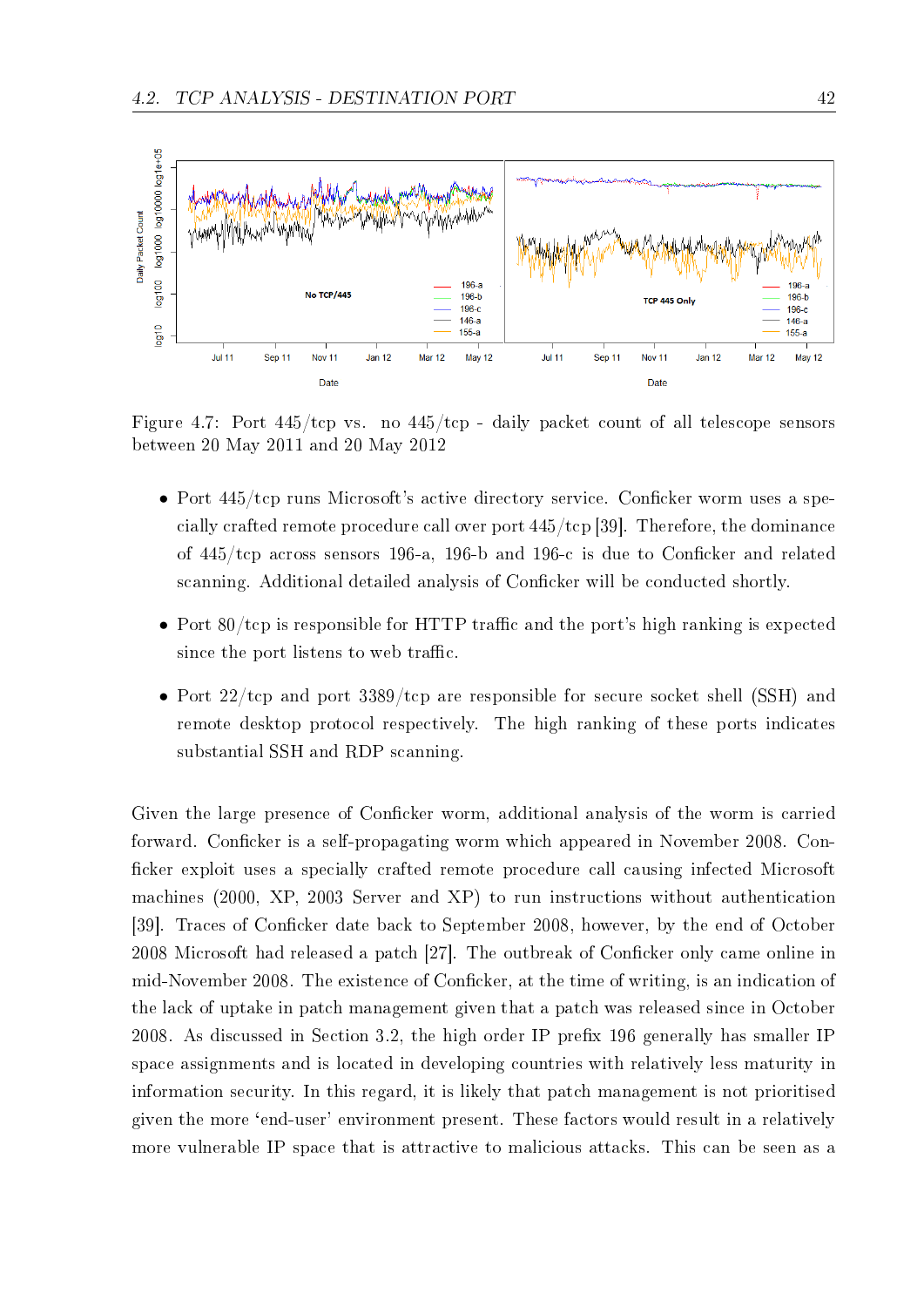

Figure 4.7: Port 445/tcp vs. no 445/tcp - daily packet count of all telescope sensors between 20 May 2011 and 20 May 2012

- Port  $445/\text{top}$  runs Microsoft's active directory service. Conficker worm uses a specially crafted remote procedure call over port 445/tcp [39]. Therefore, the dominance of  $445/\text{top}$  across sensors 196-a, 196-b and 196-c is due to Conficker and related scanning. Additional detailed analysis of Conficker will be conducted shortly.
- Port  $80/\text{top}$  is responsible for HTTP traffic and the port's high ranking is expected since the port listens to web traffic.
- Port 22/tcp and port 3389/tcp are responsible for secure socket shell (SSH) and remote desktop protocol respectively. The high ranking of these ports indicates substantial SSH and RDP scanning.

Given the large presence of Conficker worm, additional analysis of the worm is carried forward. Conficker is a self-propagating worm which appeared in November 2008. Conficker exploit uses a specially crafted remote procedure call causing infected Microsoft machines (2000, XP, 2003 Server and XP) to run instructions without authentication [39]. Traces of Conficker date back to September 2008, however, by the end of October  $2008$  Microsoft had released a patch  $[27]$ . The outbreak of Conficker only came online in mid-November 2008. The existence of Conficker, at the time of writing, is an indication of the lack of uptake in patch management given that a patch was released since in October 2008. As discussed in Section 3.2, the high order IP prefix 196 generally has smaller IP space assignments and is located in developing countries with relatively less maturity in information security. In this regard, it is likely that patch management is not prioritised given the more `end-user' environment present. These factors would result in a relatively more vulnerable IP space that is attractive to malicious attacks. This can be seen as a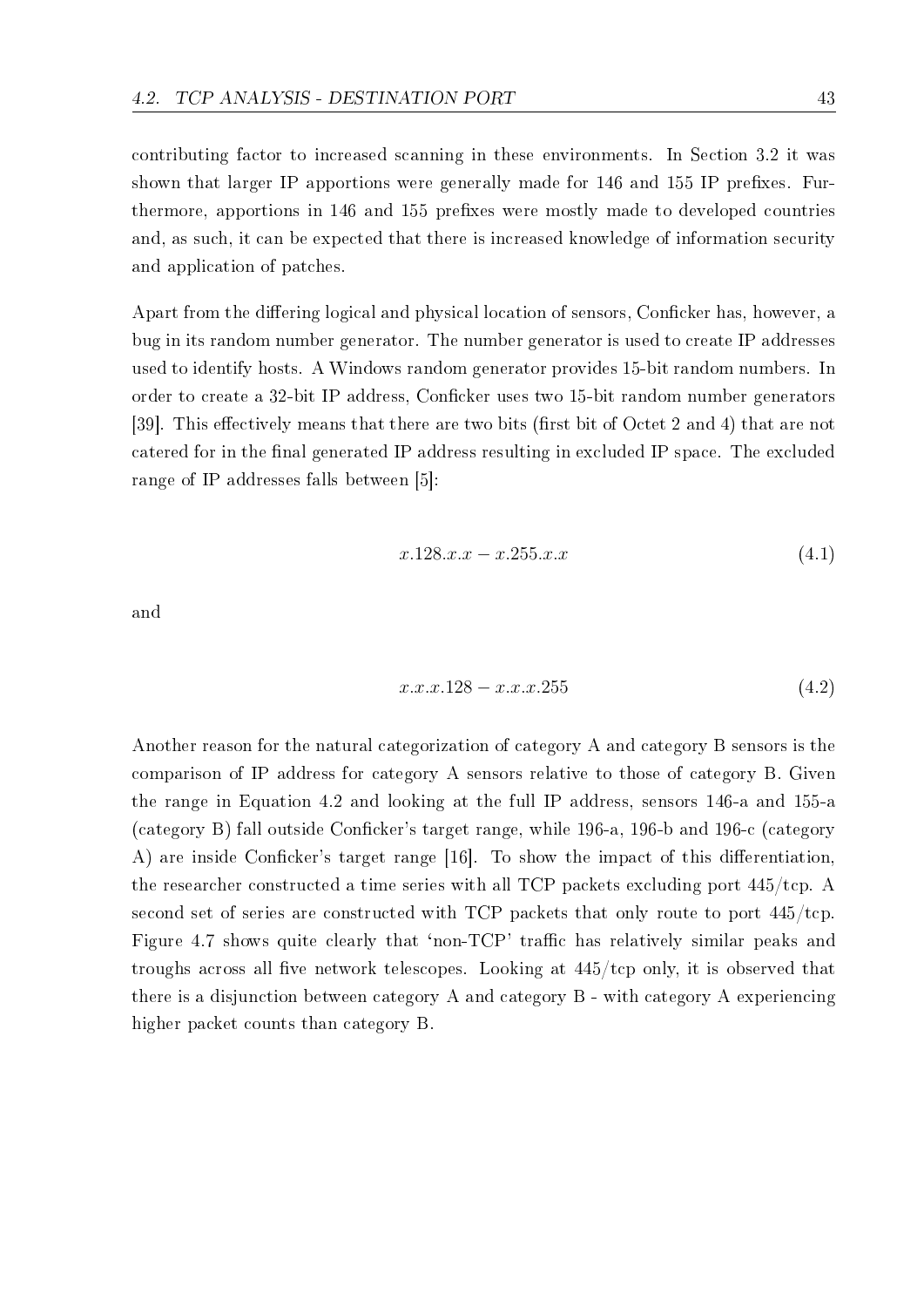contributing factor to increased scanning in these environments. In Section 3.2 it was shown that larger IP apportions were generally made for 146 and 155 IP prefixes. Furthermore, apportions in 146 and 155 prefixes were mostly made to developed countries and, as such, it can be expected that there is increased knowledge of information security and application of patches.

Apart from the differing logical and physical location of sensors, Conficker has, however, a bug in its random number generator. The number generator is used to create IP addresses used to identify hosts. A Windows random generator provides 15-bit random numbers. In order to create a 32-bit IP address, Conficker uses two 15-bit random number generators [39]. This effectively means that there are two bits (first bit of Octet 2 and 4) that are not catered for in the final generated IP address resulting in excluded IP space. The excluded range of IP addresses falls between [5]:

$$
x.128. x.x - x.255. x.x \tag{4.1}
$$

and

$$
x.x.x.128 - x.x.x.255 \t\t(4.2)
$$

Another reason for the natural categorization of category A and category B sensors is the comparison of IP address for category A sensors relative to those of category B. Given the range in Equation 4.2 and looking at the full IP address, sensors 146-a and 155-a (category B) fall outside Conficker's target range, while  $196-a$ ,  $196-b$  and  $196-c$  (category A) are inside Conficker's target range  $[16]$ . To show the impact of this differentiation, the researcher constructed a time series with all TCP packets excluding port 445/tcp. A second set of series are constructed with TCP packets that only route to port 445/tcp. Figure 4.7 shows quite clearly that 'non-TCP' traffic has relatively similar peaks and troughs across all five network telescopes. Looking at  $445/\text{top}$  only, it is observed that there is a disjunction between category A and category B - with category A experiencing higher packet counts than category B.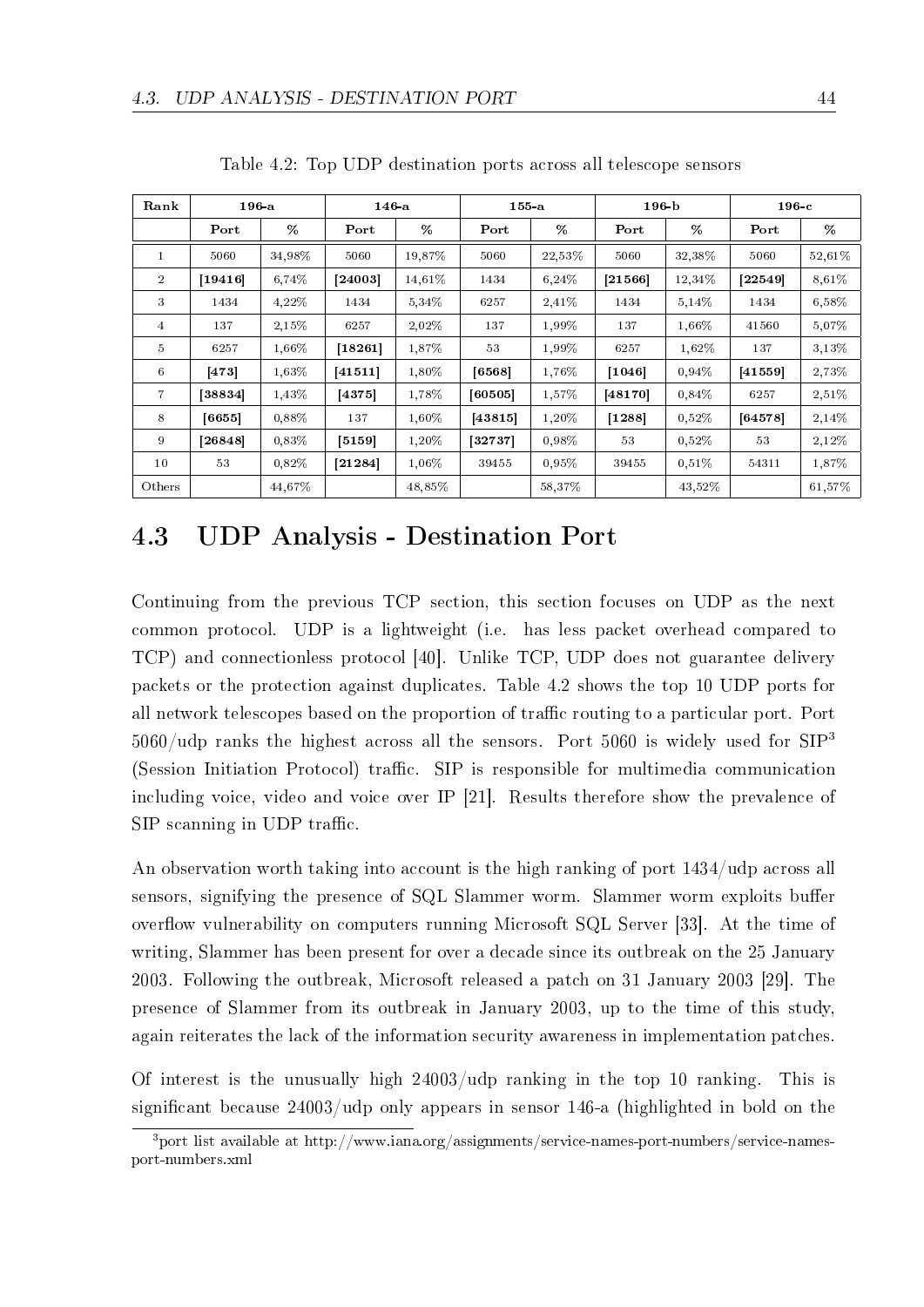| Rank            | 196a      |        | 146a    |        | $155$ -a  |        | 196 <sub>b</sub> |          | 196c    |        |
|-----------------|-----------|--------|---------|--------|-----------|--------|------------------|----------|---------|--------|
|                 | Port      | %      | Port    | %      | Port      | %      | Port             | %        | Port    | %      |
| $\mathbf{1}$    | 5060      | 34.98% | 5060    | 19,87% | 5060      | 22,53% | 5060             | 32,38%   | 5060    | 52,61% |
| $\overline{2}$  | $[19416]$ | 6.74%  | [24003] | 14.61% | 1434      | 6,24%  | [21566]          | 12.34\%  | [22549] | 8,61%  |
| 3               | 1434      | 4,22%  | 1434    | 5.34%  | 6257      | 2,41%  | 1434             | 5,14%    | 1434    | 6,58%  |
| $\overline{4}$  | 137       | 2,15%  | 6257    | 2,02%  | 137       | 1,99%  | 137              | 1.66%    | 41560   | 5,07%  |
| $5\phantom{.0}$ | 6257      | 1.66%  | [18261] | 1.87%  | 53        | 1.99%  | 6257             | 1,62%    | 137     | 3.13%  |
| 6               | 473       | 1.63%  | [41511] | 1.80%  | [6568]    | 1,76%  | $[1046]$         | 0.94%    | [41559] | 2,73%  |
| $\overline{7}$  | [38834]   | 1.43\% | 4375    | 1.78%  | [60505]   | 1.57%  | [48170]          | 0,84%    | 6257    | 2,51%  |
| 8               | [6655]    | 0.88%  | 137     | 1.60%  | [43815]   | 1,20%  | [1288]           | 0.52%    | 64578   | 2,14%  |
| 9               | [26848]   | 0,83%  | [5159]  | 1,20%  | $[32737]$ | 0,98%  | 53               | 0.52%    | 53      | 2,12%  |
| 10              | 53        | 0.82%  | 21284   | 1.06%  | 39455     | 0.95%  | 39455            | $0.51\%$ | 54311   | 1,87%  |
| Others          |           | 44.67% |         | 48,85% |           | 58,37% |                  | 43,52%   |         | 61,57% |

Table 4.2: Top UDP destination ports across all telescope sensors

# 4.3 UDP Analysis - Destination Port

Continuing from the previous TCP section, this section focuses on UDP as the next common protocol. UDP is a lightweight (i.e. has less packet overhead compared to TCP) and connectionless protocol [40]. Unlike TCP, UDP does not guarantee delivery packets or the protection against duplicates. Table 4.2 shows the top 10 UDP ports for all network telescopes based on the proportion of traffic routing to a particular port. Port  $5060/\text{udp}$  ranks the highest across all the sensors. Port 5060 is widely used for SIP<sup>3</sup> (Session Initiation Protocol) traffic. SIP is responsible for multimedia communication including voice, video and voice over IP [21]. Results therefore show the prevalence of  $SIP$  scanning in UDP traffic.

An observation worth taking into account is the high ranking of port 1434/udp across all sensors, signifying the presence of SQL Slammer worm. Slammer worm exploits buffer overflow vulnerability on computers running Microsoft SQL Server [33]. At the time of writing, Slammer has been present for over a decade since its outbreak on the 25 January 2003. Following the outbreak, Microsoft released a patch on 31 January 2003 [29]. The presence of Slammer from its outbreak in January 2003, up to the time of this study, again reiterates the lack of the information security awareness in implementation patches.

Of interest is the unusually high 24003/udp ranking in the top 10 ranking. This is significant because 24003/udp only appears in sensor 146-a (highlighted in bold on the

 $3$ port list available at http://www.iana.org/assignments/service-names-port-numbers/service-namesport-numbers.xml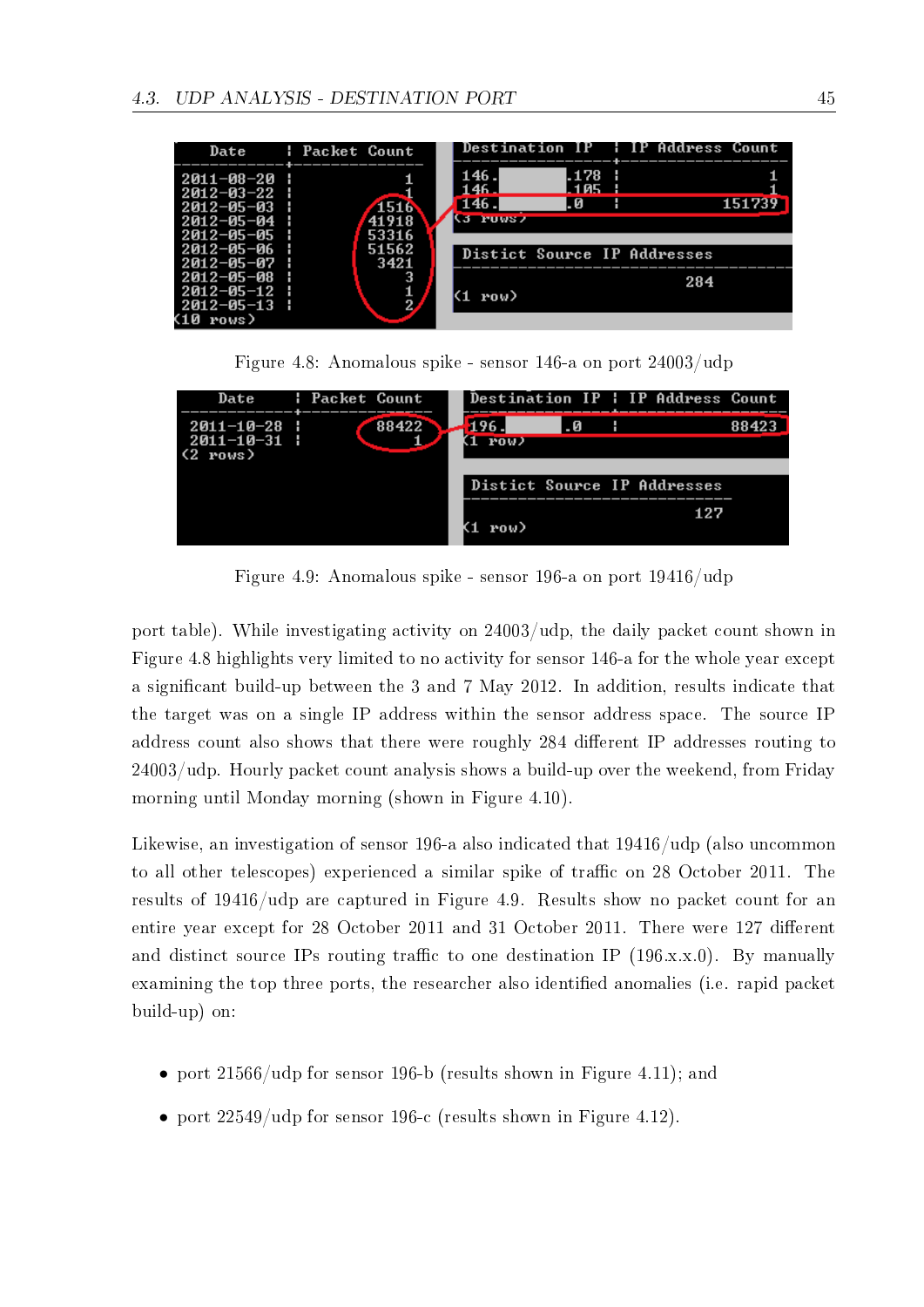|                                                                                              | Date : Packet Count    |                                            |                       | Destination IP : IP Address Count |        |
|----------------------------------------------------------------------------------------------|------------------------|--------------------------------------------|-----------------------|-----------------------------------|--------|
| $2011 - 08 - 20$<br>$2012 - 03 - 22$ :<br>$2012 - 05 - 03$<br>$2012 - 05 - 04$<br>2012-05-05 | 1516<br>41918<br>53316 | 146.<br>146 J<br>146.<br><b>Manipulars</b> | . 178<br>1 Q 5<br>. И |                                   | 151739 |
| 2012-05-06<br>2012-05-07                                                                     | 51562<br>3421          |                                            |                       | Distict Source IP Addresses       |        |
| $2012 - 05 - 08$<br>2012-05-12<br>$2012 - 05 - 13$<br>rows)                                  | 3<br>$\frac{1}{2}$     | row)                                       |                       | 284                               |        |



| Date                                                   | : Packet Count |       |             |   | Destination IP   IP Address Count |  |
|--------------------------------------------------------|----------------|-------|-------------|---|-----------------------------------|--|
| $2011 - 10 - 28$<br>2011-10-31  <br>$(2 \text{ rows})$ |                | 88422 | 196<br>POW) | Й |                                   |  |
|                                                        |                |       |             |   | Distict Source IP Addresses       |  |
|                                                        |                |       | row)        |   |                                   |  |

Figure 4.9: Anomalous spike - sensor 196-a on port 19416/udp

port table). While investigating activity on 24003/udp, the daily packet count shown in Figure 4.8 highlights very limited to no activity for sensor 146-a for the whole year except a signicant build-up between the 3 and 7 May 2012. In addition, results indicate that the target was on a single IP address within the sensor address space. The source IP address count also shows that there were roughly 284 different IP addresses routing to 24003/udp. Hourly packet count analysis shows a build-up over the weekend, from Friday morning until Monday morning (shown in Figure 4.10).

Likewise, an investigation of sensor 196-a also indicated that 19416/udp (also uncommon to all other telescopes) experienced a similar spike of traffic on 28 October 2011. The results of 19416/udp are captured in Figure 4.9. Results show no packet count for an entire year except for 28 October 2011 and 31 October 2011. There were 127 different and distinct source IPs routing traffic to one destination IP  $(196.x.x.0)$ . By manually examining the top three ports, the researcher also identified anomalies (i.e. rapid packet build-up) on:

- port 21566/udp for sensor 196-b (results shown in Figure 4.11); and
- port  $22549/\text{udp}$  for sensor 196-c (results shown in Figure 4.12).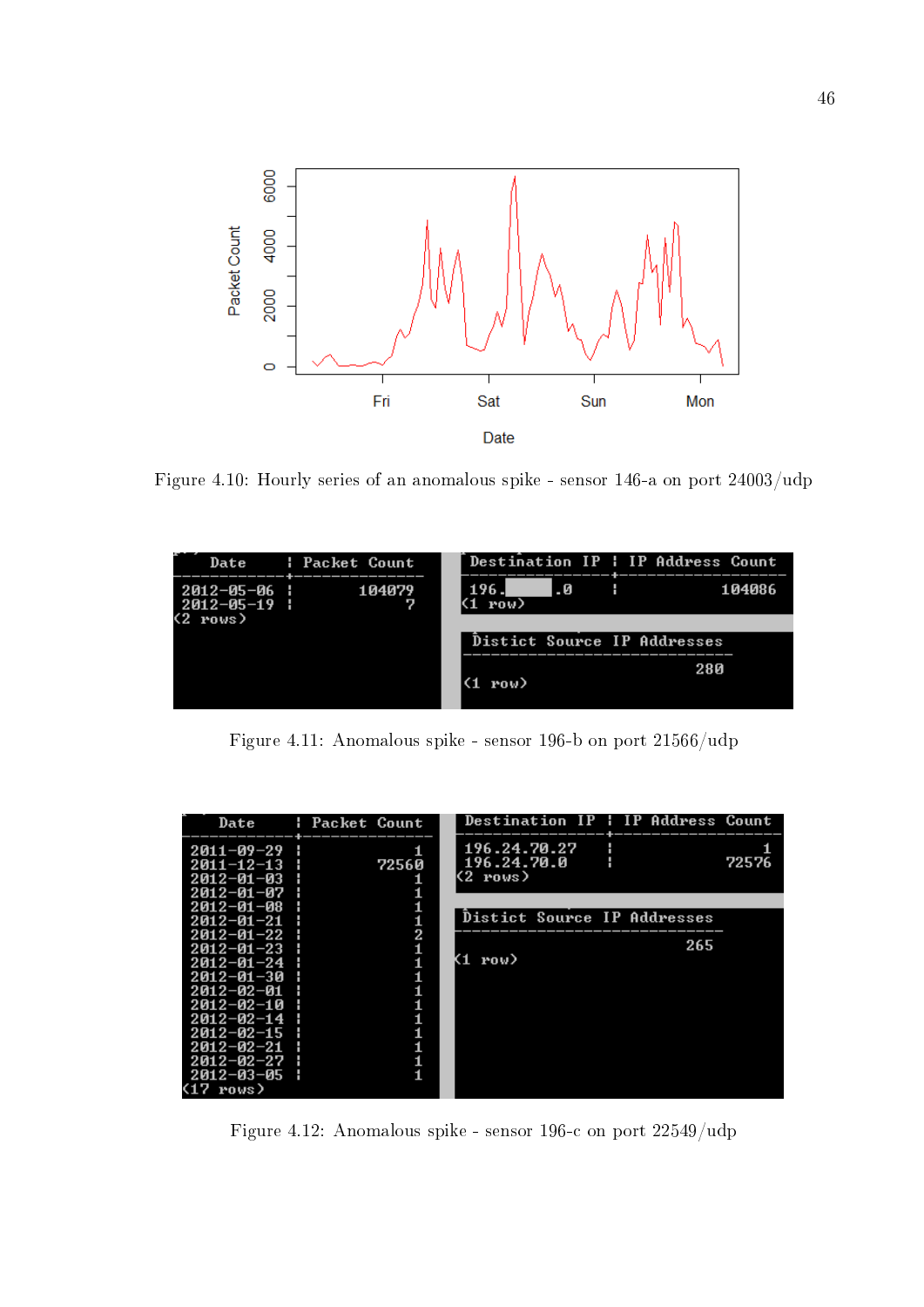

Figure 4.10: Hourly series of an anomalous spike - sensor 146-a on port 24003/udp

|                            | Date : Packet Count |               |     | Destination IP : IP Address Count |        |
|----------------------------|---------------------|---------------|-----|-----------------------------------|--------|
| 2012-05-06  <br>2012-05-19 | 104079              | 196 J<br>row) | . 0 |                                   | 104086 |
| (2 rows)                   |                     |               |     |                                   |        |
|                            |                     |               |     | Distict Source IP Addresses       |        |
|                            |                     |               |     | 280                               |        |
|                            |                     | (1 row)       |     |                                   |        |
|                            |                     |               |     |                                   |        |

Figure 4.11: Anomalous spike - sensor 196-b on port 21566/udp

| Date                                                       | : Packet Count | Destination IP : IP Address Count                |
|------------------------------------------------------------|----------------|--------------------------------------------------|
| 2011-09-29<br>$2011 - 12 - 13$<br>2012-01-03<br>2012-01-07 | 1<br>72560     | 196.24.70.27<br>196.24.70.0<br>72576<br>K2 rows) |
| $2012 - 01 - 08$<br>$2012 - 01 - 21$<br>$2012 - 01 - 22$   | 2              | Distict Source IP Addresses                      |
| $2012 - 01 - 23$<br>$2012 - 01 - 24$                       |                | 265<br>K1 row)                                   |
| $2012 - 01 - 30$<br>$2012 - 02 - 01$<br>$2012 - 02 - 10$   |                |                                                  |
| $2012 - 02 - 14$<br>$2012 - 02 - 15$<br>2012-02-21         |                |                                                  |
| $2012 - 02 - 27$<br>2012-03-05<br>$(17$ rows)              |                |                                                  |

Figure 4.12: Anomalous spike - sensor 196-c on port 22549/udp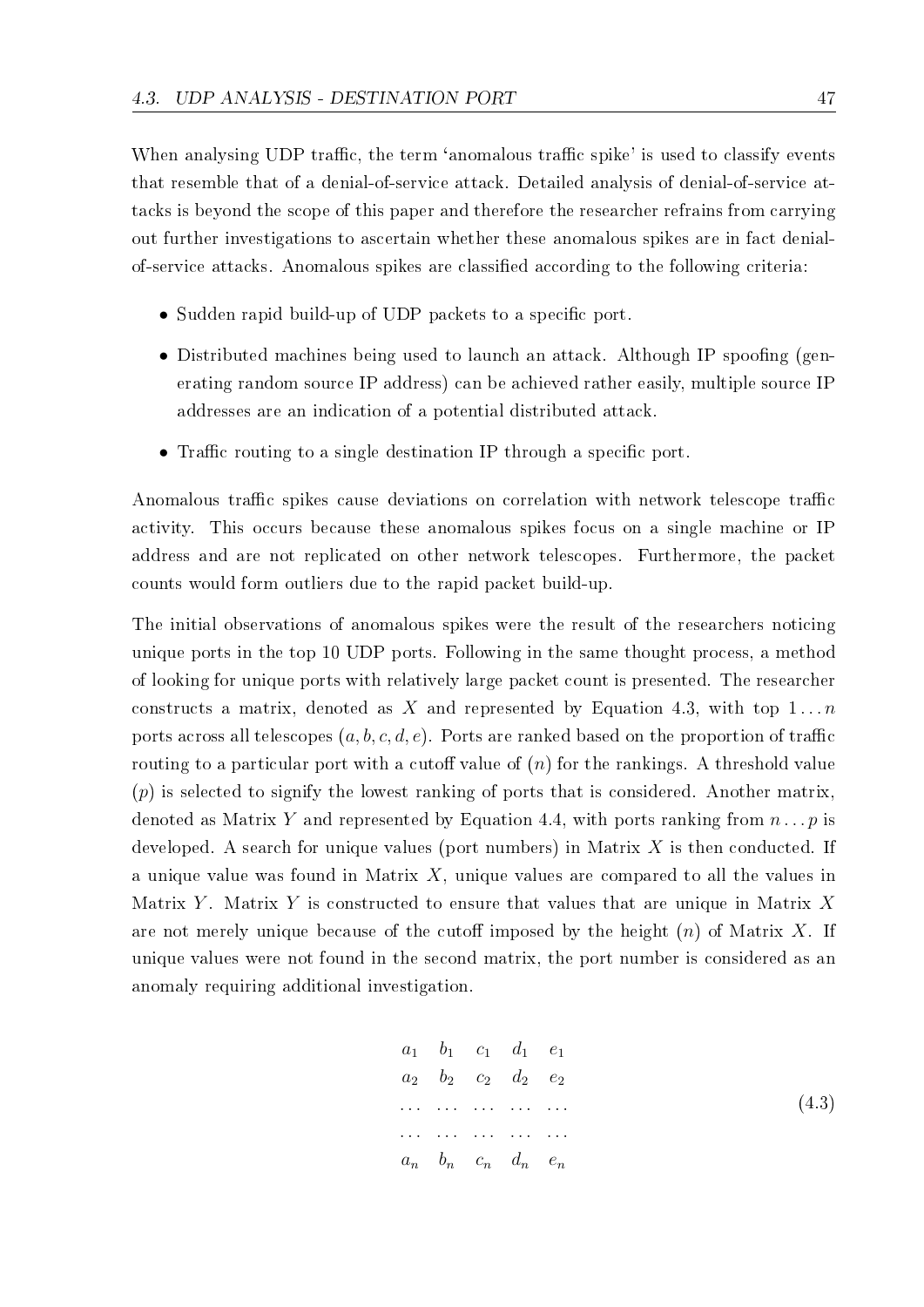When analysing UDP traffic, the term 'anomalous traffic spike' is used to classify events that resemble that of a denial-of-service attack. Detailed analysis of denial-of-service attacks is beyond the scope of this paper and therefore the researcher refrains from carrying out further investigations to ascertain whether these anomalous spikes are in fact denialof-service attacks. Anomalous spikes are classied according to the following criteria:

- Sudden rapid build-up of UDP packets to a specific port.
- Distributed machines being used to launch an attack. Although IP spoofing (generating random source IP address) can be achieved rather easily, multiple source IP addresses are an indication of a potential distributed attack.
- Traffic routing to a single destination IP through a specific port.

Anomalous traffic spikes cause deviations on correlation with network telescope traffic activity. This occurs because these anomalous spikes focus on a single machine or IP address and are not replicated on other network telescopes. Furthermore, the packet counts would form outliers due to the rapid packet build-up.

The initial observations of anomalous spikes were the result of the researchers noticing unique ports in the top 10 UDP ports. Following in the same thought process, a method of looking for unique ports with relatively large packet count is presented. The researcher constructs a matrix, denoted as X and represented by Equation 4.3, with top  $1 \dots n$ ports across all telescopes  $(a, b, c, d, e)$ . Ports are ranked based on the proportion of traffic routing to a particular port with a cutoff value of  $(n)$  for the rankings. A threshold value (*p*) is selected to signify the lowest ranking of ports that is considered. Another matrix, denoted as Matrix *Y* and represented by Equation 4.4, with ports ranking from *n . . . p* is developed. A search for unique values (port numbers) in Matrix *X* is then conducted. If a unique value was found in Matrix *X*, unique values are compared to all the values in Matrix *Y* . Matrix *Y* is constructed to ensure that values that are unique in Matrix *X* are not merely unique because of the cutoff imposed by the height  $(n)$  of Matrix X. If unique values were not found in the second matrix, the port number is considered as an anomaly requiring additional investigation.

$$
a_1 \t b_1 \t c_1 \t d_1 \t e_1
$$
  
\n
$$
a_2 \t b_2 \t c_2 \t d_2 \t e_2
$$
  
\n... ... ...  
\n
$$
a_n \t b_n \t c_n \t d_n \t e_n
$$
  
\n(4.3)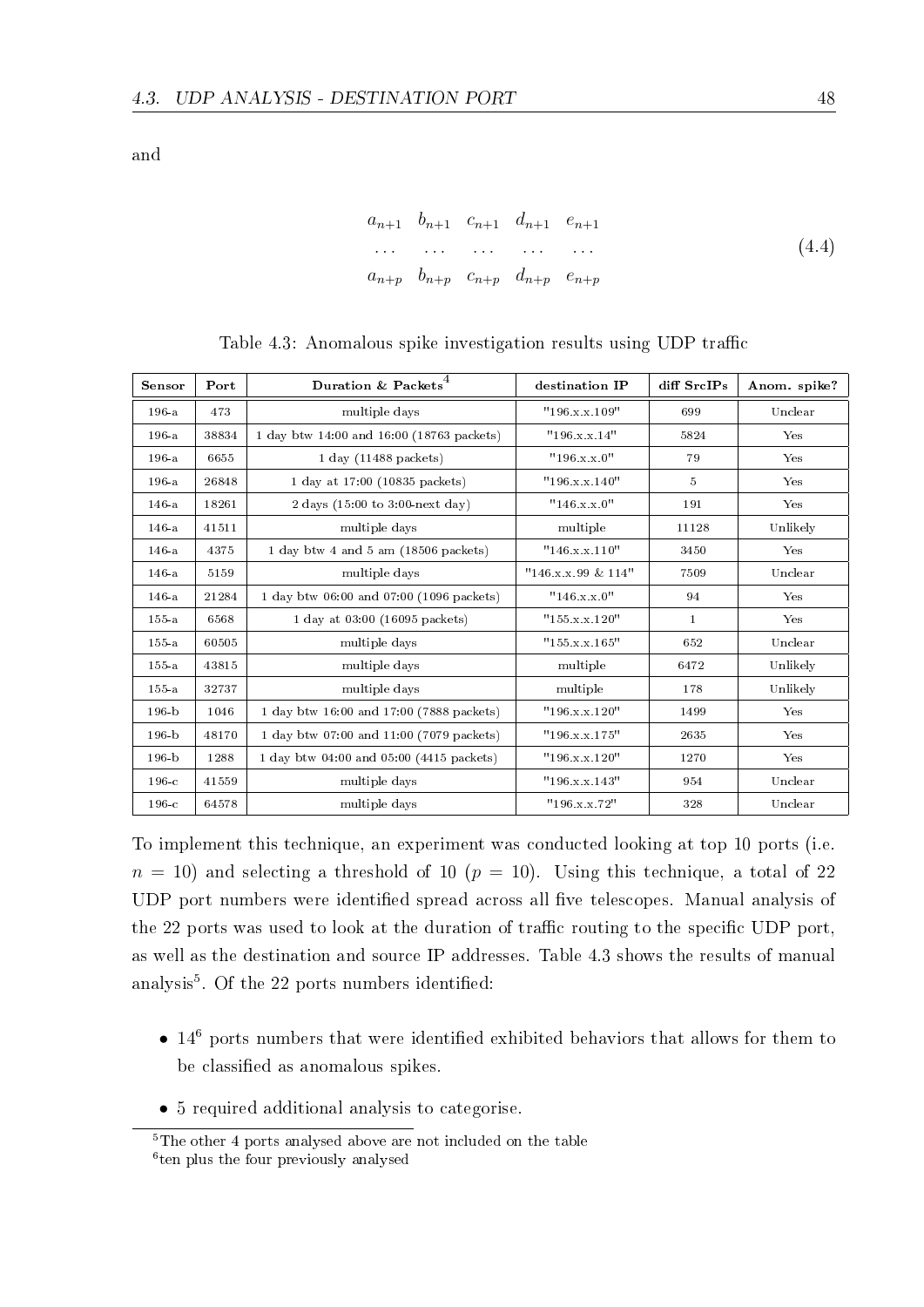and

$$
a_{n+1} \t b_{n+1} \t c_{n+1} \t d_{n+1} \t e_{n+1}
$$
  
\n... ... ... ...  
\n
$$
a_{n+p} \t b_{n+p} \t c_{n+p} \t d_{n+p} \t e_{n+p}
$$
  
\n(4.4)

| Sensor    | Port  | Duration & Packets <sup>4</sup>                    | destination IP        | diff SrcIPs    | Anom. spike? |
|-----------|-------|----------------------------------------------------|-----------------------|----------------|--------------|
| $196-a$   | 473   | multiple days                                      | "196.x.x.109"         | 699            | Unclear      |
| $196-a$   | 38834 | 1 day btw 14:00 and 16:00 (18763 packets)          | "196.x.x.14"          | 5824           | Yes          |
| $196-a$   | 6655  | $1$ day $(11488$ packets)                          | "196.x.x.0"           | 79             | Yes          |
| $196-a$   | 26848 | 1 day at 17:00 (10835 packets)                     | "196.x.x.140"         | $\overline{5}$ | Yes          |
| $146-a$   | 18261 | 2 days $(15:00 \text{ to } 3:00 \text{ next day})$ | "146.x.x.0"           | 191            | Yes          |
| $146-a$   | 41511 | multiple days                                      | multiple              | 11128          | Unlikely     |
| $146-a$   | 4375  | 1 day btw 4 and 5 am (18506 packets)               | "146.x.x.110"         | 3450           | Yes          |
| $146-a$   | 5159  | multiple days                                      | $"146.x.x.99 \& 114"$ | 7509           | Unclear      |
| $146-a$   | 21284 | 1 day btw 06:00 and 07:00 (1096 packets)           | "146.x.x.0"           | 94             | Yes          |
| $155-a$   | 6568  | 1 day at $03:00$ (16095 packets)                   | "155.x.x.120"         | $\mathbf{1}$   | Yes          |
| $155-a$   | 60505 | multiple days                                      | "155.x.x.165"         | 652            | Unclear      |
| $155-a$   | 43815 | multiple days                                      | multiple              | 6472           | Unlikely     |
| $155-a$   | 32737 | multiple days                                      | multiple              | 178            | Unlikely     |
| $196 - b$ | 1046  | 1 day btw 16:00 and 17:00 (7888 packets)           | "196.x.x.120"         | 1499           | Yes          |
| $196 - b$ | 48170 | 1 day btw 07:00 and 11:00 (7079 packets)           | "196.x.x.175"         | 2635           | Yes          |
| $196 - b$ | 1288  | 1 day btw 04:00 and 05:00 (4415 packets)           | "196.x.x.120"         | 1270           | Yes          |
| $196-c$   | 41559 | multiple days                                      | "196.x.x.143"         | 954            | Unclear      |
| $196-c$   | 64578 | multiple days                                      | "196.x.x.72"          | 328            | Unclear      |

Table 4.3: Anomalous spike investigation results using UDP traffic

To implement this technique, an experiment was conducted looking at top 10 ports (i.e.  $n = 10$ ) and selecting a threshold of 10 ( $p = 10$ ). Using this technique, a total of 22 UDP port numbers were identified spread across all five telescopes. Manual analysis of the 22 ports was used to look at the duration of traffic routing to the specific UDP port. as well as the destination and source IP addresses. Table 4.3 shows the results of manual analysis<sup>5</sup>. Of the 22 ports numbers identified:

- 14<sup>6</sup> ports numbers that were identified exhibited behaviors that allows for them to be classified as anomalous spikes.
- *•* 5 required additional analysis to categorise.

 $\sqrt[5]{\text{The other 4 ports}}$  analysed above are not included on the table 6 ten plus the four previously analysed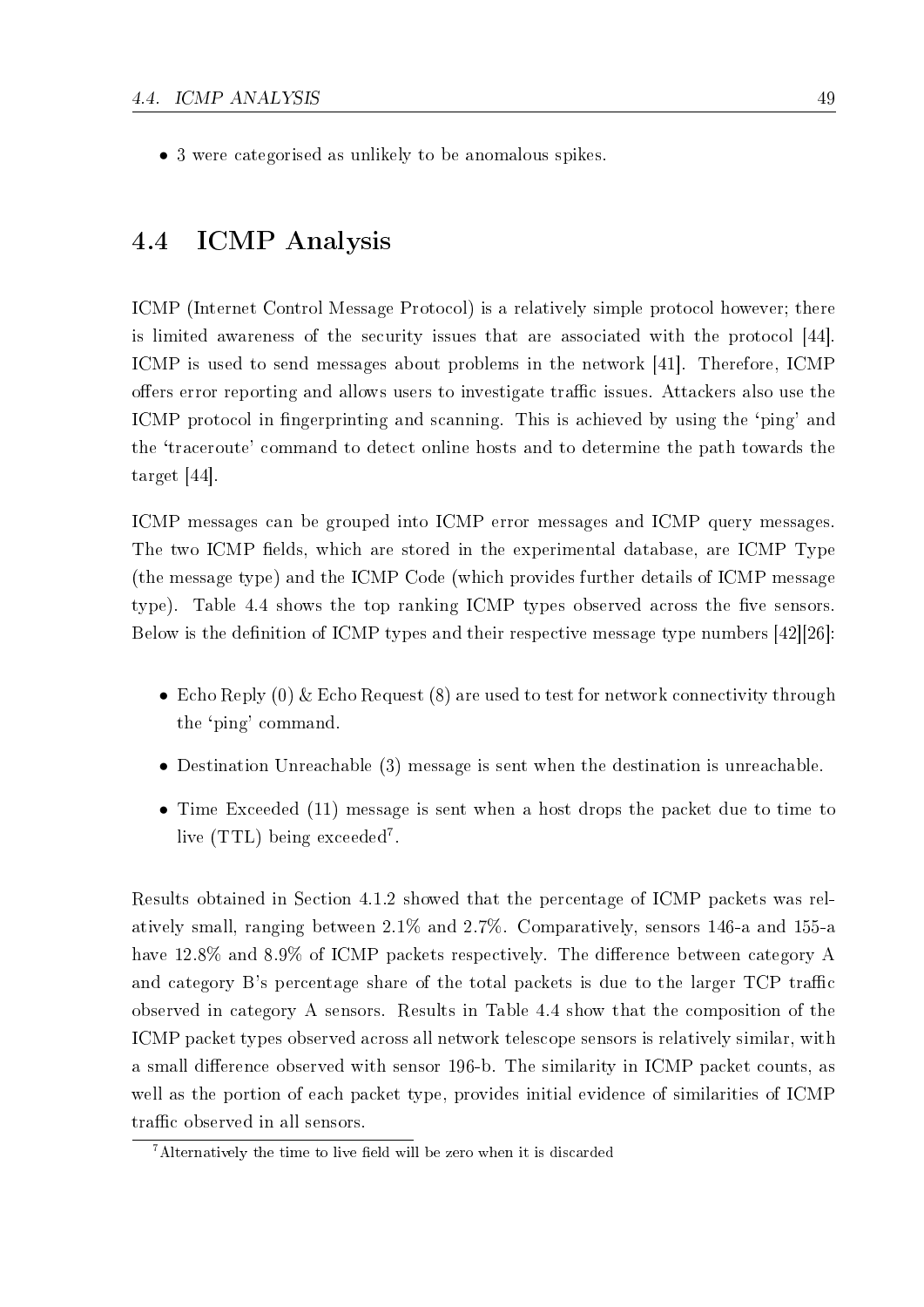*•* 3 were categorised as unlikely to be anomalous spikes.

## 4.4 ICMP Analysis

ICMP (Internet Control Message Protocol) is a relatively simple protocol however; there is limited awareness of the security issues that are associated with the protocol [44]. ICMP is used to send messages about problems in the network [41]. Therefore, ICMP offers error reporting and allows users to investigate traffic issues. Attackers also use the ICMP protocol in fingerprinting and scanning. This is achieved by using the 'ping' and the `traceroute' command to detect online hosts and to determine the path towards the target [44].

ICMP messages can be grouped into ICMP error messages and ICMP query messages. The two ICMP fields, which are stored in the experimental database, are ICMP Type (the message type) and the ICMP Code (which provides further details of ICMP message type). Table 4.4 shows the top ranking ICMP types observed across the five sensors. Below is the definition of ICMP types and their respective message type numbers  $[42][26]$ :

- Echo Reply (0) & Echo Request (8) are used to test for network connectivity through the `ping' command.
- Destination Unreachable (3) message is sent when the destination is unreachable.
- *•* Time Exceeded (11) message is sent when a host drops the packet due to time to live (TTL) being exceeded<sup>7</sup>.

Results obtained in Section 4.1.2 showed that the percentage of ICMP packets was relatively small, ranging between 2.1% and 2.7%. Comparatively, sensors 146-a and 155-a have  $12.8\%$  and  $8.9\%$  of ICMP packets respectively. The difference between category A and category  $B$ 's percentage share of the total packets is due to the larger  $TCP$  traffic observed in category A sensors. Results in Table 4.4 show that the composition of the ICMP packet types observed across all network telescope sensors is relatively similar, with a small difference observed with sensor 196-b. The similarity in ICMP packet counts, as well as the portion of each packet type, provides initial evidence of similarities of ICMP traffic observed in all sensors.

 $7$ Alternatively the time to live field will be zero when it is discarded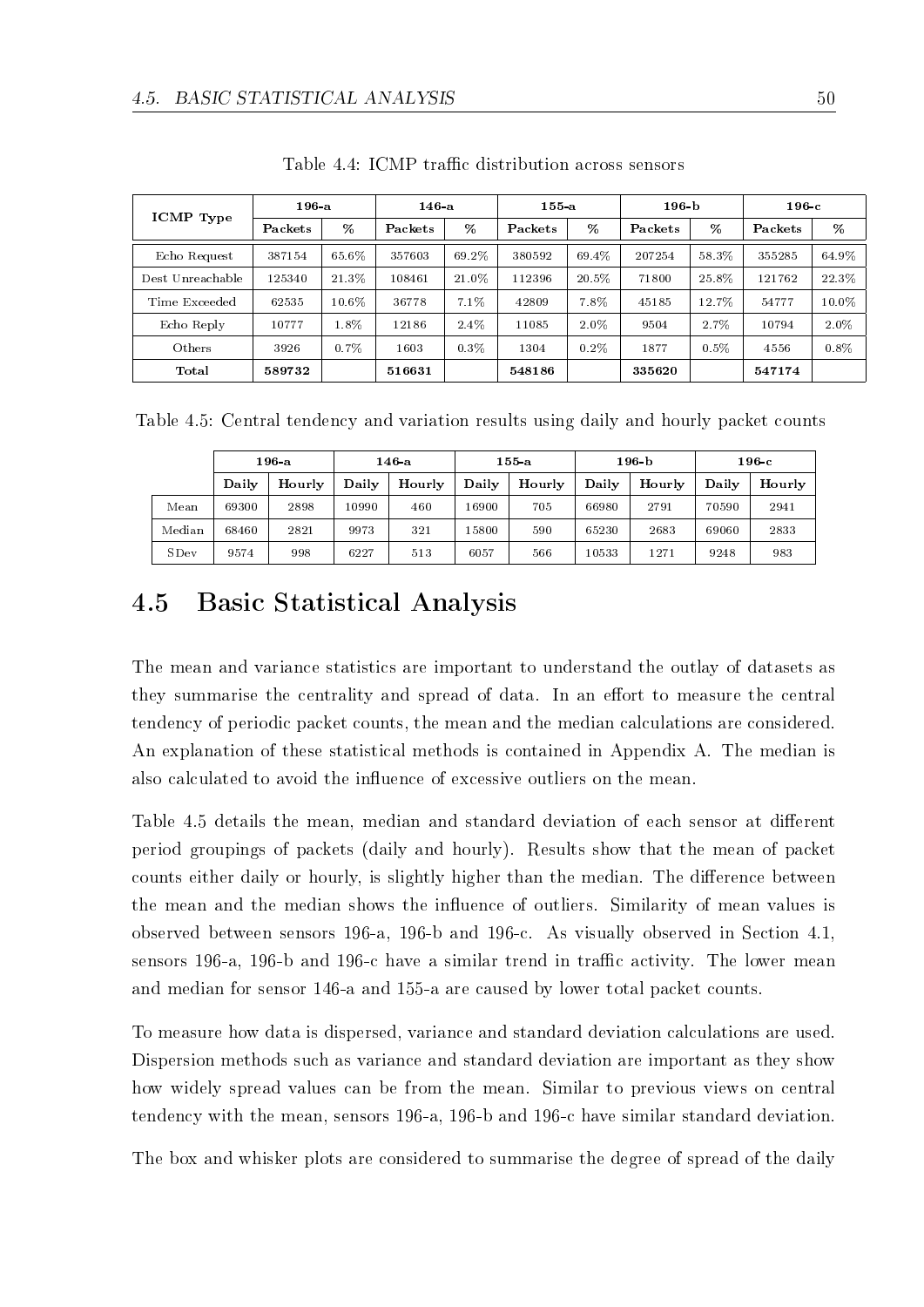| ICMP Type        | $196-a$ |       | 146a    |         | $155-a$ |          | 196 <sub>b</sub> |         | $196\,c$ |         |
|------------------|---------|-------|---------|---------|---------|----------|------------------|---------|----------|---------|
|                  | Packets | %     | Packets | %       | Packets | %        | Packets          | %       | Packets  | %       |
| Echo Request     | 387154  | 65.6% | 357603  | 69.2%   | 380592  | 69.4%    | 207254           | 58.3%   | 355285   | 64.9%   |
| Dest Unreachable | 125340  | 21.3% | 108461  | 21.0%   | 112396  | $20.5\%$ | 71800            | 25.8%   | 121762   | 22.3%   |
| Time Exceeded    | 62535   | 10.6% | 36778   | 7.1%    | 42809   | 7.8%     | 45185            | 12.7%   | 54777    | 10.0%   |
| Echo Reply       | 10777   | 1.8%  | 12186   | $2.4\%$ | 11085   | 2.0%     | 9504             | 2.7%    | 10794    | 2.0%    |
| Others           | 3926    | 0.7%  | 1603    | 0.3%    | 1304    | 0.2%     | 1877             | $0.5\%$ | 4556     | $0.8\%$ |
| Total            | 589732  |       | 516631  |         | 548186  |          | 335620           |         | 547174   |         |

Table 4.4: ICMP traffic distribution across sensors

Table 4.5: Central tendency and variation results using daily and hourly packet counts

|             | 196 a |        | 146 a |        | 155 a |        | 196 <sub>b</sub> |        | 196-с |        |
|-------------|-------|--------|-------|--------|-------|--------|------------------|--------|-------|--------|
|             | Daily | Hourly | Daily | Hourly | Daily | Hourly | Daily            | Hourly | Daily | Hourly |
| Mean        | 69300 | 2898   | 10990 | 460    | 16900 | 705    | 66980            | 2791   | 70590 | 2941   |
| Median      | 68460 | 2821   | 9973  | 321    | 15800 | 590    | 65230            | 2683   | 69060 | 2833   |
| <b>SDev</b> | 9574  | 998    | 6227  | 513    | 6057  | 566    | 10533            | 1271   | 9248  | 983    |

# 4.5 Basic Statistical Analysis

The mean and variance statistics are important to understand the outlay of datasets as they summarise the centrality and spread of data. In an effort to measure the central tendency of periodic packet counts, the mean and the median calculations are considered. An explanation of these statistical methods is contained in Appendix A. The median is also calculated to avoid the influence of excessive outliers on the mean.

Table 4.5 details the mean, median and standard deviation of each sensor at different period groupings of packets (daily and hourly). Results show that the mean of packet counts either daily or hourly, is slightly higher than the median. The difference between the mean and the median shows the influence of outliers. Similarity of mean values is observed between sensors 196-a, 196-b and 196-c. As visually observed in Section 4.1, sensors 196-a, 196-b and 196-c have a similar trend in traffic activity. The lower mean and median for sensor 146-a and 155-a are caused by lower total packet counts.

To measure how data is dispersed, variance and standard deviation calculations are used. Dispersion methods such as variance and standard deviation are important as they show how widely spread values can be from the mean. Similar to previous views on central tendency with the mean, sensors 196-a, 196-b and 196-c have similar standard deviation.

The box and whisker plots are considered to summarise the degree of spread of the daily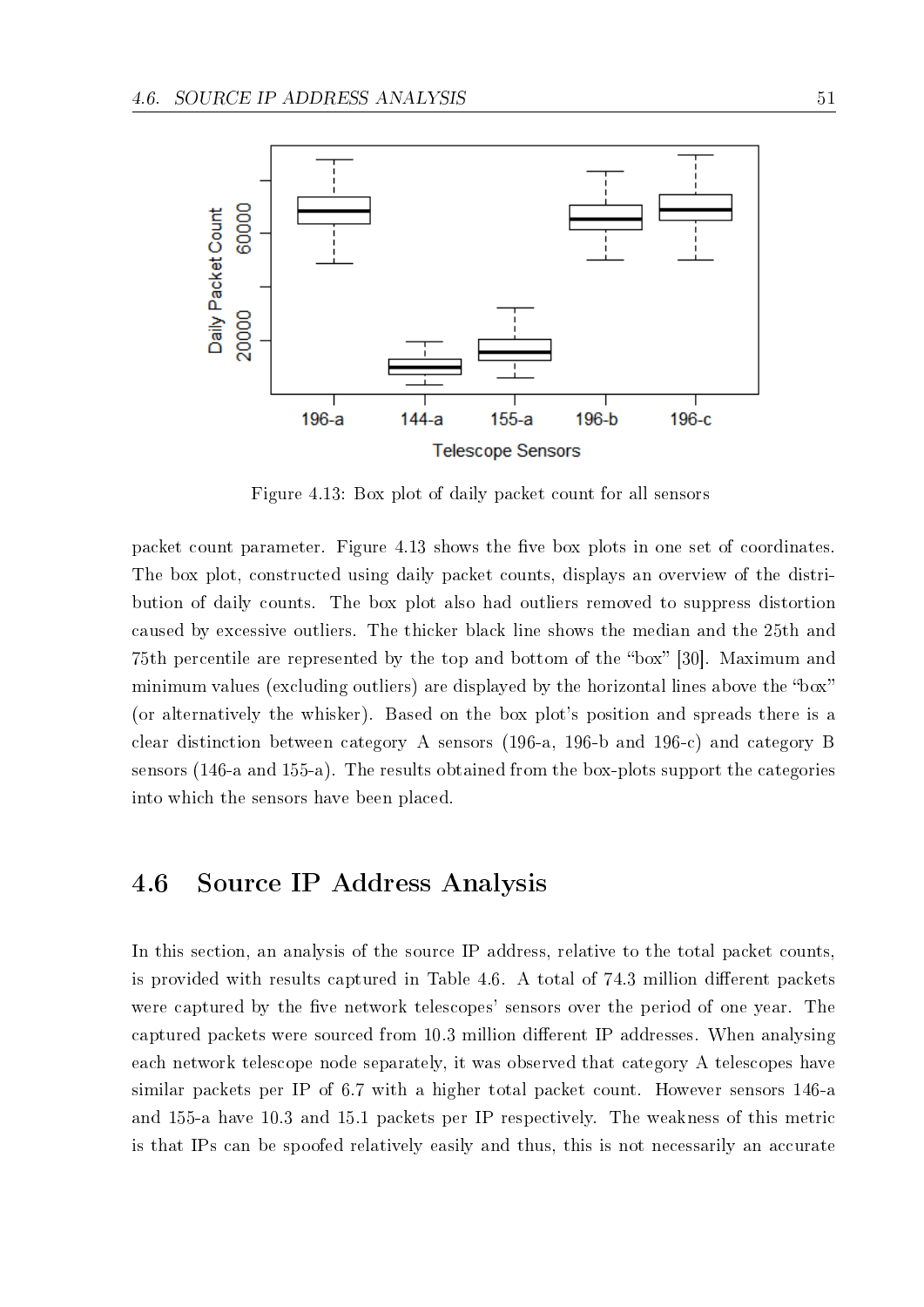

Figure 4.13: Box plot of daily packet count for all sensors

packet count parameter. Figure 4.13 shows the five box plots in one set of coordinates. The box plot, constructed using daily packet counts, displays an overview of the distribution of daily counts. The box plot also had outliers removed to suppress distortion caused by excessive outliers. The thicker black line shows the median and the 25th and 75th percentile are represented by the top and bottom of the "box" [30]. Maximum and minimum values (excluding outliers) are displayed by the horizontal lines above the "box" (or alternatively the whisker). Based on the box plot's position and spreads there is a clear distinction between category A sensors (196-a, 196-b and 196-c) and category B sensors (146-a and 155-a). The results obtained from the box-plots support the categories into which the sensors have been placed.

## 4.6 Source IP Address Analysis

In this section, an analysis of the source IP address, relative to the total packet counts. is provided with results captured in Table 4.6. A total of 74.3 million different packets were captured by the five network telescopes' sensors over the period of one year. The captured packets were sourced from 10.3 million different IP addresses. When analysing each network telescope node separately, it was observed that category A telescopes have similar packets per IP of 6.7 with a higher total packet count. However sensors 146-a and 155-a have 10.3 and 15.1 packets per IP respectively. The weakness of this metric is that IPs can be spoofed relatively easily and thus, this is not necessarily an accurate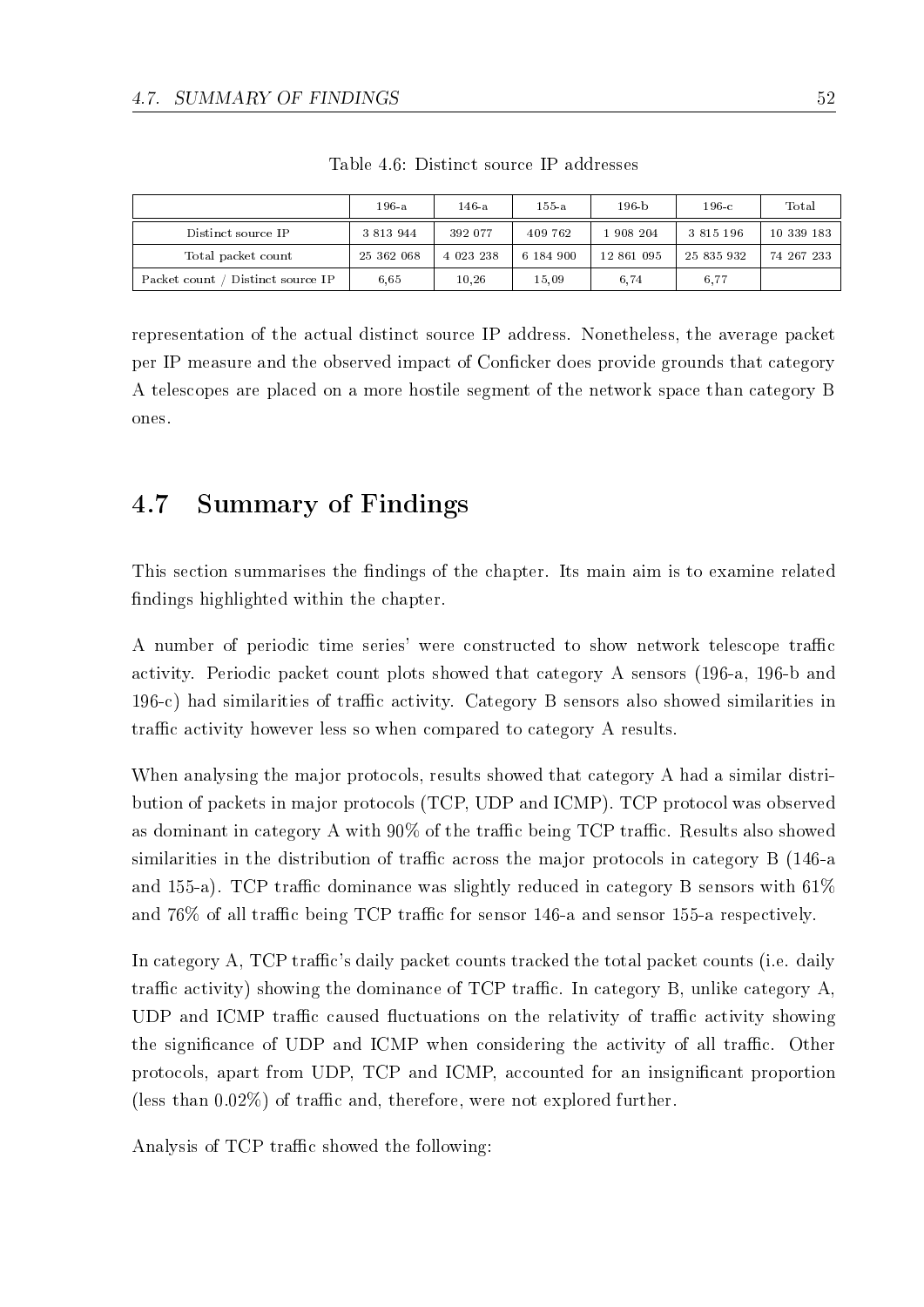|                                    | 196-а         | 146-a     | 155-a     | $196 - h$  | $196-c$       | Total      |
|------------------------------------|---------------|-----------|-----------|------------|---------------|------------|
| Distinct source IP                 | 3 8 1 3 9 4 4 | 392 077   | 409 762   | 908204     | 3 8 1 5 1 9 6 | 10 339 183 |
| Total packet count                 | 25 362 068    | 4 023 238 | 6 184 900 | 12 861 095 | 25 835 932    | 74 267 233 |
| Distinct source IP<br>Packet count | 6.65          | 10.26     | 15.09     | 6.74       | 6.77          |            |

Table 4.6: Distinct source IP addresses

representation of the actual distinct source IP address. Nonetheless, the average packet per IP measure and the observed impact of Conficker does provide grounds that category A telescopes are placed on a more hostile segment of the network space than category B ones.

# 4.7 Summary of Findings

This section summarises the findings of the chapter. Its main aim is to examine related ndings highlighted within the chapter.

A number of periodic time series' were constructed to show network telescope traffic activity. Periodic packet count plots showed that category A sensors (196-a, 196-b and  $196-c$ ) had similarities of traffic activity. Category B sensors also showed similarities in traffic activity however less so when compared to category A results.

When analysing the major protocols, results showed that category A had a similar distribution of packets in major protocols (TCP, UDP and ICMP). TCP protocol was observed as dominant in category A with  $90\%$  of the traffic being TCP traffic. Results also showed similarities in the distribution of traffic across the major protocols in category B (146-a and 155-a). TCP traffic dominance was slightly reduced in category B sensors with  $61\%$ and 76% of all traffic being TCP traffic for sensor 146-a and sensor 155-a respectively.

In category A, TCP traffic's daily packet counts tracked the total packet counts (i.e. daily traffic activity) showing the dominance of TCP traffic. In category B, unlike category  $A$ . UDP and ICMP traffic caused fluctuations on the relativity of traffic activity showing the significance of UDP and ICMP when considering the activity of all traffic. Other protocols, apart from UDP, TCP and ICMP, accounted for an insignicant proportion (less than  $0.02\%$ ) of traffic and, therefore, were not explored further.

Analysis of TCP traffic showed the following: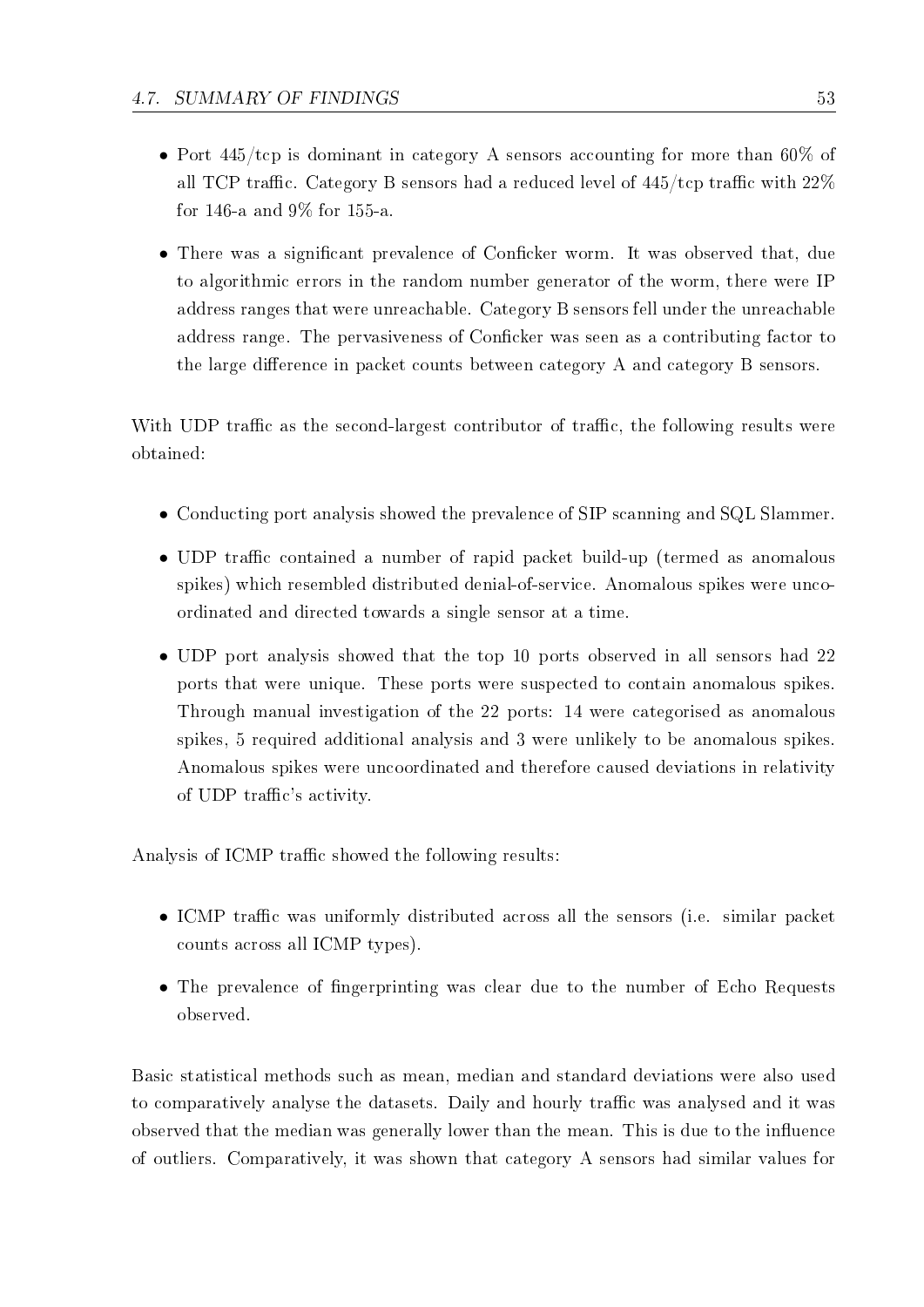- Port  $445/\text{top}$  is dominant in category A sensors accounting for more than 60% of all TCP traffic. Category B sensors had a reduced level of  $445$ /tcp traffic with  $22\%$ for 146-a and 9% for 155-a.
- There was a significant prevalence of Conficker worm. It was observed that, due to algorithmic errors in the random number generator of the worm, there were IP address ranges that were unreachable. Category B sensors fell under the unreachable address range. The pervasiveness of Conficker was seen as a contributing factor to the large difference in packet counts between category A and category B sensors.

With UDP traffic as the second-largest contributor of traffic, the following results were obtained:

- *•* Conducting port analysis showed the prevalence of SIP scanning and SQL Slammer.
- UDP traffic contained a number of rapid packet build-up (termed as anomalous spikes) which resembled distributed denial-of-service. Anomalous spikes were uncoordinated and directed towards a single sensor at a time.
- UDP port analysis showed that the top 10 ports observed in all sensors had 22 ports that were unique. These ports were suspected to contain anomalous spikes. Through manual investigation of the 22 ports: 14 were categorised as anomalous spikes, 5 required additional analysis and 3 were unlikely to be anomalous spikes. Anomalous spikes were uncoordinated and therefore caused deviations in relativity of UDP traffic's activity.

Analysis of ICMP traffic showed the following results:

- ICMP traffic was uniformly distributed across all the sensors (i.e. similar packet counts across all ICMP types).
- The prevalence of fingerprinting was clear due to the number of Echo Requests observed.

Basic statistical methods such as mean, median and standard deviations were also used to comparatively analyse the datasets. Daily and hourly traffic was analysed and it was observed that the median was generally lower than the mean. This is due to the influence of outliers. Comparatively, it was shown that category A sensors had similar values for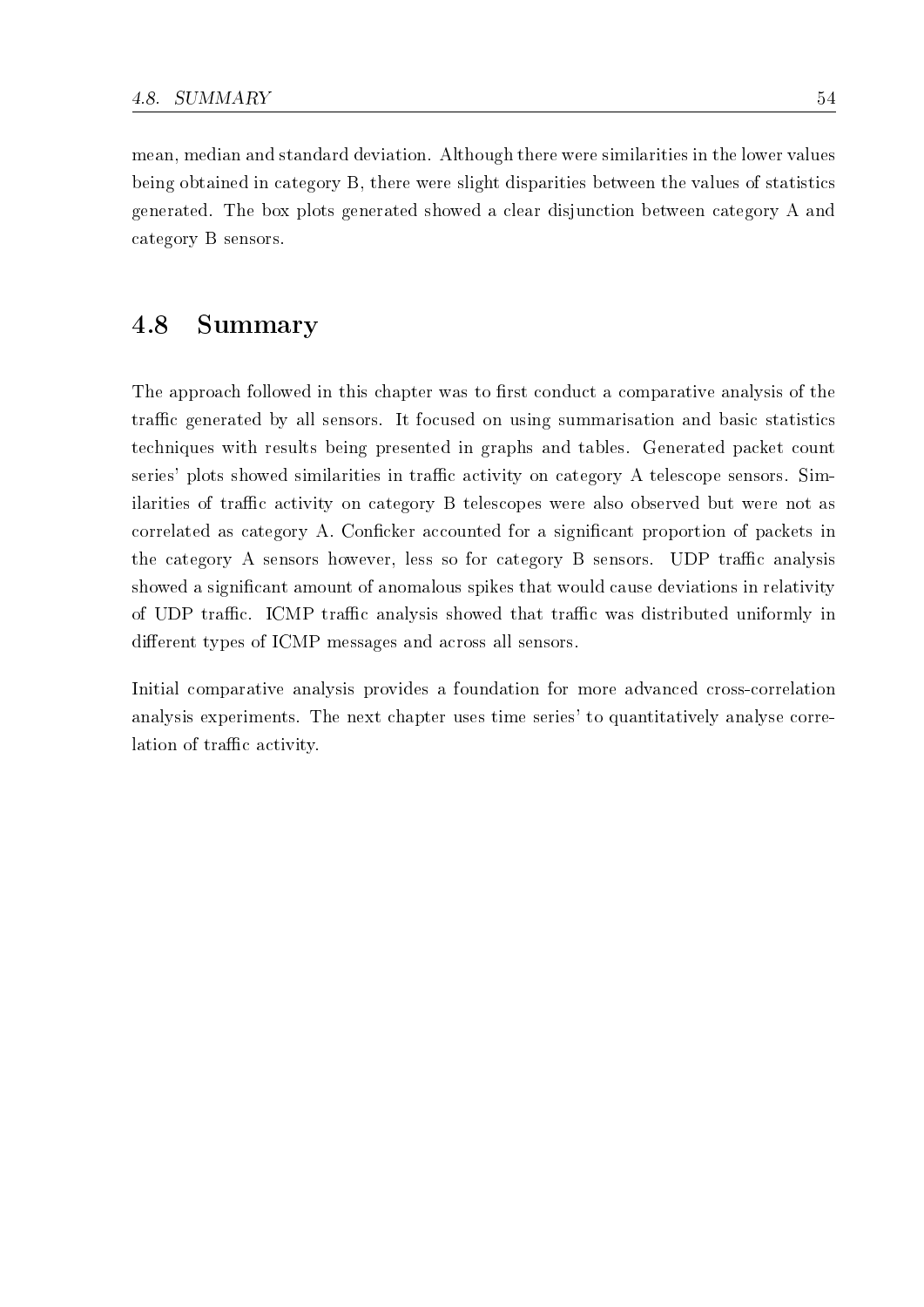mean, median and standard deviation. Although there were similarities in the lower values being obtained in category B, there were slight disparities between the values of statistics generated. The box plots generated showed a clear disjunction between category A and category B sensors.

## 4.8 Summary

The approach followed in this chapter was to first conduct a comparative analysis of the traffic generated by all sensors. It focused on using summarisation and basic statistics techniques with results being presented in graphs and tables. Generated packet count series' plots showed similarities in traffic activity on category A telescope sensors. Similarities of traffic activity on category B telescopes were also observed but were not as correlated as category A. Conficker accounted for a significant proportion of packets in the category A sensors however, less so for category B sensors. UDP traffic analysis showed a significant amount of anomalous spikes that would cause deviations in relativity of UDP traffic. ICMP traffic analysis showed that traffic was distributed uniformly in different types of ICMP messages and across all sensors.

Initial comparative analysis provides a foundation for more advanced cross-correlation analysis experiments. The next chapter uses time series' to quantitatively analyse correlation of traffic activity.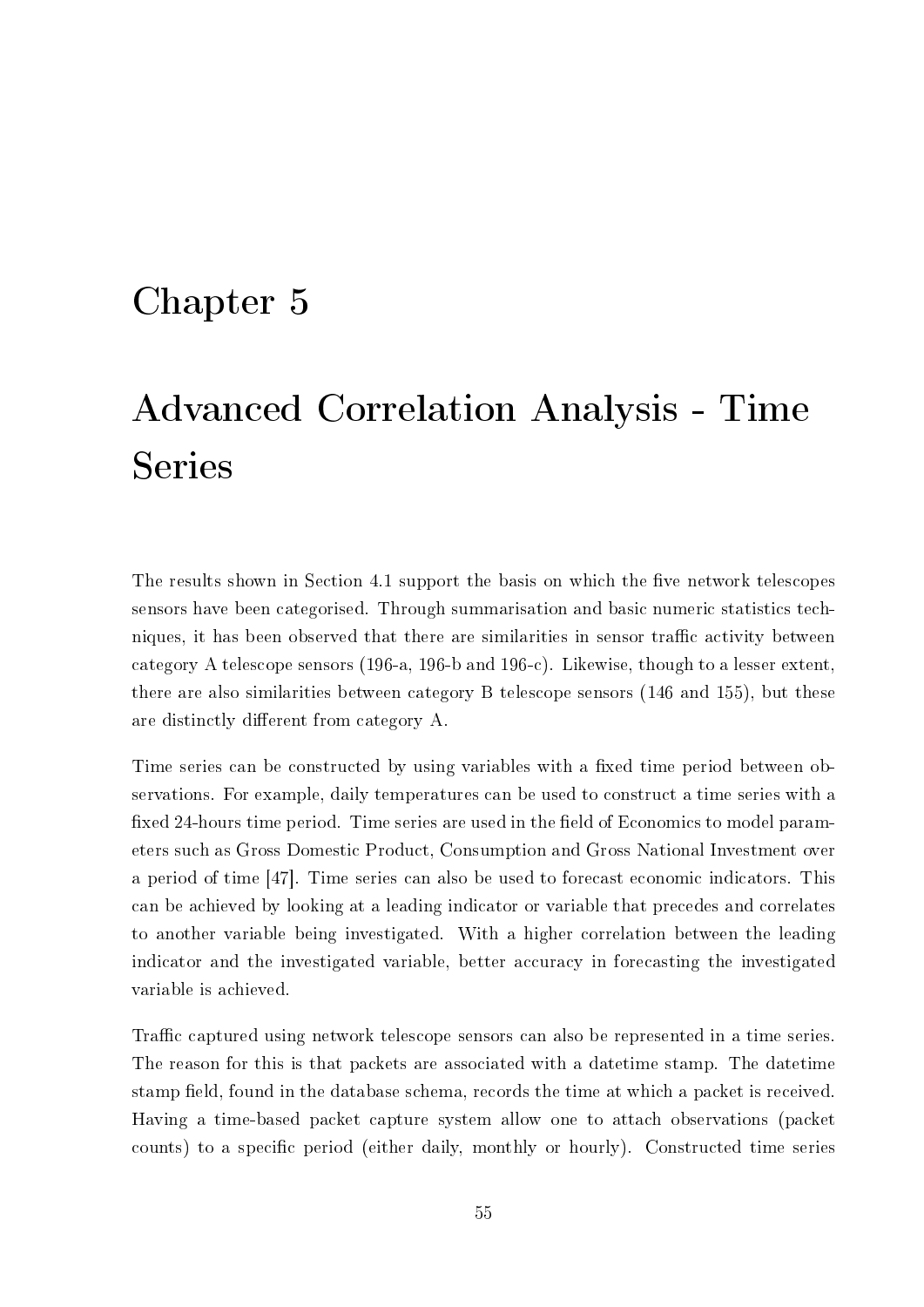# Chapter 5

# Advanced Correlation Analysis - Time Series

The results shown in Section 4.1 support the basis on which the five network telescopes sensors have been categorised. Through summarisation and basic numeric statistics techniques, it has been observed that there are similarities in sensor traffic activity between category A telescope sensors (196-a, 196-b and 196-c). Likewise, though to a lesser extent, there are also similarities between category B telescope sensors (146 and 155), but these are distinctly different from category A.

Time series can be constructed by using variables with a fixed time period between observations. For example, daily temperatures can be used to construct a time series with a fixed 24-hours time period. Time series are used in the field of Economics to model parameters such as Gross Domestic Product, Consumption and Gross National Investment over a period of time [47]. Time series can also be used to forecast economic indicators. This can be achieved by looking at a leading indicator or variable that precedes and correlates to another variable being investigated. With a higher correlation between the leading indicator and the investigated variable, better accuracy in forecasting the investigated variable is achieved.

Traffic captured using network telescope sensors can also be represented in a time series. The reason for this is that packets are associated with a datetime stamp. The datetime stamp field, found in the database schema, records the time at which a packet is received. Having a time-based packet capture system allow one to attach observations (packet counts) to a specific period (either daily, monthly or hourly). Constructed time series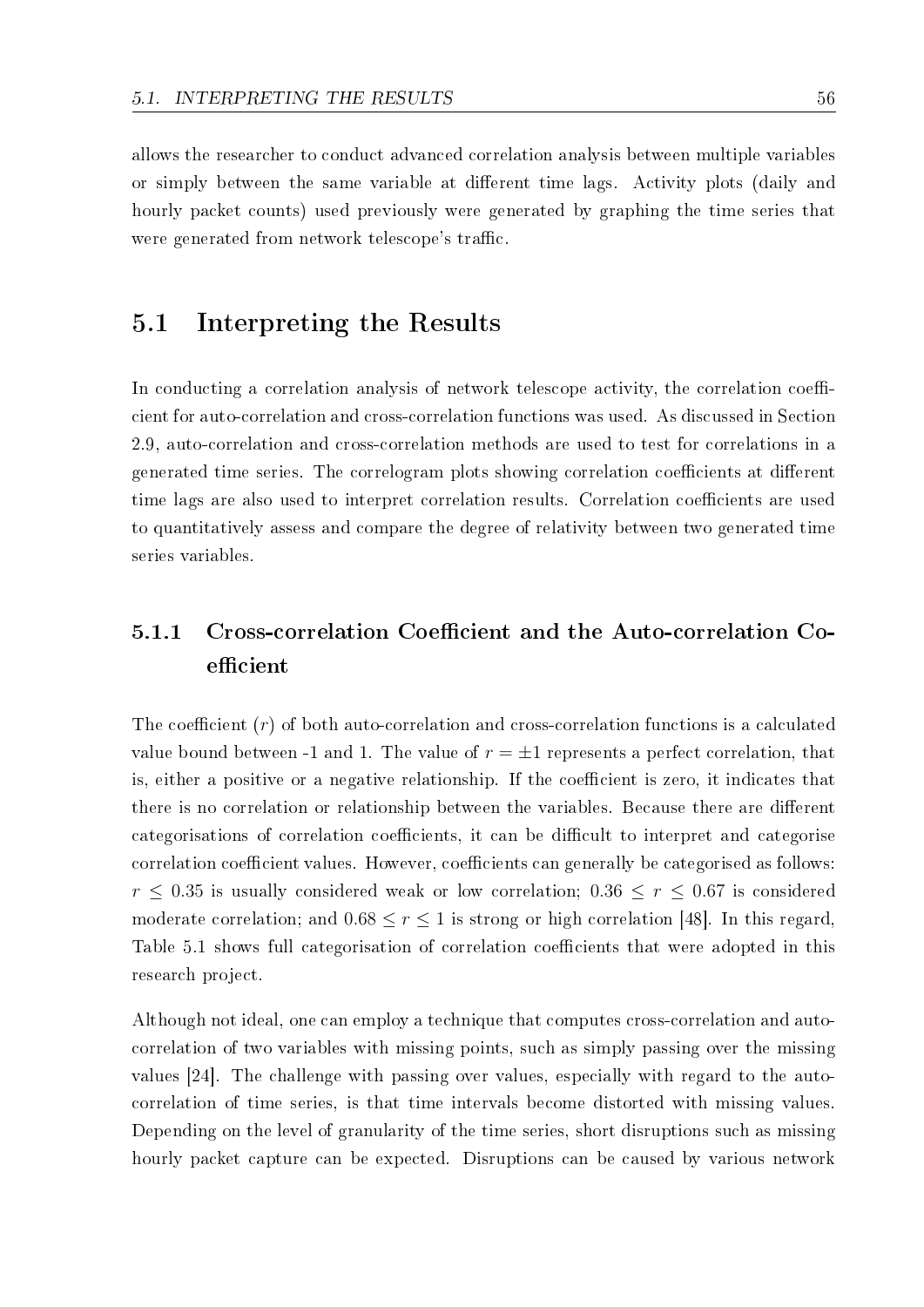allows the researcher to conduct advanced correlation analysis between multiple variables or simply between the same variable at different time lags. Activity plots (daily and hourly packet counts) used previously were generated by graphing the time series that were generated from network telescope's traffic.

## 5.1 Interpreting the Results

In conducting a correlation analysis of network telescope activity, the correlation coefficient for auto-correlation and cross-correlation functions was used. As discussed in Section 2.9, auto-correlation and cross-correlation methods are used to test for correlations in a generated time series. The correlogram plots showing correlation coefficients at different time lags are also used to interpret correlation results. Correlation coefficients are used to quantitatively assess and compare the degree of relativity between two generated time series variables.

# 5.1.1 Cross-correlation Coefficient and the Auto-correlation Coefficient

The coefficient  $(r)$  of both auto-correlation and cross-correlation functions is a calculated value bound between -1 and 1. The value of  $r = \pm 1$  represents a perfect correlation, that is, either a positive or a negative relationship. If the coefficient is zero, it indicates that there is no correlation or relationship between the variables. Because there are different categorisations of correlation coefficients, it can be difficult to interpret and categorise correlation coefficient values. However, coefficients can generally be categorised as follows:  $r < 0.35$  is usually considered weak or low correlation;  $0.36 \leq r \leq 0.67$  is considered moderate correlation; and  $0.68 \le r \le 1$  is strong or high correlation [48]. In this regard, Table 5.1 shows full categorisation of correlation coefficients that were adopted in this research project.

Although not ideal, one can employ a technique that computes cross-correlation and autocorrelation of two variables with missing points, such as simply passing over the missing values [24]. The challenge with passing over values, especially with regard to the autocorrelation of time series, is that time intervals become distorted with missing values. Depending on the level of granularity of the time series, short disruptions such as missing hourly packet capture can be expected. Disruptions can be caused by various network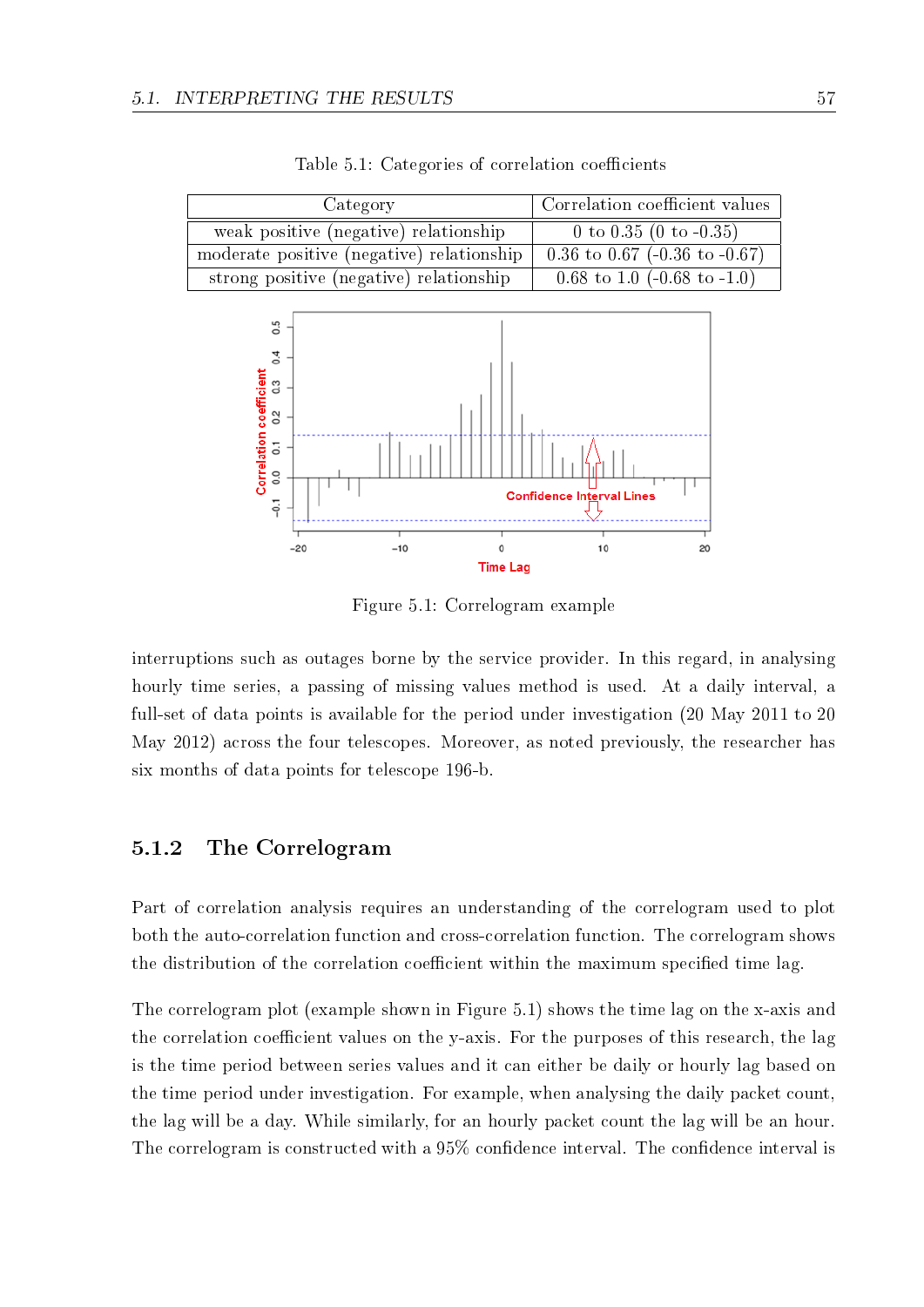| Category                                  | Correlation coefficient values         |
|-------------------------------------------|----------------------------------------|
| weak positive (negative) relationship     | 0 to 0.35 (0 to $-0.35$ )              |
| moderate positive (negative) relationship | 0.36 to 0.67 (-0.36 to -0.67)          |
| strong positive (negative) relationship   | 0.68 to 1.0 $(-0.68 \text{ to } -1.0)$ |

Table 5.1: Categories of correlation coefficients



Figure 5.1: Correlogram example

interruptions such as outages borne by the service provider. In this regard, in analysing hourly time series, a passing of missing values method is used. At a daily interval, a full-set of data points is available for the period under investigation (20 May 2011 to 20 May 2012) across the four telescopes. Moreover, as noted previously, the researcher has six months of data points for telescope 196-b.

### 5.1.2 The Correlogram

Part of correlation analysis requires an understanding of the correlogram used to plot both the auto-correlation function and cross-correlation function. The correlogram shows the distribution of the correlation coefficient within the maximum specified time lag.

The correlogram plot (example shown in Figure 5.1) shows the time lag on the x-axis and the correlation coefficient values on the y-axis. For the purposes of this research, the lag is the time period between series values and it can either be daily or hourly lag based on the time period under investigation. For example, when analysing the daily packet count, the lag will be a day. While similarly, for an hourly packet count the lag will be an hour. The correlogram is constructed with a  $95\%$  confidence interval. The confidence interval is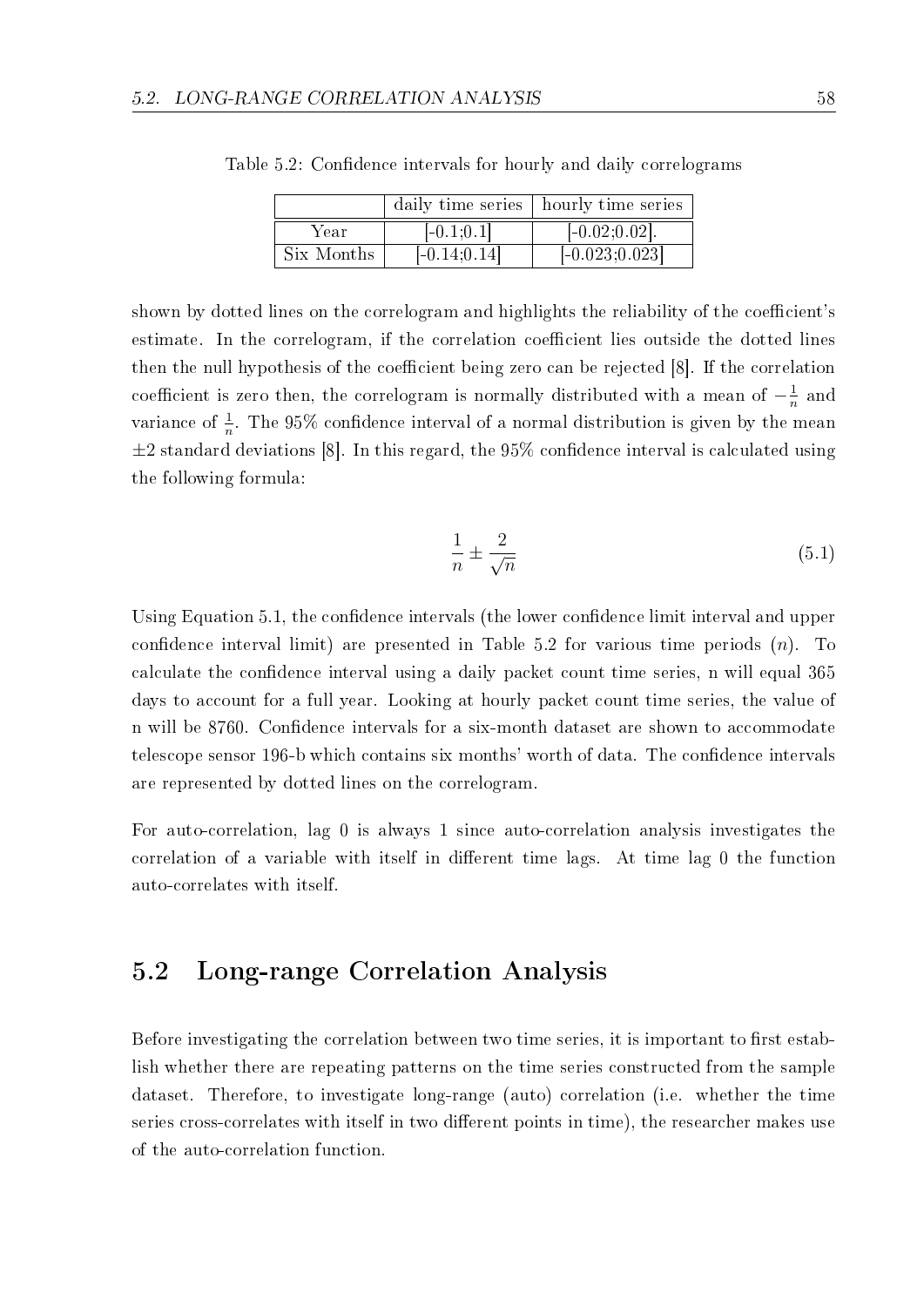|            |                | daily time series   hourly time series |
|------------|----------------|----------------------------------------|
| Year       | $[-0.1;0.1]$   | $[-0.02;0.02]$ .                       |
| Six Months | $[-0.14;0.14]$ | $[-0.023;0.023]$                       |

Table 5.2: Confidence intervals for hourly and daily correlograms

shown by dotted lines on the correlogram and highlights the reliability of the coefficient's estimate. In the correlogram, if the correlation coefficient lies outside the dotted lines then the null hypothesis of the coefficient being zero can be rejected [8]. If the correlation coefficient is zero then, the correlogram is normally distributed with a mean of  $-\frac{1}{n}$  $\frac{1}{n}$  and variance of  $\frac{1}{n}$ . The 95% confidence interval of a normal distribution is given by the mean  $\pm 2$  standard deviations [8]. In this regard, the 95% confidence interval is calculated using the following formula:

$$
\frac{1}{n} \pm \frac{2}{\sqrt{n}}\tag{5.1}
$$

Using Equation 5.1, the confidence intervals (the lower confidence limit interval and upper confidence interval limit) are presented in Table 5.2 for various time periods  $(n)$ . To calculate the confidence interval using a daily packet count time series, n will equal 365 days to account for a full year. Looking at hourly packet count time series, the value of n will be 8760. Confidence intervals for a six-month dataset are shown to accommodate telescope sensor 196-b which contains six months' worth of data. The confidence intervals are represented by dotted lines on the correlogram.

For auto-correlation, lag 0 is always 1 since auto-correlation analysis investigates the correlation of a variable with itself in different time lags. At time lag  $\theta$  the function auto-correlates with itself.

# 5.2 Long-range Correlation Analysis

Before investigating the correlation between two time series, it is important to first establish whether there are repeating patterns on the time series constructed from the sample dataset. Therefore, to investigate long-range (auto) correlation (i.e. whether the time series cross-correlates with itself in two different points in time), the researcher makes use of the auto-correlation function.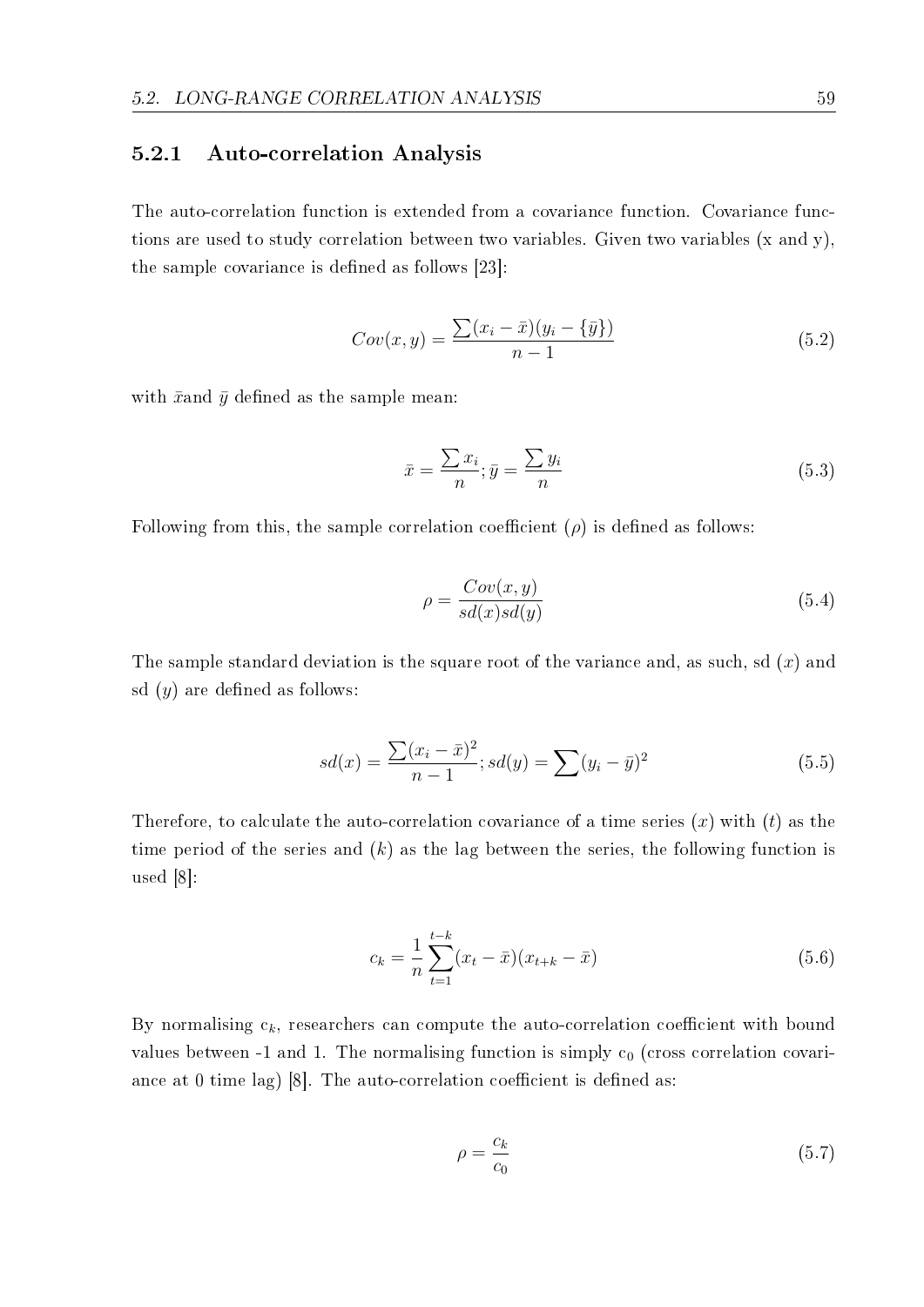#### 5.2.1 Auto-correlation Analysis

The auto-correlation function is extended from a covariance function. Covariance functions are used to study correlation between two variables. Given two variables (x and y), the sample covariance is defined as follows  $[23]$ :

$$
Cov(x, y) = \frac{\sum (x_i - \bar{x})(y_i - \{\bar{y}\})}{n - 1}
$$
\n(5.2)

with  $\bar{x}$  and  $\bar{y}$  defined as the sample mean:

$$
\bar{x} = \frac{\sum x_i}{n}; \bar{y} = \frac{\sum y_i}{n}
$$
\n(5.3)

Following from this, the sample correlation coefficient  $(\rho)$  is defined as follows:

$$
\rho = \frac{Cov(x, y)}{sd(x)sd(y)}\tag{5.4}
$$

The sample standard deviation is the square root of the variance and, as such, sd (*x*) and sd  $(y)$  are defined as follows:

$$
sd(x) = \frac{\sum (x_i - \bar{x})^2}{n - 1}; sd(y) = \sum (y_i - \bar{y})^2
$$
\n(5.5)

Therefore, to calculate the auto-correlation covariance of a time series (*x*) with (*t*) as the time period of the series and (*k*) as the lag between the series, the following function is used [8]:

$$
c_k = \frac{1}{n} \sum_{t=1}^{t-k} (x_t - \bar{x})(x_{t+k} - \bar{x})
$$
\n(5.6)

By normalising  $c_k$ , researchers can compute the auto-correlation coefficient with bound values between -1 and 1. The normalising function is simply  $c_0$  (cross correlation covariance at 0 time lag) [8]. The auto-correlation coefficient is defined as:

$$
\rho = \frac{c_k}{c_0} \tag{5.7}
$$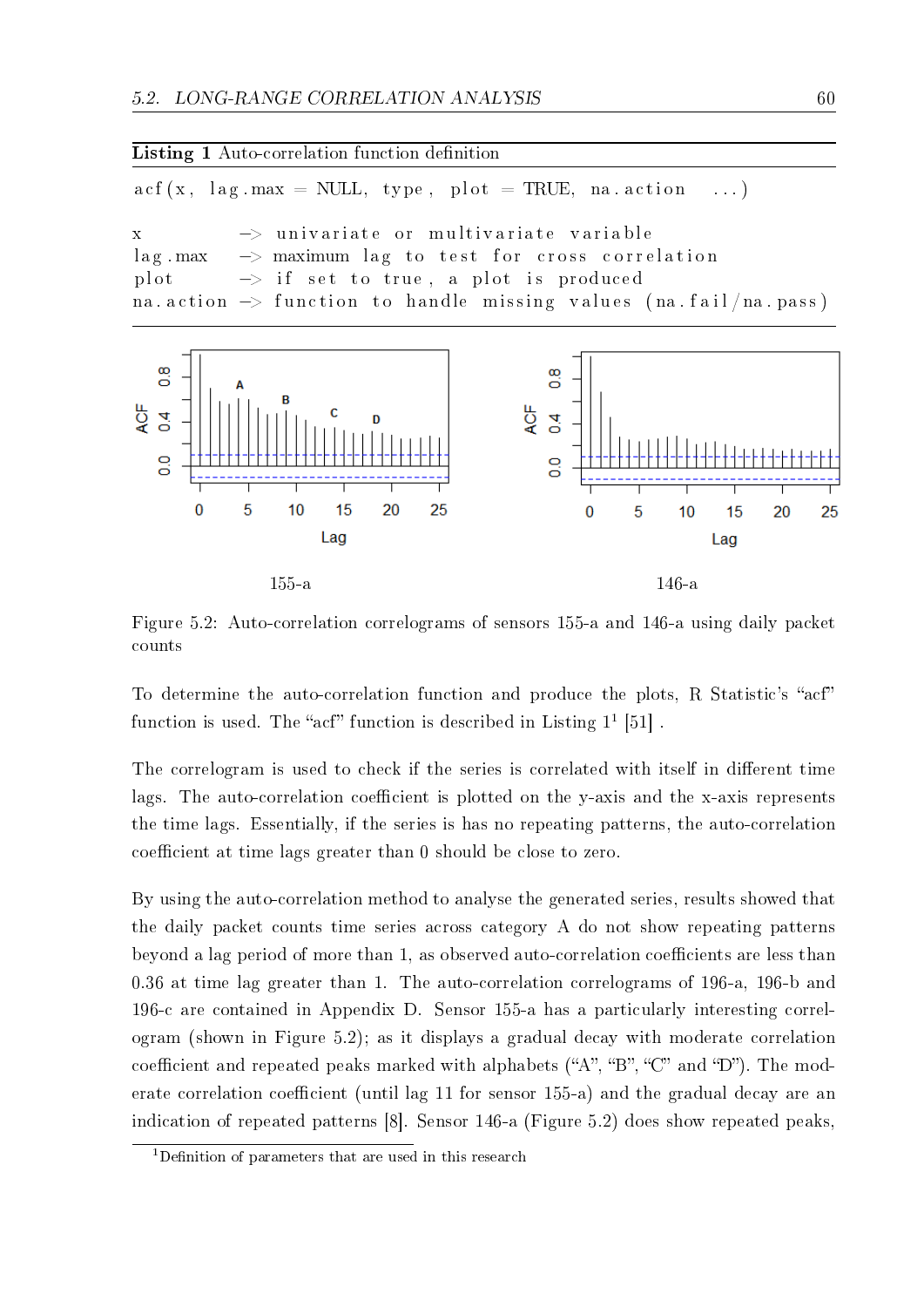Listing 1 Auto-correlation function definition  $\text{acf}(x, \text{lag.max} = \text{NULL}, \text{ type}, \text{plot} = \text{TRUE}, \text{na.action} \dots)$ x *−*> u n i v a r i a t e o r m u l t i v a r i a t e v a r i a b l e lag max  $\rightarrow$  maximum lag to test for cross correlation plot  $\rightarrow$  if set to true, a plot is produced na . action  $\rightarrow$  function to handle missing values (na . fail/na . pass)  $\frac{8}{10}$  $\infty$ õ 4QF **ACF**  $\overline{4}$  $\overline{4}$  $\frac{8}{10}$  $\frac{0}{0}$  $\overline{0}$ 5 25  $10$ 15 20  $\overline{0}$ 5  $10$ 15 20 25

155-a 146-a

Lag

Lag

Figure 5.2: Auto-correlation correlograms of sensors 155-a and 146-a using daily packet counts

To determine the auto-correlation function and produce the plots, R Statistic's "acf" function is used. The "acf" function is described in Listing  $1^1$  [51].

The correlogram is used to check if the series is correlated with itself in different time lags. The auto-correlation coefficient is plotted on the y-axis and the x-axis represents the time lags. Essentially, if the series is has no repeating patterns, the auto-correlation coefficient at time lags greater than 0 should be close to zero.

By using the auto-correlation method to analyse the generated series, results showed that the daily packet counts time series across category A do not show repeating patterns beyond a lag period of more than 1, as observed auto-correlation coefficients are less than 0.36 at time lag greater than 1. The auto-correlation correlograms of 196-a, 196-b and 196-c are contained in Appendix D. Sensor 155-a has a particularly interesting correlogram (shown in Figure 5.2); as it displays a gradual decay with moderate correlation coefficient and repeated peaks marked with alphabets  $({}^{\omega}A^{\omega}, {}^{\omega}B^{\omega}, {}^{\omega}C^{\omega}$  and  ${}^{\omega}D^{\omega}$ ). The moderate correlation coefficient (until lag 11 for sensor 155-a) and the gradual decay are an indication of repeated patterns [8]. Sensor 146-a (Figure 5.2) does show repeated peaks,

<sup>&</sup>lt;sup>1</sup>Definition of parameters that are used in this research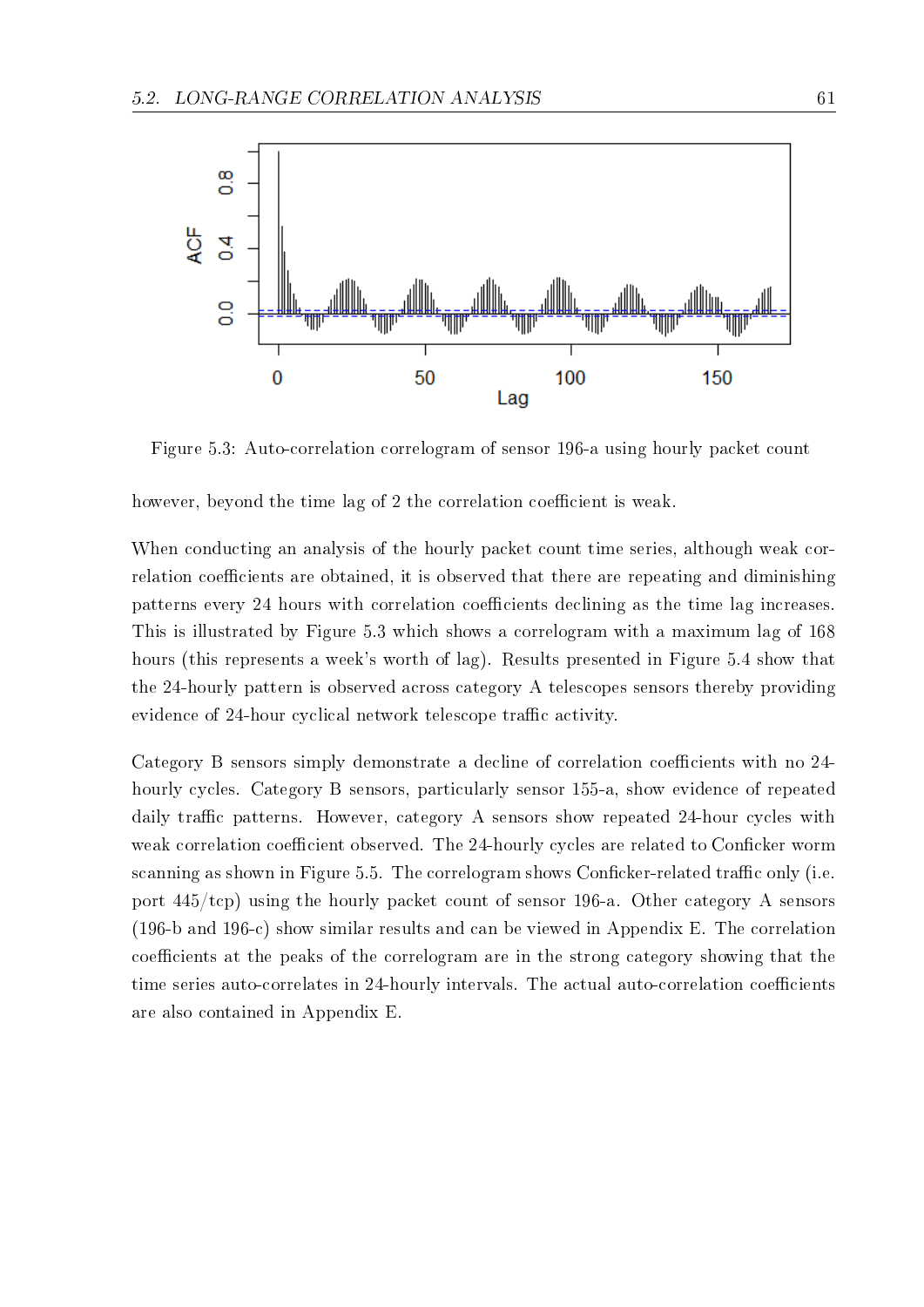

Figure 5.3: Auto-correlation correlogram of sensor 196-a using hourly packet count

however, beyond the time lag of 2 the correlation coefficient is weak.

When conducting an analysis of the hourly packet count time series, although weak correlation coefficients are obtained, it is observed that there are repeating and diminishing patterns every 24 hours with correlation coefficients declining as the time lag increases. This is illustrated by Figure 5.3 which shows a correlogram with a maximum lag of 168 hours (this represents a week's worth of lag). Results presented in Figure 5.4 show that the 24-hourly pattern is observed across category A telescopes sensors thereby providing evidence of 24-hour cyclical network telescope traffic activity.

Category B sensors simply demonstrate a decline of correlation coefficients with no 24hourly cycles. Category B sensors, particularly sensor 155-a, show evidence of repeated daily traffic patterns. However, category A sensors show repeated 24-hour cycles with weak correlation coefficient observed. The 24-hourly cycles are related to Conficker worm scanning as shown in Figure 5.5. The correlogram shows Conficker-related traffic only (i.e. port 445/tcp) using the hourly packet count of sensor 196-a. Other category A sensors (196-b and 196-c) show similar results and can be viewed in Appendix E. The correlation coefficients at the peaks of the correlogram are in the strong category showing that the time series auto-correlates in 24-hourly intervals. The actual auto-correlation coefficients are also contained in Appendix E.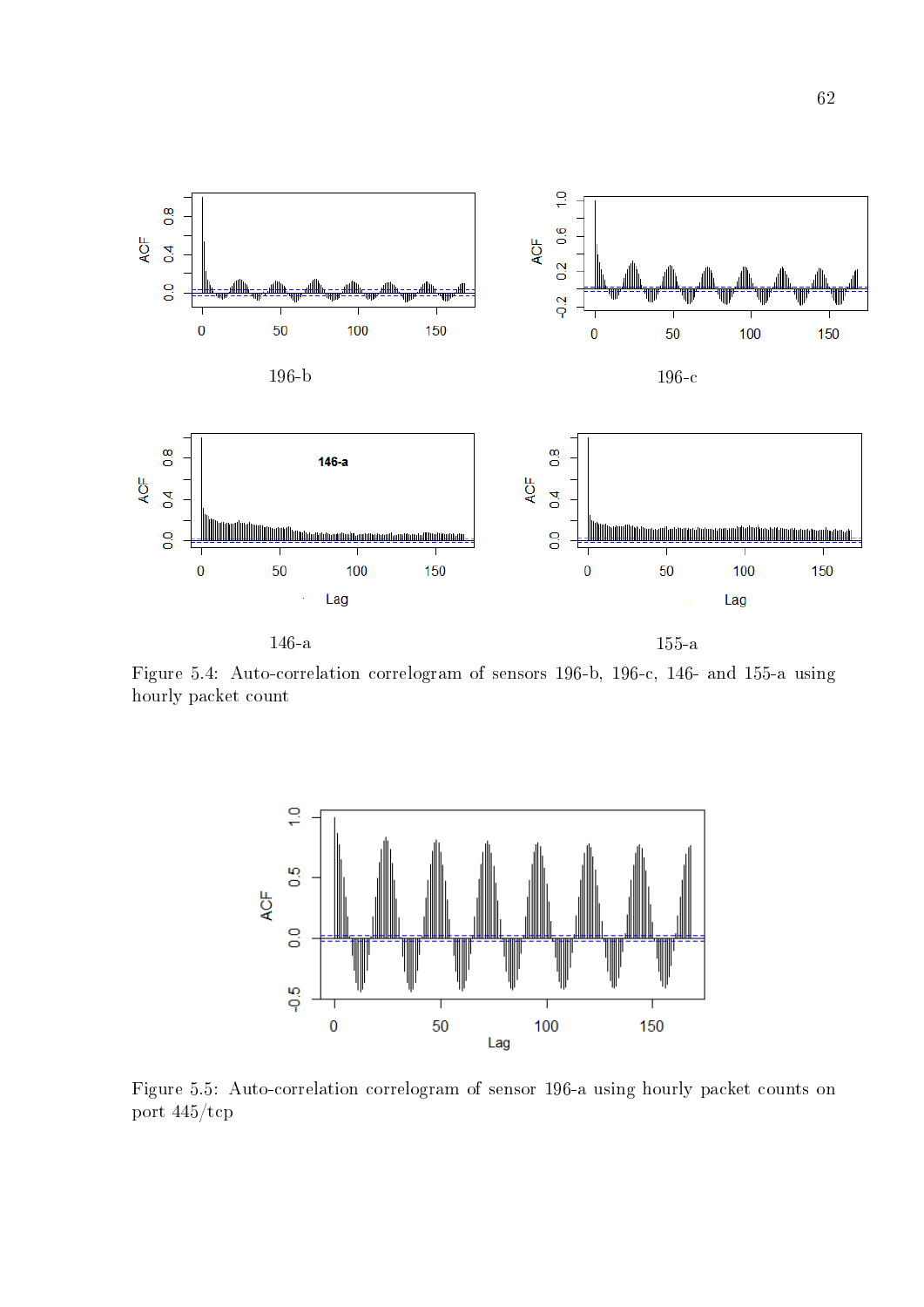

Figure 5.4: Auto-correlation correlogram of sensors 196-b, 196-c, 146- and 155-a using hourly packet count



Figure 5.5: Auto-correlation correlogram of sensor 196-a using hourly packet counts on port 445/tcp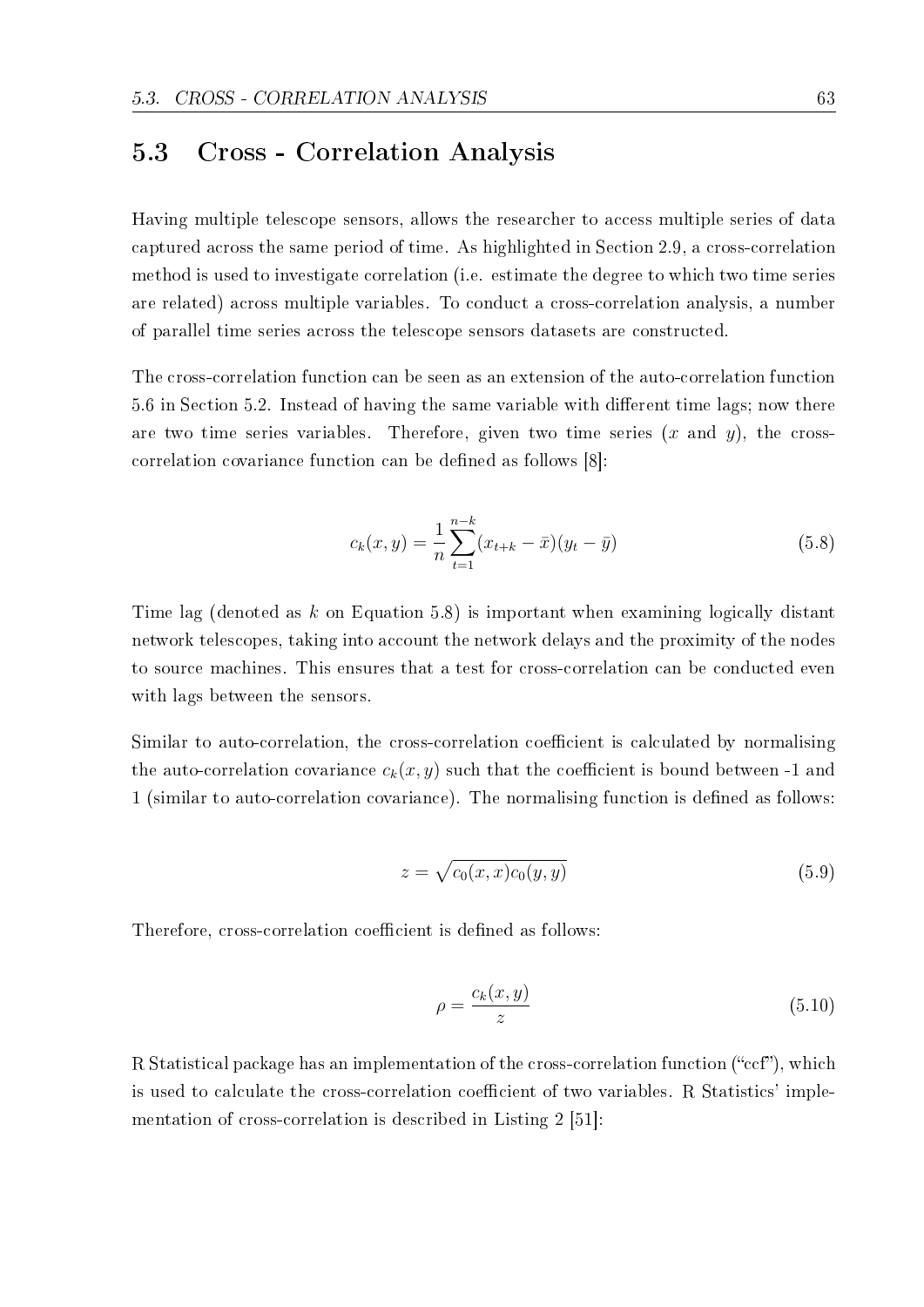## 5.3 Cross - Correlation Analysis

Having multiple telescope sensors, allows the researcher to access multiple series of data captured across the same period of time. As highlighted in Section 2.9, a cross-correlation method is used to investigate correlation (i.e. estimate the degree to which two time series are related) across multiple variables. To conduct a cross-correlation analysis, a number of parallel time series across the telescope sensors datasets are constructed.

The cross-correlation function can be seen as an extension of the auto-correlation function 5.6 in Section 5.2. Instead of having the same variable with different time lags; now there are two time series variables. Therefore, given two time series (*x* and *y*), the crosscorrelation covariance function can be defined as follows [8]:

$$
c_k(x,y) = \frac{1}{n} \sum_{t=1}^{n-k} (x_{t+k} - \bar{x})(y_t - \bar{y})
$$
\n(5.8)

Time lag (denoted as *k* on Equation 5.8) is important when examining logically distant network telescopes, taking into account the network delays and the proximity of the nodes to source machines. This ensures that a test for cross-correlation can be conducted even with lags between the sensors.

Similar to auto-correlation, the cross-correlation coefficient is calculated by normalising the auto-correlation covariance  $c_k(x, y)$  such that the coefficient is bound between -1 and 1 (similar to auto-correlation covariance). The normalising function is defined as follows:

$$
z = \sqrt{c_0(x, x)c_0(y, y)}\tag{5.9}
$$

Therefore, cross-correlation coefficient is defined as follows:

$$
\rho = \frac{c_k(x, y)}{z} \tag{5.10}
$$

R Statistical package has an implementation of the cross-correlation function  $("ccf")$ , which is used to calculate the cross-correlation coefficient of two variables. R Statistics' implementation of cross-correlation is described in Listing 2 [51]: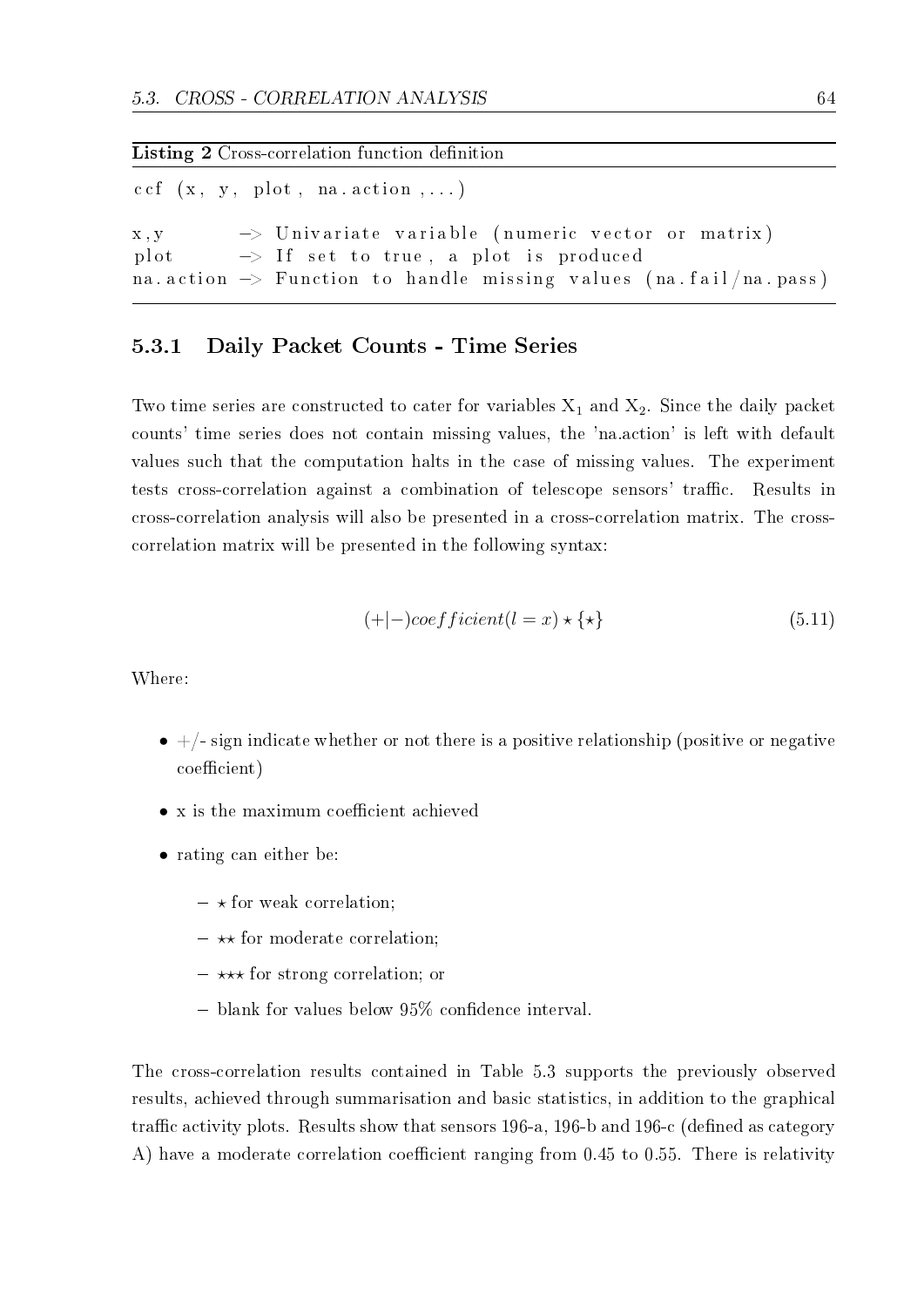#### Listing 2 Cross-correlation function definition

 $cc f (x, y, plot, na. action, ...)$ x,y → Univariate variable (numeric vector or matrix) plot  $\rightarrow$  If set to true, a plot is produced na action  $\rightarrow$  Function to handle missing values (na fail/na pass)

#### 5.3.1 Daily Packet Counts - Time Series

Two time series are constructed to cater for variables  $X_1$  and  $X_2$ . Since the daily packet counts' time series does not contain missing values, the 'na.action' is left with default values such that the computation halts in the case of missing values. The experiment tests cross-correlation against a combination of telescope sensors' traffic. Results in cross-correlation analysis will also be presented in a cross-correlation matrix. The crosscorrelation matrix will be presented in the following syntax:

$$
(+|-)coefficient(l=x) \star \{\star\} \tag{5.11}
$$

Where:

- $+/-$  sign indicate whether or not there is a positive relationship (positive or negative coefficient)
- x is the maximum coefficient achieved
- rating can either be:
	- $\star$  for weak correlation;
	- *⋆⋆* for moderate correlation;
	- *⋆⋆⋆* for strong correlation; or
	- $-$  blank for values below 95% confidence interval.

The cross-correlation results contained in Table 5.3 supports the previously observed results, achieved through summarisation and basic statistics, in addition to the graphical traffic activity plots. Results show that sensors 196-a, 196-b and 196-c (defined as category A) have a moderate correlation coefficient ranging from 0.45 to 0.55. There is relativity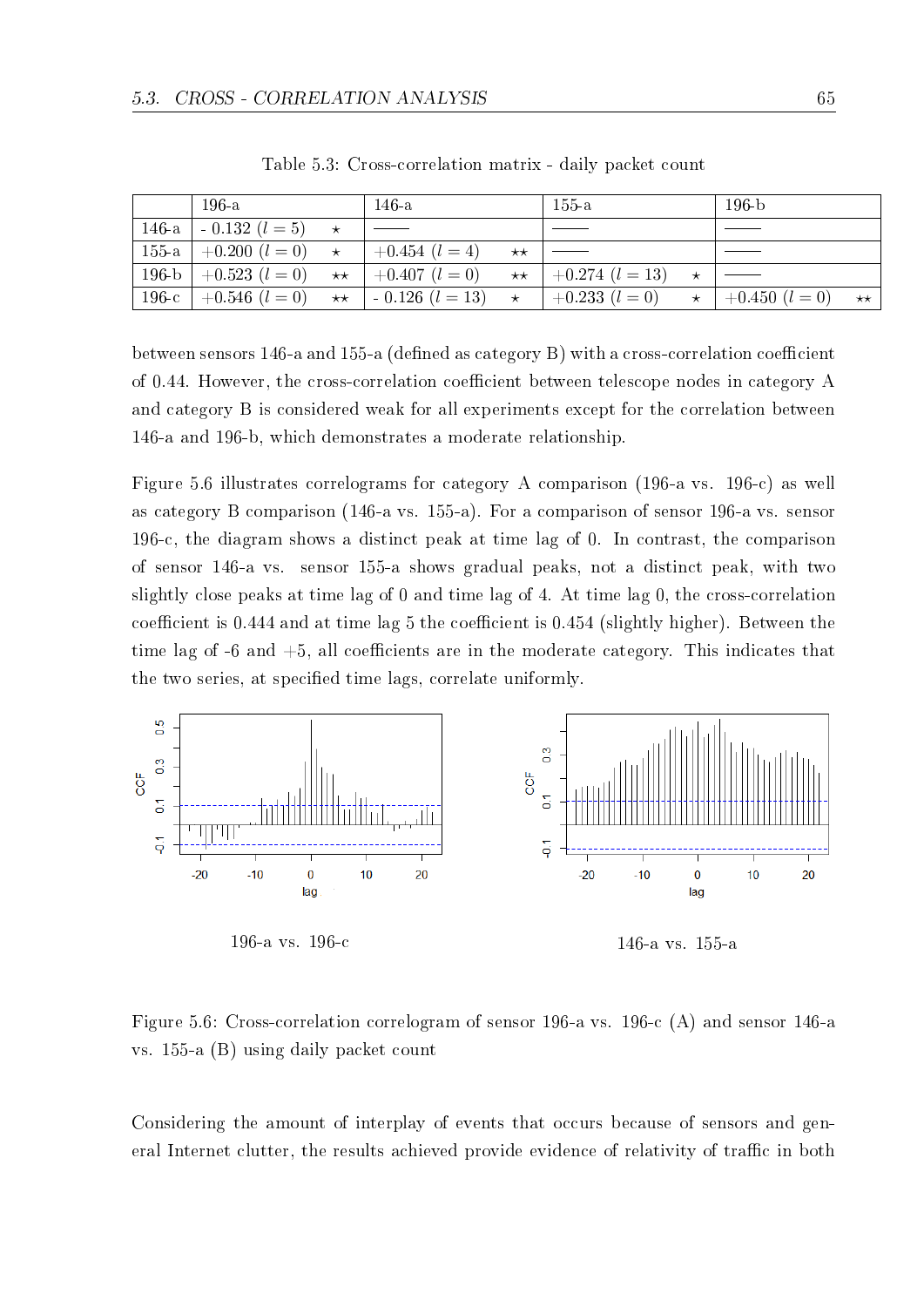|         | $196-a$            |              | 146-a               |              | $155-a$             |         | $196-b$            |              |
|---------|--------------------|--------------|---------------------|--------------|---------------------|---------|--------------------|--------------|
| $146-a$ | $-0.132$ $(l=5)$   | $\star$      |                     |              |                     |         |                    |              |
| $155-a$ | $+0.200$ $(l = 0)$ | $\star$      | $+0.454$ $(l = 4)$  | $\star\star$ |                     |         |                    |              |
| $196-b$ | $+0.523$ $(l = 0)$ | $\star\star$ | $+0.407$ $(l = 0)$  | $\star\star$ | $+0.274$ $(l = 13)$ | $\star$ |                    |              |
| $196-c$ | $+0.546$ $(l = 0)$ | $\star\star$ | $-0.126$ $(l = 13)$ | $\star$      | $+0.233$ $(l = 0)$  | $\star$ | $+0.450$ $(l = 0)$ | $\star\star$ |

Table 5.3: Cross-correlation matrix - daily packet count

between sensors 146-a and 155-a (defined as category B) with a cross-correlation coefficient of 0.44. However, the cross-correlation coefficient between telescope nodes in category A and category B is considered weak for all experiments except for the correlation between 146-a and 196-b, which demonstrates a moderate relationship.

Figure 5.6 illustrates correlograms for category A comparison (196-a vs. 196-c) as well as category B comparison (146-a vs. 155-a). For a comparison of sensor 196-a vs. sensor 196-c, the diagram shows a distinct peak at time lag of 0. In contrast, the comparison of sensor 146-a vs. sensor 155-a shows gradual peaks, not a distinct peak, with two slightly close peaks at time lag of 0 and time lag of 4. At time lag 0, the cross-correlation coefficient is  $0.444$  and at time lag 5 the coefficient is  $0.454$  (slightly higher). Between the time lag of  $-6$  and  $+5$ , all coefficients are in the moderate category. This indicates that the two series, at specified time lags, correlate uniformly.



196-a vs. 196-c 146-a vs. 155-a

Figure 5.6: Cross-correlation correlogram of sensor 196-a vs. 196-c (A) and sensor 146-a vs. 155-a (B) using daily packet count

Considering the amount of interplay of events that occurs because of sensors and general Internet clutter, the results achieved provide evidence of relativity of traffic in both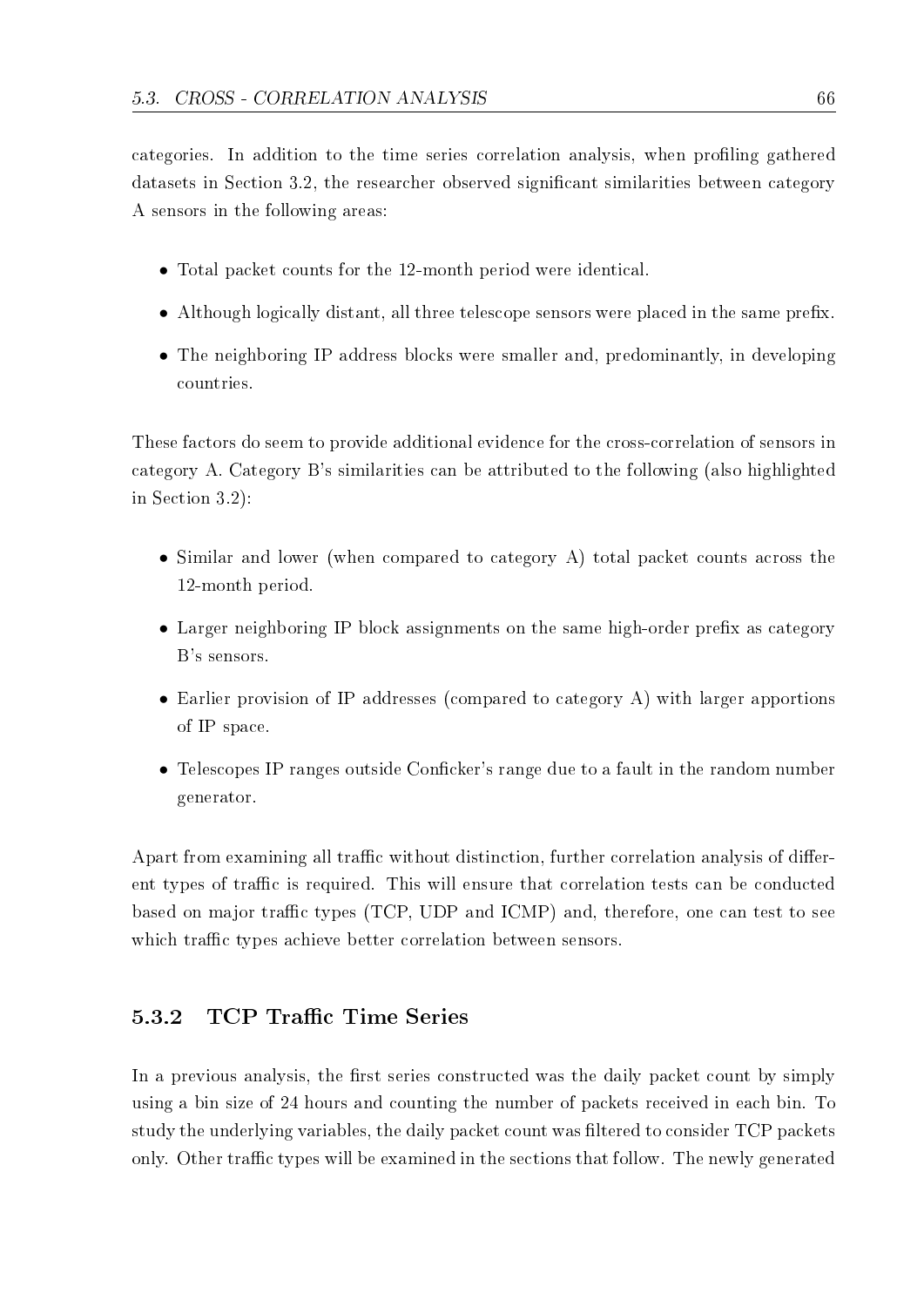categories. In addition to the time series correlation analysis, when proling gathered datasets in Section 3.2, the researcher observed significant similarities between category A sensors in the following areas:

- Total packet counts for the 12-month period were identical.
- Although logically distant, all three telescope sensors were placed in the same prefix.
- The neighboring IP address blocks were smaller and, predominantly, in developing countries.

These factors do seem to provide additional evidence for the cross-correlation of sensors in category A. Category B's similarities can be attributed to the following (also highlighted in Section 3.2):

- *•* Similar and lower (when compared to category A) total packet counts across the 12-month period.
- Larger neighboring IP block assignments on the same high-order prefix as category B's sensors.
- Earlier provision of IP addresses (compared to category A) with larger apportions of IP space.
- Telescopes IP ranges outside Conficker's range due to a fault in the random number generator.

Apart from examining all traffic without distinction, further correlation analysis of different types of traffic is required. This will ensure that correlation tests can be conducted based on major traffic types (TCP, UDP and ICMP) and, therefore, one can test to see which traffic types achieve better correlation between sensors.

#### 5.3.2 TCP Traffic Time Series

In a previous analysis, the first series constructed was the daily packet count by simply using a bin size of 24 hours and counting the number of packets received in each bin. To study the underlying variables, the daily packet count was filtered to consider TCP packets only. Other traffic types will be examined in the sections that follow. The newly generated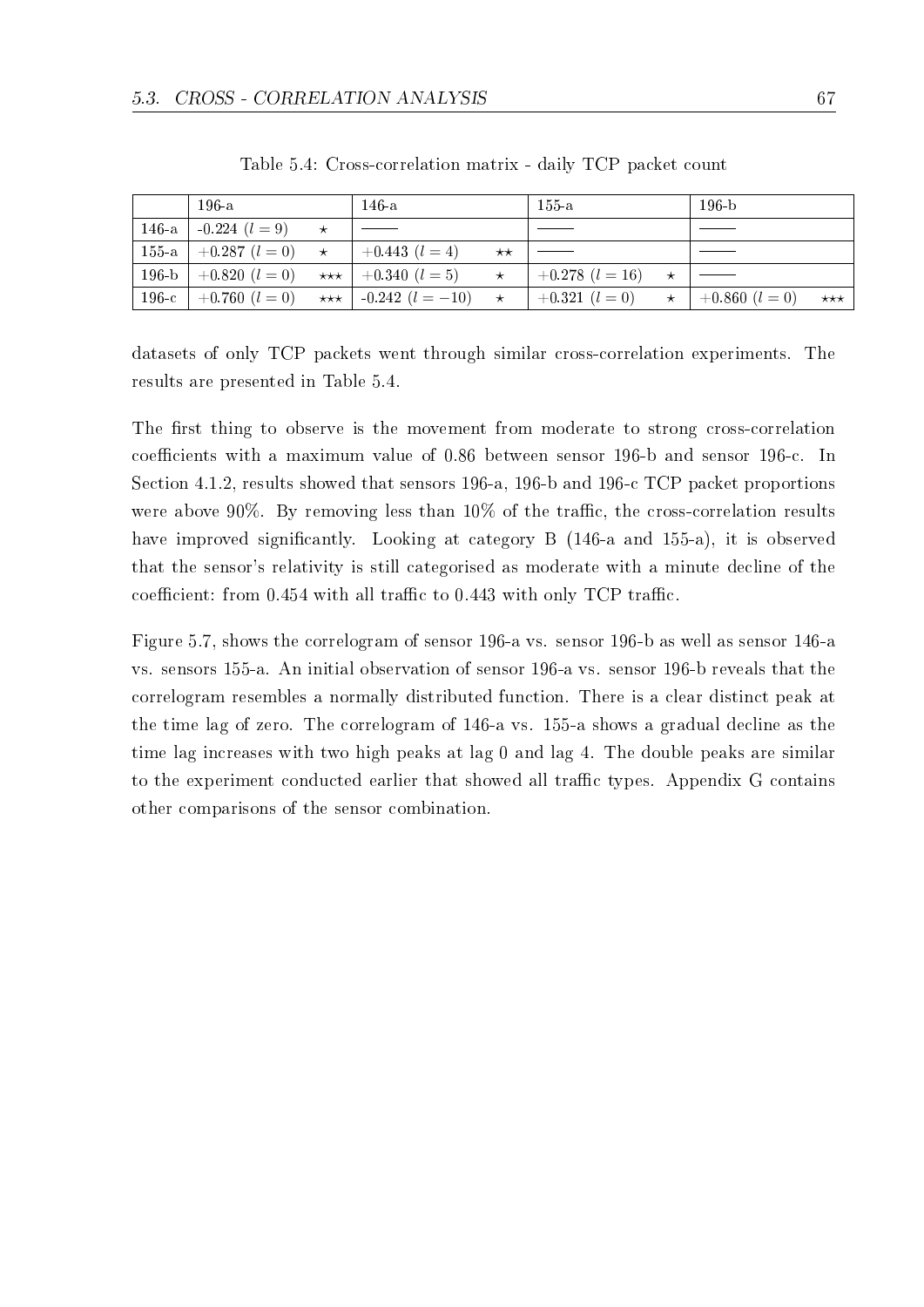|           | $196-a$            |         | 146-a                    |              | $155 - a$           | 196-b                    |                   |
|-----------|--------------------|---------|--------------------------|--------------|---------------------|--------------------------|-------------------|
| $146-a$   | $-0.224$ $(l = 9)$ |         |                          |              |                     |                          |                   |
| $155-a$   | $+0.287$ $(l = 0)$ | $\star$ | $+0.443$ $(l = 4)$       | $\star\star$ |                     |                          |                   |
| $196 - b$ | $+0.820$ $(l = 0)$ |         | ***   +0.340 $(l = 5)$   | $\star$      | $+0.278$ $(l = 16)$ |                          |                   |
| $196-c$   | $+0.760$ $(l = 0)$ |         | *** $-0.242$ $(l = -10)$ | $\star$      | $+0.321$ $(l = 0)$  | $\star$   +0.860 (l = 0) | $\star\star\star$ |

Table 5.4: Cross-correlation matrix - daily TCP packet count

datasets of only TCP packets went through similar cross-correlation experiments. The results are presented in Table 5.4.

The first thing to observe is the movement from moderate to strong cross-correlation coefficients with a maximum value of 0.86 between sensor 196-b and sensor 196-c. In Section 4.1.2, results showed that sensors 196-a, 196-b and 196-c TCP packet proportions were above 90%. By removing less than  $10\%$  of the traffic, the cross-correlation results have improved significantly. Looking at category B (146-a and 155-a), it is observed that the sensor's relativity is still categorised as moderate with a minute decline of the coefficient: from  $0.454$  with all traffic to  $0.443$  with only TCP traffic.

Figure 5.7, shows the correlogram of sensor 196-a vs. sensor 196-b as well as sensor 146-a vs. sensors 155-a. An initial observation of sensor 196-a vs. sensor 196-b reveals that the correlogram resembles a normally distributed function. There is a clear distinct peak at the time lag of zero. The correlogram of 146-a vs. 155-a shows a gradual decline as the time lag increases with two high peaks at lag 0 and lag 4. The double peaks are similar to the experiment conducted earlier that showed all traffic types. Appendix G contains other comparisons of the sensor combination.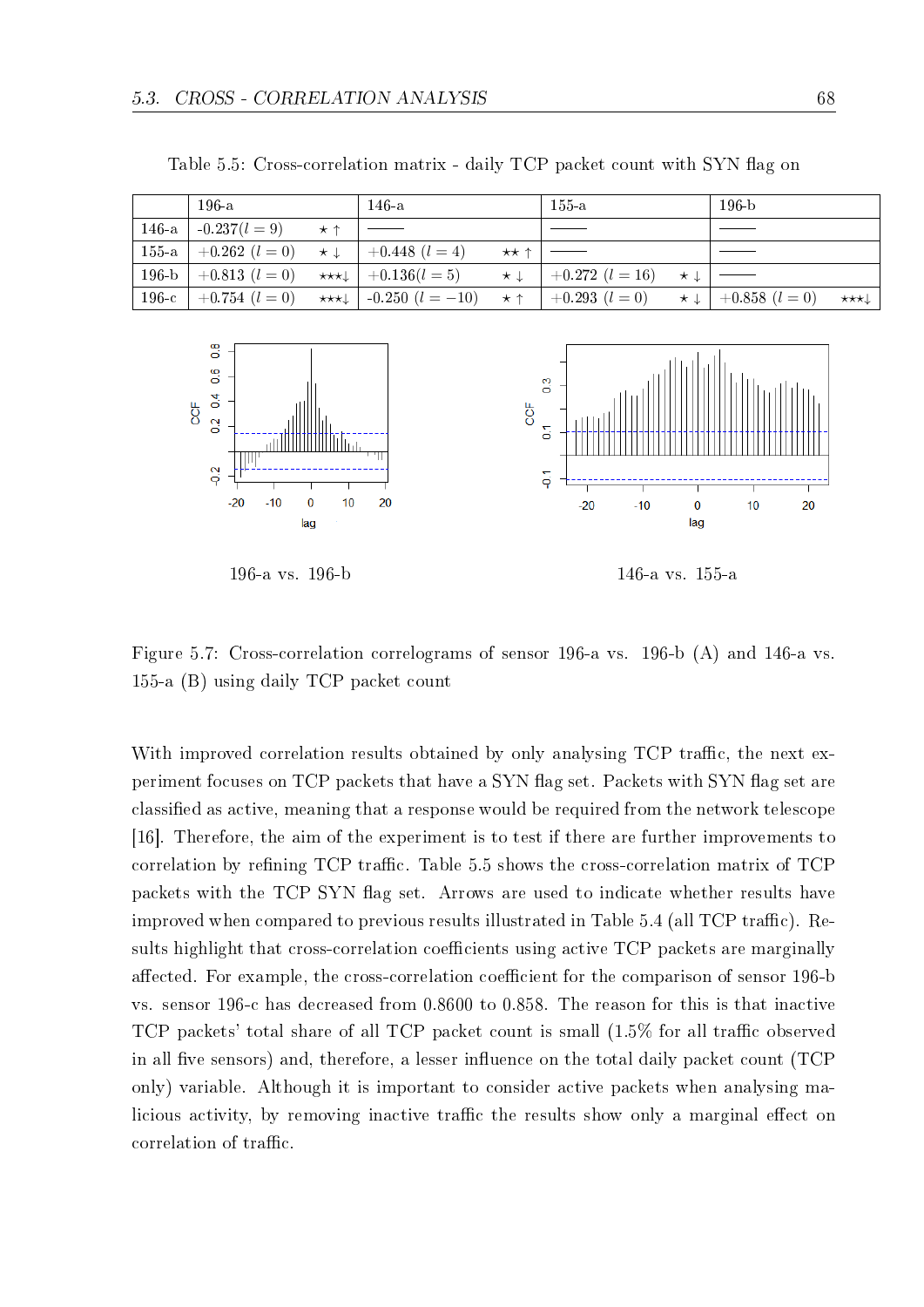|         | $196-a$                          | $146 - a$                                    | $155-a$                                | $196-h$                                 |                             |
|---------|----------------------------------|----------------------------------------------|----------------------------------------|-----------------------------------------|-----------------------------|
| $146-a$ | $-0.237(l=9)$ $\star$ $\uparrow$ |                                              |                                        |                                         |                             |
|         | 155-a   $+0.262$ $(l = 0)$       | $\star \downarrow$ $+0.448$ $(l = 4)$        | $\star\star\uparrow$   —               |                                         |                             |
|         | 196-b $+0.813$ $(l = 0)$         | $\star \star \star \downarrow$ $+0.136(l=5)$ | $\star \downarrow$ $+0.272$ $(l = 16)$ | $\star \downarrow$   $\longrightarrow$  |                             |
| $196-c$ | $+0.754$ $(l = 0)$               | ****   -0.250 $(l = -10)$                    | $\star \uparrow$   +0.293 (l = 0)      | $\star \downarrow$   +0.858 ( $l = 0$ ) | $\star\star\star\downarrow$ |

Table 5.5: Cross-correlation matrix - daily TCP packet count with SYN flag on





196-a vs. 196-b 146-a vs. 155-a

Figure 5.7: Cross-correlation correlograms of sensor 196-a vs. 196-b (A) and 146-a vs. 155-a (B) using daily TCP packet count

With improved correlation results obtained by only analysing TCP traffic, the next experiment focuses on TCP packets that have a SYN flag set. Packets with SYN flag set are classied as active, meaning that a response would be required from the network telescope [16]. Therefore, the aim of the experiment is to test if there are further improvements to correlation by refining  $TCP$  traffic. Table 5.5 shows the cross-correlation matrix of  $TCP$ packets with the TCP SYN ag set. Arrows are used to indicate whether results have improved when compared to previous results illustrated in Table 5.4 (all TCP traffic). Results highlight that cross-correlation coefficients using active TCP packets are marginally affected. For example, the cross-correlation coefficient for the comparison of sensor 196-b vs. sensor 196-c has decreased from 0.8600 to 0.858. The reason for this is that inactive TCP packets' total share of all TCP packet count is small  $(1.5\%$  for all traffic observed in all five sensors) and, therefore, a lesser influence on the total daily packet count  $(TCP)$ only) variable. Although it is important to consider active packets when analysing malicious activity, by removing inactive traffic the results show only a marginal effect on correlation of traffic.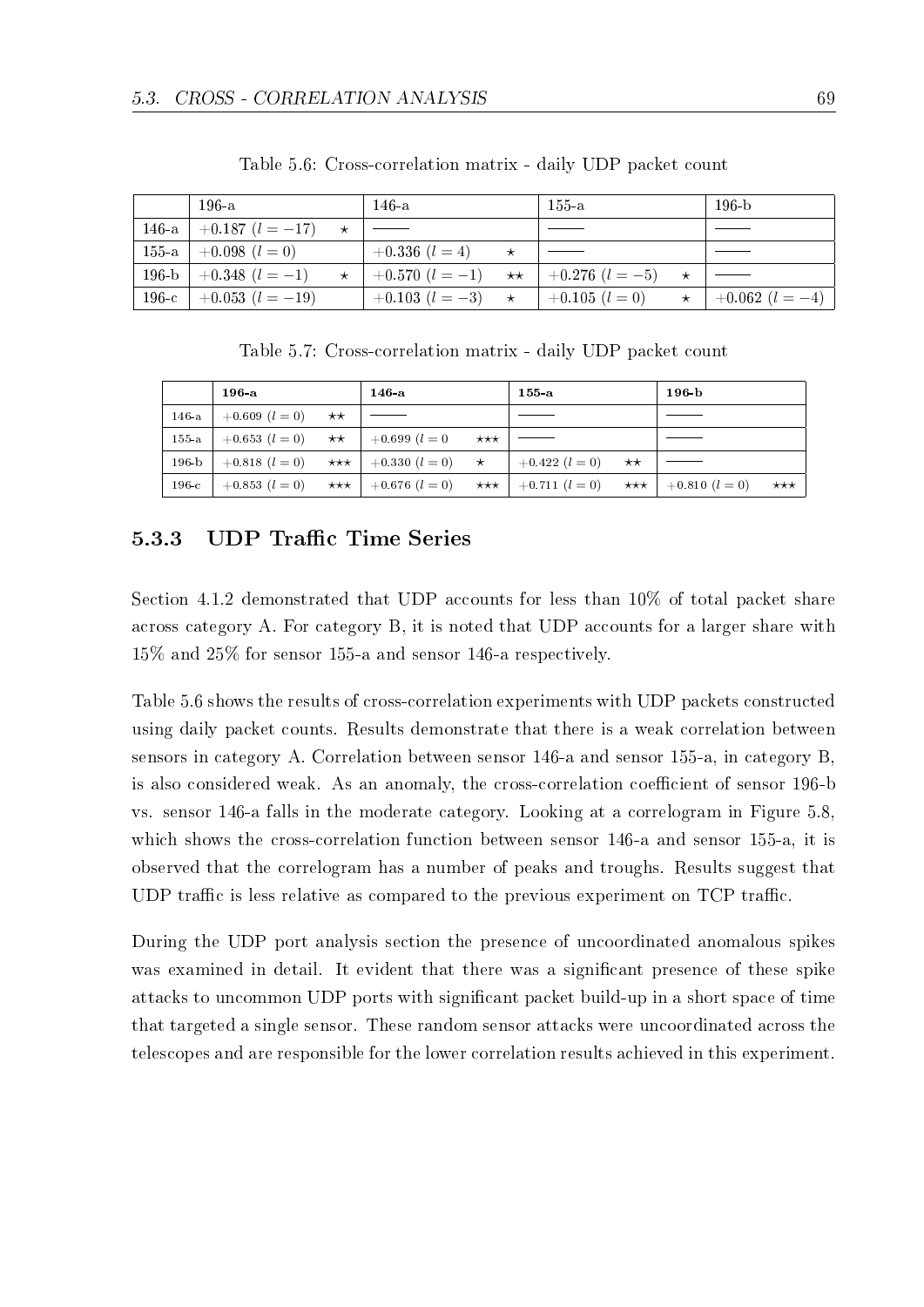|         | $196-a$                    |         | 146-a              |              | $155$ -a           | $196-b$                       |
|---------|----------------------------|---------|--------------------|--------------|--------------------|-------------------------------|
|         | 146-a   +0.187 $(l = -17)$ | $\star$ |                    |              |                    |                               |
|         | 155-a   $+0.098$ $(l = 0)$ |         | $+0.336$ $(l = 4)$ |              |                    |                               |
| $196-b$ | $+0.348$ $(l=-1)$          | $\star$ | $+0.570$ $(l=-1)$  | $\star\star$ | $+0.276$ $(l=-5)$  |                               |
| $196-c$ | $+0.053$ $(l = -19)$       |         | $+0.103$ $(l=-3)$  | $\star$      | $+0.105$ $(l = 0)$ | $\star$   +0.062 ( $l = -4$ ) |

Table 5.6: Cross-correlation matrix - daily UDP packet count

Table 5.7: Cross-correlation matrix - daily UDP packet count

|           | $196-a$            |              | $146-a$                                |                   | 155a               |              | $196-b$                  |                   |
|-----------|--------------------|--------------|----------------------------------------|-------------------|--------------------|--------------|--------------------------|-------------------|
| $146-a$   | $+0.609$ $(l = 0)$ | $\star\star$ |                                        |                   |                    |              |                          |                   |
| $155-a$   | $+0.653$ $(l = 0)$ | $\star\star$ | $+0.699$ $(l = 0)$                     | $\star\star\star$ |                    |              |                          |                   |
| $196 - b$ | $+0.818$ $(l = 0)$ |              | $\star \star \star$ $+0.330$ $(l = 0)$ | $\star$           | $+0.422$ $(l = 0)$ | $\star\star$ |                          |                   |
| $196-c$   | $+0.853$ $(l = 0)$ |              | *** $+0.676$ $(l = 0)$                 | $\star\star\star$ | $+0.711$ $(l = 0)$ |              | ***   $+0.810$ $(l = 0)$ | $\star\star\star$ |

### 5.3.3 UDP Traffic Time Series

Section 4.1.2 demonstrated that UDP accounts for less than 10% of total packet share across category A. For category B, it is noted that UDP accounts for a larger share with 15% and 25% for sensor 155-a and sensor 146-a respectively.

Table 5.6 shows the results of cross-correlation experiments with UDP packets constructed using daily packet counts. Results demonstrate that there is a weak correlation between sensors in category A. Correlation between sensor 146-a and sensor 155-a, in category B, is also considered weak. As an anomaly, the cross-correlation coefficient of sensor 196-b vs. sensor 146-a falls in the moderate category. Looking at a correlogram in Figure 5.8, which shows the cross-correlation function between sensor 146-a and sensor 155-a, it is observed that the correlogram has a number of peaks and troughs. Results suggest that UDP traffic is less relative as compared to the previous experiment on  $TCP$  traffic.

During the UDP port analysis section the presence of uncoordinated anomalous spikes was examined in detail. It evident that there was a signicant presence of these spike attacks to uncommon UDP ports with signicant packet build-up in a short space of time that targeted a single sensor. These random sensor attacks were uncoordinated across the telescopes and are responsible for the lower correlation results achieved in this experiment.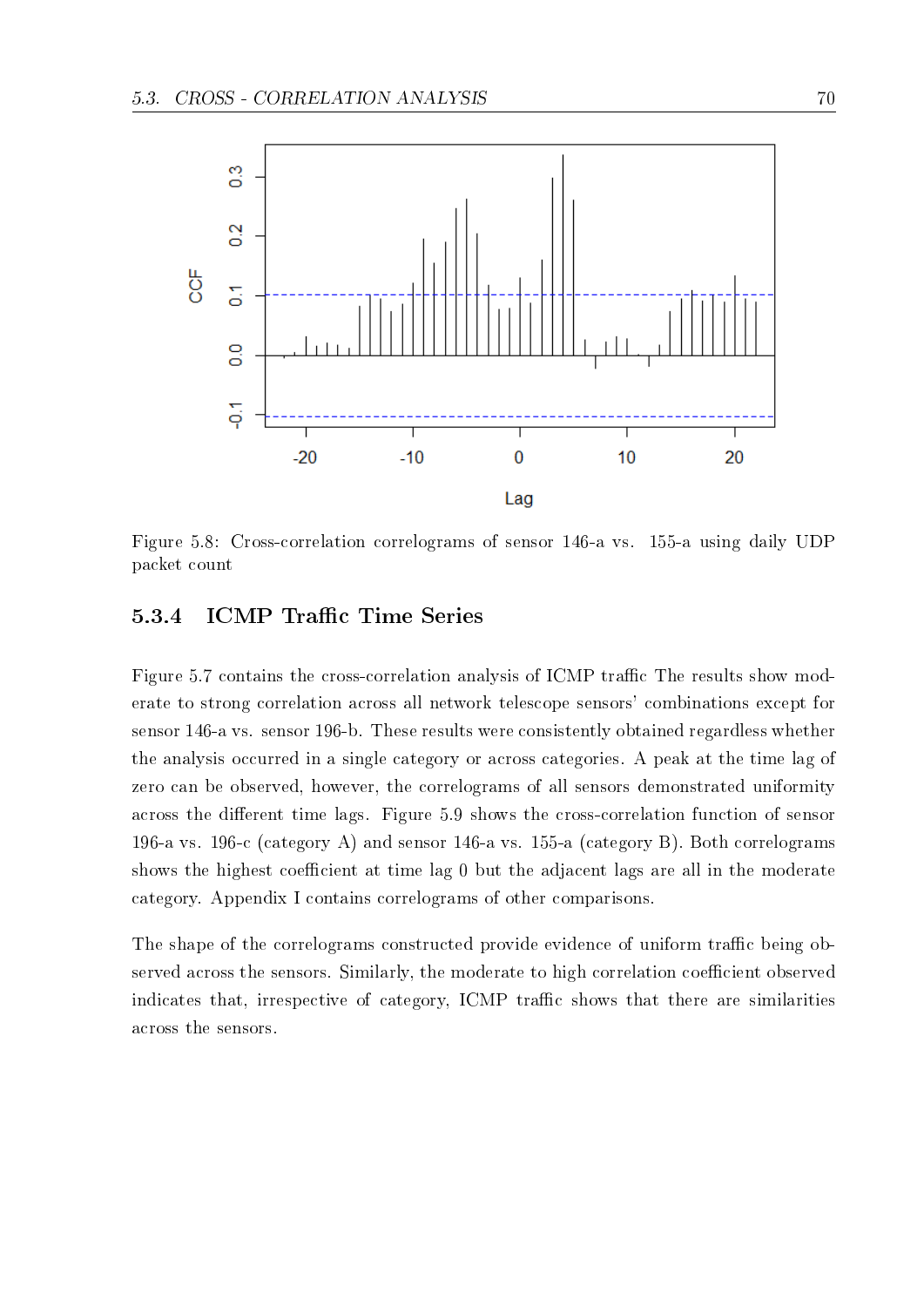

Figure 5.8: Cross-correlation correlograms of sensor 146-a vs. 155-a using daily UDP packet count

#### 5.3.4 ICMP Traffic Time Series

Figure 5.7 contains the cross-correlation analysis of ICMP traffic The results show moderate to strong correlation across all network telescope sensors' combinations except for sensor 146-a vs. sensor 196-b. These results were consistently obtained regardless whether the analysis occurred in a single category or across categories. A peak at the time lag of zero can be observed, however, the correlograms of all sensors demonstrated uniformity across the different time lags. Figure 5.9 shows the cross-correlation function of sensor 196-a vs. 196-c (category A) and sensor 146-a vs. 155-a (category B). Both correlograms shows the highest coefficient at time lag 0 but the adjacent lags are all in the moderate category. Appendix I contains correlograms of other comparisons.

The shape of the correlograms constructed provide evidence of uniform traffic being observed across the sensors. Similarly, the moderate to high correlation coefficient observed indicates that, irrespective of category, ICMP traffic shows that there are similarities across the sensors.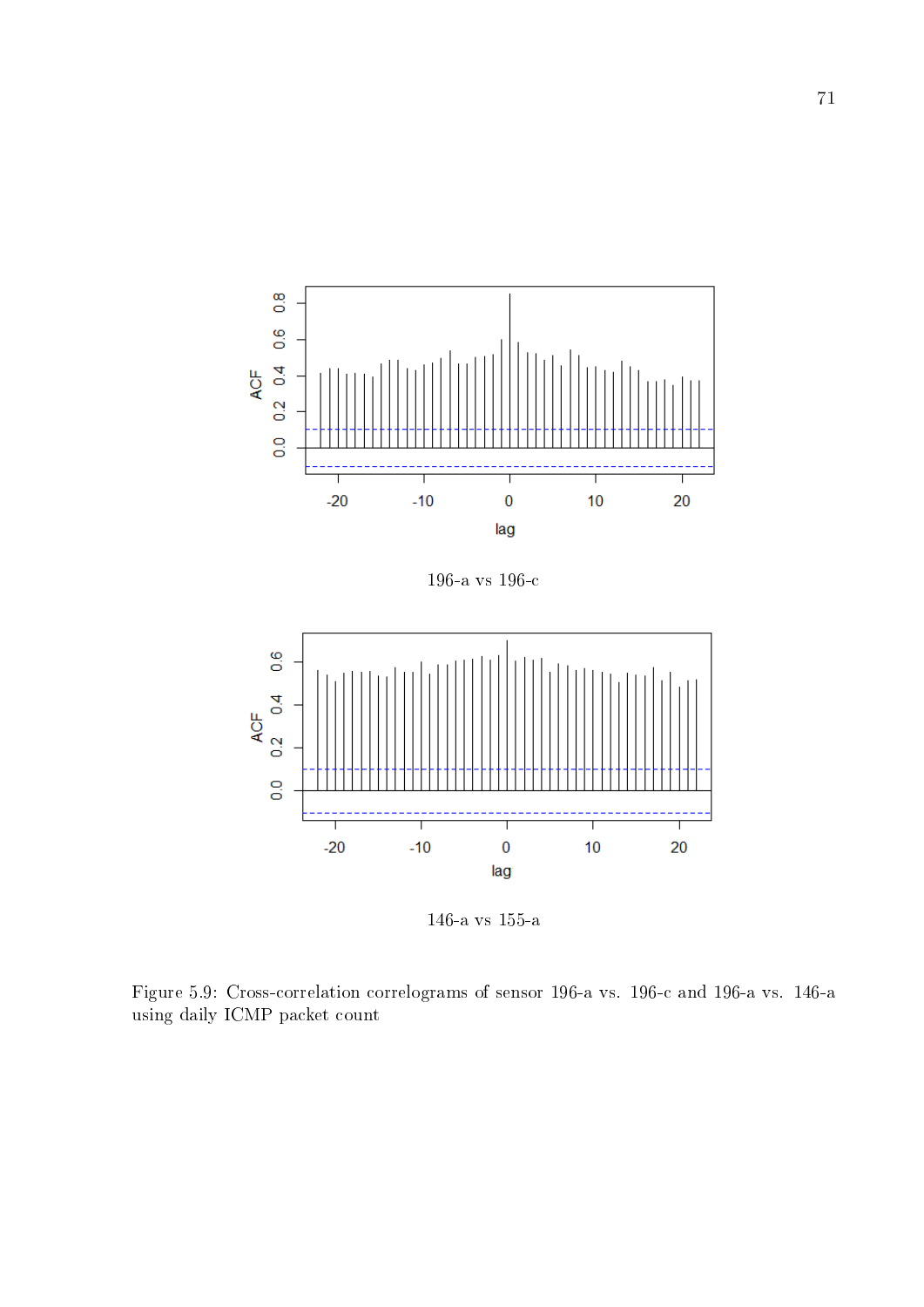

196-a vs 196-c



146-a vs 155-a

Figure 5.9: Cross-correlation correlograms of sensor 196-a vs. 196-c and 196-a vs. 146-a using daily ICMP packet count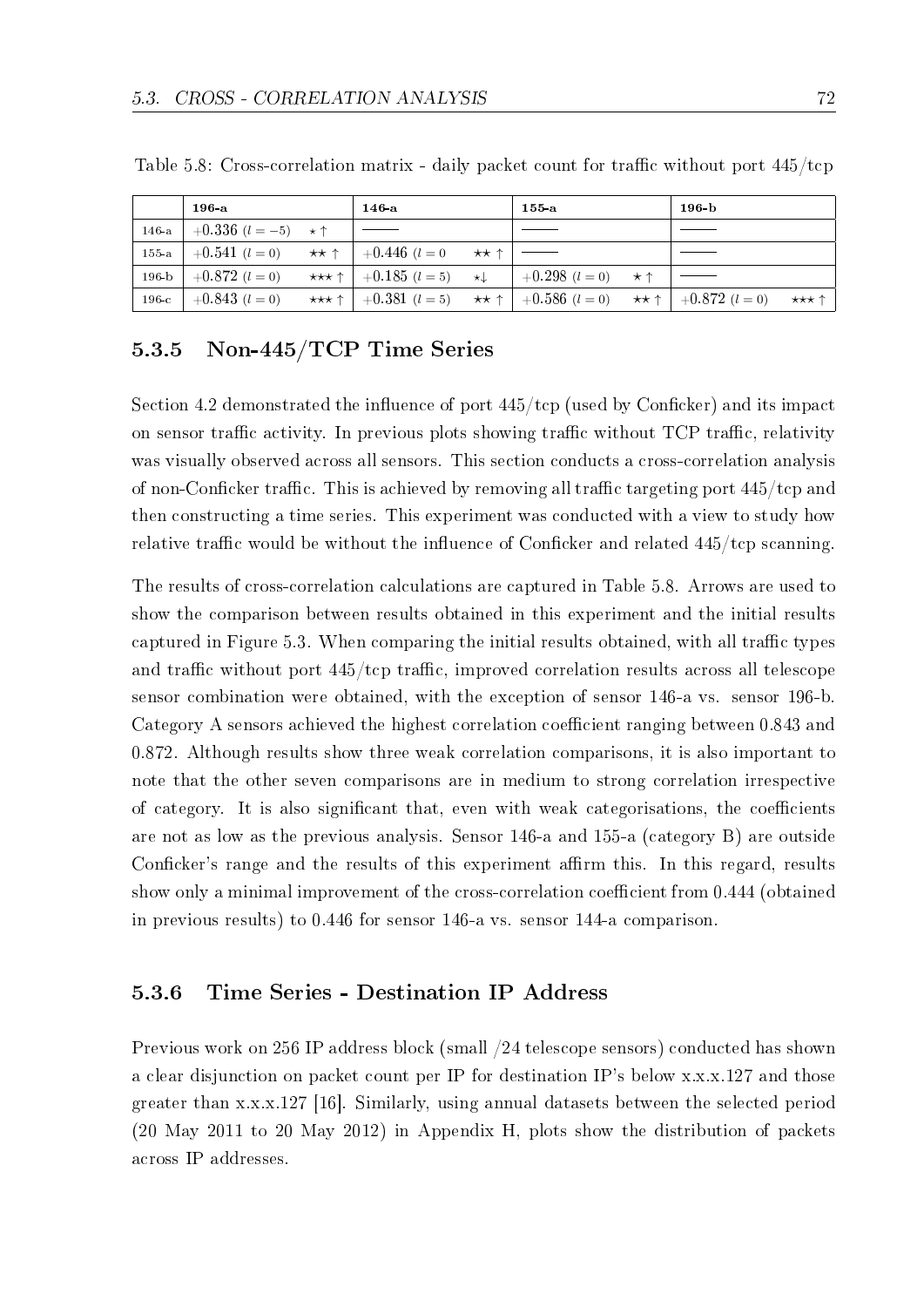|         | $196-a$                                                                                | $146-a$                                                                                       | 155 a | 196 <sub>b</sub> |       |
|---------|----------------------------------------------------------------------------------------|-----------------------------------------------------------------------------------------------|-------|------------------|-------|
|         | 146-a   $+0.336$ $(l = -5)$ $\star$ $\uparrow$                                         |                                                                                               |       |                  |       |
| $155-a$ | $+0.541$ $(l = 0)$ $\star \star \uparrow$ $+0.446$ $(l = 0$ $\star \star \uparrow$ $-$ |                                                                                               |       |                  |       |
|         | 196-b $+0.872$ $(l = 0)$                                                               | *** $\uparrow$   +0.185 (l = 5) * +   +0.298 (l = 0) * $\uparrow$                             |       |                  |       |
|         | 196-c $+0.843$ $(l = 0)$                                                               | *** $\uparrow$   +0.381 (l = 5) ** $\uparrow$   +0.586 (l = 0) ** $\uparrow$   +0.872 (l = 0) |       |                  | ★★★ ↑ |

Table 5.8: Cross-correlation matrix - daily packet count for traffic without port  $445/$ tcp

#### 5.3.5 Non-445/TCP Time Series

Section 4.2 demonstrated the influence of port  $445/\text{top}$  (used by Conficker) and its impact on sensor traffic activity. In previous plots showing traffic without TCP traffic, relativity was visually observed across all sensors. This section conducts a cross-correlation analysis of non-Conficker traffic. This is achieved by removing all traffic targeting port  $445/\text{top}$  and then constructing a time series. This experiment was conducted with a view to study how relative traffic would be without the influence of Conficker and related  $445/\text{top}$  scanning.

The results of cross-correlation calculations are captured in Table 5.8. Arrows are used to show the comparison between results obtained in this experiment and the initial results captured in Figure 5.3. When comparing the initial results obtained, with all traffic types and traffic without port  $445/\text{top}$  traffic, improved correlation results across all telescope sensor combination were obtained, with the exception of sensor 146-a vs. sensor 196-b. Category A sensors achieved the highest correlation coefficient ranging between 0.843 and 0.872. Although results show three weak correlation comparisons, it is also important to note that the other seven comparisons are in medium to strong correlation irrespective of category. It is also significant that, even with weak categorisations, the coefficients are not as low as the previous analysis. Sensor 146-a and 155-a (category B) are outside Conficker's range and the results of this experiment affirm this. In this regard, results show only a minimal improvement of the cross-correlation coefficient from 0.444 (obtained in previous results) to 0.446 for sensor 146-a vs. sensor 144-a comparison.

#### 5.3.6 Time Series - Destination IP Address

Previous work on 256 IP address block (small /24 telescope sensors) conducted has shown a clear disjunction on packet count per IP for destination IP's below x.x.x.127 and those greater than x.x.x.127 [16]. Similarly, using annual datasets between the selected period (20 May 2011 to 20 May 2012) in Appendix H, plots show the distribution of packets across IP addresses.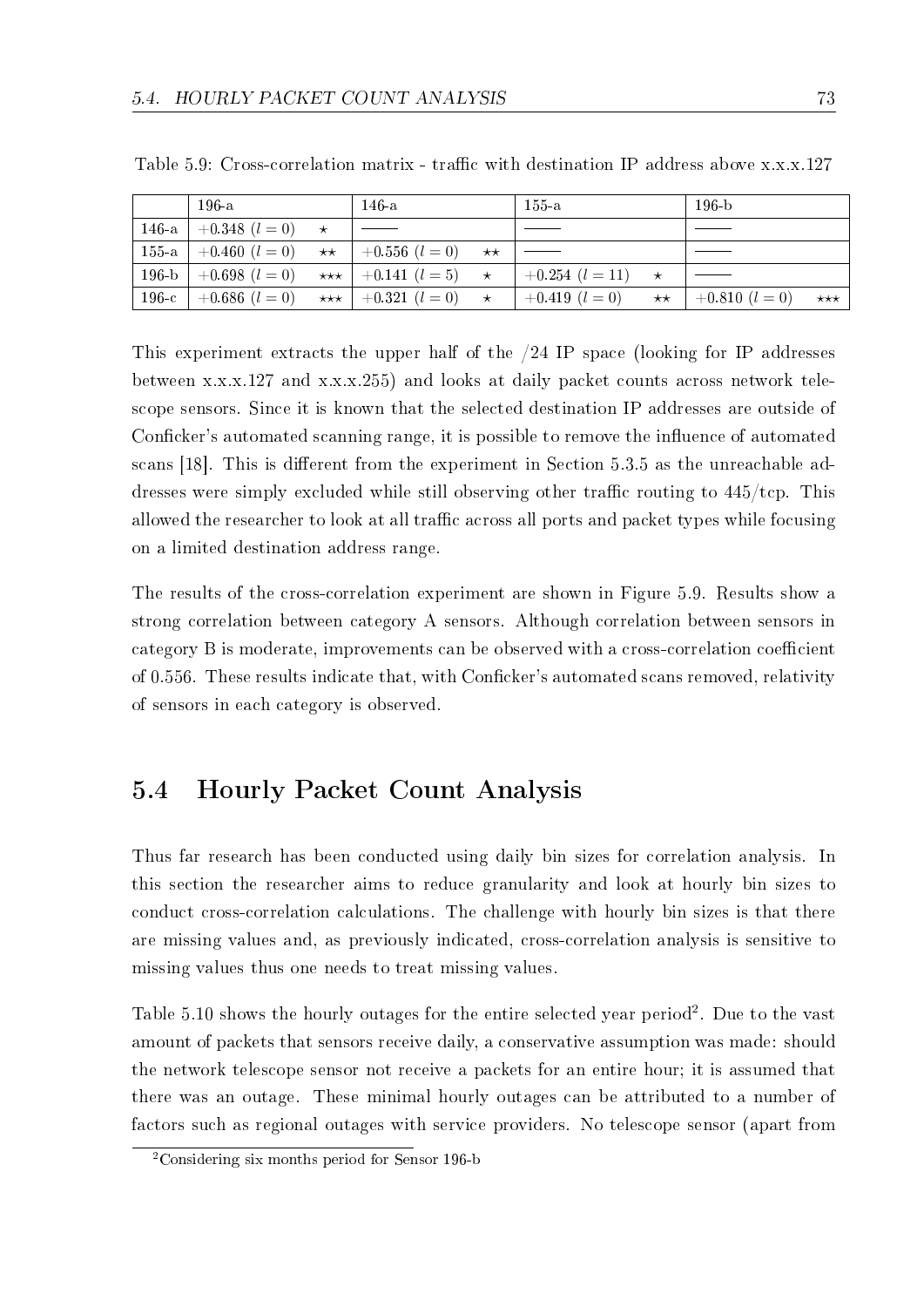|         | 196-a                                             | $146 - a$                                   | $155 - a$                                                                                                      | $196-h$ |                   |
|---------|---------------------------------------------------|---------------------------------------------|----------------------------------------------------------------------------------------------------------------|---------|-------------------|
| $146-a$ | $+0.348$ $(l = 0)$ $\star$                        |                                             |                                                                                                                |         |                   |
|         | 155-a   +0.460 $(l = 0)$ **   +0.556 $(l = 0)$ ** |                                             |                                                                                                                |         |                   |
| $196-b$ |                                                   |                                             | $\vert +0.698 \; (l=0) \quad \star \star \star \vert +0.141 \; (l=5) \quad \star \quad \vert +0.254 \; (l=11)$ |         |                   |
| $196-c$ |                                                   | $+0.686$ $(l = 0)$ *** $+0.321$ $(l = 0)$ * | $+0.419 (l = 0)$ ** $+0.810 (l = 0)$                                                                           |         | $\star\star\star$ |

Table 5.9: Cross-correlation matrix - traffic with destination IP address above  $x.x.x.127$ 

This experiment extracts the upper half of the /24 IP space (looking for IP addresses between x.x.x.127 and x.x.x.255) and looks at daily packet counts across network telescope sensors. Since it is known that the selected destination IP addresses are outside of Conficker's automated scanning range, it is possible to remove the influence of automated scans  $[18]$ . This is different from the experiment in Section 5.3.5 as the unreachable addresses were simply excluded while still observing other traffic routing to  $445/\text{tcp}$ . This allowed the researcher to look at all traffic across all ports and packet types while focusing on a limited destination address range.

The results of the cross-correlation experiment are shown in Figure 5.9. Results show a strong correlation between category A sensors. Although correlation between sensors in category B is moderate, improvements can be observed with a cross-correlation coefficient of 0.556. These results indicate that, with Conficker's automated scans removed, relativity of sensors in each category is observed.

### 5.4 Hourly Packet Count Analysis

Thus far research has been conducted using daily bin sizes for correlation analysis. In this section the researcher aims to reduce granularity and look at hourly bin sizes to conduct cross-correlation calculations. The challenge with hourly bin sizes is that there are missing values and, as previously indicated, cross-correlation analysis is sensitive to missing values thus one needs to treat missing values.

Table  $5.10$  shows the hourly outages for the entire selected year period<sup>2</sup>. Due to the vast amount of packets that sensors receive daily, a conservative assumption was made: should the network telescope sensor not receive a packets for an entire hour; it is assumed that there was an outage. These minimal hourly outages can be attributed to a number of factors such as regional outages with service providers. No telescope sensor (apart from

<sup>&</sup>lt;sup>2</sup>Considering six months period for Sensor 196-b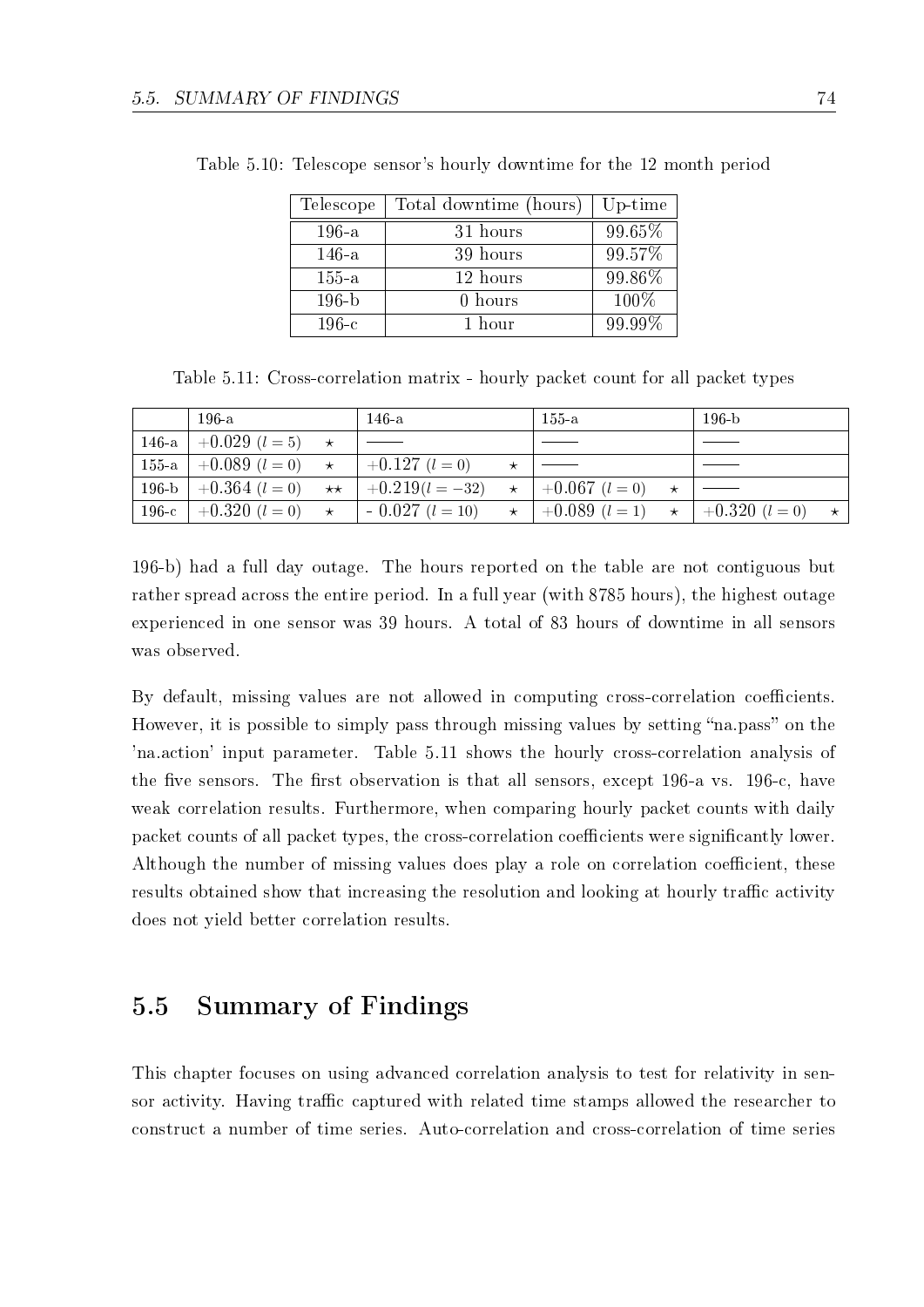| Telescope | Total downtime (hours) | Up-time |
|-----------|------------------------|---------|
| $196-a$   | 31 hours               | 99.65%  |
| $146-a$   | 39 hours               | 99.57%  |
| $155-a$   | 12 hours               | 99.86%  |
| $196-b$   | 0 hours                | 100%    |
| $196-c$   | 1 hour                 | 99.99%  |

Table 5.10: Telescope sensor's hourly downtime for the 12 month period

Table 5.11: Cross-correlation matrix - hourly packet count for all packet types

|         | $196-a$                          | $146-a$                                        | $155-a$                                         | $196-h$ |         |
|---------|----------------------------------|------------------------------------------------|-------------------------------------------------|---------|---------|
|         | $146-a$ +0.029 $(l = 5)$ $\star$ |                                                |                                                 |         |         |
|         | 155-a $+0.089$ $(l = 0)$ $\star$ | $+0.127$ $(l = 0)$                             |                                                 |         |         |
| $196-b$ | $+0.364$ $(l = 0)$ **            | $+0.219(l = -32)$                              | $\star$   +0.067 (l = 0)                        |         |         |
| $196-c$ |                                  | $+0.320$ $(l = 0)$ $\star$ $-0.027$ $(l = 10)$ | $\star$ + 0.089 (l = 1) $\star$ + 0.320 (l = 0) |         | $\star$ |

196-b) had a full day outage. The hours reported on the table are not contiguous but rather spread across the entire period. In a full year (with 8785 hours), the highest outage experienced in one sensor was 39 hours. A total of 83 hours of downtime in all sensors was observed.

By default, missing values are not allowed in computing cross-correlation coefficients. However, it is possible to simply pass through missing values by setting "na.pass" on the 'na.action' input parameter. Table 5.11 shows the hourly cross-correlation analysis of the five sensors. The first observation is that all sensors, except 196-a vs. 196-c, have weak correlation results. Furthermore, when comparing hourly packet counts with daily packet counts of all packet types, the cross-correlation coefficients were significantly lower. Although the number of missing values does play a role on correlation coefficient, these results obtained show that increasing the resolution and looking at hourly traffic activity does not yield better correlation results.

### 5.5 Summary of Findings

This chapter focuses on using advanced correlation analysis to test for relativity in sensor activity. Having traffic captured with related time stamps allowed the researcher to construct a number of time series. Auto-correlation and cross-correlation of time series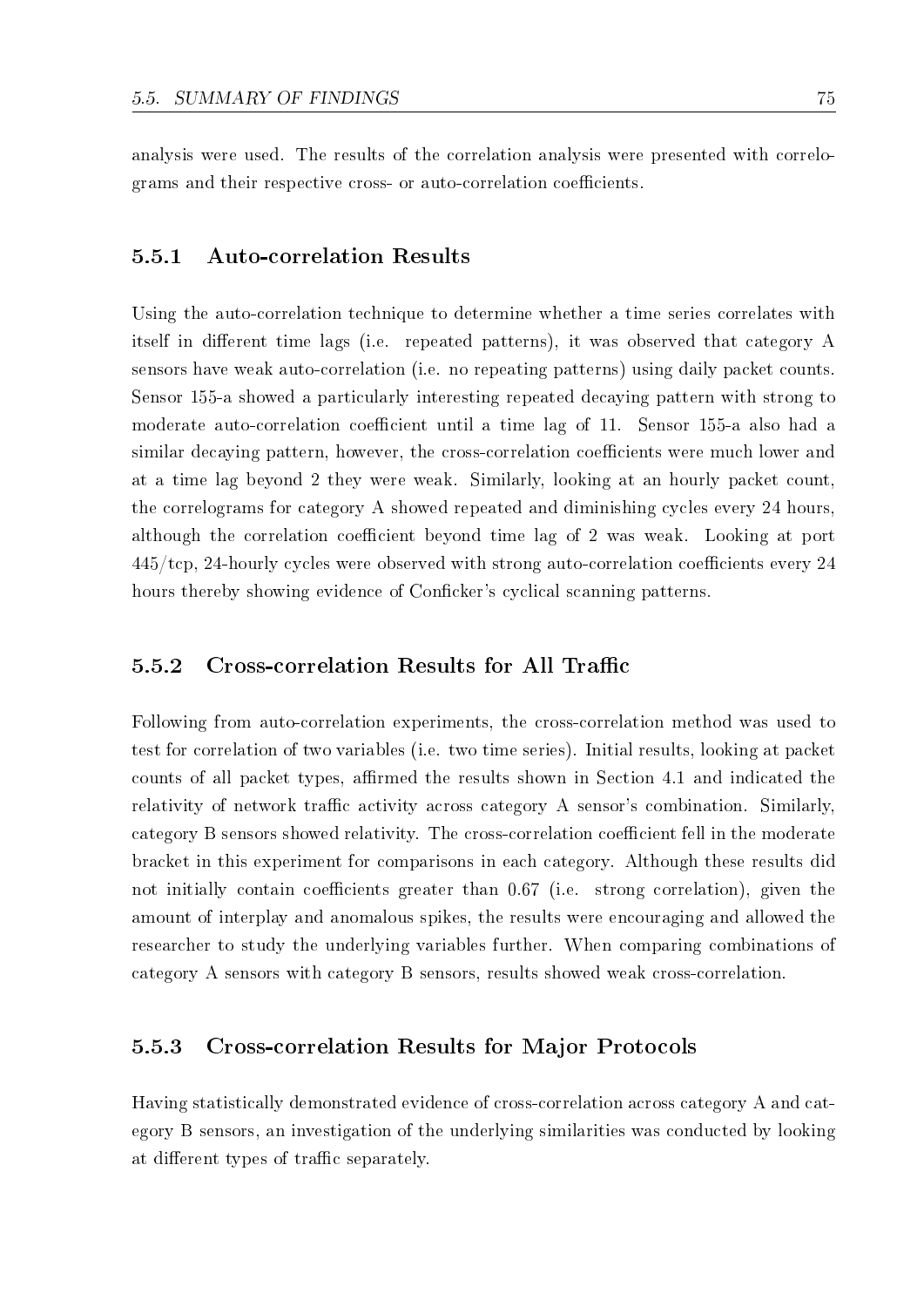analysis were used. The results of the correlation analysis were presented with correlograms and their respective cross- or auto-correlation coefficients.

#### 5.5.1 Auto-correlation Results

Using the auto-correlation technique to determine whether a time series correlates with itself in different time lags (i.e. repeated patterns), it was observed that category  $A$ sensors have weak auto-correlation (i.e. no repeating patterns) using daily packet counts. Sensor 155-a showed a particularly interesting repeated decaying pattern with strong to moderate auto-correlation coefficient until a time lag of 11. Sensor 155-a also had a similar decaying pattern, however, the cross-correlation coefficients were much lower and at a time lag beyond 2 they were weak. Similarly, looking at an hourly packet count, the correlograms for category A showed repeated and diminishing cycles every 24 hours, although the correlation coefficient beyond time lag of 2 was weak. Looking at port  $445/\text{top}$ , 24-hourly cycles were observed with strong auto-correlation coefficients every 24 hours thereby showing evidence of Conficker's cyclical scanning patterns.

#### 5.5.2 Cross-correlation Results for All Traffic

Following from auto-correlation experiments, the cross-correlation method was used to test for correlation of two variables (i.e. two time series). Initial results, looking at packet counts of all packet types, affirmed the results shown in Section 4.1 and indicated the relativity of network traffic activity across category A sensor's combination. Similarly, category B sensors showed relativity. The cross-correlation coefficient fell in the moderate bracket in this experiment for comparisons in each category. Although these results did not initially contain coefficients greater than  $0.67$  (i.e. strong correlation), given the amount of interplay and anomalous spikes, the results were encouraging and allowed the researcher to study the underlying variables further. When comparing combinations of category A sensors with category B sensors, results showed weak cross-correlation.

#### 5.5.3 Cross-correlation Results for Major Protocols

Having statistically demonstrated evidence of cross-correlation across category A and category B sensors, an investigation of the underlying similarities was conducted by looking at different types of traffic separately.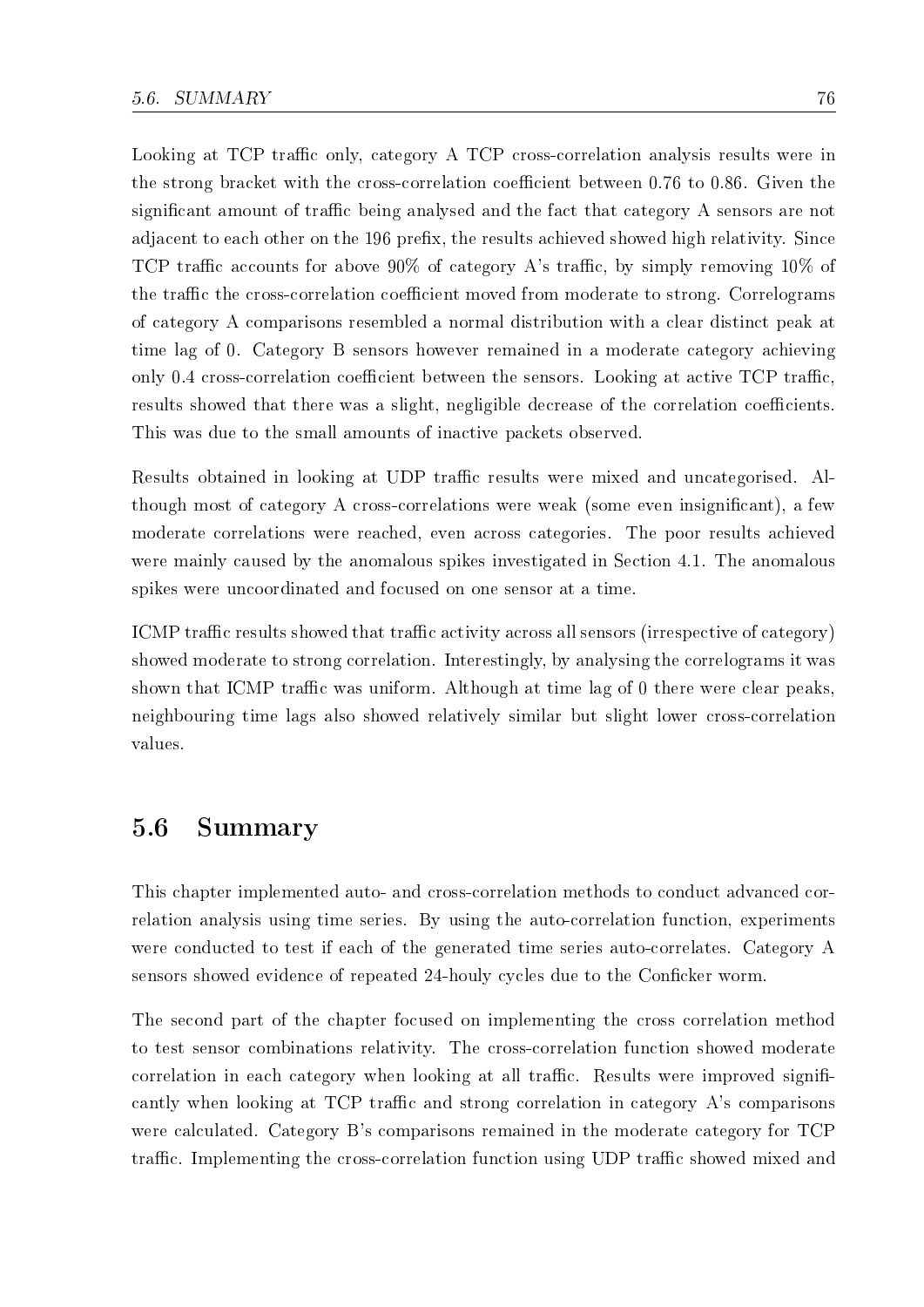Looking at TCP traffic only, category A TCP cross-correlation analysis results were in the strong bracket with the cross-correlation coefficient between 0.76 to 0.86. Given the significant amount of traffic being analysed and the fact that category A sensors are not adjacent to each other on the 196 prefix, the results achieved showed high relativity. Since TCP traffic accounts for above  $90\%$  of category A's traffic, by simply removing  $10\%$  of the traffic the cross-correlation coefficient moved from moderate to strong. Correlograms of category A comparisons resembled a normal distribution with a clear distinct peak at time lag of 0. Category B sensors however remained in a moderate category achieving only 0.4 cross-correlation coefficient between the sensors. Looking at active  $\text{TCP traffic}$ , results showed that there was a slight, negligible decrease of the correlation coefficients. This was due to the small amounts of inactive packets observed.

Results obtained in looking at UDP traffic results were mixed and uncategorised. Although most of category A cross-correlations were weak (some even insignicant), a few moderate correlations were reached, even across categories. The poor results achieved were mainly caused by the anomalous spikes investigated in Section 4.1. The anomalous spikes were uncoordinated and focused on one sensor at a time.

ICMP traffic results showed that traffic activity across all sensors (irrespective of category) showed moderate to strong correlation. Interestingly, by analysing the correlograms it was shown that ICMP traffic was uniform. Although at time lag of 0 there were clear peaks. neighbouring time lags also showed relatively similar but slight lower cross-correlation values.

### 5.6 Summary

This chapter implemented auto- and cross-correlation methods to conduct advanced correlation analysis using time series. By using the auto-correlation function, experiments were conducted to test if each of the generated time series auto-correlates. Category A sensors showed evidence of repeated 24-houly cycles due to the Conficker worm.

The second part of the chapter focused on implementing the cross correlation method to test sensor combinations relativity. The cross-correlation function showed moderate correlation in each category when looking at all traffic. Results were improved significantly when looking at TCP traffic and strong correlation in category A's comparisons were calculated. Category B's comparisons remained in the moderate category for TCP traffic. Implementing the cross-correlation function using UDP traffic showed mixed and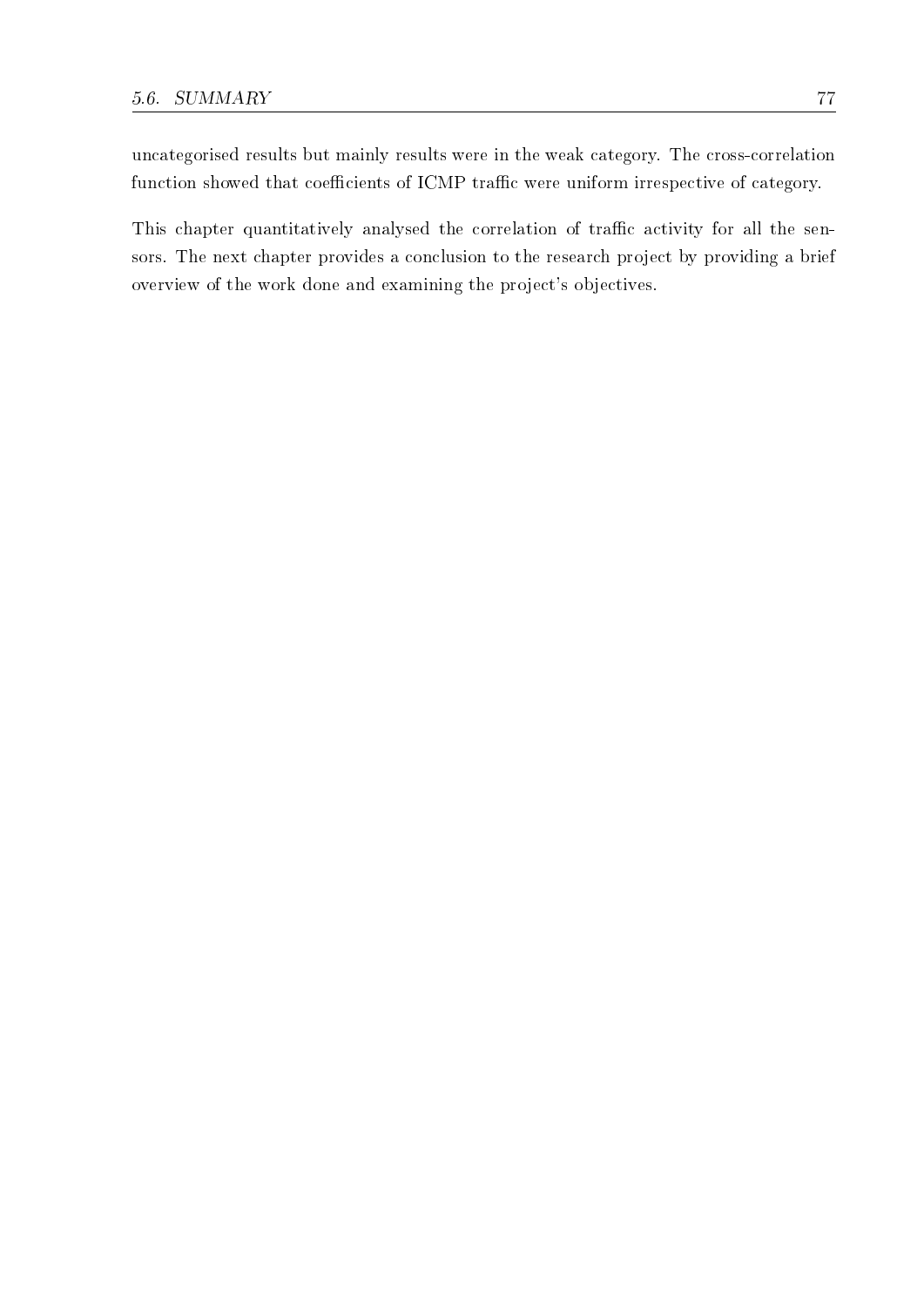uncategorised results but mainly results were in the weak category. The cross-correlation function showed that coefficients of ICMP traffic were uniform irrespective of category.

This chapter quantitatively analysed the correlation of traffic activity for all the sensors. The next chapter provides a conclusion to the research project by providing a brief overview of the work done and examining the project's objectives.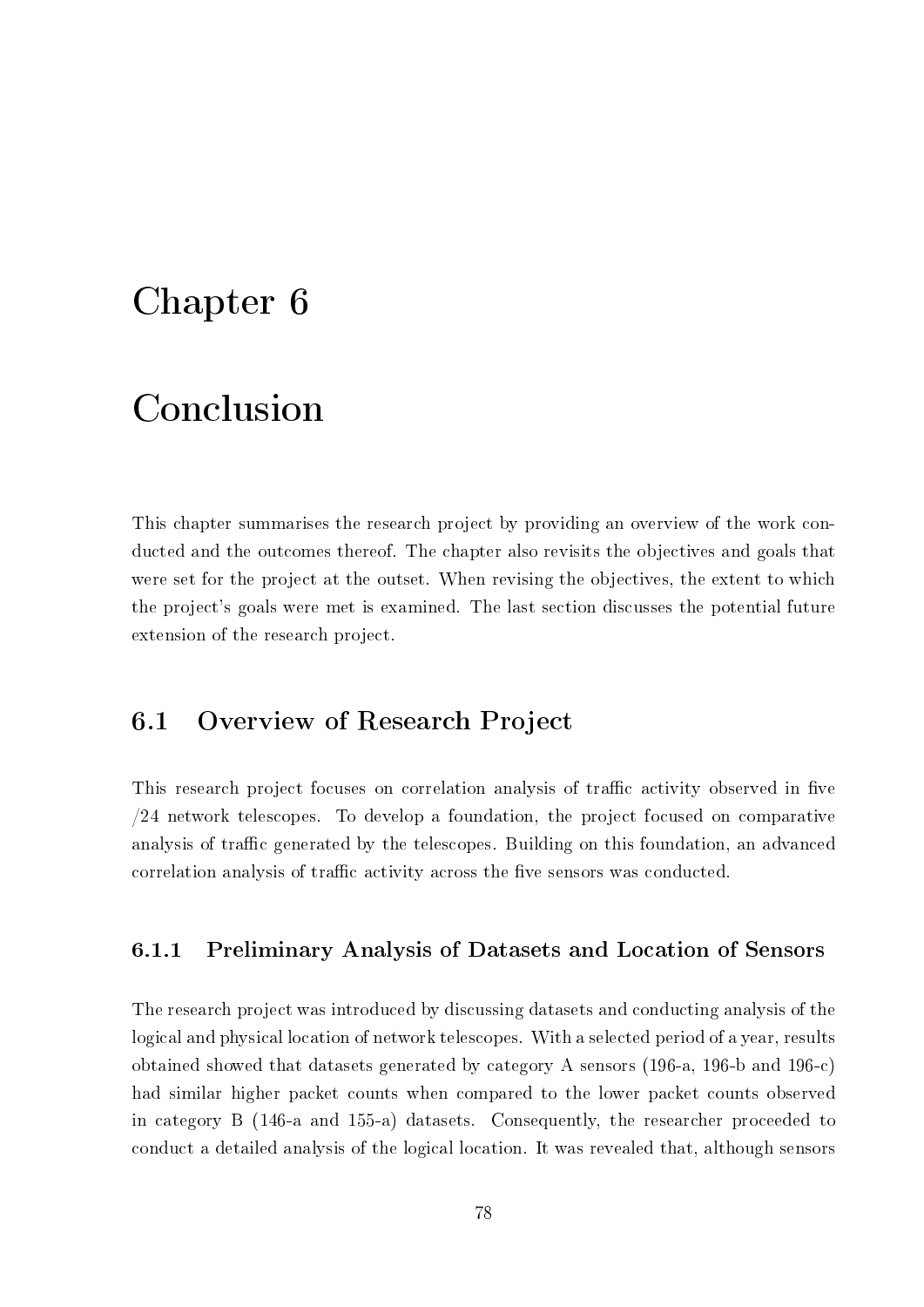## Chapter 6

## Conclusion

This chapter summarises the research project by providing an overview of the work conducted and the outcomes thereof. The chapter also revisits the objectives and goals that were set for the project at the outset. When revising the objectives, the extent to which the project's goals were met is examined. The last section discusses the potential future extension of the research project.

### 6.1 Overview of Research Project

This research project focuses on correlation analysis of traffic activity observed in five /24 network telescopes. To develop a foundation, the project focused on comparative analysis of traffic generated by the telescopes. Building on this foundation, an advanced correlation analysis of traffic activity across the five sensors was conducted.

#### 6.1.1 Preliminary Analysis of Datasets and Location of Sensors

The research project was introduced by discussing datasets and conducting analysis of the logical and physical location of network telescopes. With a selected period of a year, results obtained showed that datasets generated by category A sensors (196-a, 196-b and 196-c) had similar higher packet counts when compared to the lower packet counts observed in category B (146-a and 155-a) datasets. Consequently, the researcher proceeded to conduct a detailed analysis of the logical location. It was revealed that, although sensors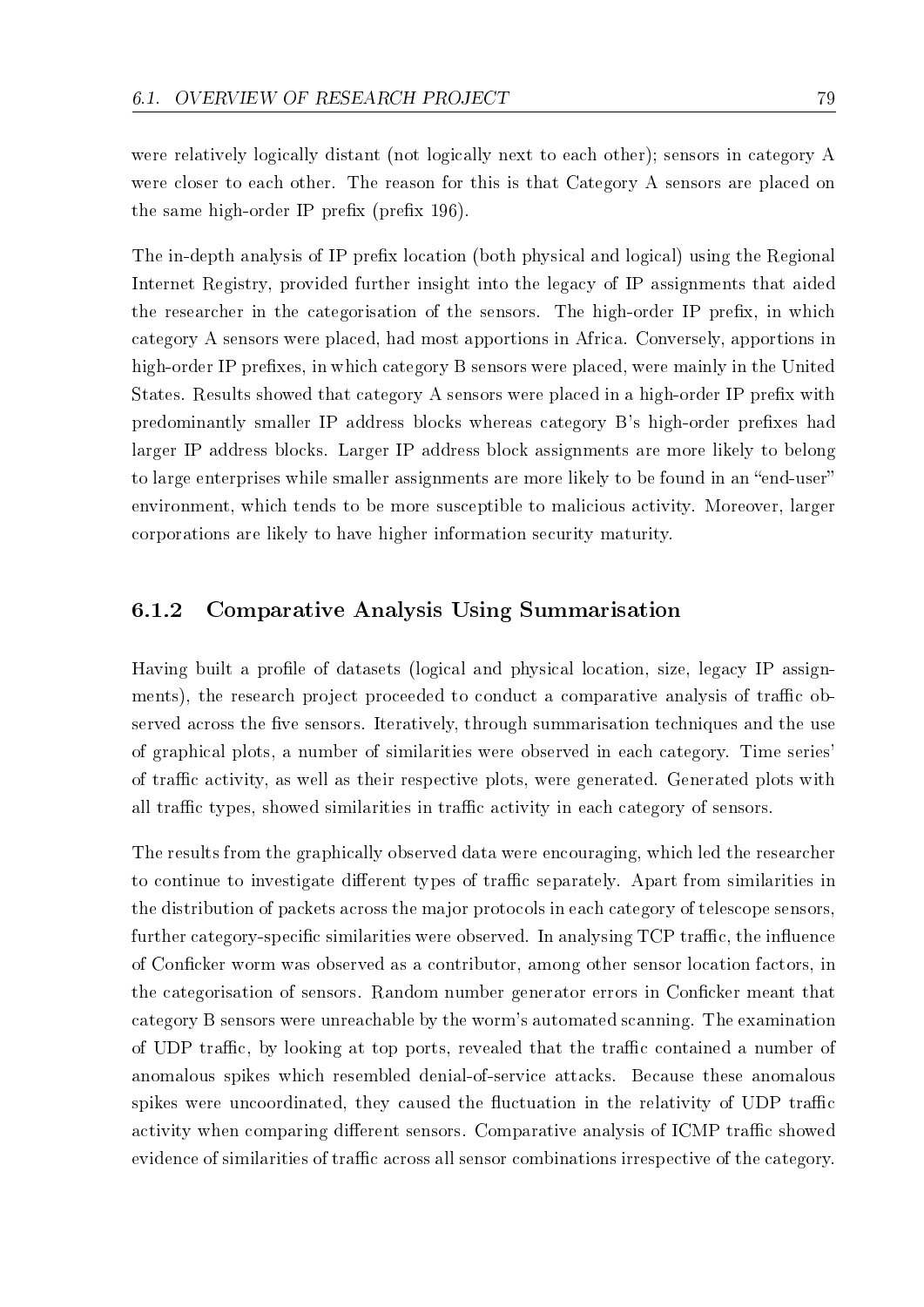were relatively logically distant (not logically next to each other); sensors in category A were closer to each other. The reason for this is that Category A sensors are placed on the same high-order IP prefix (prefix  $196$ ).

The in-depth analysis of IP prefix location (both physical and logical) using the Regional Internet Registry, provided further insight into the legacy of IP assignments that aided the researcher in the categorisation of the sensors. The high-order IP prefix, in which category A sensors were placed, had most apportions in Africa. Conversely, apportions in high-order IP prefixes, in which category B sensors were placed, were mainly in the United States. Results showed that category A sensors were placed in a high-order IP prefix with predominantly smaller IP address blocks whereas category B's high-order prefixes had larger IP address blocks. Larger IP address block assignments are more likely to belong to large enterprises while smaller assignments are more likely to be found in an "end-user" environment, which tends to be more susceptible to malicious activity. Moreover, larger corporations are likely to have higher information security maturity.

#### 6.1.2 Comparative Analysis Using Summarisation

Having built a profile of datasets (logical and physical location, size, legacy IP assignments), the research project proceeded to conduct a comparative analysis of traffic observed across the five sensors. Iteratively, through summarisation techniques and the use of graphical plots, a number of similarities were observed in each category. Time series' of traffic activity, as well as their respective plots, were generated. Generated plots with all traffic types, showed similarities in traffic activity in each category of sensors.

The results from the graphically observed data were encouraging, which led the researcher to continue to investigate different types of traffic separately. Apart from similarities in the distribution of packets across the major protocols in each category of telescope sensors, further category-specific similarities were observed. In analysing TCP traffic, the influence of Conficker worm was observed as a contributor, among other sensor location factors, in the categorisation of sensors. Random number generator errors in Conficker meant that category B sensors were unreachable by the worm's automated scanning. The examination of UDP traffic, by looking at top ports, revealed that the traffic contained a number of anomalous spikes which resembled denial-of-service attacks. Because these anomalous spikes were uncoordinated, they caused the fluctuation in the relativity of UDP traffic activity when comparing different sensors. Comparative analysis of ICMP traffic showed evidence of similarities of traffic across all sensor combinations irrespective of the category.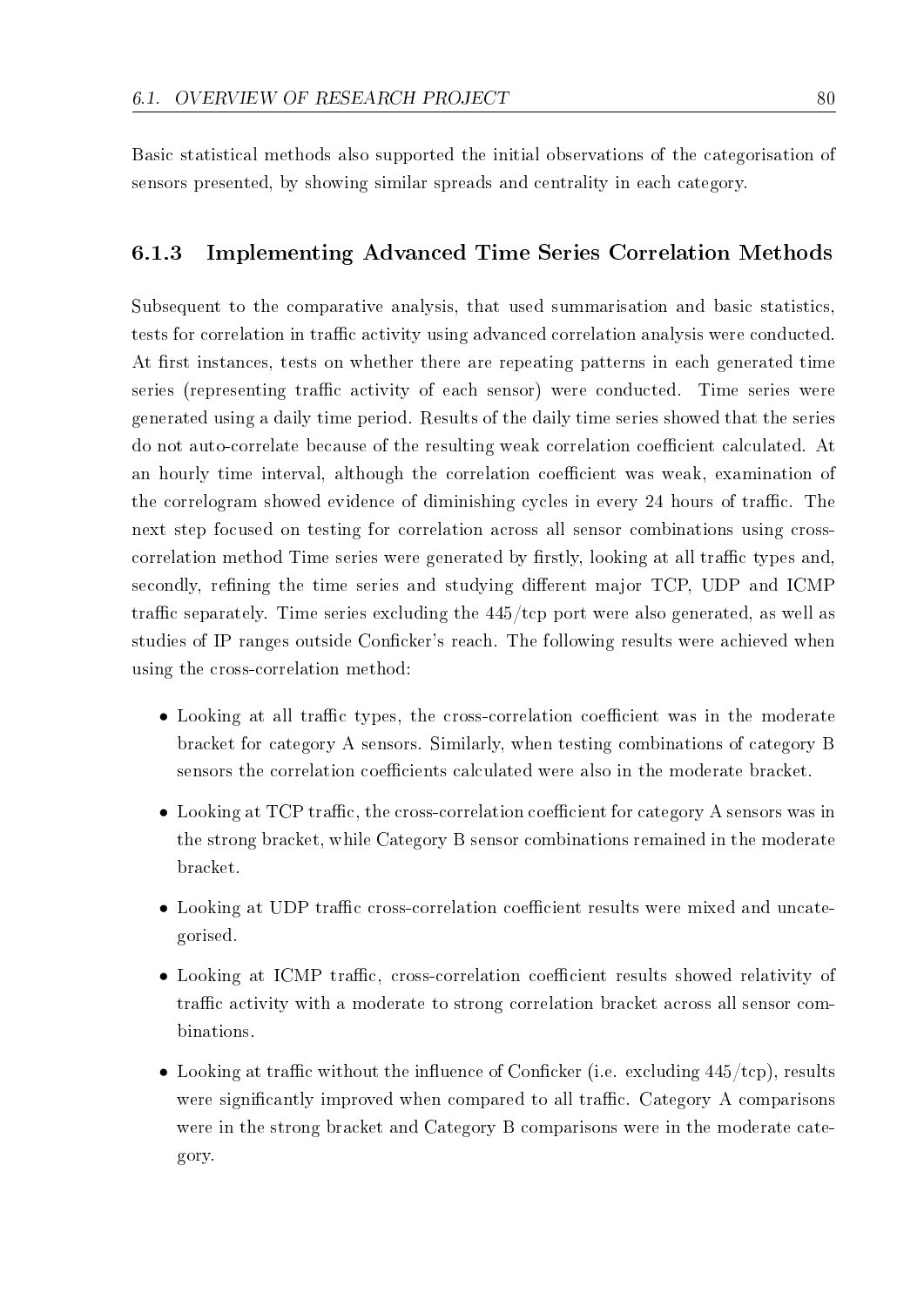Basic statistical methods also supported the initial observations of the categorisation of sensors presented, by showing similar spreads and centrality in each category.

#### 6.1.3 Implementing Advanced Time Series Correlation Methods

Subsequent to the comparative analysis, that used summarisation and basic statistics, tests for correlation in traffic activity using advanced correlation analysis were conducted. At first instances, tests on whether there are repeating patterns in each generated time series (representing traffic activity of each sensor) were conducted. Time series were generated using a daily time period. Results of the daily time series showed that the series do not auto-correlate because of the resulting weak correlation coefficient calculated. At an hourly time interval, although the correlation coefficient was weak, examination of the correlogram showed evidence of diminishing cycles in every 24 hours of traffic. The next step focused on testing for correlation across all sensor combinations using crosscorrelation method Time series were generated by firstly, looking at all traffic types and. secondly, refining the time series and studying different major TCP, UDP and ICMP traffic separately. Time series excluding the  $445/\text{top}$  port were also generated, as well as studies of IP ranges outside Conficker's reach. The following results were achieved when using the cross-correlation method:

- Looking at all traffic types, the cross-correlation coefficient was in the moderate bracket for category A sensors. Similarly, when testing combinations of category B sensors the correlation coefficients calculated were also in the moderate bracket.
- Looking at TCP traffic, the cross-correlation coefficient for category A sensors was in the strong bracket, while Category B sensor combinations remained in the moderate bracket.
- Looking at UDP traffic cross-correlation coefficient results were mixed and uncategorised.
- Looking at ICMP traffic, cross-correlation coefficient results showed relativity of traffic activity with a moderate to strong correlation bracket across all sensor combinations.
- Looking at traffic without the influence of Conficker (i.e. excluding  $445/\text{top}$ ), results were significantly improved when compared to all traffic. Category A comparisons were in the strong bracket and Category B comparisons were in the moderate category.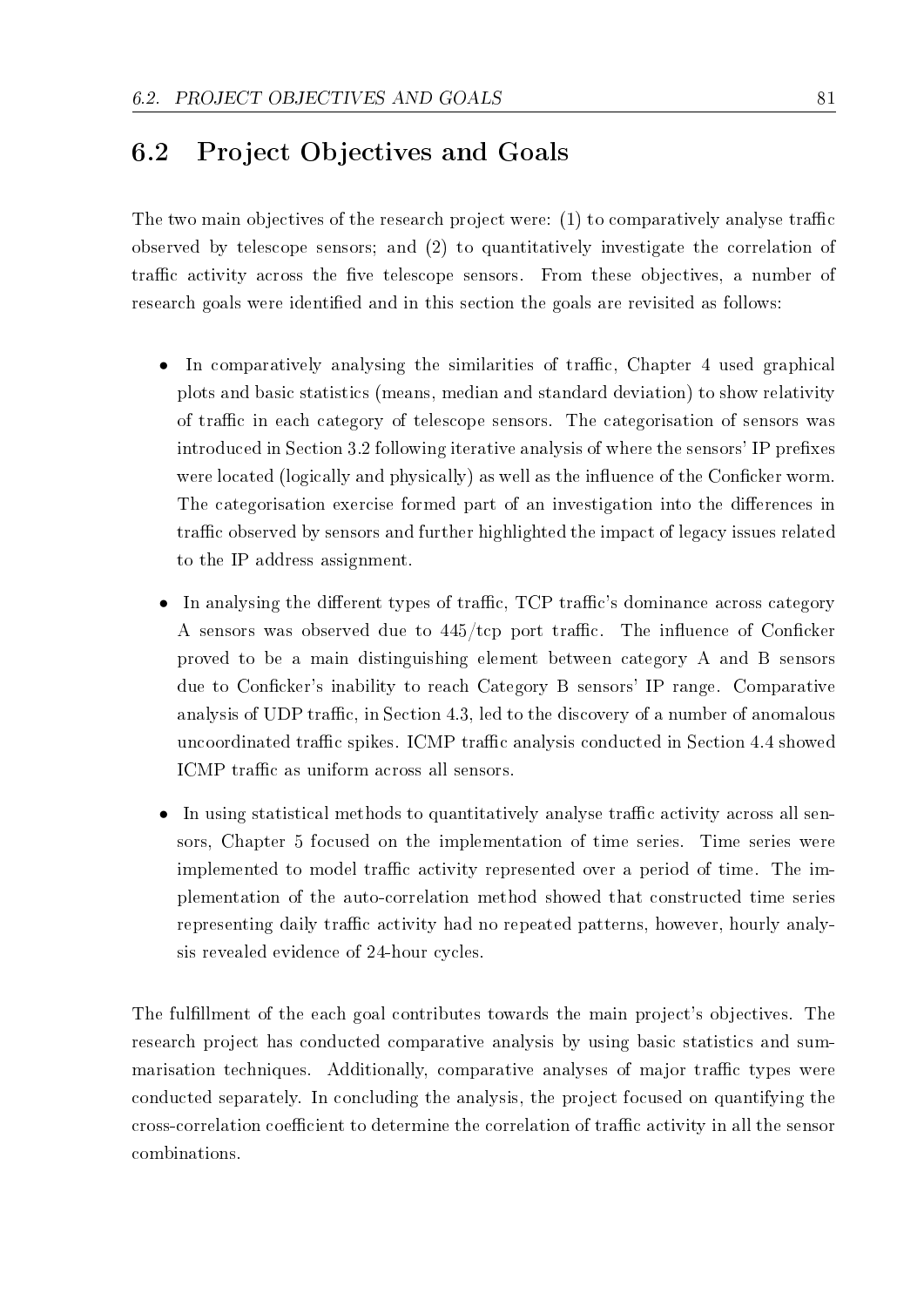## 6.2 Project Objectives and Goals

The two main objectives of the research project were:  $(1)$  to comparatively analyse traffic observed by telescope sensors; and (2) to quantitatively investigate the correlation of traffic activity across the five telescope sensors. From these objectives, a number of research goals were identified and in this section the goals are revisited as follows:

- In comparatively analysing the similarities of traffic, Chapter 4 used graphical plots and basic statistics (means, median and standard deviation) to show relativity of traffic in each category of telescope sensors. The categorisation of sensors was introduced in Section 3.2 following iterative analysis of where the sensors' IP prefixes were located (logically and physically) as well as the influence of the Conficker worm. The categorisation exercise formed part of an investigation into the differences in traffic observed by sensors and further highlighted the impact of legacy issues related to the IP address assignment.
- In analysing the different types of traffic, TCP traffic's dominance across category A sensors was observed due to  $445/\text{top}$  port traffic. The influence of Conficker proved to be a main distinguishing element between category A and B sensors due to Conficker's inability to reach Category B sensors' IP range. Comparative analysis of UDP traffic, in Section 4.3, led to the discovery of a number of anomalous uncoordinated traffic spikes. ICMP traffic analysis conducted in Section 4.4 showed ICMP traffic as uniform across all sensors.
- In using statistical methods to quantitatively analyse traffic activity across all sensors, Chapter 5 focused on the implementation of time series. Time series were implemented to model traffic activity represented over a period of time. The implementation of the auto-correlation method showed that constructed time series representing daily traffic activity had no repeated patterns, however, hourly analysis revealed evidence of 24-hour cycles.

The fulllment of the each goal contributes towards the main project's objectives. The research project has conducted comparative analysis by using basic statistics and summarisation techniques. Additionally, comparative analyses of major traffic types were conducted separately. In concluding the analysis, the project focused on quantifying the cross-correlation coefficient to determine the correlation of traffic activity in all the sensor combinations.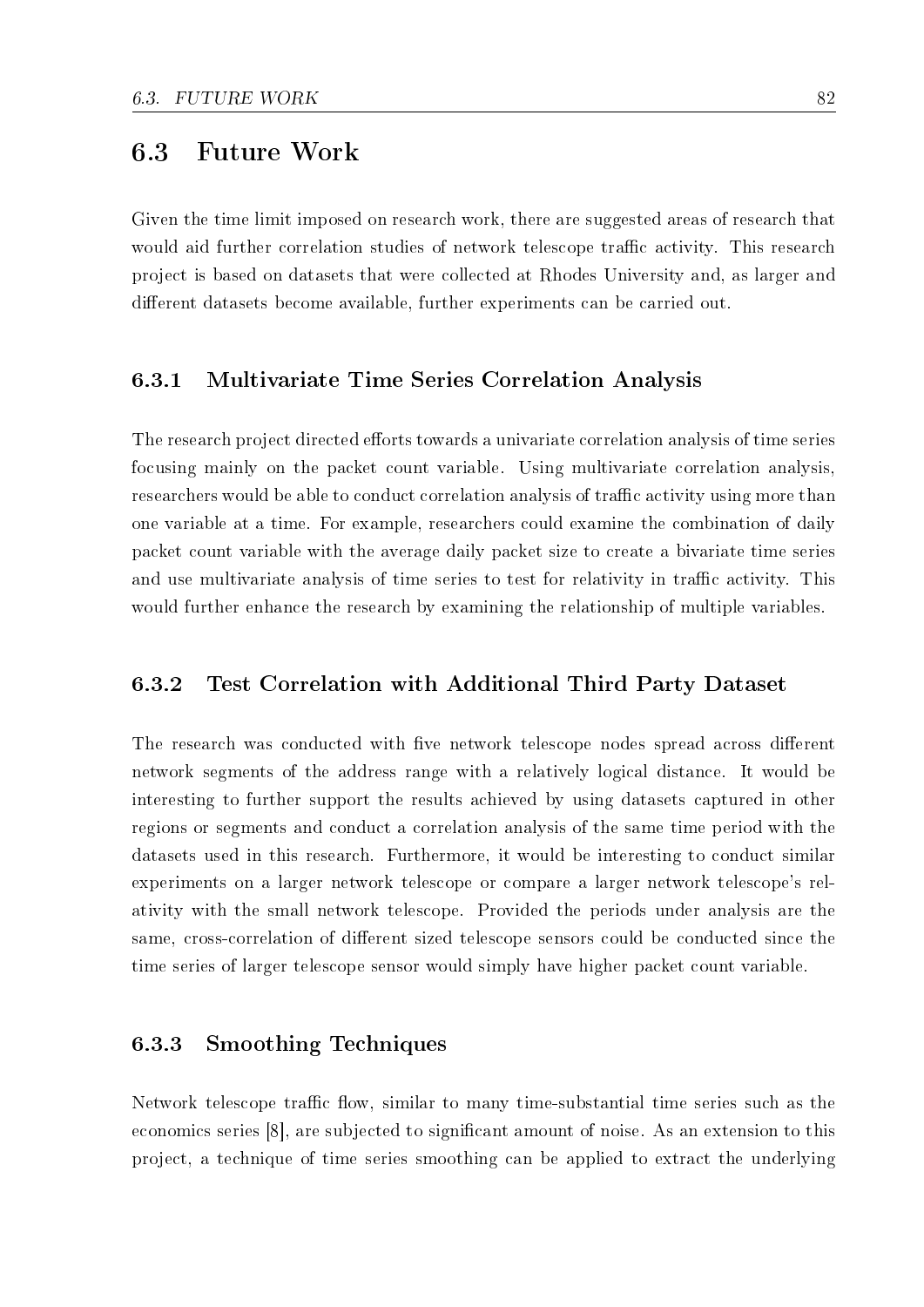### 6.3 Future Work

Given the time limit imposed on research work, there are suggested areas of research that would aid further correlation studies of network telescope traffic activity. This research project is based on datasets that were collected at Rhodes University and, as larger and different datasets become available, further experiments can be carried out.

#### 6.3.1 Multivariate Time Series Correlation Analysis

The research project directed efforts towards a univariate correlation analysis of time series focusing mainly on the packet count variable. Using multivariate correlation analysis, researchers would be able to conduct correlation analysis of traffic activity using more than one variable at a time. For example, researchers could examine the combination of daily packet count variable with the average daily packet size to create a bivariate time series and use multivariate analysis of time series to test for relativity in traffic activity. This would further enhance the research by examining the relationship of multiple variables.

#### 6.3.2 Test Correlation with Additional Third Party Dataset

The research was conducted with five network telescope nodes spread across different network segments of the address range with a relatively logical distance. It would be interesting to further support the results achieved by using datasets captured in other regions or segments and conduct a correlation analysis of the same time period with the datasets used in this research. Furthermore, it would be interesting to conduct similar experiments on a larger network telescope or compare a larger network telescope's relativity with the small network telescope. Provided the periods under analysis are the same, cross-correlation of different sized telescope sensors could be conducted since the time series of larger telescope sensor would simply have higher packet count variable.

#### 6.3.3 Smoothing Techniques

Network telescope traffic flow, similar to many time-substantial time series such as the economics series [8], are subjected to signicant amount of noise. As an extension to this project, a technique of time series smoothing can be applied to extract the underlying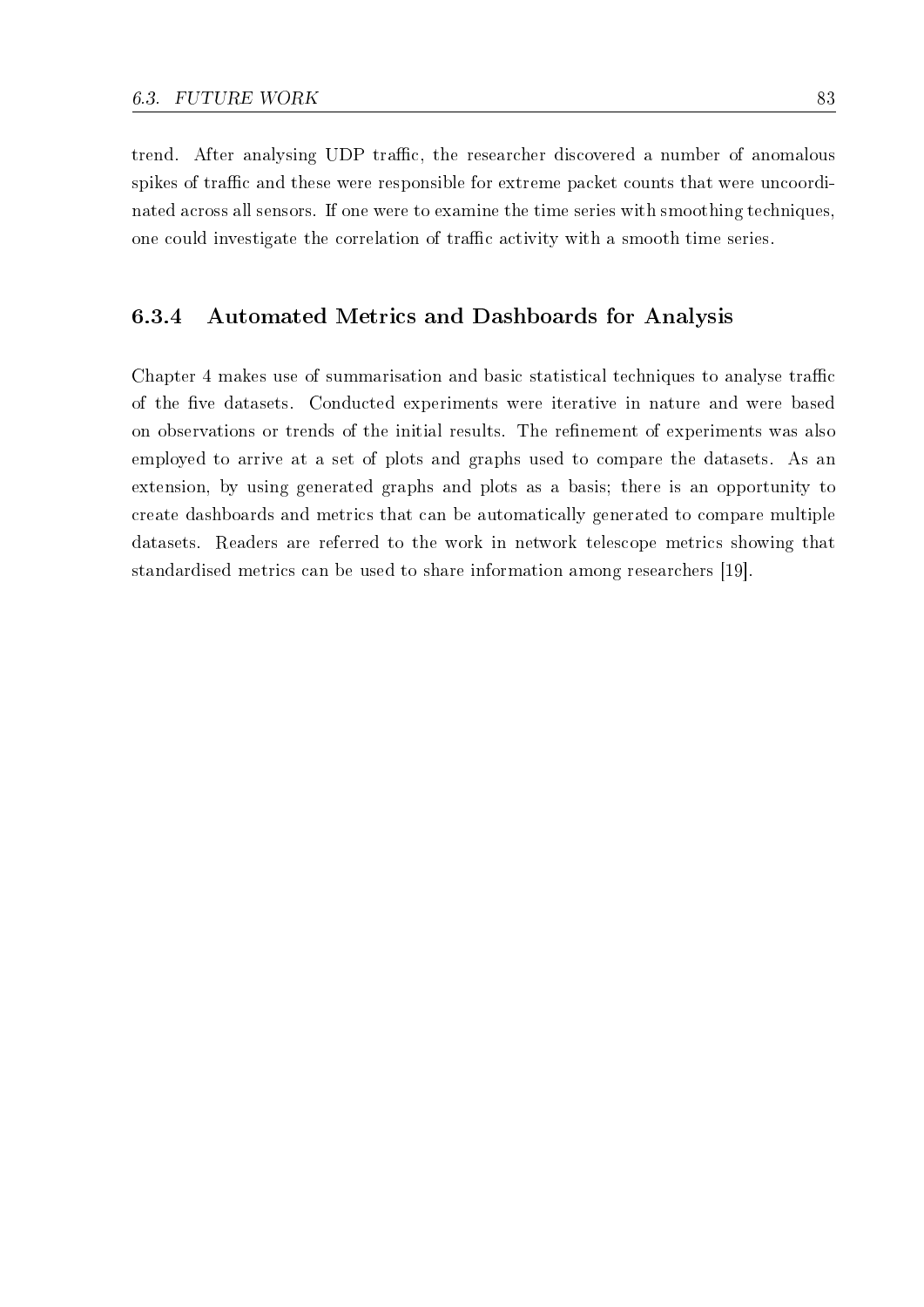trend. After analysing UDP traffic, the researcher discovered a number of anomalous spikes of traffic and these were responsible for extreme packet counts that were uncoordinated across all sensors. If one were to examine the time series with smoothing techniques, one could investigate the correlation of traffic activity with a smooth time series.

#### 6.3.4 Automated Metrics and Dashboards for Analysis

Chapter 4 makes use of summarisation and basic statistical techniques to analyse traffic of the five datasets. Conducted experiments were iterative in nature and were based on observations or trends of the initial results. The refinement of experiments was also employed to arrive at a set of plots and graphs used to compare the datasets. As an extension, by using generated graphs and plots as a basis; there is an opportunity to create dashboards and metrics that can be automatically generated to compare multiple datasets. Readers are referred to the work in network telescope metrics showing that standardised metrics can be used to share information among researchers [19].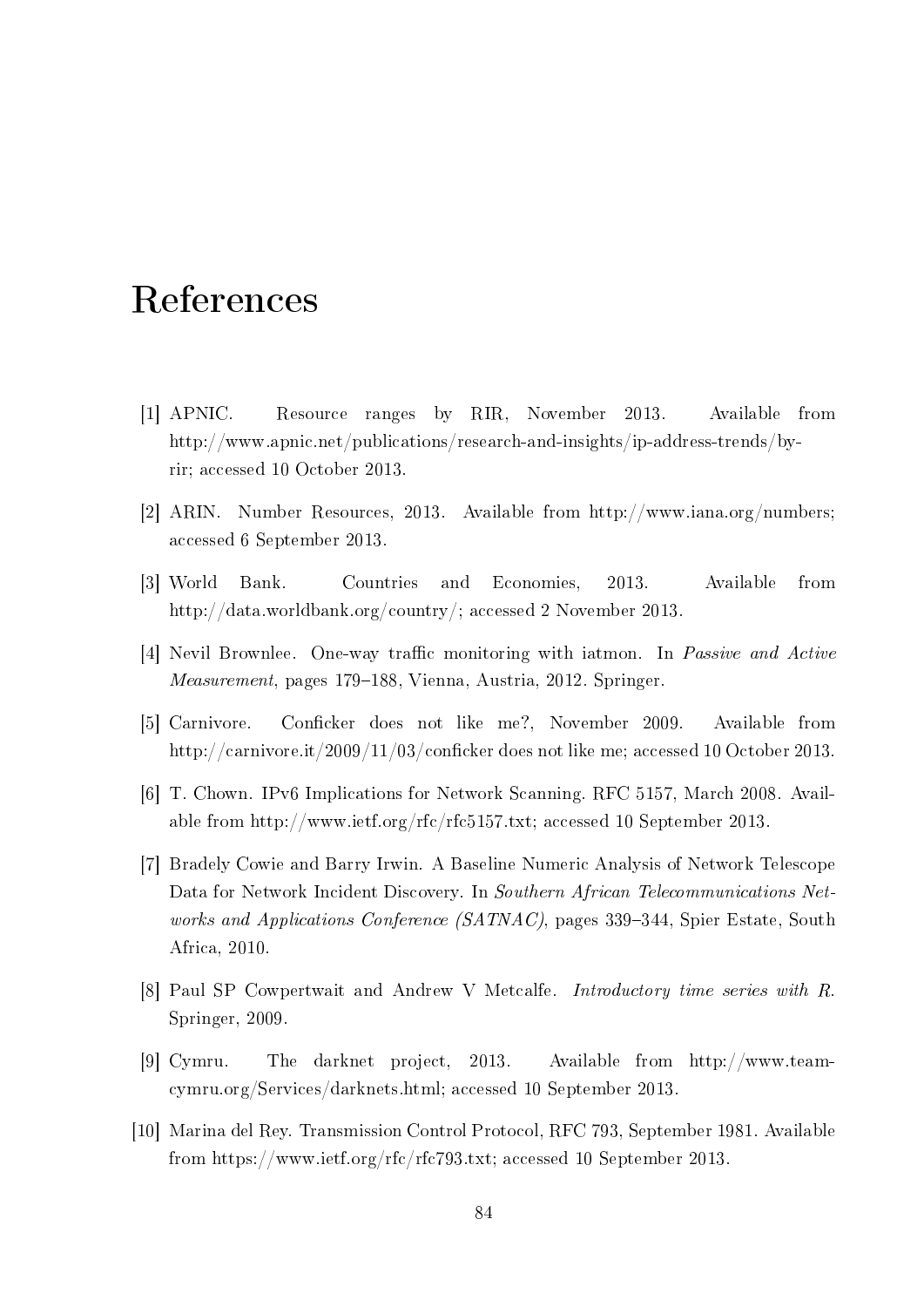## References

- [1] APNIC. Resource ranges by RIR, November 2013. Available from http://www.apnic.net/publications/research-and-insights/ip-address-trends/byrir; accessed 10 October 2013.
- [2] ARIN. Number Resources, 2013. Available from http://www.iana.org/numbers; accessed 6 September 2013.
- [3] World Bank. Countries and Economies, 2013. Available from http://data.worldbank.org/country/; accessed 2 November 2013.
- [4] Nevil Brownlee. One-way traffic monitoring with iatmon. In *Passive and Active* Measurement, pages 179–188, Vienna, Austria, 2012. Springer.
- [5] Carnivore. Conficker does not like me?, November 2009. Available from http://carnivore.it/2009/11/03/conficker does not like me; accessed 10 October 2013.
- [6] T. Chown. IPv6 Implications for Network Scanning. RFC 5157, March 2008. Available from http://www.ietf.org/rfc/rfc5157.txt; accessed 10 September 2013.
- [7] Bradely Cowie and Barry Irwin. A Baseline Numeric Analysis of Network Telescope Data for Network Incident Discovery. In Southern African Telecommunications Networks and Applications Conference  $(SATNAC)$ , pages 339–344, Spier Estate, South Africa, 2010.
- [8] Paul SP Cowpertwait and Andrew V Metcalfe. Introductory time series with R. Springer, 2009.
- [9] Cymru. The darknet project, 2013. Available from http://www.teamcymru.org/Services/darknets.html; accessed 10 September 2013.
- [10] Marina del Rey. Transmission Control Protocol, RFC 793, September 1981. Available from https://www.ietf.org/rfc/rfc793.txt; accessed 10 September 2013.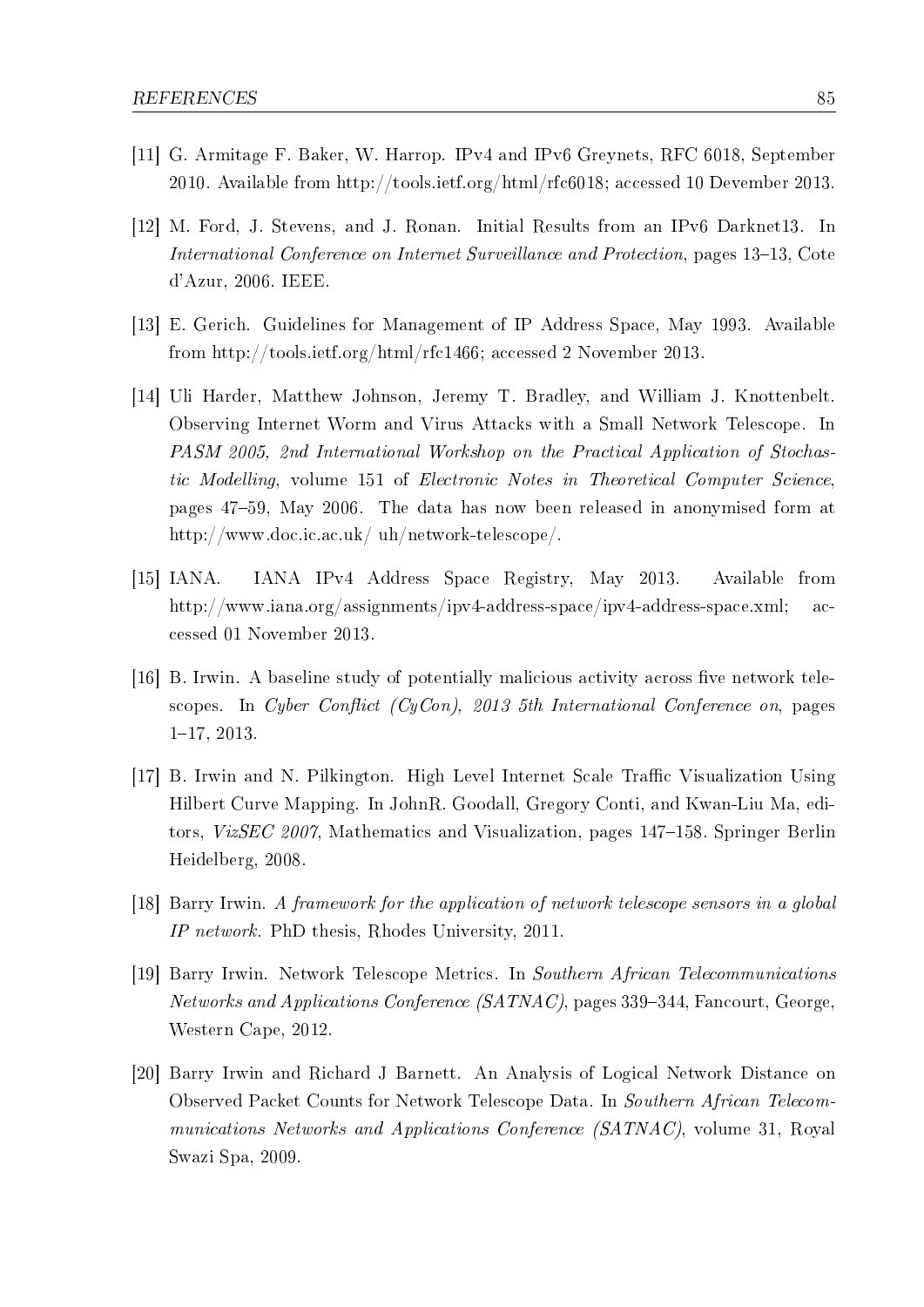- [11] G. Armitage F. Baker, W. Harrop. IPv4 and IPv6 Greynets, RFC 6018, September 2010. Available from http://tools.ietf.org/html/rfc6018; accessed 10 Devember 2013.
- [12] M. Ford, J. Stevens, and J. Ronan. Initial Results from an IPv6 Darknet13. In International Conference on Internet Surveillance and Protection, pages 13-13, Cote d'Azur, 2006. IEEE.
- [13] E. Gerich. Guidelines for Management of IP Address Space, May 1993. Available from http://tools.ietf.org/html/rfc1466; accessed 2 November 2013.
- [14] Uli Harder, Matthew Johnson, Jeremy T. Bradley, and William J. Knottenbelt. Observing Internet Worm and Virus Attacks with a Small Network Telescope. In PASM 2005, 2nd International Workshop on the Practical Application of Stochastic Modelling, volume 151 of Electronic Notes in Theoretical Computer Science, pages 4759, May 2006. The data has now been released in anonymised form at http://www.doc.ic.ac.uk/ uh/network-telescope/.
- [15] IANA. IANA IPv4 Address Space Registry, May 2013. Available from http://www.iana.org/assignments/ipv4-address-space/ipv4-address-space.xml; accessed 01 November 2013.
- [16] B. Irwin. A baseline study of potentially malicious activity across five network telescopes. In Cyber Conflict (CyCon), 2013 5th International Conference on, pages  $1-17, 2013.$
- [17] B. Irwin and N. Pilkington. High Level Internet Scale Traffic Visualization Using Hilbert Curve Mapping. In JohnR. Goodall, Gregory Conti, and Kwan-Liu Ma, editors, VizSEC 2007, Mathematics and Visualization, pages 147–158. Springer Berlin Heidelberg, 2008.
- [18] Barry Irwin. A framework for the application of network telescope sensors in a global IP network. PhD thesis, Rhodes University, 2011.
- [19] Barry Irwin. Network Telescope Metrics. In Southern African Telecommunications  $Networks$  and Applications Conference (SATNAC), pages 339–344, Fancourt, George. Western Cape, 2012.
- [20] Barry Irwin and Richard J Barnett. An Analysis of Logical Network Distance on Observed Packet Counts for Network Telescope Data. In Southern African Telecommunications Networks and Applications Conference (SATNAC), volume 31, Royal Swazi Spa, 2009.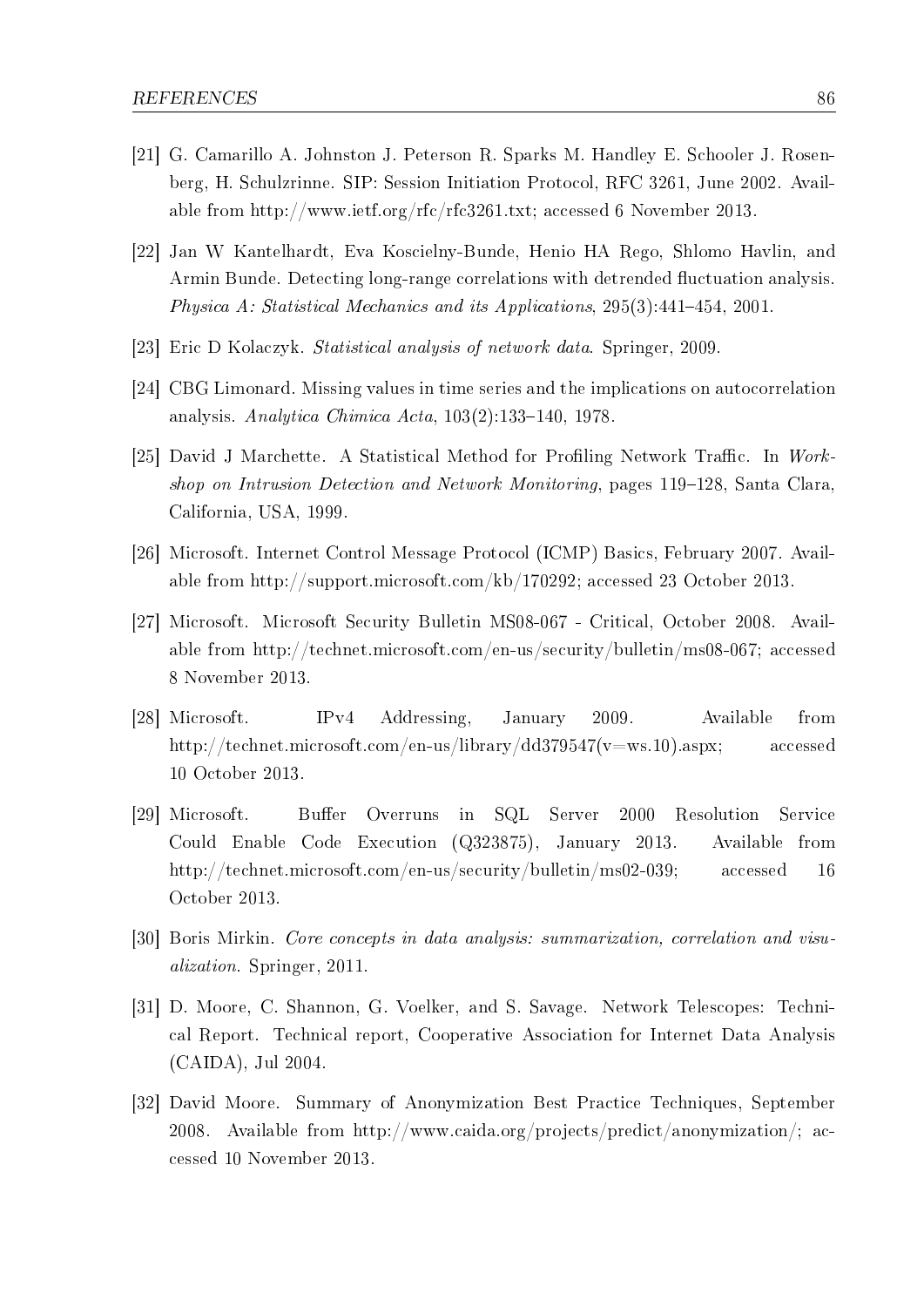- [21] G. Camarillo A. Johnston J. Peterson R. Sparks M. Handley E. Schooler J. Rosenberg, H. Schulzrinne. SIP: Session Initiation Protocol, RFC 3261, June 2002. Available from http://www.ietf.org/rfc/rfc3261.txt; accessed 6 November 2013.
- [22] Jan W Kantelhardt, Eva Koscielny-Bunde, Henio HA Rego, Shlomo Havlin, and Armin Bunde. Detecting long-range correlations with detrended fluctuation analysis. Physica A: Statistical Mechanics and its Applications,  $295(3):441-454$ ,  $2001$ .
- [23] Eric D Kolaczyk. Statistical analysis of network data. Springer, 2009.
- [24] CBG Limonard. Missing values in time series and the implications on autocorrelation analysis. Analytica Chimica Acta,  $103(2)$ :133-140, 1978.
- [25] David J Marchette. A Statistical Method for Profiling Network Traffic. In  $Work$ shop on Intrusion Detection and Network Monitoring, pages  $119-128$ . Santa Clara, California, USA, 1999.
- [26] Microsoft. Internet Control Message Protocol (ICMP) Basics, February 2007. Available from http://support.microsoft.com/kb/170292; accessed 23 October 2013.
- [27] Microsoft. Microsoft Security Bulletin MS08-067 Critical, October 2008. Available from http://technet.microsoft.com/en-us/security/bulletin/ms08-067; accessed 8 November 2013.
- [28] Microsoft. IPv4 Addressing, January 2009. Available from http://technet.microsoft.com/en-us/library/dd379547(v=ws.10).aspx; accessed 10 October 2013.
- [29] Microsoft. Buffer Overruns in SQL Server 2000 Resolution Service Could Enable Code Execution (Q323875), January 2013. Available from http://technet.microsoft.com/en-us/security/bulletin/ms02-039; accessed 16 October 2013.
- [30] Boris Mirkin. Core concepts in data analysis: summarization, correlation and visualization. Springer, 2011.
- [31] D. Moore, C. Shannon, G. Voelker, and S. Savage. Network Telescopes: Technical Report. Technical report, Cooperative Association for Internet Data Analysis (CAIDA), Jul 2004.
- [32] David Moore. Summary of Anonymization Best Practice Techniques, September 2008. Available from http://www.caida.org/projects/predict/anonymization/; accessed 10 November 2013.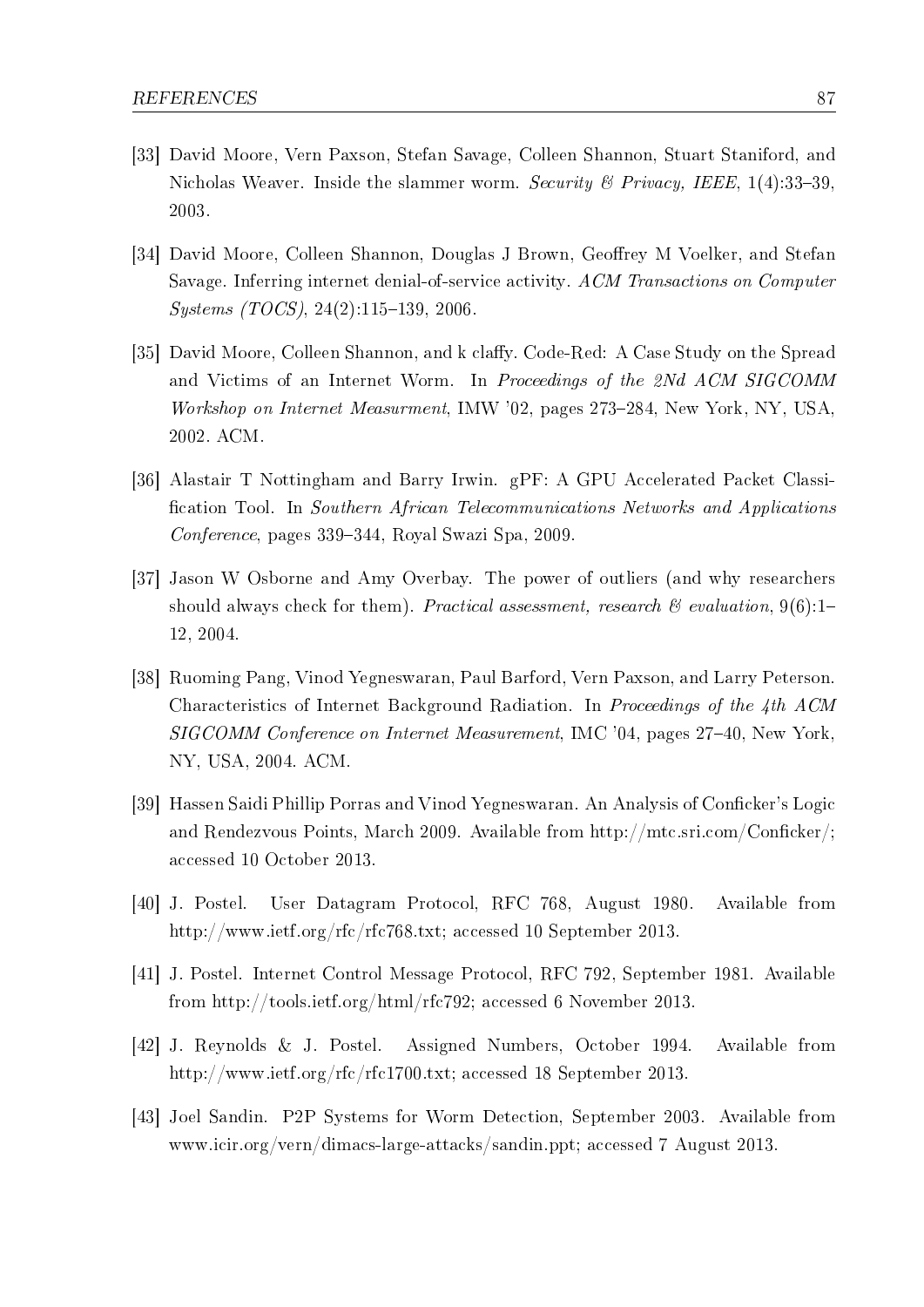- [33] David Moore, Vern Paxson, Stefan Savage, Colleen Shannon, Stuart Staniford, and Nicholas Weaver. Inside the slammer worm. Security & Privacy, IEEE,  $1(4):33-39$ . 2003.
- [34] David Moore, Colleen Shannon, Douglas J Brown, Geoffrey M Voelker, and Stefan Savage. Inferring internet denial-of-service activity. ACM Transactions on Computer  $Sustems (TOCS), 24(2):115-139, 2006.$
- [35] David Moore, Colleen Shannon, and k claffy. Code-Red: A Case Study on the Spread and Victims of an Internet Worm. In Proceedings of the 2Nd ACM SIGCOMM Workshop on Internet Measurment, IMW '02, pages 273–284, New York, NY, USA, 2002. ACM.
- [36] Alastair T Nottingham and Barry Irwin. gPF: A GPU Accelerated Packet Classi cation Tool. In Southern African Telecommunications Networks and Applications  $Conference$ , pages 339–344, Royal Swazi Spa, 2009.
- [37] Jason W Osborne and Amy Overbay. The power of outliers (and why researchers should always check for them). Practical assessment, research  $\mathcal{B}$  evaluation, 9(6):1-12, 2004.
- [38] Ruoming Pang, Vinod Yegneswaran, Paul Barford, Vern Paxson, and Larry Peterson. Characteristics of Internet Background Radiation. In Proceedings of the 4th ACM SIGCOMM Conference on Internet Measurement, IMC '04, pages 27–40, New York. NY, USA, 2004. ACM.
- [39] Hassen Saidi Phillip Porras and Vinod Yegneswaran. An Analysis of Conficker's Logic and Rendezvous Points, March 2009. Available from http://mtc.sri.com/Conficker/; accessed 10 October 2013.
- [40] J. Postel. User Datagram Protocol, RFC 768, August 1980. Available from http://www.ietf.org/rfc/rfc768.txt; accessed 10 September 2013.
- [41] J. Postel. Internet Control Message Protocol, RFC 792, September 1981. Available from http://tools.ietf.org/html/rfc792; accessed 6 November 2013.
- [42] J. Reynolds & J. Postel. Assigned Numbers, October 1994. Available from http://www.ietf.org/rfc/rfc1700.txt; accessed 18 September 2013.
- [43] Joel Sandin. P2P Systems for Worm Detection, September 2003. Available from www.icir.org/vern/dimacs-large-attacks/sandin.ppt; accessed 7 August 2013.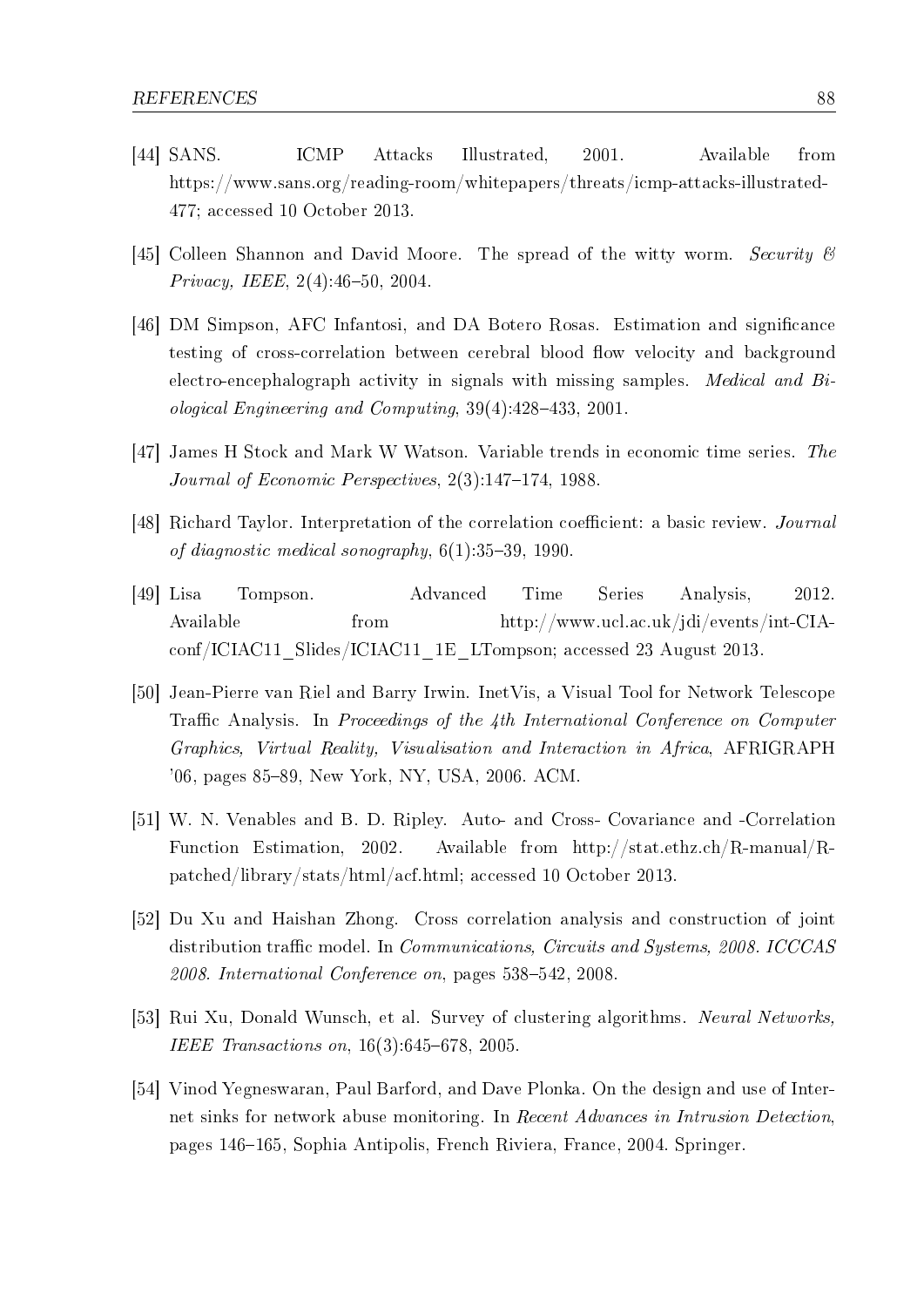- [44] SANS. ICMP Attacks Illustrated, 2001. Available from https://www.sans.org/reading-room/whitepapers/threats/icmp-attacks-illustrated-477; accessed 10 October 2013.
- [45] Colleen Shannon and David Moore. The spread of the witty worm. Security & Privacy, IEEE,  $2(4)$ :46-50, 2004.
- [46] DM Simpson, AFC Infantosi, and DA Botero Rosas. Estimation and signicance testing of cross-correlation between cerebral blood flow velocity and background electro-encephalograph activity in signals with missing samples. Medical and Biological Engineering and Computing,  $39(4):428-433$ ,  $2001$ .
- [47] James H Stock and Mark W Watson. Variable trends in economic time series. The Journal of Economic Perspectives,  $2(3):147-174$ , 1988.
- [48] Richard Taylor. Interpretation of the correlation coefficient: a basic review. *Journal* of diagnostic medical sonography,  $6(1):35-39$ , 1990.
- [49] Lisa Tompson. Advanced Time Series Analysis, 2012. Available from http://www.ucl.ac.uk/jdi/events/int-CIAconf/ICIAC11\_Slides/ICIAC11\_1E\_LTompson; accessed 23 August 2013.
- [50] Jean-Pierre van Riel and Barry Irwin. InetVis, a Visual Tool for Network Telescope Traffic Analysis. In Proceedings of the  $\lambda$ th International Conference on Computer Graphics, Virtual Reality, Visualisation and Interaction in Africa, AFRIGRAPH '06, pages 85-89, New York, NY, USA, 2006. ACM.
- [51] W. N. Venables and B. D. Ripley. Auto- and Cross- Covariance and -Correlation Function Estimation, 2002. Available from http://stat.ethz.ch/R-manual/Rpatched/library/stats/html/acf.html; accessed 10 October 2013.
- [52] Du Xu and Haishan Zhong. Cross correlation analysis and construction of joint distribution traffic model. In *Communications*, *Circuits and Systems*, 2008. ICCCAS  $2008.$  International Conference on, pages  $538-542$ ,  $2008$ .
- [53] Rui Xu, Donald Wunsch, et al. Survey of clustering algorithms. Neural Networks, IEEE Transactions on,  $16(3)$ :645-678, 2005.
- [54] Vinod Yegneswaran, Paul Barford, and Dave Plonka. On the design and use of Internet sinks for network abuse monitoring. In Recent Advances in Intrusion Detection, pages 146–165, Sophia Antipolis, French Riviera, France, 2004. Springer.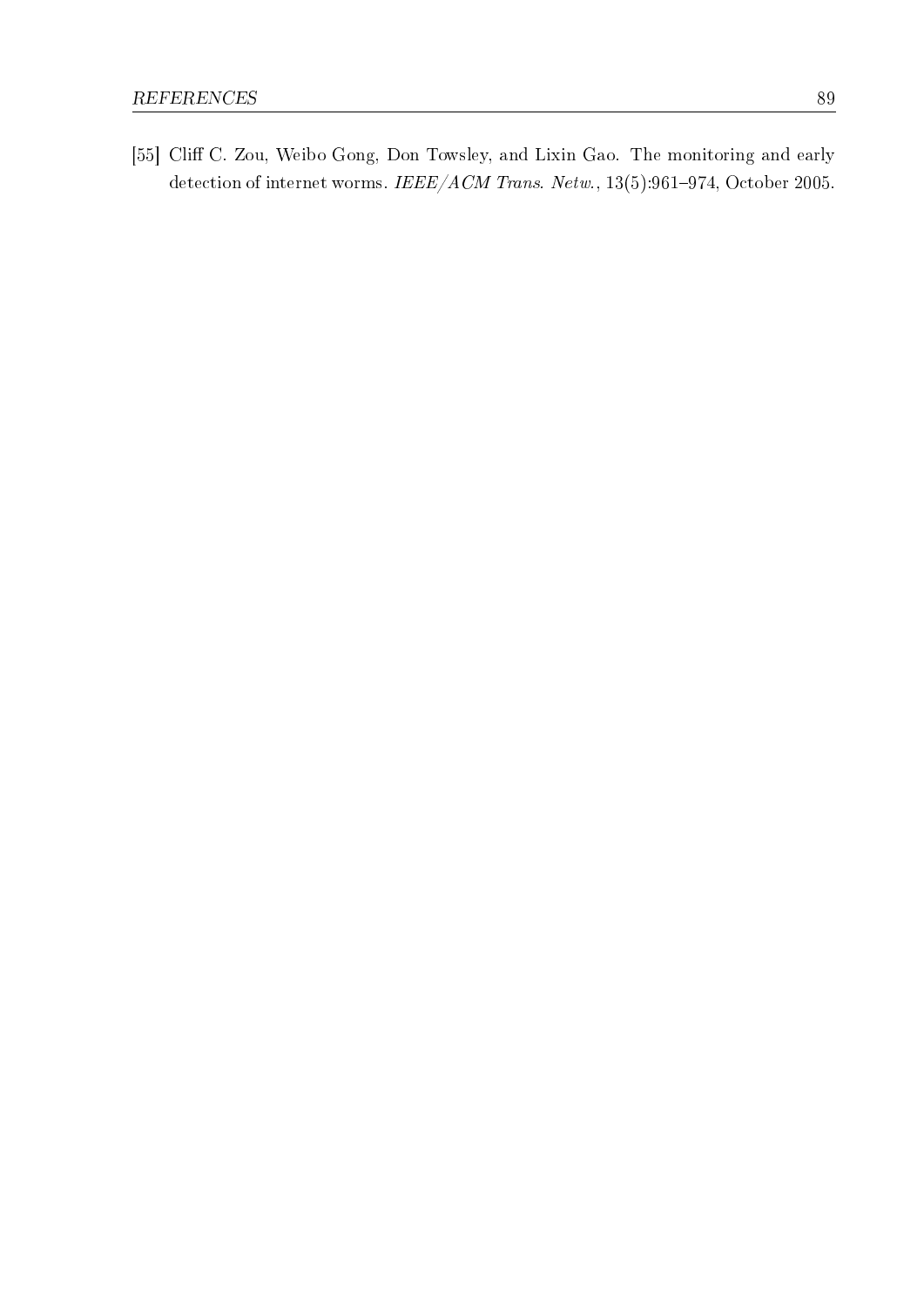[55] Cliff C. Zou, Weibo Gong, Don Towsley, and Lixin Gao. The monitoring and early detection of internet worms. IEEE/ACM Trans. Netw.,  $13(5):961-974$ , October 2005.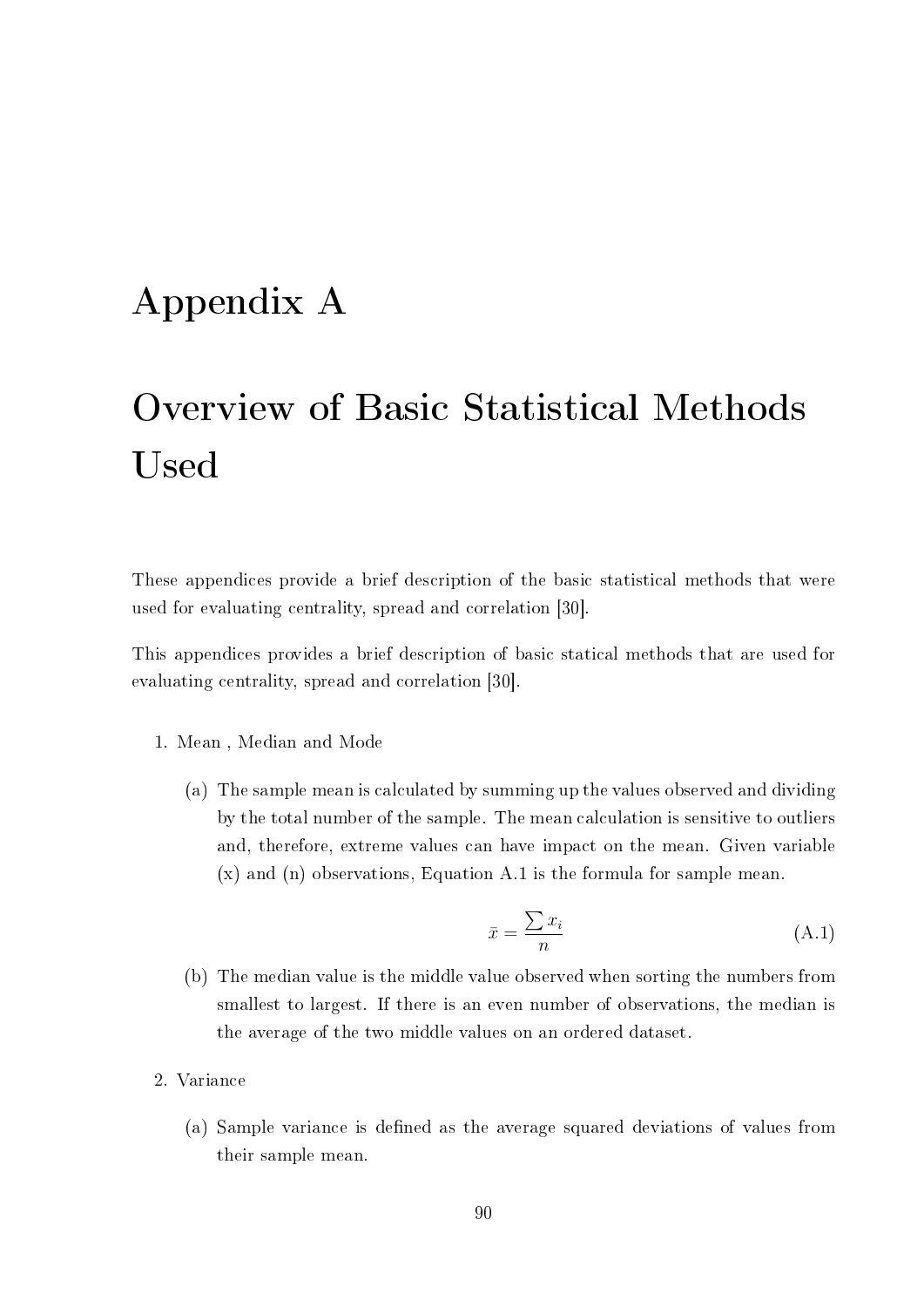## Appendix A

# Overview of Basic Statistical Methods Used

These appendices provide a brief description of the basic statistical methods that were used for evaluating centrality, spread and correlation [30].

This appendices provides a brief description of basic statical methods that are used for evaluating centrality, spread and correlation [30].

- 1. Mean , Median and Mode
	- (a) The sample mean is calculated by summing up the values observed and dividing by the total number of the sample. The mean calculation is sensitive to outliers and, therefore, extreme values can have impact on the mean. Given variable (x) and (n) observations, Equation A.1 is the formula for sample mean.

$$
\bar{x} = \frac{\sum x_i}{n} \tag{A.1}
$$

- (b) The median value is the middle value observed when sorting the numbers from smallest to largest. If there is an even number of observations, the median is the average of the two middle values on an ordered dataset.
- 2. Variance
	- (a) Sample variance is defined as the average squared deviations of values from their sample mean.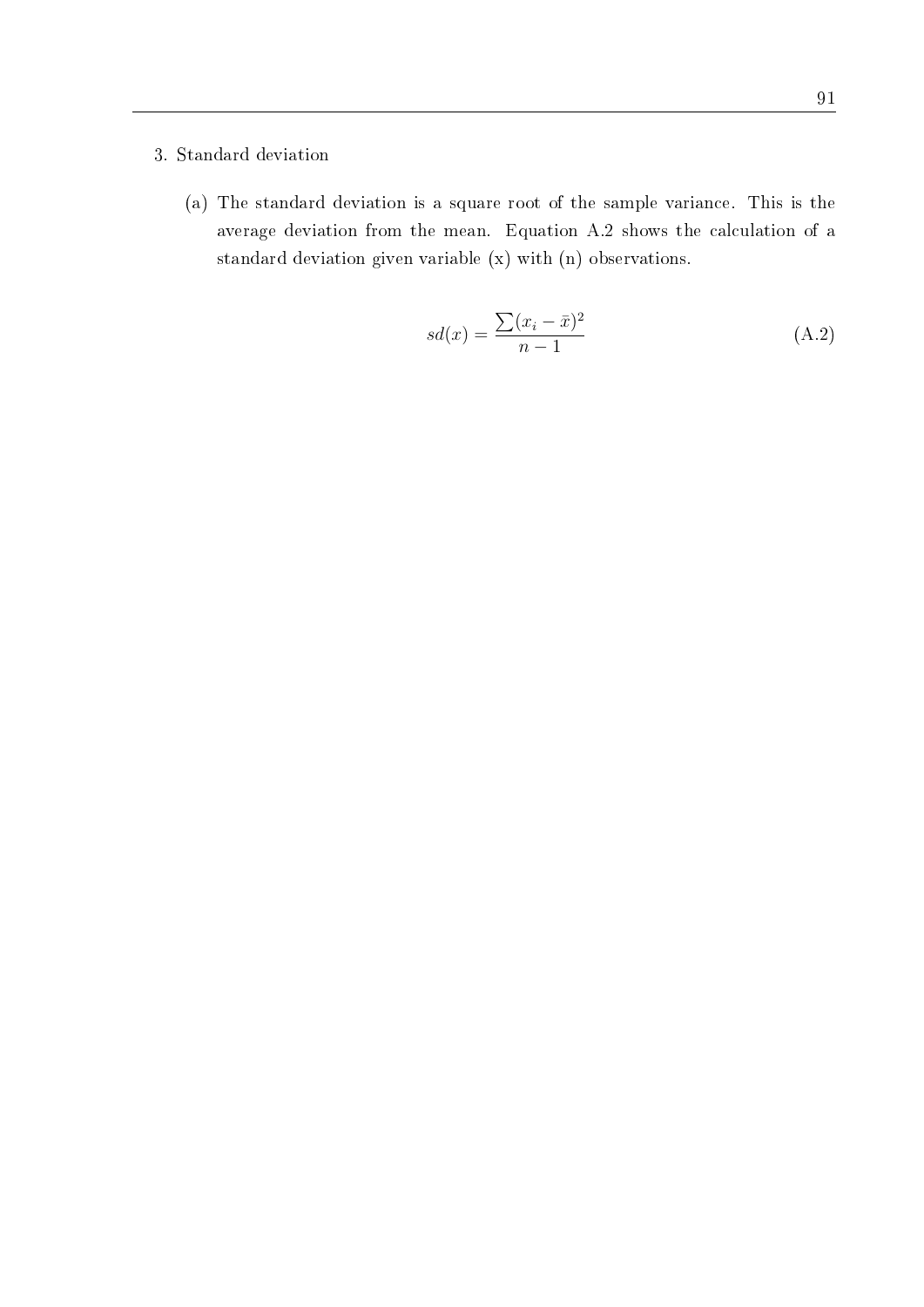#### 3. Standard deviation

(a) The standard deviation is a square root of the sample variance. This is the average deviation from the mean. Equation A.2 shows the calculation of a standard deviation given variable (x) with (n) observations.

$$
sd(x) = \frac{\sum (x_i - \bar{x})^2}{n - 1}
$$
 (A.2)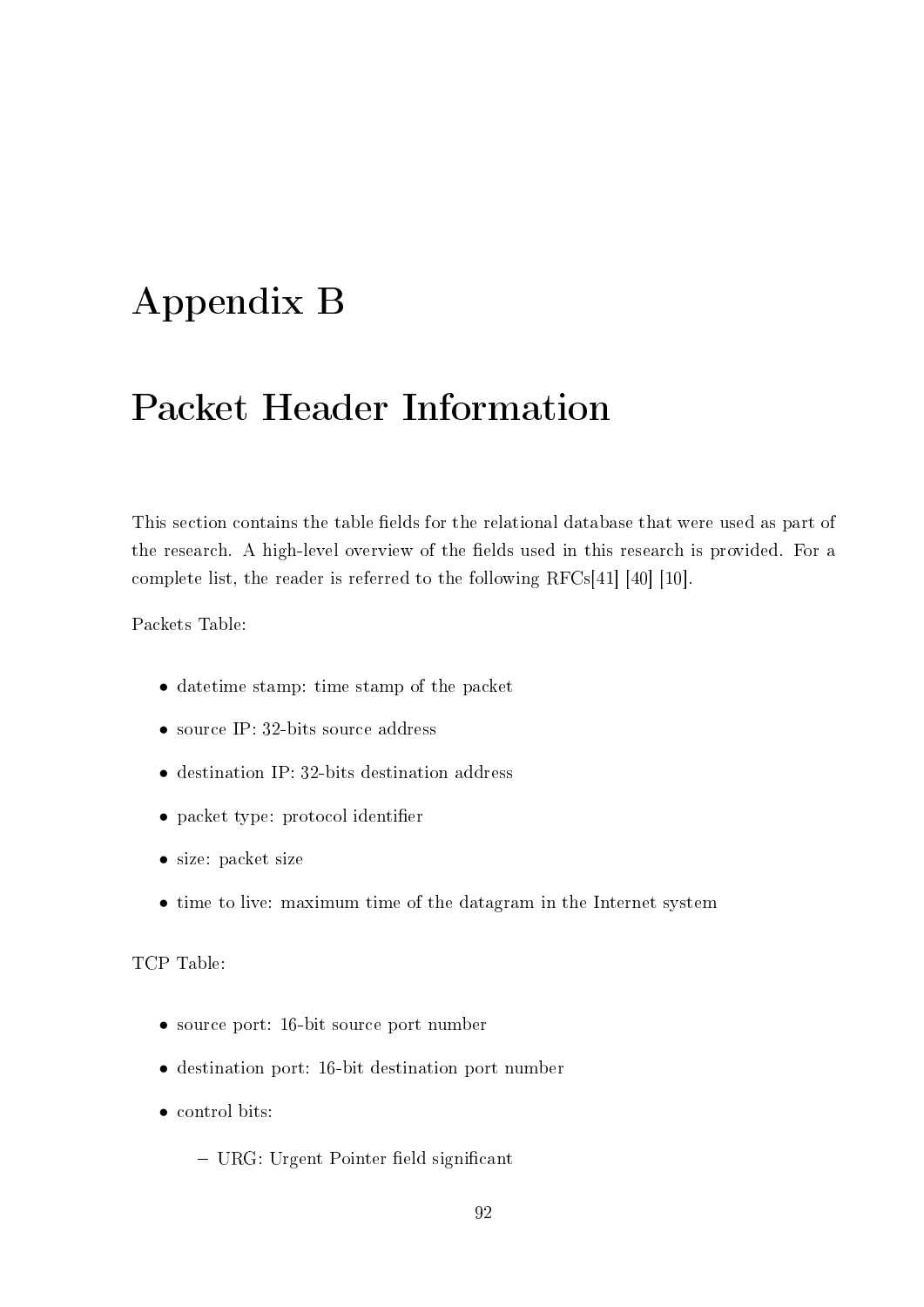## Appendix B

## Packet Header Information

This section contains the table fields for the relational database that were used as part of the research. A high-level overview of the fields used in this research is provided. For a complete list, the reader is referred to the following RFCs[41] [40] [10].

Packets Table:

- datetime stamp: time stamp of the packet
- source IP: 32-bits source address
- *•* destination IP: 32-bits destination address
- packet type: protocol identifier
- *•* size: packet size
- *•* time to live: maximum time of the datagram in the Internet system

TCP Table:

- *•* source port: 16-bit source port number
- *•* destination port: 16-bit destination port number
- control bits:
	- $-$  URG: Urgent Pointer field significant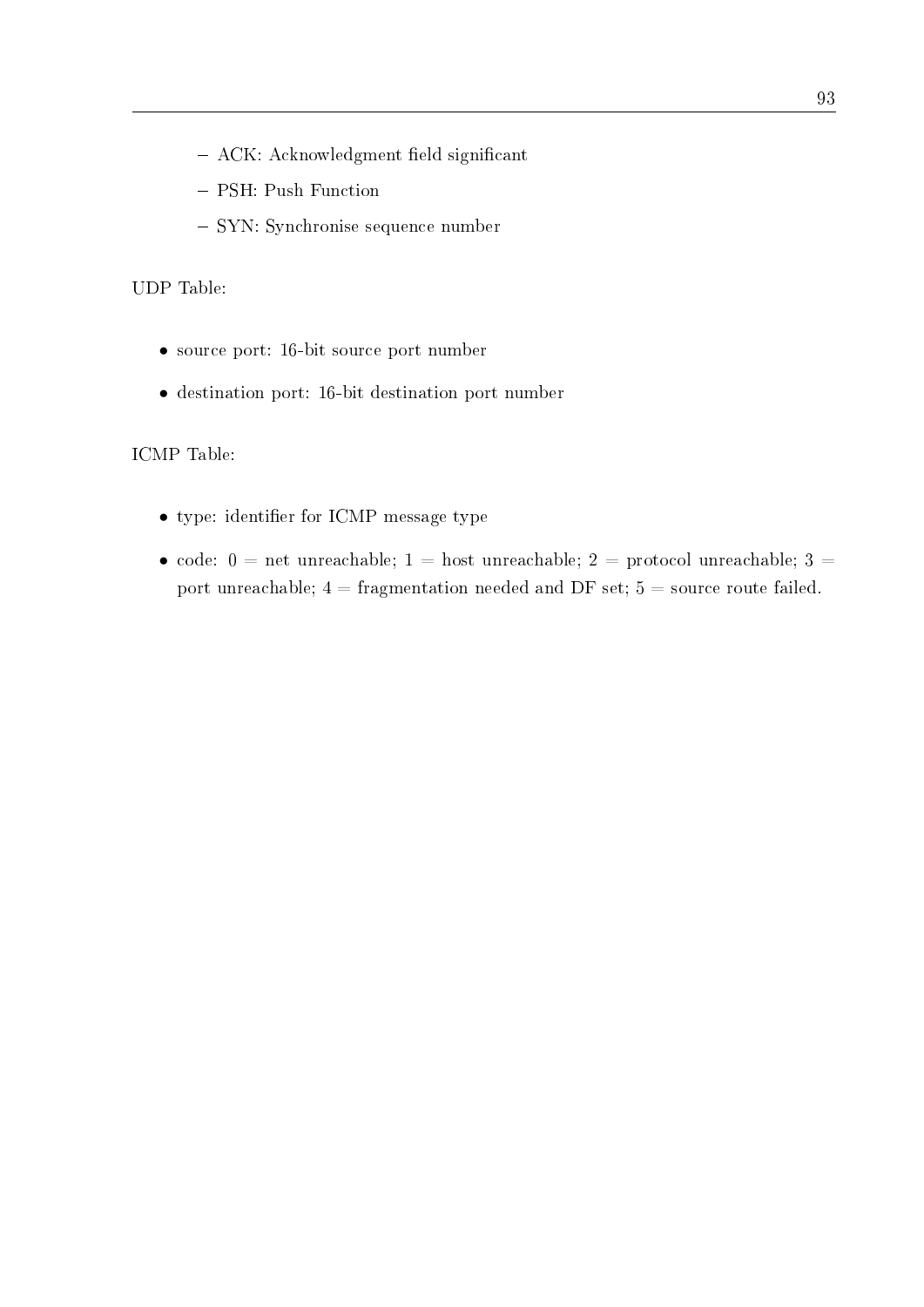- $-$  ACK: Acknowledgment field significant
- PSH: Push Function
- SYN: Synchronise sequence number

UDP Table:

- *•* source port: 16-bit source port number
- *•* destination port: 16-bit destination port number

ICMP Table:

- type: identifier for ICMP message type
- code:  $0 =$  net unreachable;  $1 =$  host unreachable;  $2 =$  protocol unreachable;  $3 =$ port unreachable;  $4 =$  fragmentation needed and DF set;  $5 =$  source route failed.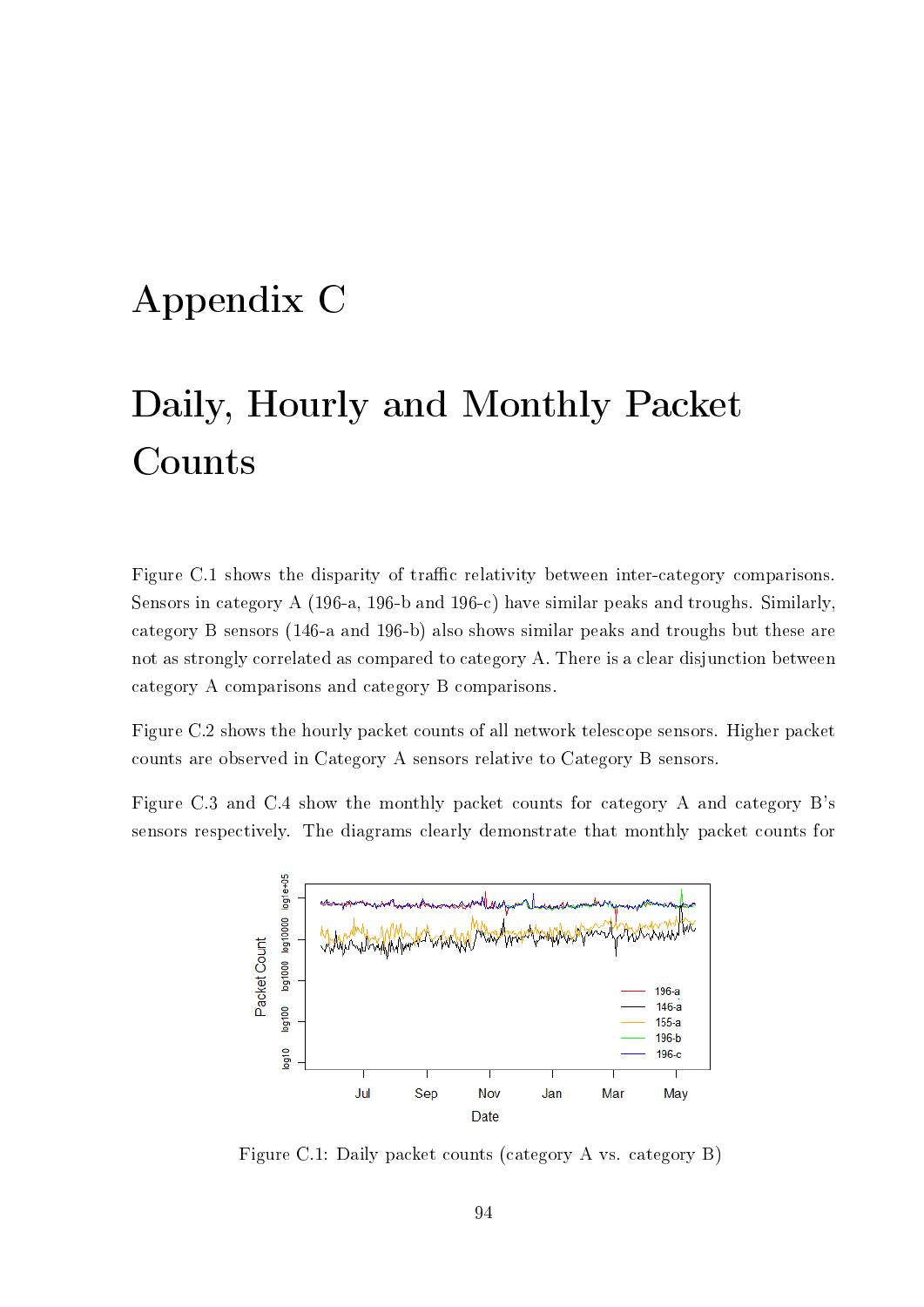## Appendix C

# Daily, Hourly and Monthly Packet Counts

Figure C.1 shows the disparity of traffic relativity between inter-category comparisons. Sensors in category A (196-a, 196-b and 196-c) have similar peaks and troughs. Similarly, category B sensors (146-a and 196-b) also shows similar peaks and troughs but these are not as strongly correlated as compared to category A. There is a clear disjunction between category A comparisons and category B comparisons.

Figure C.2 shows the hourly packet counts of all network telescope sensors. Higher packet counts are observed in Category A sensors relative to Category B sensors.

Figure C.3 and C.4 show the monthly packet counts for category A and category B's sensors respectively. The diagrams clearly demonstrate that monthly packet counts for



Figure C.1: Daily packet counts (category A vs. category B)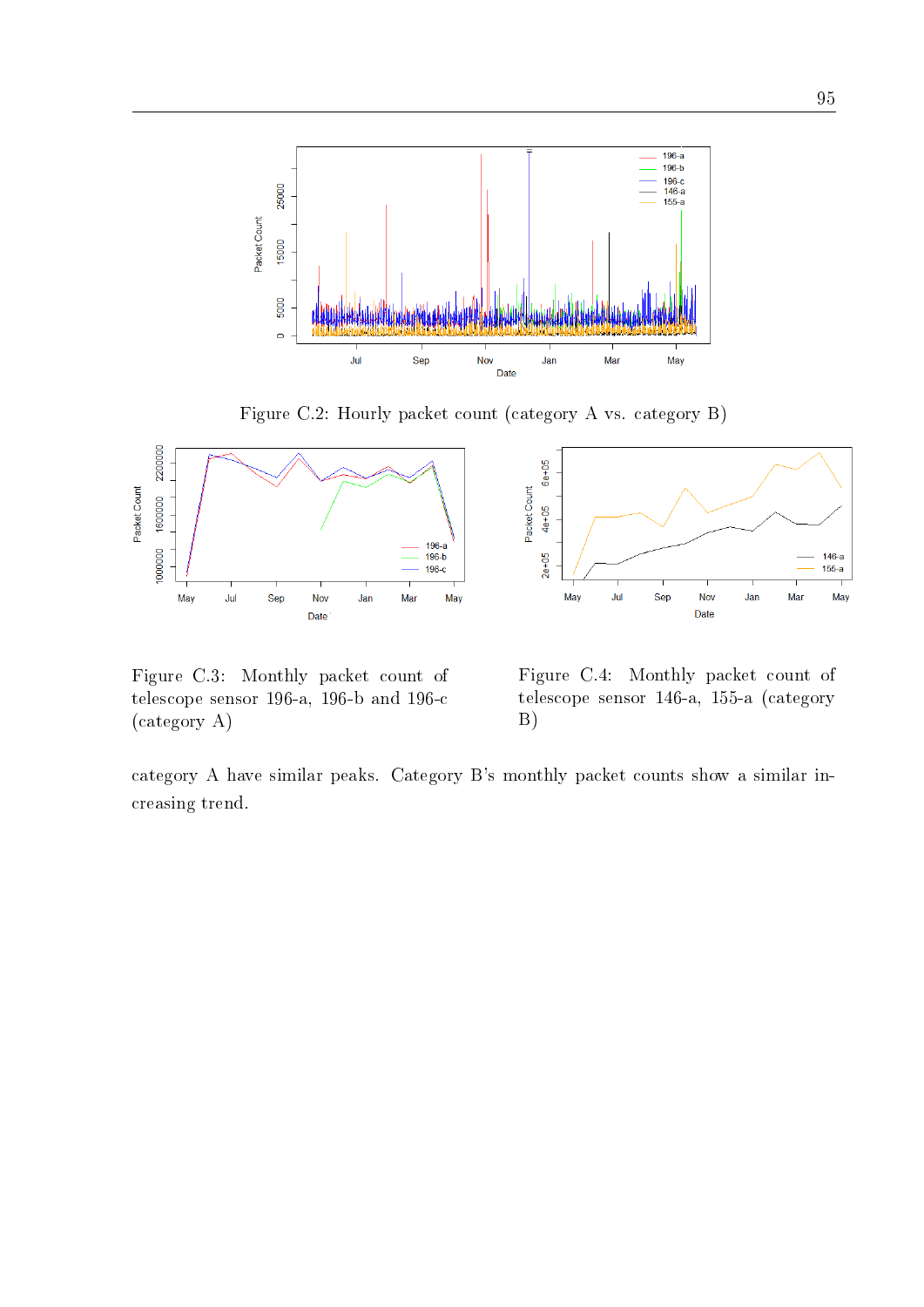

Figure C.2: Hourly packet count (category A vs. category B)

 $6e + 05$ 

 $4e+05$ 

 $2e+05$ 

May

Jul

Packet Count



Figure C.3: Monthly packet count of telescope sensor 196-a, 196-b and 196-c (category A)

Figure C.4: Monthly packet count of telescope sensor 146-a, 155-a (category B)

Sep

Nov

Date

Jan

category A have similar peaks. Category B's monthly packet counts show a similar increasing trend.

 $146-a$ 

 $155-a$ 

May

Mar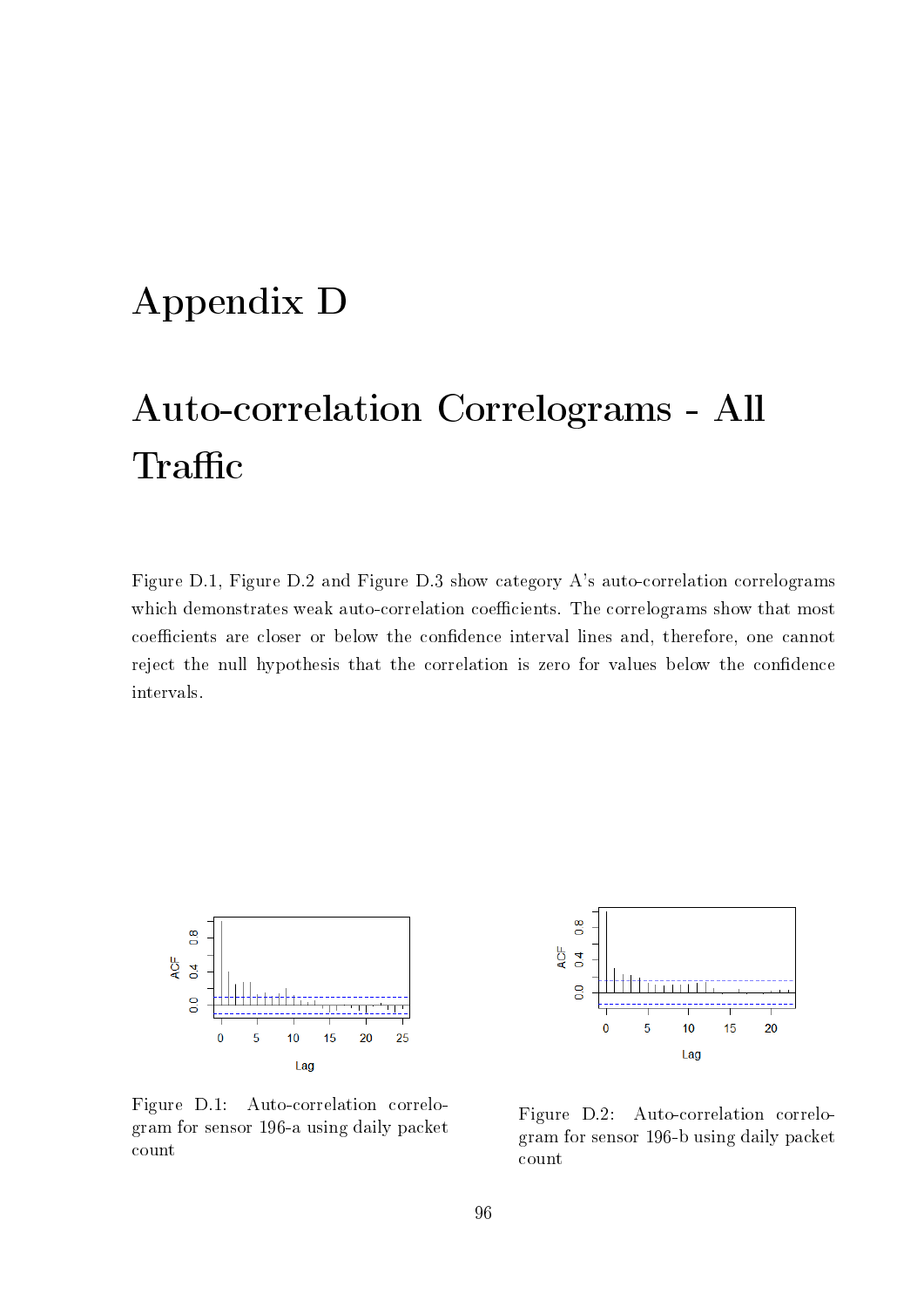#### Appendix D

## Auto-correlation Correlograms - All Traffic

Figure D.1, Figure D.2 and Figure D.3 show category A's auto-correlation correlograms which demonstrates weak auto-correlation coefficients. The correlograms show that most coefficients are closer or below the confidence interval lines and, therefore, one cannot reject the null hypothesis that the correlation is zero for values below the condence intervals.



Figure D.1: Auto-correlation correlogram for sensor 196-a using daily packet count



Figure D.2: Auto-correlation correlogram for sensor 196-b using daily packet count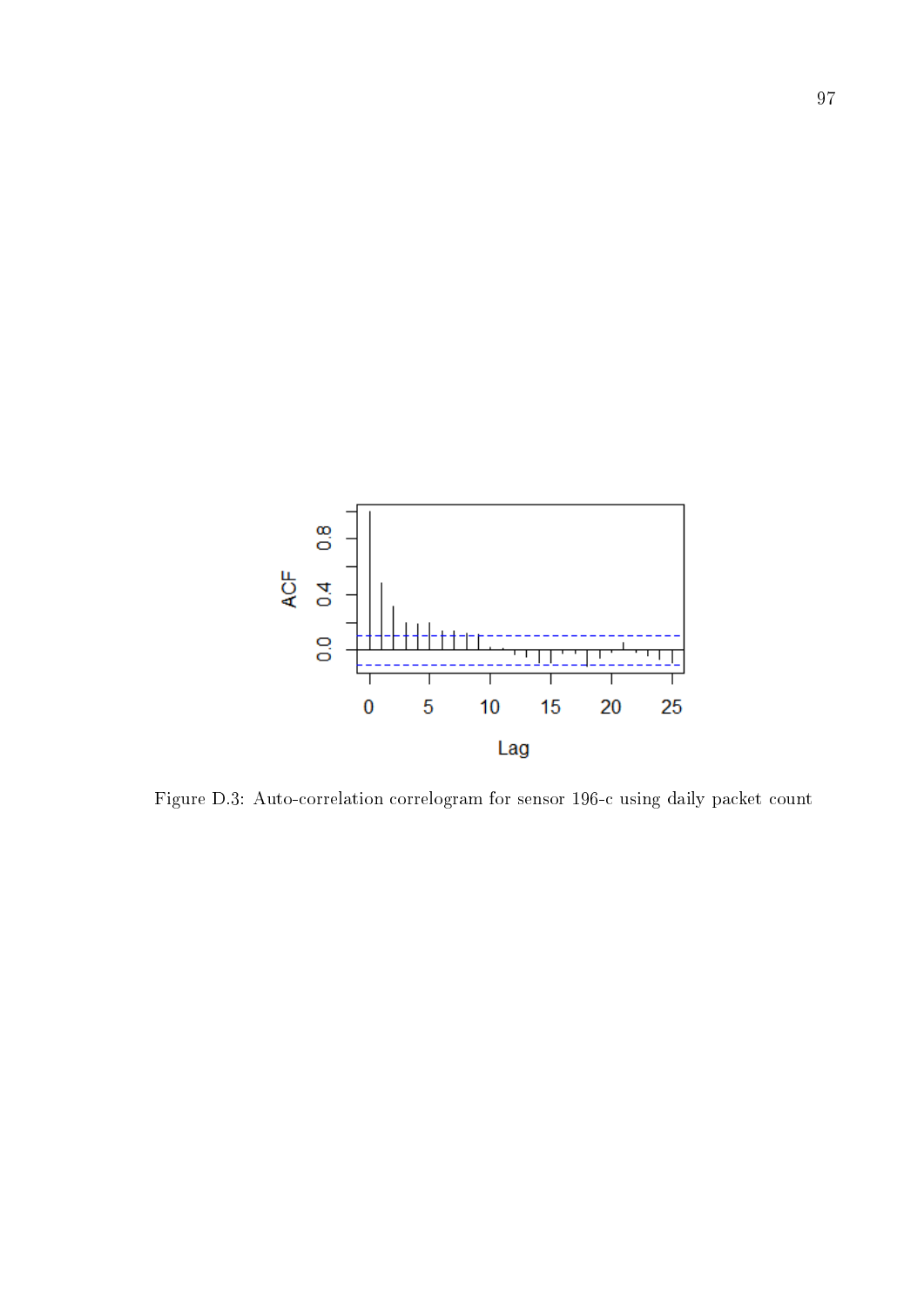

Figure D.3: Auto-correlation correlogram for sensor 196-c using daily packet count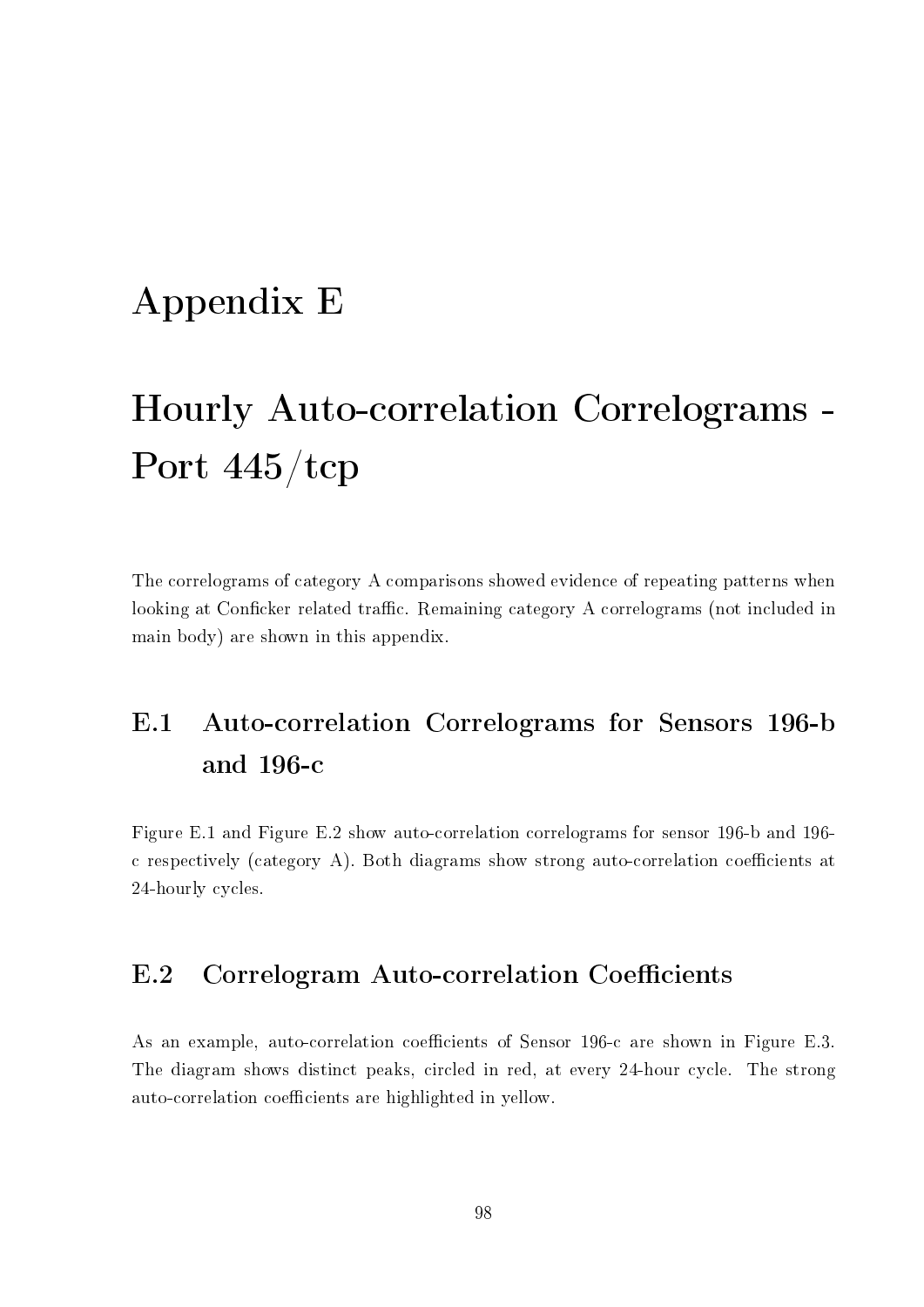#### Appendix E

## Hourly Auto-correlation Correlograms - Port 445/tcp

The correlograms of category A comparisons showed evidence of repeating patterns when looking at Conficker related traffic. Remaining category A correlograms (not included in main body) are shown in this appendix.

#### E.1 Auto-correlation Correlograms for Sensors 196-b and 196-c

Figure E.1 and Figure E.2 show auto-correlation correlograms for sensor 196-b and 196 c respectively (category A). Both diagrams show strong auto-correlation coefficients at 24-hourly cycles.

#### E.2 Correlogram Auto-correlation Coefficients

As an example, auto-correlation coefficients of Sensor 196-c are shown in Figure E.3. The diagram shows distinct peaks, circled in red, at every 24-hour cycle. The strong auto-correlation coefficients are highlighted in yellow.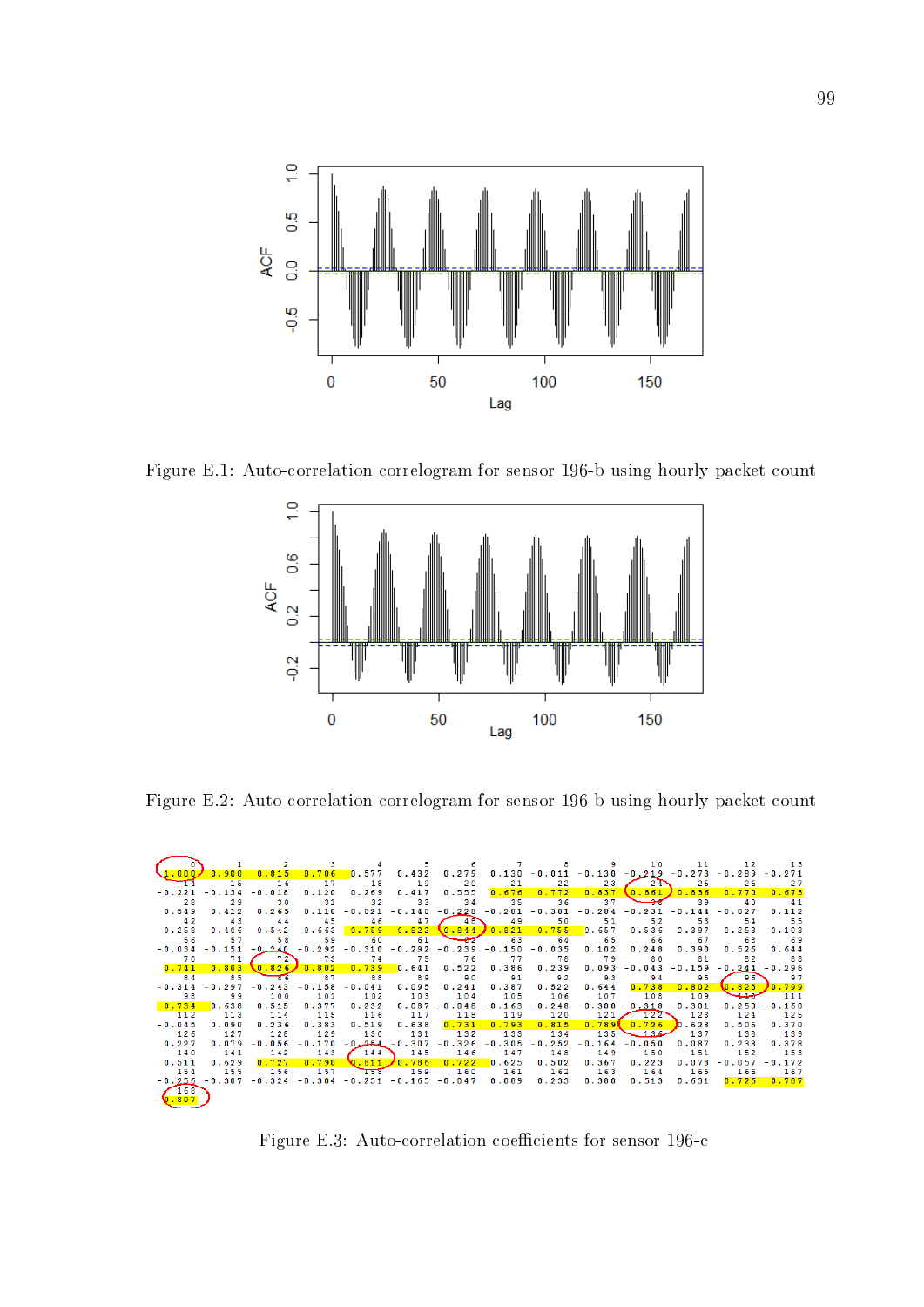

Figure E.1: Auto-correlation correlogram for sensor 196-b using hourly packet count



Figure E.2: Auto-correlation correlogram for sensor 196-b using hourly packet count



Figure E.3: Auto-correlation coefficients for sensor 196-c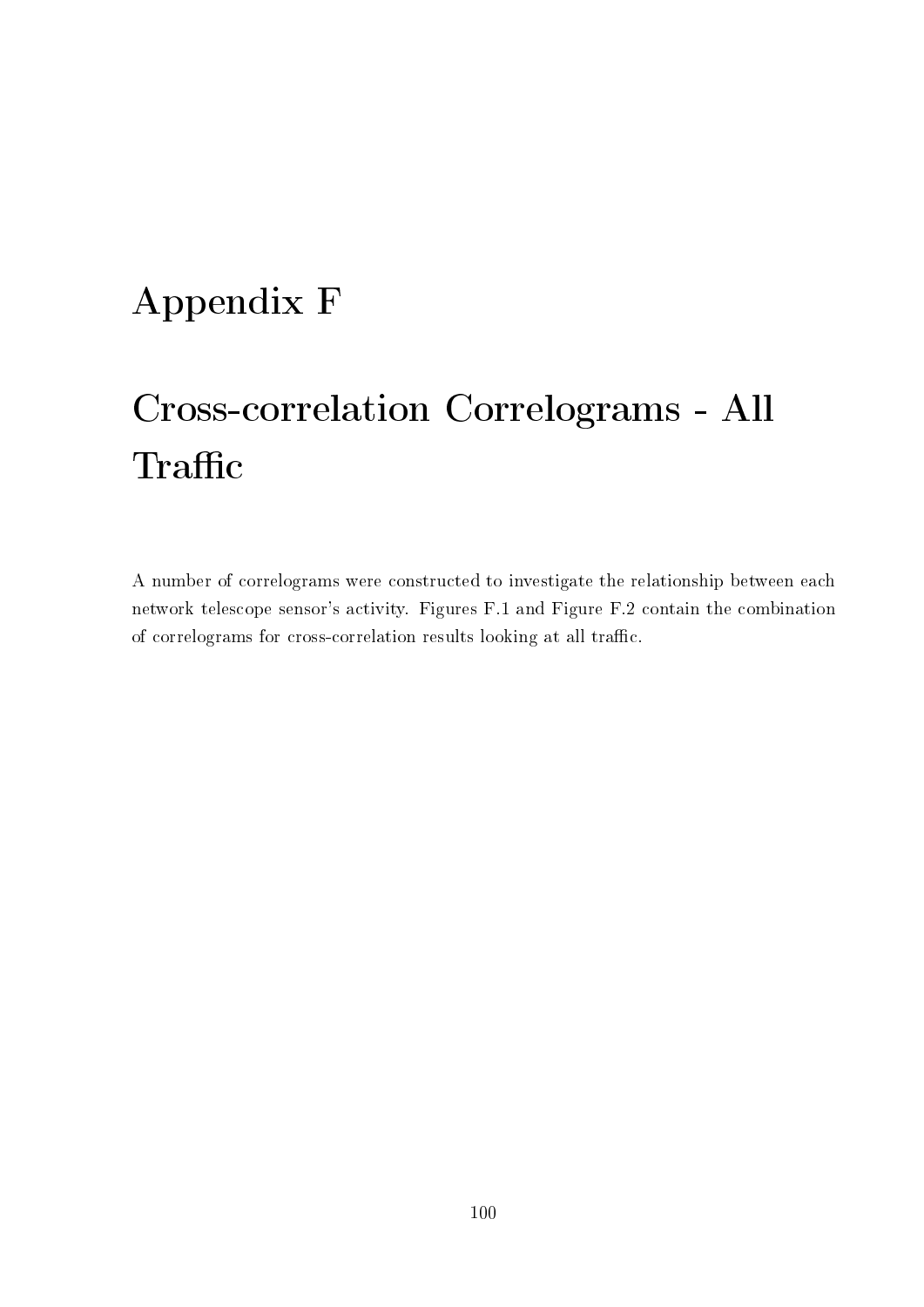## Appendix F

# Cross-correlation Correlograms - All Traffic

A number of correlograms were constructed to investigate the relationship between each network telescope sensor's activity. Figures F.1 and Figure F.2 contain the combination of correlograms for cross-correlation results looking at all traffic.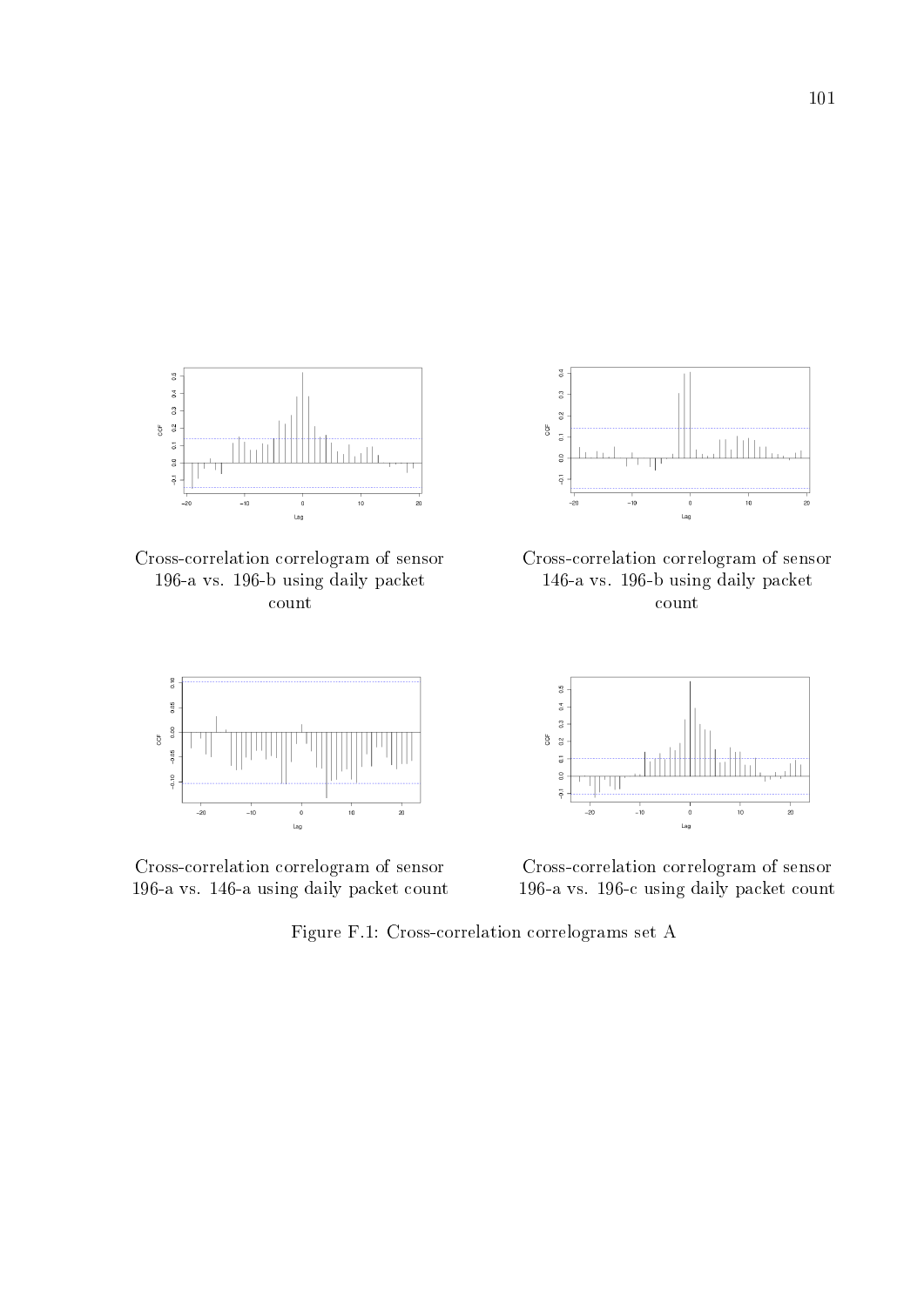

Cross-correlation correlogram of sensor 196-a vs. 196-b using daily packet count



Cross-correlation correlogram of sensor 196-a vs. 146-a using daily packet count



Cross-correlation correlogram of sensor 146-a vs. 196-b using daily packet count



Cross-correlation correlogram of sensor 196-a vs. 196-c using daily packet count

Figure F.1: Cross-correlation correlograms set A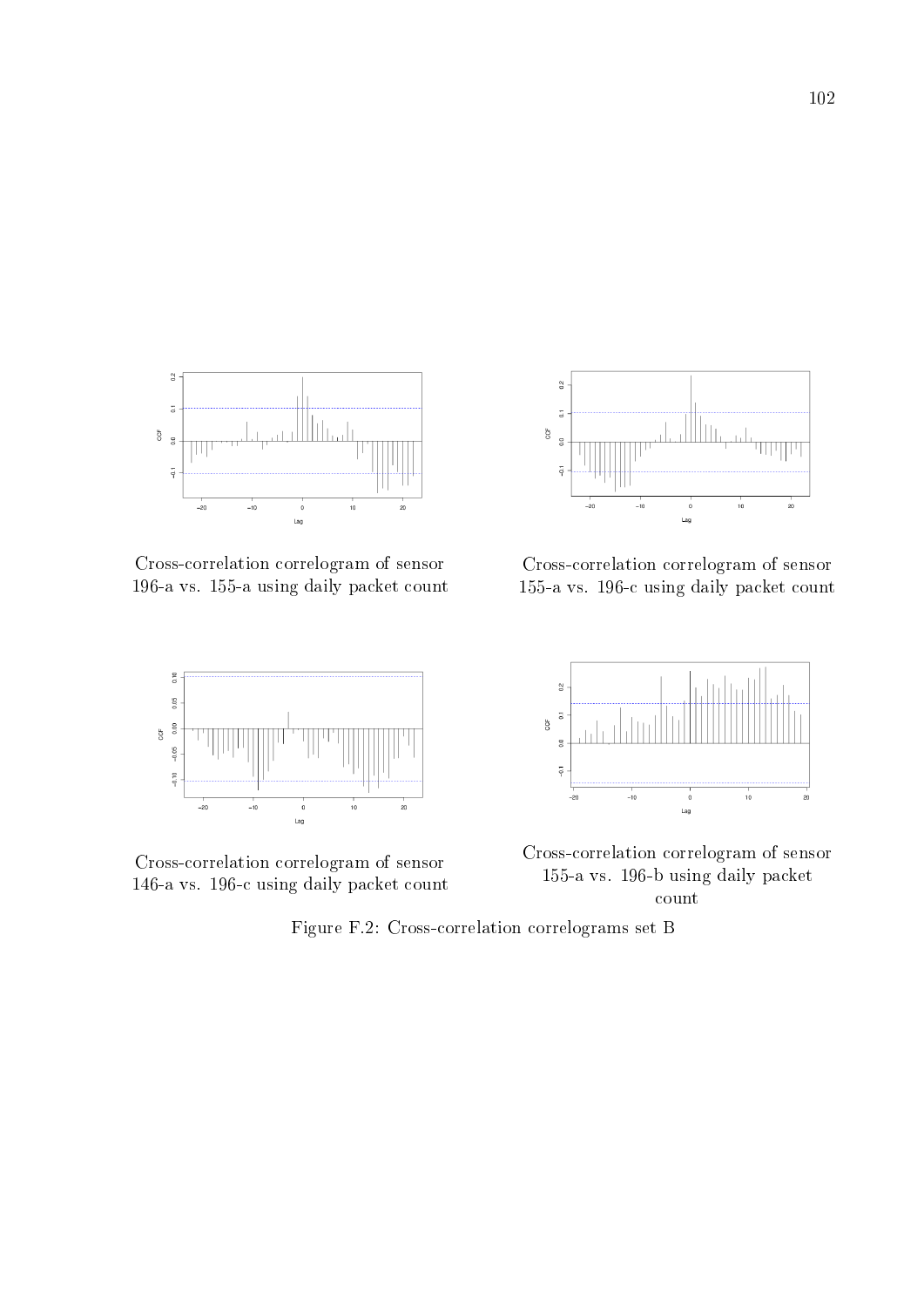

Cross-correlation correlogram of sensor 196-a vs. 155-a using daily packet count



Cross-correlation correlogram of sensor 146-a vs. 196-c using daily packet count



Cross-correlation correlogram of sensor 155-a vs. 196-c using daily packet count



Cross-correlation correlogram of sensor 155-a vs. 196-b using daily packet count

Figure F.2: Cross-correlation correlograms set B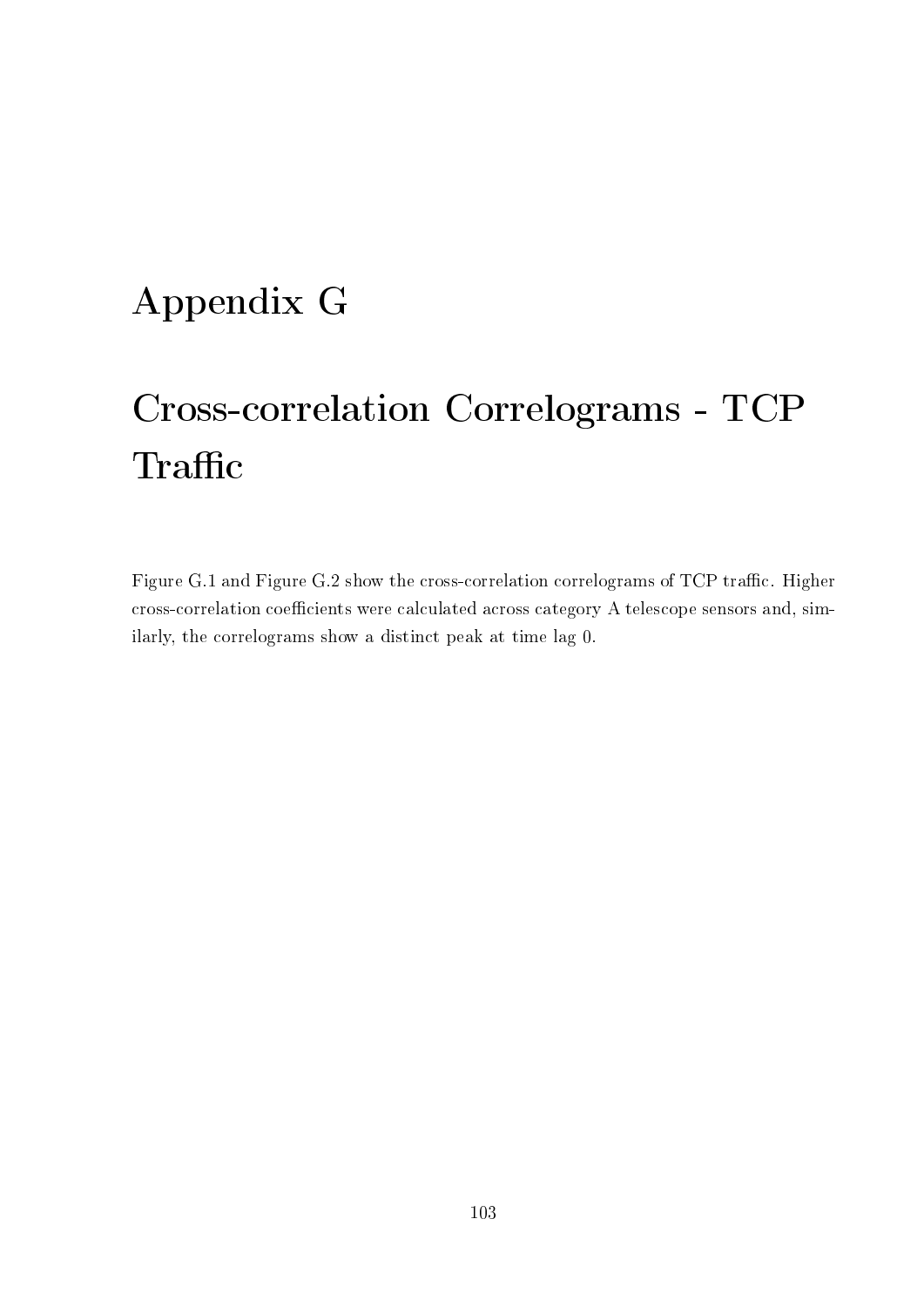### Appendix G

# Cross-correlation Correlograms - TCP Traffic

Figure G.1 and Figure G.2 show the cross-correlation correlograms of TCP traffic. Higher cross-correlation coefficients were calculated across category A telescope sensors and, similarly, the correlograms show a distinct peak at time lag 0.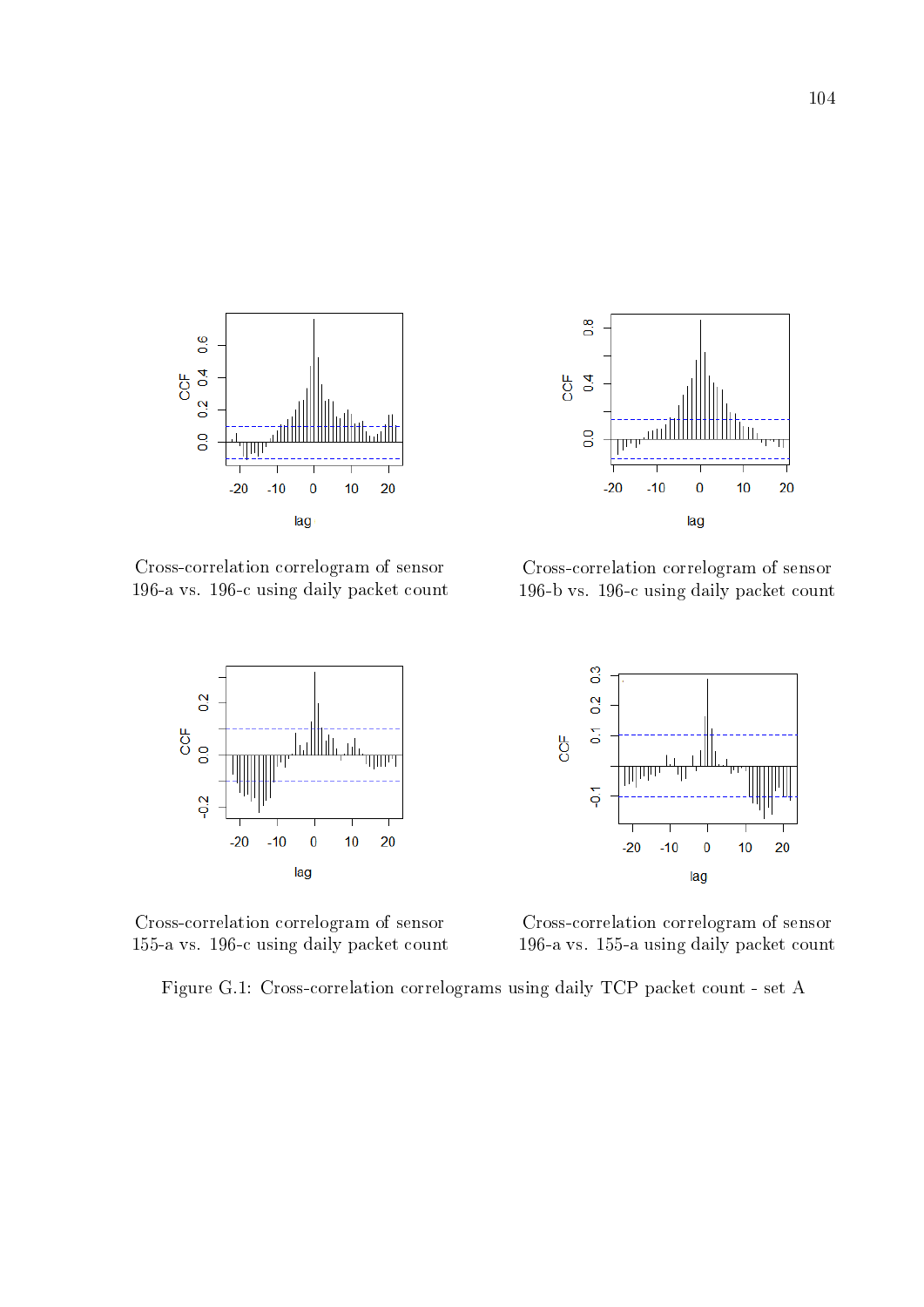

Cross-correlation correlogram of sensor 196-a vs. 196-c using daily packet count



Cross-correlation correlogram of sensor 155-a vs. 196-c using daily packet count

Figure G.1: Cross-correlation correlograms using daily TCP packet count - set A



Cross-correlation correlogram of sensor 196-b vs. 196-c using daily packet count



Cross-correlation correlogram of sensor 196-a vs. 155-a using daily packet count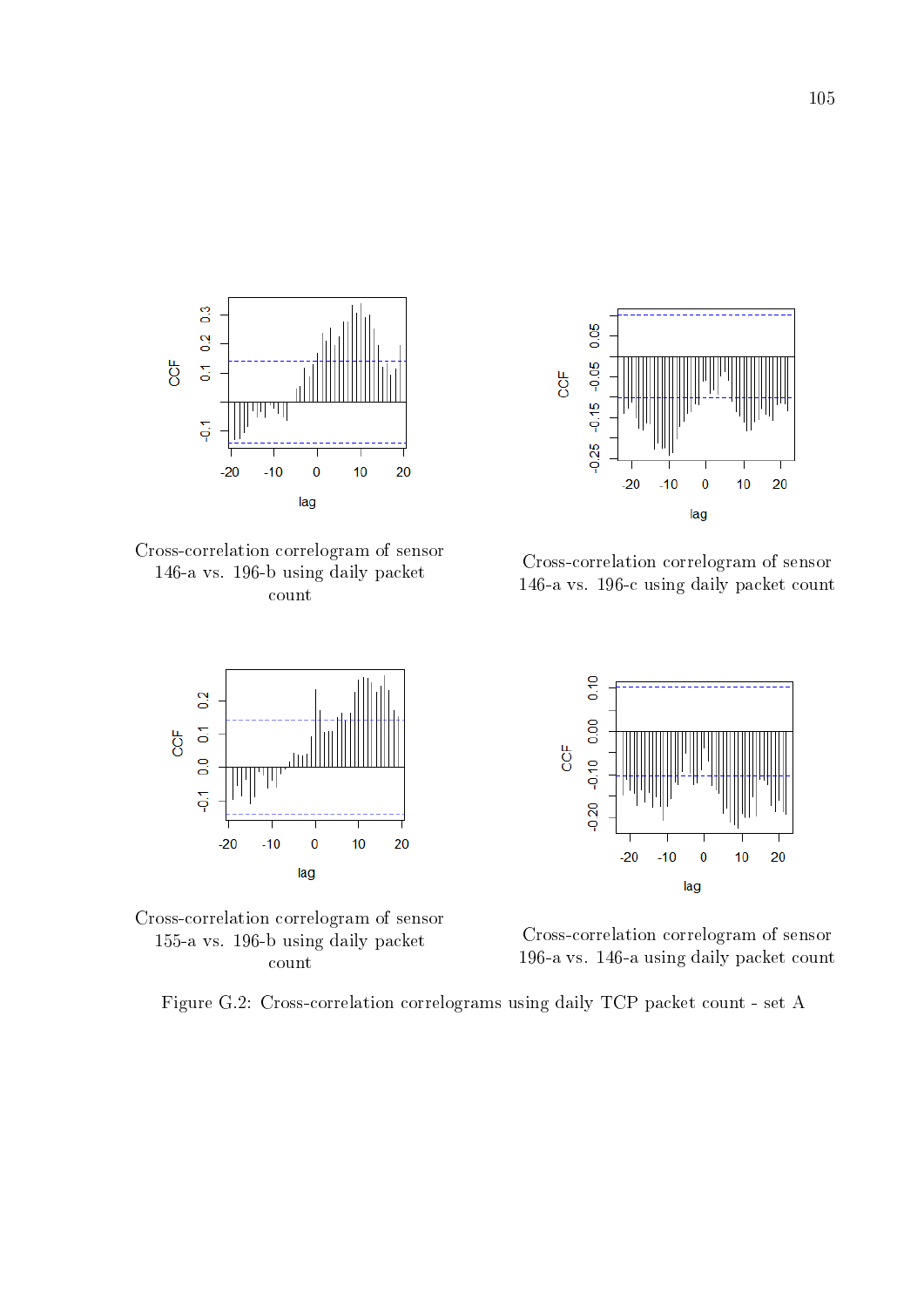

Cross-correlation correlogram of sensor 146-a vs. 196-b using daily packet count





Figure G.2: Cross-correlation correlograms using daily TCP packet count - set A



Cross-correlation correlogram of sensor 146-a vs. 196-c using daily packet count



Cross-correlation correlogram of sensor 196-a vs. 146-a using daily packet count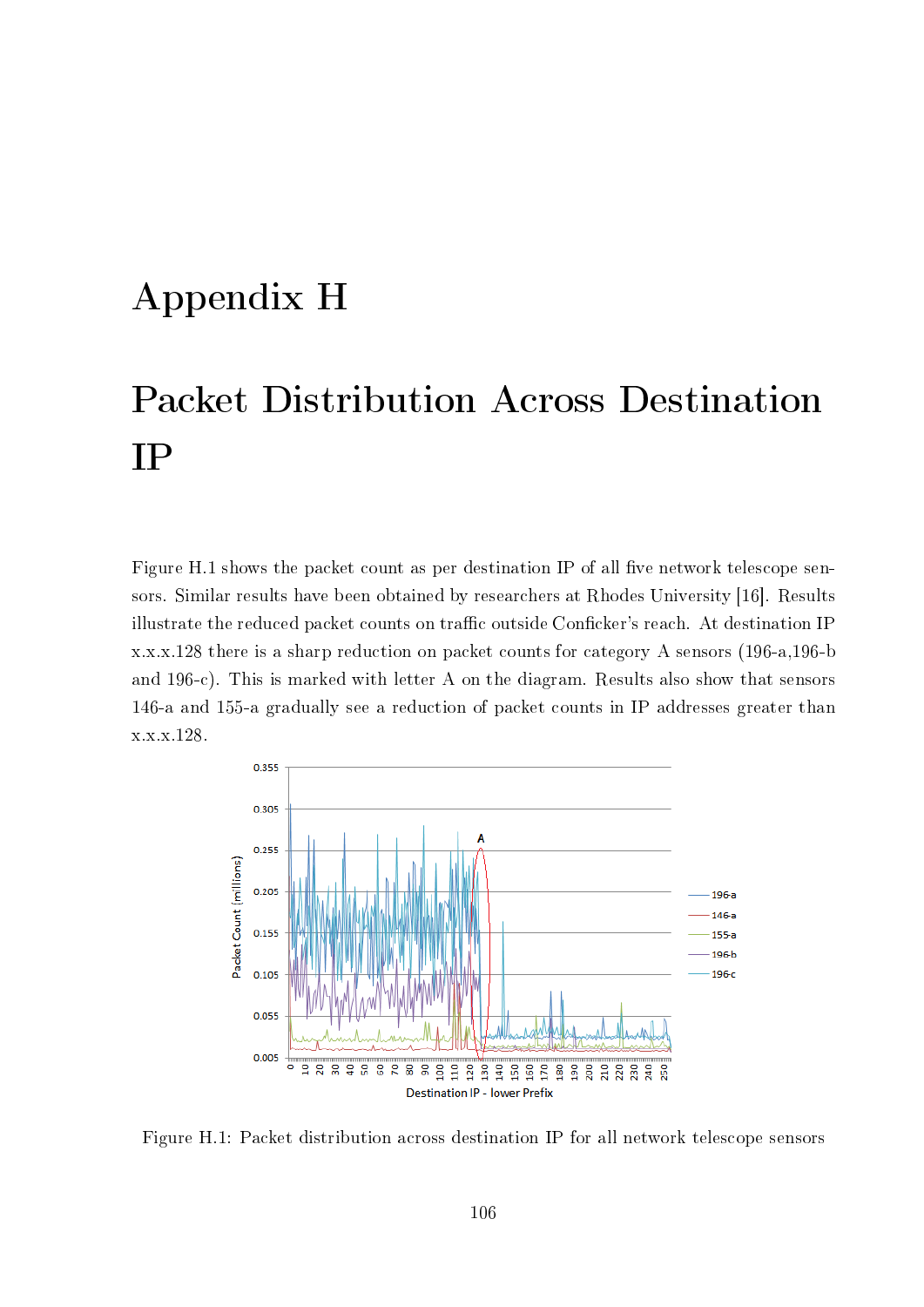#### Appendix H

## Packet Distribution Across Destination IP

Figure H.1 shows the packet count as per destination IP of all five network telescope sensors. Similar results have been obtained by researchers at Rhodes University [16]. Results illustrate the reduced packet counts on traffic outside Conficker's reach. At destination IP x.x.x.128 there is a sharp reduction on packet counts for category A sensors (196-a,196-b and 196-c). This is marked with letter A on the diagram. Results also show that sensors 146-a and 155-a gradually see a reduction of packet counts in IP addresses greater than x.x.x.128.



Figure H.1: Packet distribution across destination IP for all network telescope sensors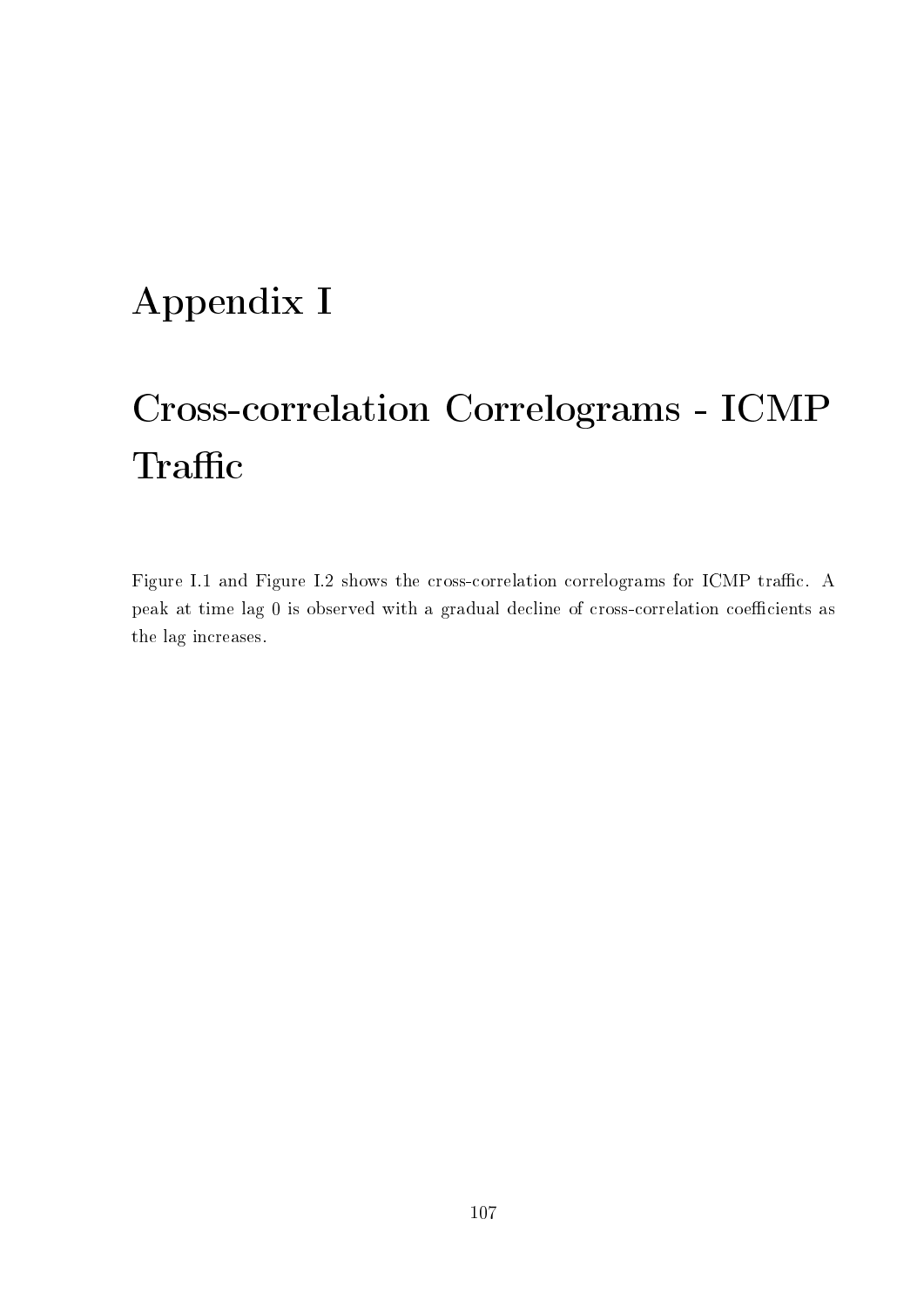### Appendix I

# Cross-correlation Correlograms - ICMP Traffic

Figure I.1 and Figure I.2 shows the cross-correlation correlograms for ICMP traffic. A peak at time lag 0 is observed with a gradual decline of cross-correlation coefficients as the lag increases.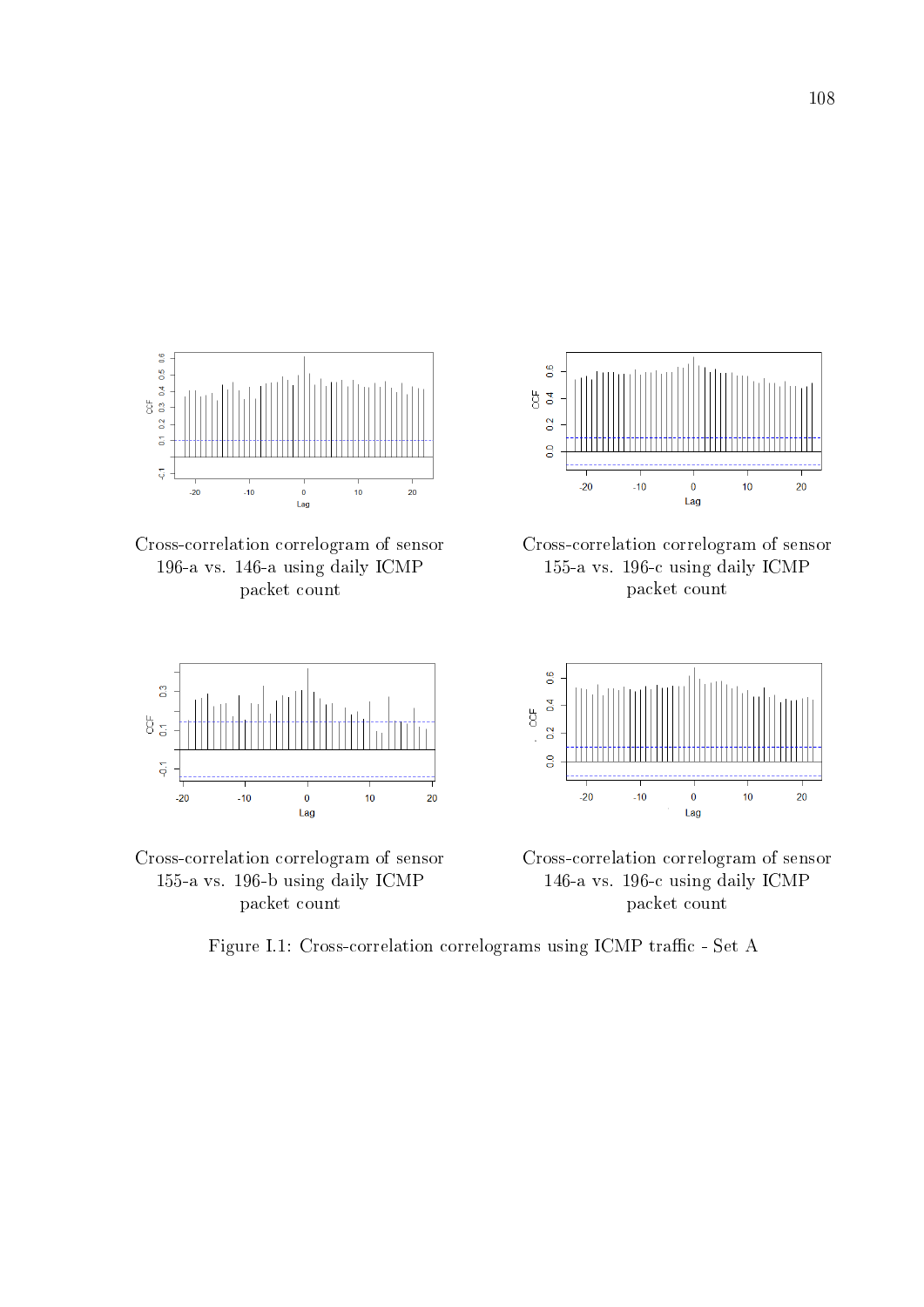

Cross-correlation correlogram of sensor 196-a vs. 146-a using daily ICMP packet count





 $\frac{6}{5}$  $rac{6}{3}$  $\overline{0}$  $\overline{0}$  $-20$  $-10$  $\bf{0}$  $10$ 20 Lag





Cross-correlation correlogram of sensor 146-a vs. 196-c using daily ICMP packet count

Figure I.1: Cross-correlation correlograms using ICMP traffic - Set A